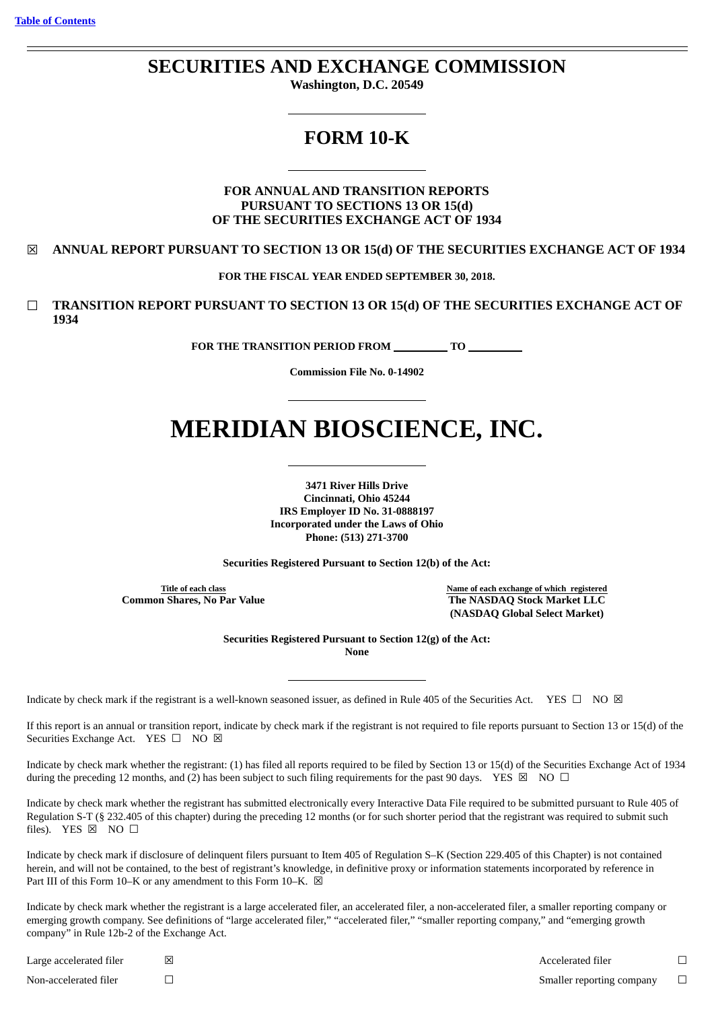# **SECURITIES AND EXCHANGE COMMISSION**

**Washington, D.C. 20549**

# **FORM 10-K**

# **FOR ANNUALAND TRANSITION REPORTS PURSUANT TO SECTIONS 13 OR 15(d) OF THE SECURITIES EXCHANGE ACT OF 1934**

# ☒ **ANNUAL REPORT PURSUANT TO SECTION 13 OR 15(d) OF THE SECURITIES EXCHANGE ACT OF 1934**

**FOR THE FISCAL YEAR ENDED SEPTEMBER 30, 2018.**

☐ **TRANSITION REPORT PURSUANT TO SECTION 13 OR 15(d) OF THE SECURITIES EXCHANGE ACT OF 1934**

**FOR THE TRANSITION PERIOD FROM TO**

**Commission File No. 0-14902**

# **MERIDIAN BIOSCIENCE, INC.**

**3471 River Hills Drive Cincinnati, Ohio 45244 IRS Employer ID No. 31-0888197 Incorporated under the Laws of Ohio Phone: (513) 271-3700**

**Securities Registered Pursuant to Section 12(b) of the Act:**

**Title of each class Name of each exchange of which registered Common Shares, No Par Value The NASDAQ Stock Market LLC (NASDAQ Global Select Market)**

> **Securities Registered Pursuant to Section 12(g) of the Act: None**

Indicate by check mark if the registrant is a well-known seasoned issuer, as defined in Rule 405 of the Securities Act. YES  $\Box$  NO  $\boxtimes$ 

If this report is an annual or transition report, indicate by check mark if the registrant is not required to file reports pursuant to Section 13 or 15(d) of the Securities Exchange Act. YES □ NO ⊠

Indicate by check mark whether the registrant: (1) has filed all reports required to be filed by Section 13 or 15(d) of the Securities Exchange Act of 1934 during the preceding 12 months, and (2) has been subject to such filing requirements for the past 90 days. YES  $\boxtimes$  NO  $\Box$ 

Indicate by check mark whether the registrant has submitted electronically every Interactive Data File required to be submitted pursuant to Rule 405 of Regulation S-T (§ 232.405 of this chapter) during the preceding 12 months (or for such shorter period that the registrant was required to submit such files). YES  $\boxtimes$  NO  $\square$ 

Indicate by check mark if disclosure of delinquent filers pursuant to Item 405 of Regulation S–K (Section 229.405 of this Chapter) is not contained herein, and will not be contained, to the best of registrant's knowledge, in definitive proxy or information statements incorporated by reference in Part III of this Form 10–K or any amendment to this Form 10–K.  $\boxtimes$ 

Indicate by check mark whether the registrant is a large accelerated filer, an accelerated filer, a non-accelerated filer, a smaller reporting company or emerging growth company. See definitions of "large accelerated filer," "accelerated filer," "smaller reporting company," and "emerging growth company" in Rule 12b-2 of the Exchange Act.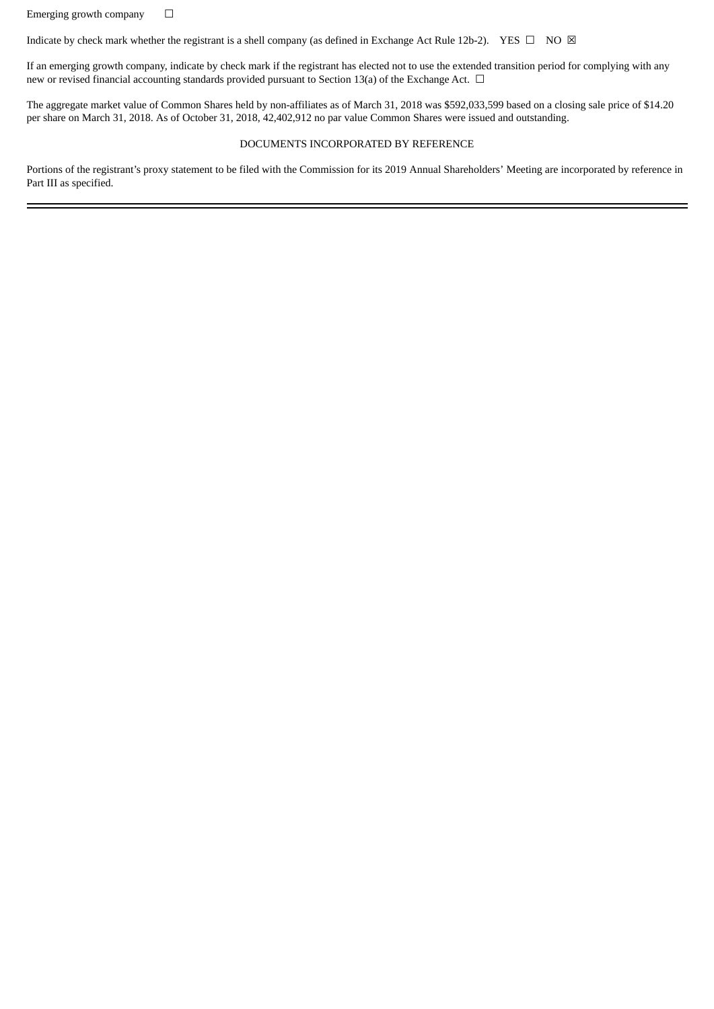Emerging growth company  $\Box$ 

Indicate by check mark whether the registrant is a shell company (as defined in Exchange Act Rule 12b-2). YES  $\Box$  NO  $\boxtimes$ 

If an emerging growth company, indicate by check mark if the registrant has elected not to use the extended transition period for complying with any new or revised financial accounting standards provided pursuant to Section 13(a) of the Exchange Act. □

The aggregate market value of Common Shares held by non-affiliates as of March 31, 2018 was \$592,033,599 based on a closing sale price of \$14.20 per share on March 31, 2018. As of October 31, 2018, 42,402,912 no par value Common Shares were issued and outstanding.

#### DOCUMENTS INCORPORATED BY REFERENCE

Portions of the registrant's proxy statement to be filed with the Commission for its 2019 Annual Shareholders' Meeting are incorporated by reference in Part III as specified.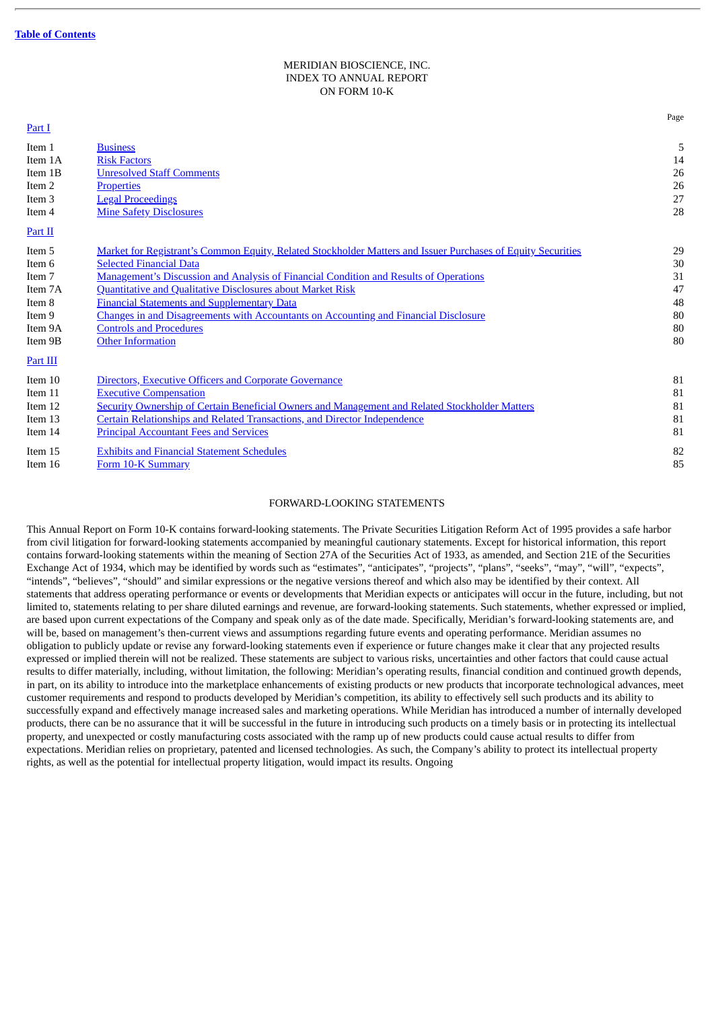# MERIDIAN BIOSCIENCE, INC. INDEX TO ANNUAL REPORT ON FORM 10-K

Page

<span id="page-2-0"></span>

| Part I            |                                                                                                              |    |
|-------------------|--------------------------------------------------------------------------------------------------------------|----|
| Item 1            | <b>Business</b>                                                                                              | 5  |
| Item 1A           | <b>Risk Factors</b>                                                                                          | 14 |
| Item 1B           | <b>Unresolved Staff Comments</b>                                                                             | 26 |
| Item <sub>2</sub> | <b>Properties</b>                                                                                            | 26 |
| Item <sub>3</sub> | <b>Legal Proceedings</b>                                                                                     | 27 |
| Item 4            | <b>Mine Safety Disclosures</b>                                                                               | 28 |
| Part II           |                                                                                                              |    |
| Item 5            | Market for Registrant's Common Equity, Related Stockholder Matters and Issuer Purchases of Equity Securities | 29 |
| Item <sub>6</sub> | <b>Selected Financial Data</b>                                                                               | 30 |
| Item 7            | <b>Management's Discussion and Analysis of Financial Condition and Results of Operations</b>                 | 31 |
| Item 7A           | Quantitative and Qualitative Disclosures about Market Risk                                                   | 47 |
| Item 8            | <b>Financial Statements and Supplementary Data</b>                                                           | 48 |
| Item 9            | <b>Changes in and Disagreements with Accountants on Accounting and Financial Disclosure</b>                  | 80 |
| Item 9A           | <b>Controls and Procedures</b>                                                                               | 80 |
| Item 9B           | <b>Other Information</b>                                                                                     | 80 |
| Part III          |                                                                                                              |    |
| Item 10           | <b>Directors, Executive Officers and Corporate Governance</b>                                                | 81 |
| Item 11           | <b>Executive Compensation</b>                                                                                | 81 |
| Item 12           | <b>Security Ownership of Certain Beneficial Owners and Management and Related Stockholder Matters</b>        | 81 |
| Item 13           | <b>Certain Relationships and Related Transactions, and Director Independence</b>                             | 81 |
| Item 14           | <b>Principal Accountant Fees and Services</b>                                                                | 81 |
| Item 15           | <b>Exhibits and Financial Statement Schedules</b>                                                            | 82 |
| Item 16           | Form 10-K Summary                                                                                            | 85 |
|                   |                                                                                                              |    |

# FORWARD-LOOKING STATEMENTS

This Annual Report on Form 10-K contains forward-looking statements. The Private Securities Litigation Reform Act of 1995 provides a safe harbor from civil litigation for forward-looking statements accompanied by meaningful cautionary statements. Except for historical information, this report contains forward-looking statements within the meaning of Section 27A of the Securities Act of 1933, as amended, and Section 21E of the Securities Exchange Act of 1934, which may be identified by words such as "estimates", "anticipates", "projects", "plans", "seeks", "may", "will", "expects", "intends", "believes", "should" and similar expressions or the negative versions thereof and which also may be identified by their context. All statements that address operating performance or events or developments that Meridian expects or anticipates will occur in the future, including, but not limited to, statements relating to per share diluted earnings and revenue, are forward-looking statements. Such statements, whether expressed or implied, are based upon current expectations of the Company and speak only as of the date made. Specifically, Meridian's forward-looking statements are, and will be, based on management's then-current views and assumptions regarding future events and operating performance. Meridian assumes no obligation to publicly update or revise any forward-looking statements even if experience or future changes make it clear that any projected results expressed or implied therein will not be realized. These statements are subject to various risks, uncertainties and other factors that could cause actual results to differ materially, including, without limitation, the following: Meridian's operating results, financial condition and continued growth depends, in part, on its ability to introduce into the marketplace enhancements of existing products or new products that incorporate technological advances, meet customer requirements and respond to products developed by Meridian's competition, its ability to effectively sell such products and its ability to successfully expand and effectively manage increased sales and marketing operations. While Meridian has introduced a number of internally developed products, there can be no assurance that it will be successful in the future in introducing such products on a timely basis or in protecting its intellectual property, and unexpected or costly manufacturing costs associated with the ramp up of new products could cause actual results to differ from expectations. Meridian relies on proprietary, patented and licensed technologies. As such, the Company's ability to protect its intellectual property rights, as well as the potential for intellectual property litigation, would impact its results. Ongoing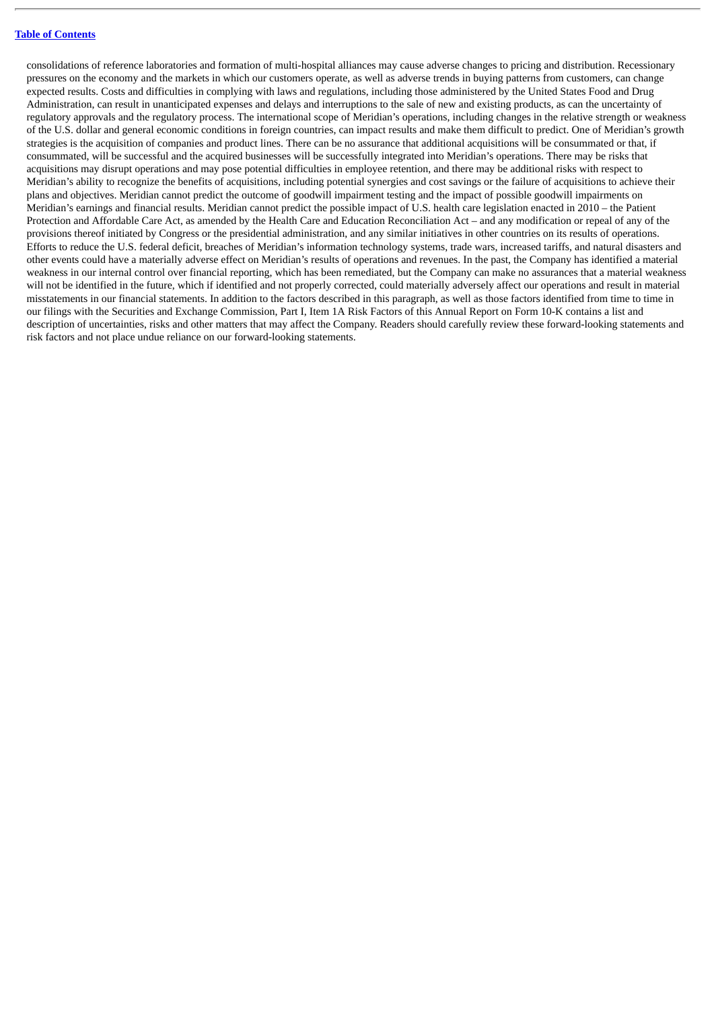consolidations of reference laboratories and formation of multi-hospital alliances may cause adverse changes to pricing and distribution. Recessionary pressures on the economy and the markets in which our customers operate, as well as adverse trends in buying patterns from customers, can change expected results. Costs and difficulties in complying with laws and regulations, including those administered by the United States Food and Drug Administration, can result in unanticipated expenses and delays and interruptions to the sale of new and existing products, as can the uncertainty of regulatory approvals and the regulatory process. The international scope of Meridian's operations, including changes in the relative strength or weakness of the U.S. dollar and general economic conditions in foreign countries, can impact results and make them difficult to predict. One of Meridian's growth strategies is the acquisition of companies and product lines. There can be no assurance that additional acquisitions will be consummated or that, if consummated, will be successful and the acquired businesses will be successfully integrated into Meridian's operations. There may be risks that acquisitions may disrupt operations and may pose potential difficulties in employee retention, and there may be additional risks with respect to Meridian's ability to recognize the benefits of acquisitions, including potential synergies and cost savings or the failure of acquisitions to achieve their plans and objectives. Meridian cannot predict the outcome of goodwill impairment testing and the impact of possible goodwill impairments on Meridian's earnings and financial results. Meridian cannot predict the possible impact of U.S. health care legislation enacted in 2010 – the Patient Protection and Affordable Care Act, as amended by the Health Care and Education Reconciliation Act – and any modification or repeal of any of the provisions thereof initiated by Congress or the presidential administration, and any similar initiatives in other countries on its results of operations. Efforts to reduce the U.S. federal deficit, breaches of Meridian's information technology systems, trade wars, increased tariffs, and natural disasters and other events could have a materially adverse effect on Meridian's results of operations and revenues. In the past, the Company has identified a material weakness in our internal control over financial reporting, which has been remediated, but the Company can make no assurances that a material weakness will not be identified in the future, which if identified and not properly corrected, could materially adversely affect our operations and result in material misstatements in our financial statements. In addition to the factors described in this paragraph, as well as those factors identified from time to time in our filings with the Securities and Exchange Commission, Part I, Item 1A Risk Factors of this Annual Report on Form 10-K contains a list and description of uncertainties, risks and other matters that may affect the Company. Readers should carefully review these forward-looking statements and risk factors and not place undue reliance on our forward-looking statements.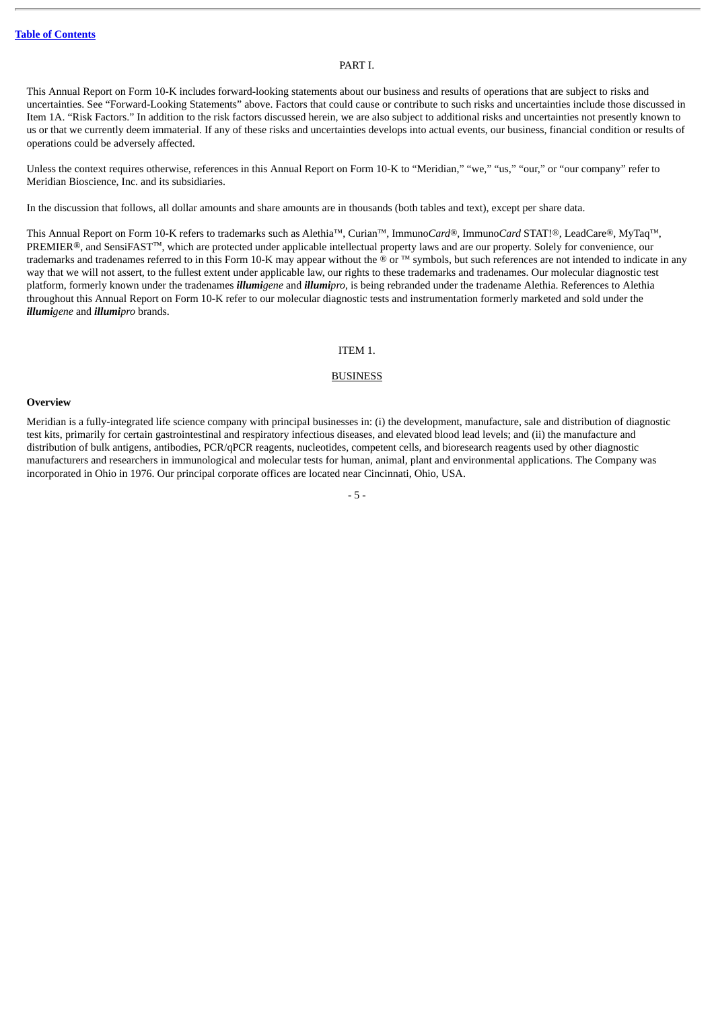#### PART I.

<span id="page-4-0"></span>This Annual Report on Form 10-K includes forward-looking statements about our business and results of operations that are subject to risks and uncertainties. See "Forward-Looking Statements" above. Factors that could cause or contribute to such risks and uncertainties include those discussed in Item 1A. "Risk Factors." In addition to the risk factors discussed herein, we are also subject to additional risks and uncertainties not presently known to us or that we currently deem immaterial. If any of these risks and uncertainties develops into actual events, our business, financial condition or results of operations could be adversely affected.

Unless the context requires otherwise, references in this Annual Report on Form 10-K to "Meridian," "we," "us," "our," or "our company" refer to Meridian Bioscience, Inc. and its subsidiaries.

In the discussion that follows, all dollar amounts and share amounts are in thousands (both tables and text), except per share data.

This Annual Report on Form 10-K refers to trademarks such as Alethia™, Curian™, Immuno*Card®*, Immuno*Card* STAT!*®*, LeadCare*®*, MyTaq™, PREMIER*®*, and SensiFAST™, which are protected under applicable intellectual property laws and are our property. Solely for convenience, our trademarks and tradenames referred to in this Form 10-K may appear without the *®* or ™ symbols, but such references are not intended to indicate in any way that we will not assert, to the fullest extent under applicable law, our rights to these trademarks and tradenames. Our molecular diagnostic test platform, formerly known under the tradenames *illumigene* and *illumipro*, is being rebranded under the tradename Alethia. References to Alethia throughout this Annual Report on Form 10-K refer to our molecular diagnostic tests and instrumentation formerly marketed and sold under the *illumigene* and *illumipro* brands.

#### ITEM 1.

#### BUSINESS

#### <span id="page-4-1"></span>**Overview**

Meridian is a fully-integrated life science company with principal businesses in: (i) the development, manufacture, sale and distribution of diagnostic test kits, primarily for certain gastrointestinal and respiratory infectious diseases, and elevated blood lead levels; and (ii) the manufacture and distribution of bulk antigens, antibodies, PCR/qPCR reagents, nucleotides, competent cells, and bioresearch reagents used by other diagnostic manufacturers and researchers in immunological and molecular tests for human, animal, plant and environmental applications. The Company was incorporated in Ohio in 1976. Our principal corporate offices are located near Cincinnati, Ohio, USA.

- 5 -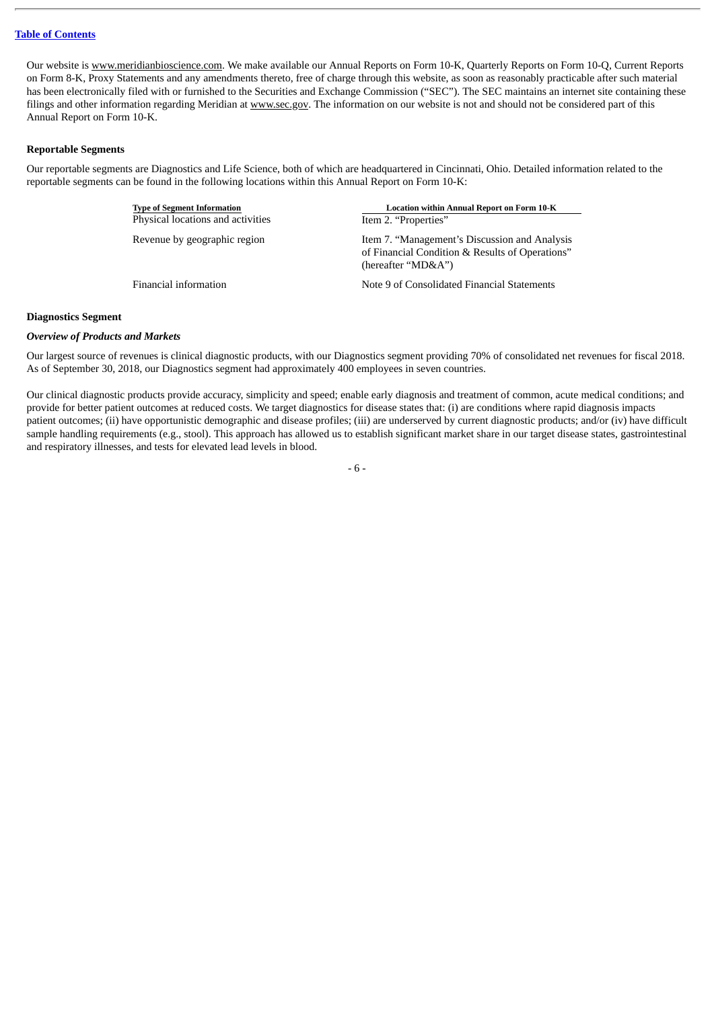Our website is www.meridianbioscience.com. We make available our Annual Reports on Form 10-K, Quarterly Reports on Form 10-Q, Current Reports on Form 8-K, Proxy Statements and any amendments thereto, free of charge through this website, as soon as reasonably practicable after such material has been electronically filed with or furnished to the Securities and Exchange Commission ("SEC"). The SEC maintains an internet site containing these filings and other information regarding Meridian at www.sec.gov. The information on our website is not and should not be considered part of this Annual Report on Form 10-K.

#### **Reportable Segments**

Our reportable segments are Diagnostics and Life Science, both of which are headquartered in Cincinnati, Ohio. Detailed information related to the reportable segments can be found in the following locations within this Annual Report on Form 10-K:

| <b>Type of Segment Information</b> | <b>Location within Annual Report on Form 10-K</b>                                                                      |
|------------------------------------|------------------------------------------------------------------------------------------------------------------------|
| Physical locations and activities  | Item 2. "Properties"                                                                                                   |
| Revenue by geographic region       | Item 7. "Management's Discussion and Analysis<br>of Financial Condition & Results of Operations"<br>(hereafter "MD&A") |
| Financial information              | Note 9 of Consolidated Financial Statements                                                                            |

#### **Diagnostics Segment**

#### *Overview of Products and Markets*

Our largest source of revenues is clinical diagnostic products, with our Diagnostics segment providing 70% of consolidated net revenues for fiscal 2018. As of September 30, 2018, our Diagnostics segment had approximately 400 employees in seven countries.

Our clinical diagnostic products provide accuracy, simplicity and speed; enable early diagnosis and treatment of common, acute medical conditions; and provide for better patient outcomes at reduced costs. We target diagnostics for disease states that: (i) are conditions where rapid diagnosis impacts patient outcomes; (ii) have opportunistic demographic and disease profiles; (iii) are underserved by current diagnostic products; and/or (iv) have difficult sample handling requirements (e.g., stool). This approach has allowed us to establish significant market share in our target disease states, gastrointestinal and respiratory illnesses, and tests for elevated lead levels in blood.

- 6 -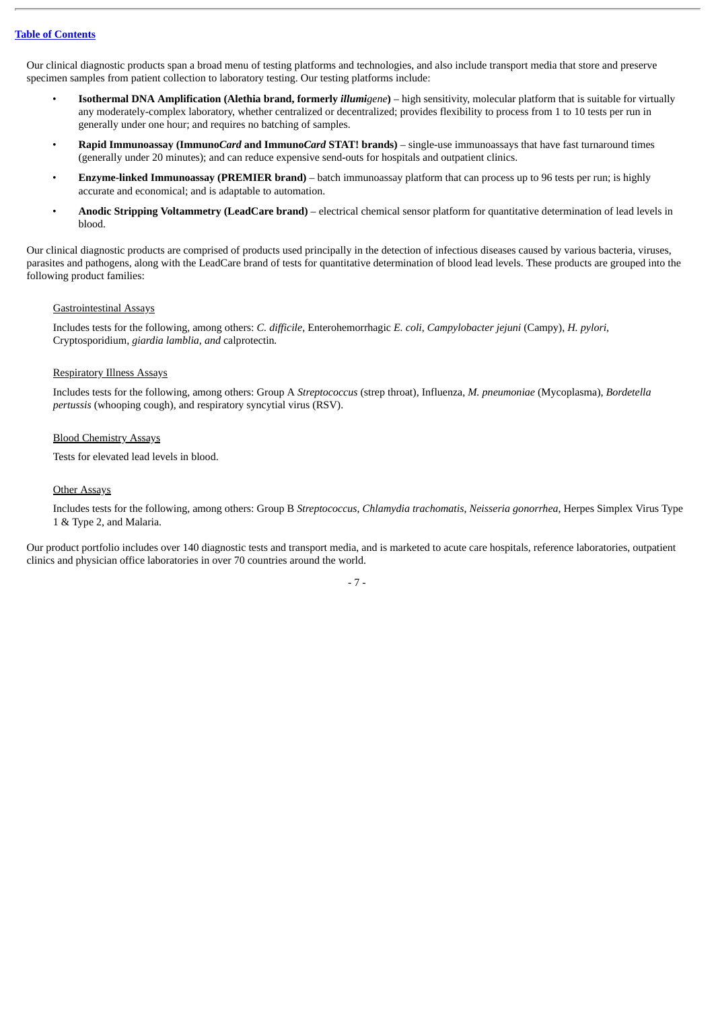Our clinical diagnostic products span a broad menu of testing platforms and technologies, and also include transport media that store and preserve specimen samples from patient collection to laboratory testing. Our testing platforms include:

- **Isothermal DNA Amplification (Alethia brand, formerly** *illumigene***)** high sensitivity, molecular platform that is suitable for virtually any moderately-complex laboratory, whether centralized or decentralized; provides flexibility to process from 1 to 10 tests per run in generally under one hour; and requires no batching of samples.
- **Rapid Immunoassay (Immuno***Card* **and Immuno***Card* **STAT! brands)** single-use immunoassays that have fast turnaround times (generally under 20 minutes); and can reduce expensive send-outs for hospitals and outpatient clinics.
- **Enzyme-linked Immunoassay (PREMIER brand)** batch immunoassay platform that can process up to 96 tests per run; is highly accurate and economical; and is adaptable to automation.
- **Anodic Stripping Voltammetry (LeadCare brand)** electrical chemical sensor platform for quantitative determination of lead levels in blood.

Our clinical diagnostic products are comprised of products used principally in the detection of infectious diseases caused by various bacteria, viruses, parasites and pathogens, along with the LeadCare brand of tests for quantitative determination of blood lead levels. These products are grouped into the following product families:

#### Gastrointestinal Assays

Includes tests for the following, among others: *C. difficile*, Enterohemorrhagic *E. coli*, *Campylobacter jejuni* (Campy), *H. pylori,* Cryptosporidium*, giardia lamblia, and* calprotectin*.*

#### Respiratory Illness Assays

Includes tests for the following, among others: Group A *Streptococcus* (strep throat), Influenza, *M. pneumoniae* (Mycoplasma), *Bordetella pertussis* (whooping cough), and respiratory syncytial virus (RSV).

#### Blood Chemistry Assays

Tests for elevated lead levels in blood.

#### Other Assays

Includes tests for the following, among others: Group B *Streptococcus*, *Chlamydia trachomatis*, *Neisseria gonorrhea*, Herpes Simplex Virus Type 1 & Type 2, and Malaria.

Our product portfolio includes over 140 diagnostic tests and transport media, and is marketed to acute care hospitals, reference laboratories, outpatient clinics and physician office laboratories in over 70 countries around the world.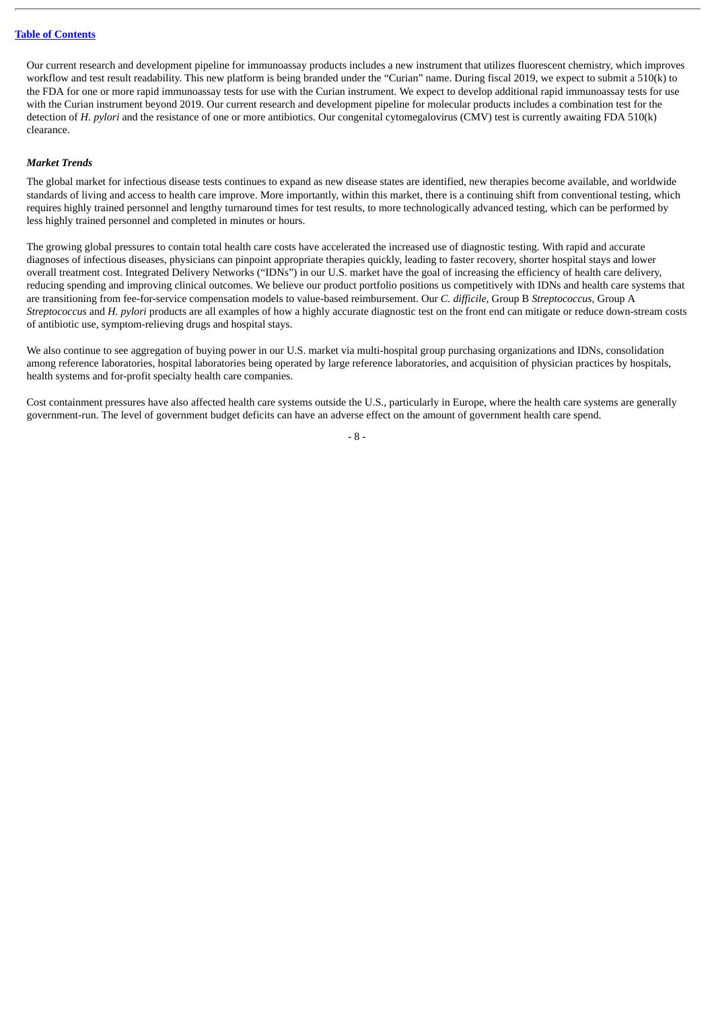Our current research and development pipeline for immunoassay products includes a new instrument that utilizes fluorescent chemistry, which improves workflow and test result readability. This new platform is being branded under the "Curian" name. During fiscal 2019, we expect to submit a 510(k) to the FDA for one or more rapid immunoassay tests for use with the Curian instrument. We expect to develop additional rapid immunoassay tests for use with the Curian instrument beyond 2019. Our current research and development pipeline for molecular products includes a combination test for the detection of *H. pylori* and the resistance of one or more antibiotics. Our congenital cytomegalovirus (CMV) test is currently awaiting FDA 510(k) clearance.

#### *Market Trends*

The global market for infectious disease tests continues to expand as new disease states are identified, new therapies become available, and worldwide standards of living and access to health care improve. More importantly, within this market, there is a continuing shift from conventional testing, which requires highly trained personnel and lengthy turnaround times for test results, to more technologically advanced testing, which can be performed by less highly trained personnel and completed in minutes or hours.

The growing global pressures to contain total health care costs have accelerated the increased use of diagnostic testing. With rapid and accurate diagnoses of infectious diseases, physicians can pinpoint appropriate therapies quickly, leading to faster recovery, shorter hospital stays and lower overall treatment cost. Integrated Delivery Networks ("IDNs") in our U.S. market have the goal of increasing the efficiency of health care delivery, reducing spending and improving clinical outcomes. We believe our product portfolio positions us competitively with IDNs and health care systems that are transitioning from fee-for-service compensation models to value-based reimbursement. Our *C. difficile*, Group B *Streptococcus*, Group A *Streptococcus* and *H. pylori* products are all examples of how a highly accurate diagnostic test on the front end can mitigate or reduce down-stream costs of antibiotic use, symptom-relieving drugs and hospital stays.

We also continue to see aggregation of buying power in our U.S. market via multi-hospital group purchasing organizations and IDNs, consolidation among reference laboratories, hospital laboratories being operated by large reference laboratories, and acquisition of physician practices by hospitals, health systems and for-profit specialty health care companies.

Cost containment pressures have also affected health care systems outside the U.S., particularly in Europe, where the health care systems are generally government-run. The level of government budget deficits can have an adverse effect on the amount of government health care spend.

 $- 8 -$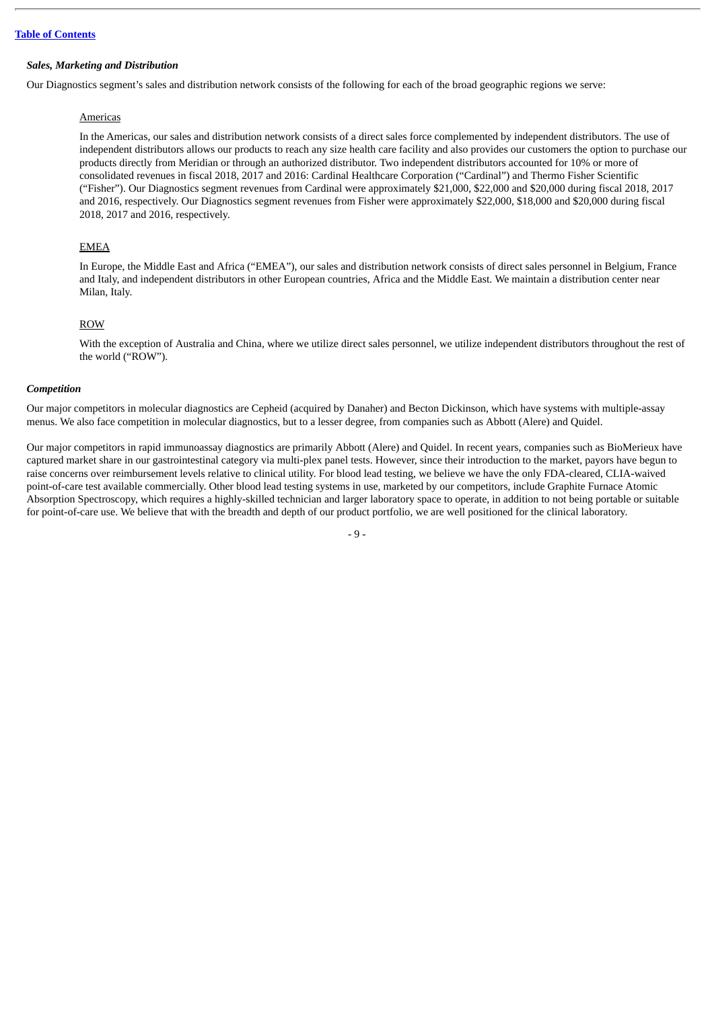#### *Sales, Marketing and Distribution*

Our Diagnostics segment's sales and distribution network consists of the following for each of the broad geographic regions we serve:

#### Americas

In the Americas, our sales and distribution network consists of a direct sales force complemented by independent distributors. The use of independent distributors allows our products to reach any size health care facility and also provides our customers the option to purchase our products directly from Meridian or through an authorized distributor. Two independent distributors accounted for 10% or more of consolidated revenues in fiscal 2018, 2017 and 2016: Cardinal Healthcare Corporation ("Cardinal") and Thermo Fisher Scientific ("Fisher"). Our Diagnostics segment revenues from Cardinal were approximately \$21,000, \$22,000 and \$20,000 during fiscal 2018, 2017 and 2016, respectively. Our Diagnostics segment revenues from Fisher were approximately \$22,000, \$18,000 and \$20,000 during fiscal 2018, 2017 and 2016, respectively.

#### EMEA

In Europe, the Middle East and Africa ("EMEA"), our sales and distribution network consists of direct sales personnel in Belgium, France and Italy, and independent distributors in other European countries, Africa and the Middle East. We maintain a distribution center near Milan, Italy.

#### ROW

With the exception of Australia and China, where we utilize direct sales personnel, we utilize independent distributors throughout the rest of the world ("ROW").

#### *Competition*

Our major competitors in molecular diagnostics are Cepheid (acquired by Danaher) and Becton Dickinson, which have systems with multiple-assay menus. We also face competition in molecular diagnostics, but to a lesser degree, from companies such as Abbott (Alere) and Quidel.

Our major competitors in rapid immunoassay diagnostics are primarily Abbott (Alere) and Quidel. In recent years, companies such as BioMerieux have captured market share in our gastrointestinal category via multi-plex panel tests. However, since their introduction to the market, payors have begun to raise concerns over reimbursement levels relative to clinical utility. For blood lead testing, we believe we have the only FDA-cleared, CLIA-waived point-of-care test available commercially. Other blood lead testing systems in use, marketed by our competitors, include Graphite Furnace Atomic Absorption Spectroscopy, which requires a highly-skilled technician and larger laboratory space to operate, in addition to not being portable or suitable for point-of-care use. We believe that with the breadth and depth of our product portfolio, we are well positioned for the clinical laboratory.

 $-9 -$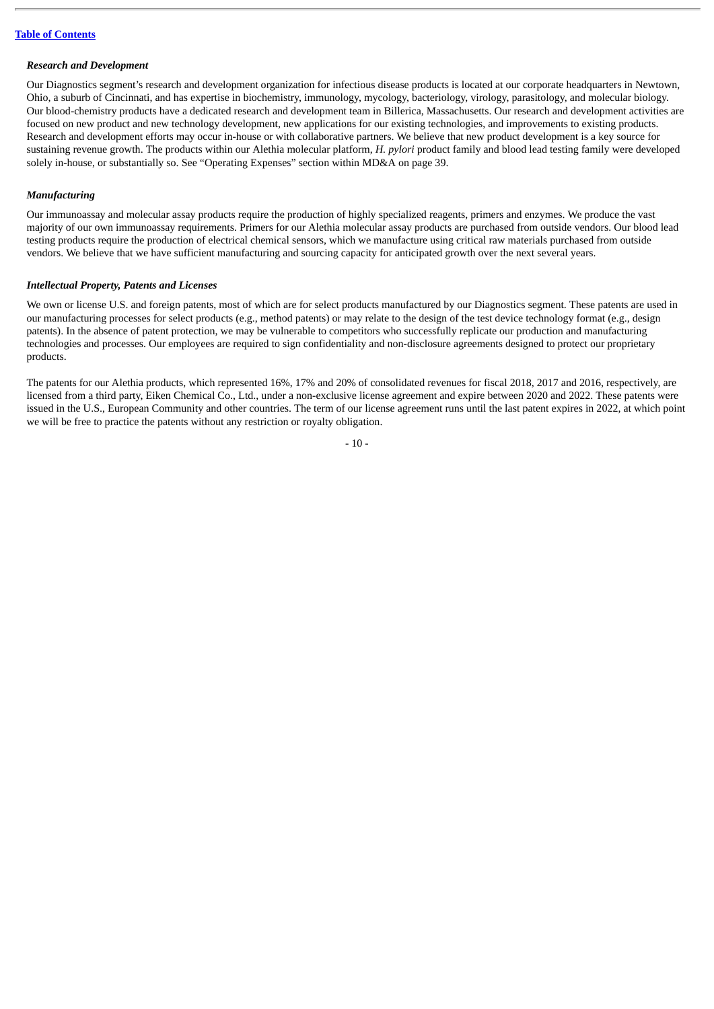#### *Research and Development*

Our Diagnostics segment's research and development organization for infectious disease products is located at our corporate headquarters in Newtown, Ohio, a suburb of Cincinnati, and has expertise in biochemistry, immunology, mycology, bacteriology, virology, parasitology, and molecular biology. Our blood-chemistry products have a dedicated research and development team in Billerica, Massachusetts. Our research and development activities are focused on new product and new technology development, new applications for our existing technologies, and improvements to existing products. Research and development efforts may occur in-house or with collaborative partners. We believe that new product development is a key source for sustaining revenue growth. The products within our Alethia molecular platform, *H. pylori* product family and blood lead testing family were developed solely in-house, or substantially so. See "Operating Expenses" section within MD&A on page 39.

#### *Manufacturing*

Our immunoassay and molecular assay products require the production of highly specialized reagents, primers and enzymes. We produce the vast majority of our own immunoassay requirements. Primers for our Alethia molecular assay products are purchased from outside vendors. Our blood lead testing products require the production of electrical chemical sensors, which we manufacture using critical raw materials purchased from outside vendors. We believe that we have sufficient manufacturing and sourcing capacity for anticipated growth over the next several years.

#### *Intellectual Property, Patents and Licenses*

We own or license U.S. and foreign patents, most of which are for select products manufactured by our Diagnostics segment. These patents are used in our manufacturing processes for select products (e.g., method patents) or may relate to the design of the test device technology format (e.g., design patents). In the absence of patent protection, we may be vulnerable to competitors who successfully replicate our production and manufacturing technologies and processes. Our employees are required to sign confidentiality and non-disclosure agreements designed to protect our proprietary products.

The patents for our Alethia products, which represented 16%, 17% and 20% of consolidated revenues for fiscal 2018, 2017 and 2016, respectively, are licensed from a third party, Eiken Chemical Co., Ltd., under a non-exclusive license agreement and expire between 2020 and 2022. These patents were issued in the U.S., European Community and other countries. The term of our license agreement runs until the last patent expires in 2022, at which point we will be free to practice the patents without any restriction or royalty obligation.

 $-10-$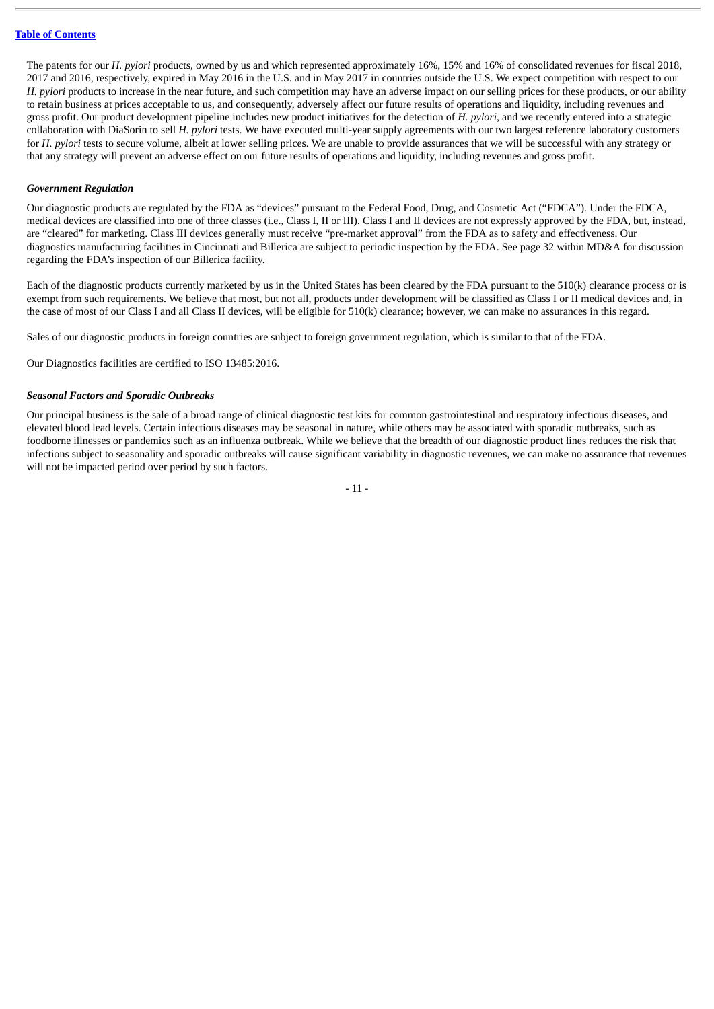The patents for our *H. pylori* products, owned by us and which represented approximately 16%, 15% and 16% of consolidated revenues for fiscal 2018, 2017 and 2016, respectively, expired in May 2016 in the U.S. and in May 2017 in countries outside the U.S. We expect competition with respect to our *H. pylori* products to increase in the near future, and such competition may have an adverse impact on our selling prices for these products, or our ability to retain business at prices acceptable to us, and consequently, adversely affect our future results of operations and liquidity, including revenues and gross profit. Our product development pipeline includes new product initiatives for the detection of *H. pylori*, and we recently entered into a strategic collaboration with DiaSorin to sell *H. pylori* tests. We have executed multi-year supply agreements with our two largest reference laboratory customers for *H. pylori* tests to secure volume, albeit at lower selling prices. We are unable to provide assurances that we will be successful with any strategy or that any strategy will prevent an adverse effect on our future results of operations and liquidity, including revenues and gross profit.

#### *Government Regulation*

Our diagnostic products are regulated by the FDA as "devices" pursuant to the Federal Food, Drug, and Cosmetic Act ("FDCA"). Under the FDCA, medical devices are classified into one of three classes (i.e., Class I, II or III). Class I and II devices are not expressly approved by the FDA, but, instead, are "cleared" for marketing. Class III devices generally must receive "pre-market approval" from the FDA as to safety and effectiveness. Our diagnostics manufacturing facilities in Cincinnati and Billerica are subject to periodic inspection by the FDA. See page 32 within MD&A for discussion regarding the FDA's inspection of our Billerica facility.

Each of the diagnostic products currently marketed by us in the United States has been cleared by the FDA pursuant to the 510(k) clearance process or is exempt from such requirements. We believe that most, but not all, products under development will be classified as Class I or II medical devices and, in the case of most of our Class I and all Class II devices, will be eligible for 510(k) clearance; however, we can make no assurances in this regard.

Sales of our diagnostic products in foreign countries are subject to foreign government regulation, which is similar to that of the FDA.

Our Diagnostics facilities are certified to ISO 13485:2016.

#### *Seasonal Factors and Sporadic Outbreaks*

Our principal business is the sale of a broad range of clinical diagnostic test kits for common gastrointestinal and respiratory infectious diseases, and elevated blood lead levels. Certain infectious diseases may be seasonal in nature, while others may be associated with sporadic outbreaks, such as foodborne illnesses or pandemics such as an influenza outbreak. While we believe that the breadth of our diagnostic product lines reduces the risk that infections subject to seasonality and sporadic outbreaks will cause significant variability in diagnostic revenues, we can make no assurance that revenues will not be impacted period over period by such factors.

- 11 -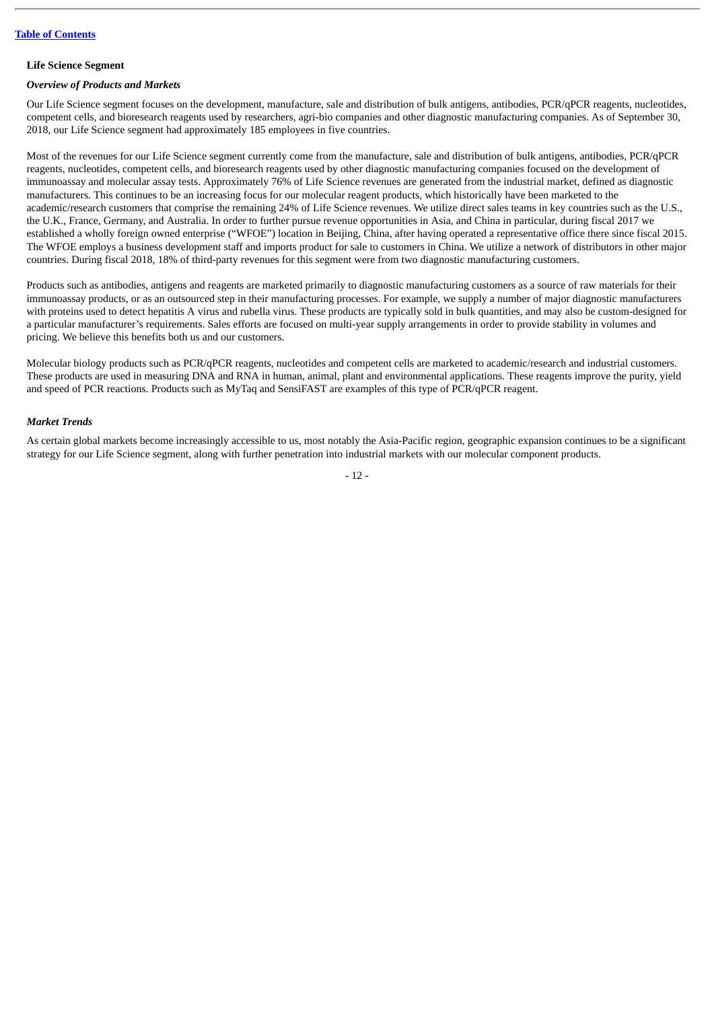#### **Life Science Segment**

#### *Overview of Products and Markets*

Our Life Science segment focuses on the development, manufacture, sale and distribution of bulk antigens, antibodies, PCR/qPCR reagents, nucleotides, competent cells, and bioresearch reagents used by researchers, agri-bio companies and other diagnostic manufacturing companies. As of September 30, 2018, our Life Science segment had approximately 185 employees in five countries.

Most of the revenues for our Life Science segment currently come from the manufacture, sale and distribution of bulk antigens, antibodies, PCR/qPCR reagents, nucleotides, competent cells, and bioresearch reagents used by other diagnostic manufacturing companies focused on the development of immunoassay and molecular assay tests. Approximately 76% of Life Science revenues are generated from the industrial market, defined as diagnostic manufacturers. This continues to be an increasing focus for our molecular reagent products, which historically have been marketed to the academic/research customers that comprise the remaining 24% of Life Science revenues. We utilize direct sales teams in key countries such as the U.S., the U.K., France, Germany, and Australia. In order to further pursue revenue opportunities in Asia, and China in particular, during fiscal 2017 we established a wholly foreign owned enterprise ("WFOE") location in Beijing, China, after having operated a representative office there since fiscal 2015. The WFOE employs a business development staff and imports product for sale to customers in China. We utilize a network of distributors in other major countries. During fiscal 2018, 18% of third-party revenues for this segment were from two diagnostic manufacturing customers.

Products such as antibodies, antigens and reagents are marketed primarily to diagnostic manufacturing customers as a source of raw materials for their immunoassay products, or as an outsourced step in their manufacturing processes. For example, we supply a number of major diagnostic manufacturers with proteins used to detect hepatitis A virus and rubella virus. These products are typically sold in bulk quantities, and may also be custom-designed for a particular manufacturer's requirements. Sales efforts are focused on multi-year supply arrangements in order to provide stability in volumes and pricing. We believe this benefits both us and our customers.

Molecular biology products such as PCR/qPCR reagents, nucleotides and competent cells are marketed to academic/research and industrial customers. These products are used in measuring DNA and RNA in human, animal, plant and environmental applications. These reagents improve the purity, yield and speed of PCR reactions. Products such as MyTaq and SensiFAST are examples of this type of PCR/qPCR reagent.

#### *Market Trends*

As certain global markets become increasingly accessible to us, most notably the Asia-Pacific region, geographic expansion continues to be a significant strategy for our Life Science segment, along with further penetration into industrial markets with our molecular component products.

 $-12-$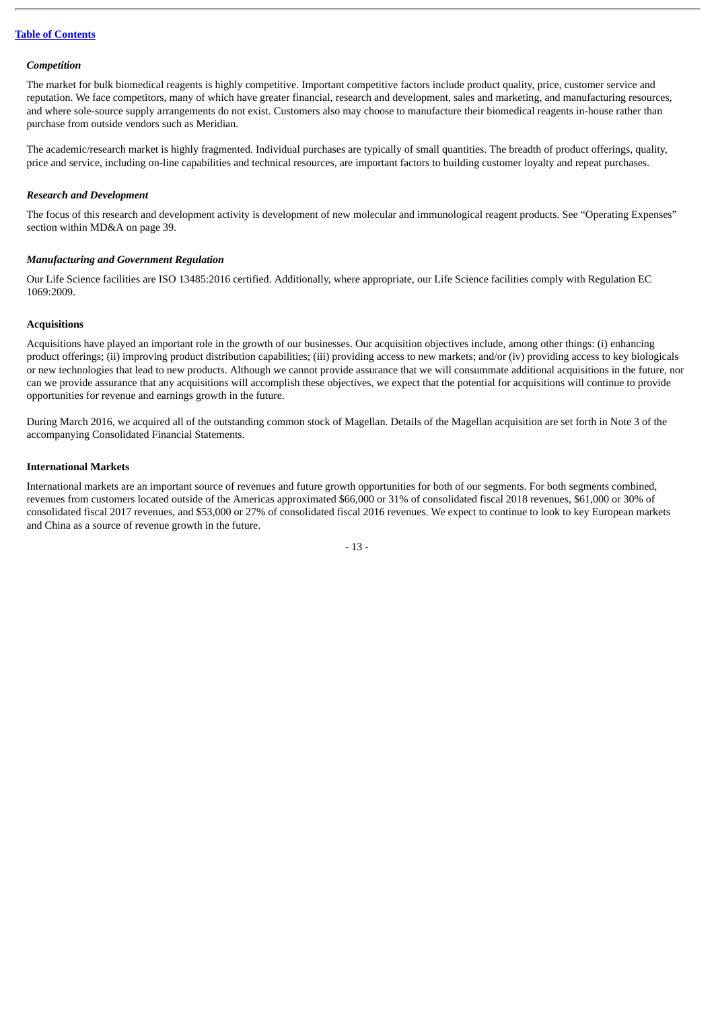#### *Competition*

The market for bulk biomedical reagents is highly competitive. Important competitive factors include product quality, price, customer service and reputation. We face competitors, many of which have greater financial, research and development, sales and marketing, and manufacturing resources, and where sole-source supply arrangements do not exist. Customers also may choose to manufacture their biomedical reagents in-house rather than purchase from outside vendors such as Meridian.

The academic/research market is highly fragmented. Individual purchases are typically of small quantities. The breadth of product offerings, quality, price and service, including on-line capabilities and technical resources, are important factors to building customer loyalty and repeat purchases.

#### *Research and Development*

The focus of this research and development activity is development of new molecular and immunological reagent products. See "Operating Expenses" section within MD&A on page 39.

#### *Manufacturing and Government Regulation*

Our Life Science facilities are ISO 13485:2016 certified. Additionally, where appropriate, our Life Science facilities comply with Regulation EC 1069:2009.

#### **Acquisitions**

Acquisitions have played an important role in the growth of our businesses. Our acquisition objectives include, among other things: (i) enhancing product offerings; (ii) improving product distribution capabilities; (iii) providing access to new markets; and/or (iv) providing access to key biologicals or new technologies that lead to new products. Although we cannot provide assurance that we will consummate additional acquisitions in the future, nor can we provide assurance that any acquisitions will accomplish these objectives, we expect that the potential for acquisitions will continue to provide opportunities for revenue and earnings growth in the future.

During March 2016, we acquired all of the outstanding common stock of Magellan. Details of the Magellan acquisition are set forth in Note 3 of the accompanying Consolidated Financial Statements.

#### **International Markets**

International markets are an important source of revenues and future growth opportunities for both of our segments. For both segments combined, revenues from customers located outside of the Americas approximated \$66,000 or 31% of consolidated fiscal 2018 revenues, \$61,000 or 30% of consolidated fiscal 2017 revenues, and \$53,000 or 27% of consolidated fiscal 2016 revenues. We expect to continue to look to key European markets and China as a source of revenue growth in the future.

 $-13 -$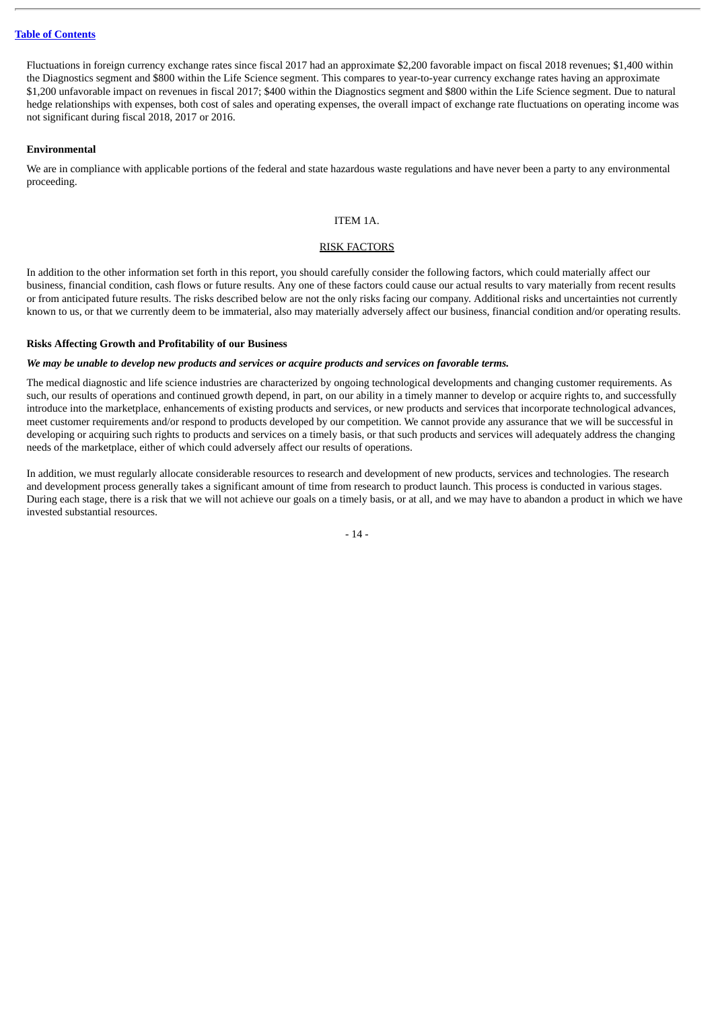Fluctuations in foreign currency exchange rates since fiscal 2017 had an approximate \$2,200 favorable impact on fiscal 2018 revenues; \$1,400 within the Diagnostics segment and \$800 within the Life Science segment. This compares to year-to-year currency exchange rates having an approximate \$1,200 unfavorable impact on revenues in fiscal 2017; \$400 within the Diagnostics segment and \$800 within the Life Science segment. Due to natural hedge relationships with expenses, both cost of sales and operating expenses, the overall impact of exchange rate fluctuations on operating income was not significant during fiscal 2018, 2017 or 2016.

#### **Environmental**

<span id="page-13-0"></span>We are in compliance with applicable portions of the federal and state hazardous waste regulations and have never been a party to any environmental proceeding.

#### ITEM 1A.

#### RISK FACTORS

In addition to the other information set forth in this report, you should carefully consider the following factors, which could materially affect our business, financial condition, cash flows or future results. Any one of these factors could cause our actual results to vary materially from recent results or from anticipated future results. The risks described below are not the only risks facing our company. Additional risks and uncertainties not currently known to us, or that we currently deem to be immaterial, also may materially adversely affect our business, financial condition and/or operating results.

#### **Risks Affecting Growth and Profitability of our Business**

#### We may be unable to develop new products and services or acquire products and services on favorable terms.

The medical diagnostic and life science industries are characterized by ongoing technological developments and changing customer requirements. As such, our results of operations and continued growth depend, in part, on our ability in a timely manner to develop or acquire rights to, and successfully introduce into the marketplace, enhancements of existing products and services, or new products and services that incorporate technological advances, meet customer requirements and/or respond to products developed by our competition. We cannot provide any assurance that we will be successful in developing or acquiring such rights to products and services on a timely basis, or that such products and services will adequately address the changing needs of the marketplace, either of which could adversely affect our results of operations.

In addition, we must regularly allocate considerable resources to research and development of new products, services and technologies. The research and development process generally takes a significant amount of time from research to product launch. This process is conducted in various stages. During each stage, there is a risk that we will not achieve our goals on a timely basis, or at all, and we may have to abandon a product in which we have invested substantial resources.

 $-14-$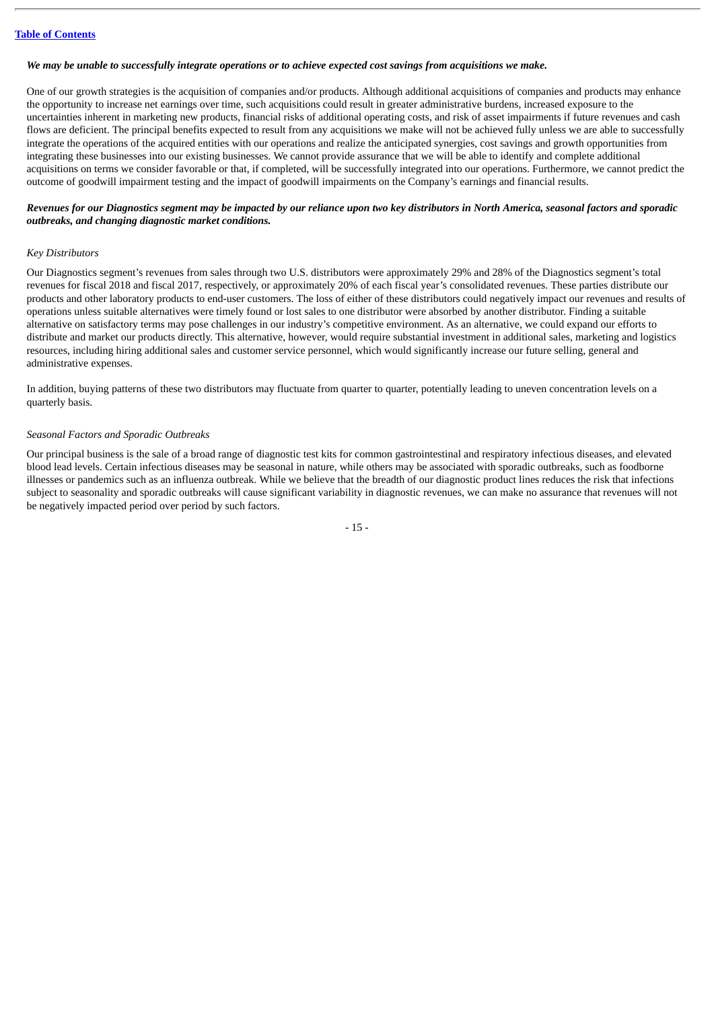#### We may be unable to successfully integrate operations or to achieve expected cost savings from acquisitions we make.

One of our growth strategies is the acquisition of companies and/or products. Although additional acquisitions of companies and products may enhance the opportunity to increase net earnings over time, such acquisitions could result in greater administrative burdens, increased exposure to the uncertainties inherent in marketing new products, financial risks of additional operating costs, and risk of asset impairments if future revenues and cash flows are deficient. The principal benefits expected to result from any acquisitions we make will not be achieved fully unless we are able to successfully integrate the operations of the acquired entities with our operations and realize the anticipated synergies, cost savings and growth opportunities from integrating these businesses into our existing businesses. We cannot provide assurance that we will be able to identify and complete additional acquisitions on terms we consider favorable or that, if completed, will be successfully integrated into our operations. Furthermore, we cannot predict the outcome of goodwill impairment testing and the impact of goodwill impairments on the Company's earnings and financial results.

# Revenues for our Diagnostics segment may be impacted by our reliance upon two key distributors in North America, seasonal factors and sporadic *outbreaks, and changing diagnostic market conditions.*

#### *Key Distributors*

Our Diagnostics segment's revenues from sales through two U.S. distributors were approximately 29% and 28% of the Diagnostics segment's total revenues for fiscal 2018 and fiscal 2017, respectively, or approximately 20% of each fiscal year's consolidated revenues. These parties distribute our products and other laboratory products to end-user customers. The loss of either of these distributors could negatively impact our revenues and results of operations unless suitable alternatives were timely found or lost sales to one distributor were absorbed by another distributor. Finding a suitable alternative on satisfactory terms may pose challenges in our industry's competitive environment. As an alternative, we could expand our efforts to distribute and market our products directly. This alternative, however, would require substantial investment in additional sales, marketing and logistics resources, including hiring additional sales and customer service personnel, which would significantly increase our future selling, general and administrative expenses.

In addition, buying patterns of these two distributors may fluctuate from quarter to quarter, potentially leading to uneven concentration levels on a quarterly basis.

#### *Seasonal Factors and Sporadic Outbreaks*

Our principal business is the sale of a broad range of diagnostic test kits for common gastrointestinal and respiratory infectious diseases, and elevated blood lead levels. Certain infectious diseases may be seasonal in nature, while others may be associated with sporadic outbreaks, such as foodborne illnesses or pandemics such as an influenza outbreak. While we believe that the breadth of our diagnostic product lines reduces the risk that infections subject to seasonality and sporadic outbreaks will cause significant variability in diagnostic revenues, we can make no assurance that revenues will not be negatively impacted period over period by such factors.

- 15 -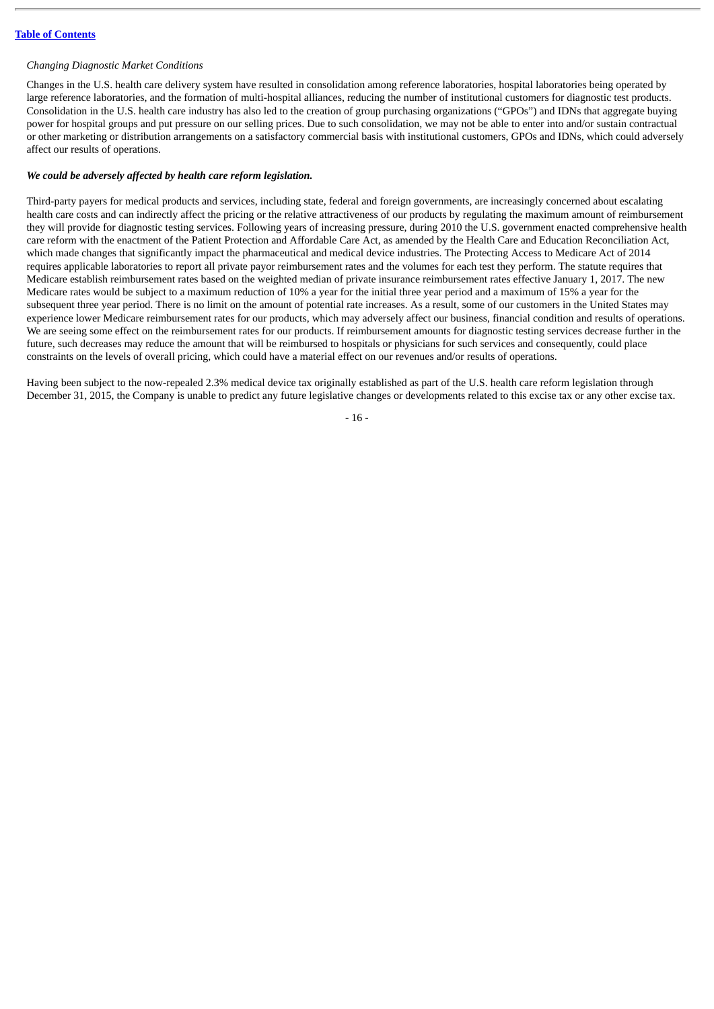#### *Changing Diagnostic Market Conditions*

Changes in the U.S. health care delivery system have resulted in consolidation among reference laboratories, hospital laboratories being operated by large reference laboratories, and the formation of multi-hospital alliances, reducing the number of institutional customers for diagnostic test products. Consolidation in the U.S. health care industry has also led to the creation of group purchasing organizations ("GPOs") and IDNs that aggregate buying power for hospital groups and put pressure on our selling prices. Due to such consolidation, we may not be able to enter into and/or sustain contractual or other marketing or distribution arrangements on a satisfactory commercial basis with institutional customers, GPOs and IDNs, which could adversely affect our results of operations.

#### *We could be adversely affected by health care reform legislation.*

Third-party payers for medical products and services, including state, federal and foreign governments, are increasingly concerned about escalating health care costs and can indirectly affect the pricing or the relative attractiveness of our products by regulating the maximum amount of reimbursement they will provide for diagnostic testing services. Following years of increasing pressure, during 2010 the U.S. government enacted comprehensive health care reform with the enactment of the Patient Protection and Affordable Care Act, as amended by the Health Care and Education Reconciliation Act, which made changes that significantly impact the pharmaceutical and medical device industries. The Protecting Access to Medicare Act of 2014 requires applicable laboratories to report all private payor reimbursement rates and the volumes for each test they perform. The statute requires that Medicare establish reimbursement rates based on the weighted median of private insurance reimbursement rates effective January 1, 2017. The new Medicare rates would be subject to a maximum reduction of 10% a year for the initial three year period and a maximum of 15% a year for the subsequent three year period. There is no limit on the amount of potential rate increases. As a result, some of our customers in the United States may experience lower Medicare reimbursement rates for our products, which may adversely affect our business, financial condition and results of operations. We are seeing some effect on the reimbursement rates for our products. If reimbursement amounts for diagnostic testing services decrease further in the future, such decreases may reduce the amount that will be reimbursed to hospitals or physicians for such services and consequently, could place constraints on the levels of overall pricing, which could have a material effect on our revenues and/or results of operations.

Having been subject to the now-repealed 2.3% medical device tax originally established as part of the U.S. health care reform legislation through December 31, 2015, the Company is unable to predict any future legislative changes or developments related to this excise tax or any other excise tax.

- 16 -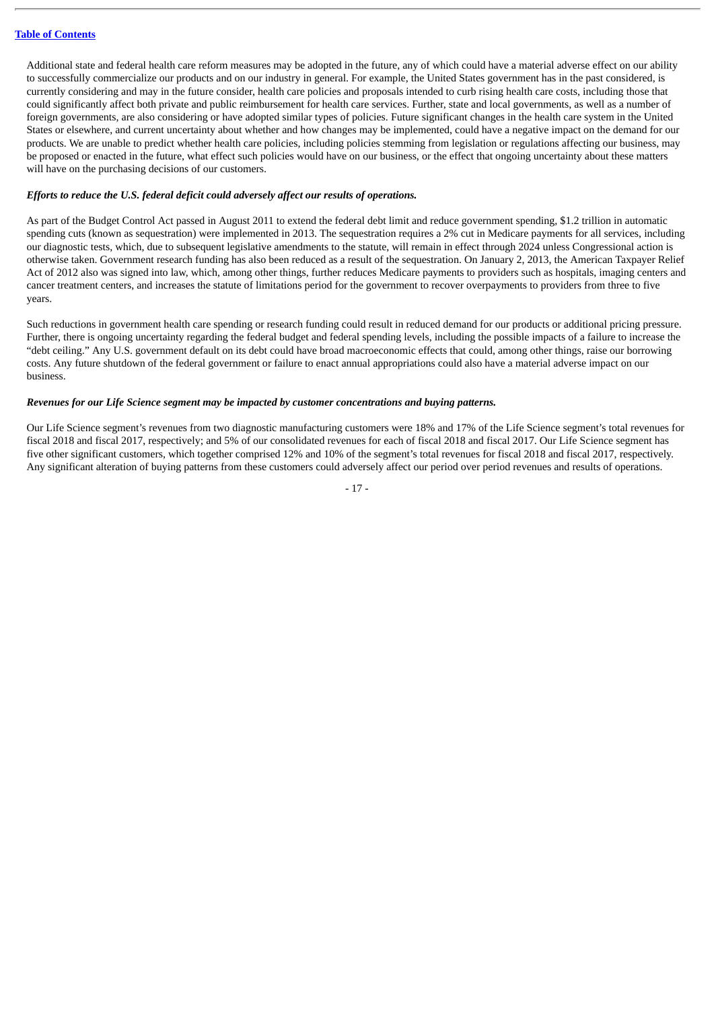Additional state and federal health care reform measures may be adopted in the future, any of which could have a material adverse effect on our ability to successfully commercialize our products and on our industry in general. For example, the United States government has in the past considered, is currently considering and may in the future consider, health care policies and proposals intended to curb rising health care costs, including those that could significantly affect both private and public reimbursement for health care services. Further, state and local governments, as well as a number of foreign governments, are also considering or have adopted similar types of policies. Future significant changes in the health care system in the United States or elsewhere, and current uncertainty about whether and how changes may be implemented, could have a negative impact on the demand for our products. We are unable to predict whether health care policies, including policies stemming from legislation or regulations affecting our business, may be proposed or enacted in the future, what effect such policies would have on our business, or the effect that ongoing uncertainty about these matters will have on the purchasing decisions of our customers.

#### *Efforts to reduce the U.S. federal deficit could adversely affect our results of operations.*

As part of the Budget Control Act passed in August 2011 to extend the federal debt limit and reduce government spending, \$1.2 trillion in automatic spending cuts (known as sequestration) were implemented in 2013. The sequestration requires a 2% cut in Medicare payments for all services, including our diagnostic tests, which, due to subsequent legislative amendments to the statute, will remain in effect through 2024 unless Congressional action is otherwise taken. Government research funding has also been reduced as a result of the sequestration. On January 2, 2013, the American Taxpayer Relief Act of 2012 also was signed into law, which, among other things, further reduces Medicare payments to providers such as hospitals, imaging centers and cancer treatment centers, and increases the statute of limitations period for the government to recover overpayments to providers from three to five years.

Such reductions in government health care spending or research funding could result in reduced demand for our products or additional pricing pressure. Further, there is ongoing uncertainty regarding the federal budget and federal spending levels, including the possible impacts of a failure to increase the "debt ceiling." Any U.S. government default on its debt could have broad macroeconomic effects that could, among other things, raise our borrowing costs. Any future shutdown of the federal government or failure to enact annual appropriations could also have a material adverse impact on our business.

#### *Revenues for our Life Science segment may be impacted by customer concentrations and buying patterns.*

Our Life Science segment's revenues from two diagnostic manufacturing customers were 18% and 17% of the Life Science segment's total revenues for fiscal 2018 and fiscal 2017, respectively; and 5% of our consolidated revenues for each of fiscal 2018 and fiscal 2017. Our Life Science segment has five other significant customers, which together comprised 12% and 10% of the segment's total revenues for fiscal 2018 and fiscal 2017, respectively. Any significant alteration of buying patterns from these customers could adversely affect our period over period revenues and results of operations.

- 17 -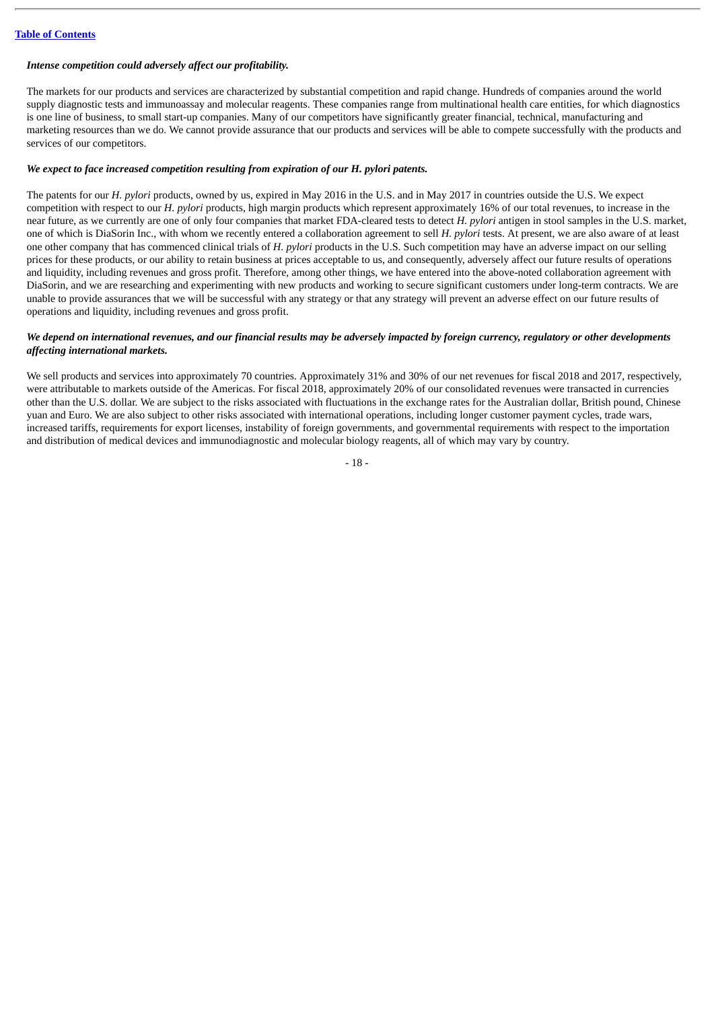# *Intense competition could adversely affect our profitability.*

The markets for our products and services are characterized by substantial competition and rapid change. Hundreds of companies around the world supply diagnostic tests and immunoassay and molecular reagents. These companies range from multinational health care entities, for which diagnostics is one line of business, to small start-up companies. Many of our competitors have significantly greater financial, technical, manufacturing and marketing resources than we do. We cannot provide assurance that our products and services will be able to compete successfully with the products and services of our competitors.

# *We expect to face increased competition resulting from expiration of our H. pylori patents.*

The patents for our *H. pylori* products, owned by us, expired in May 2016 in the U.S. and in May 2017 in countries outside the U.S. We expect competition with respect to our *H. pylori* products, high margin products which represent approximately 16% of our total revenues, to increase in the near future, as we currently are one of only four companies that market FDA-cleared tests to detect *H. pylori* antigen in stool samples in the U.S. market, one of which is DiaSorin Inc., with whom we recently entered a collaboration agreement to sell *H. pylori* tests. At present, we are also aware of at least one other company that has commenced clinical trials of *H. pylori* products in the U.S. Such competition may have an adverse impact on our selling prices for these products, or our ability to retain business at prices acceptable to us, and consequently, adversely affect our future results of operations and liquidity, including revenues and gross profit. Therefore, among other things, we have entered into the above-noted collaboration agreement with DiaSorin, and we are researching and experimenting with new products and working to secure significant customers under long-term contracts. We are unable to provide assurances that we will be successful with any strategy or that any strategy will prevent an adverse effect on our future results of operations and liquidity, including revenues and gross profit.

# We depend on international revenues, and our financial results may be adversely impacted by foreign currency, regulatory or other developments *affecting international markets.*

We sell products and services into approximately 70 countries. Approximately 31% and 30% of our net revenues for fiscal 2018 and 2017, respectively, were attributable to markets outside of the Americas. For fiscal 2018, approximately 20% of our consolidated revenues were transacted in currencies other than the U.S. dollar. We are subject to the risks associated with fluctuations in the exchange rates for the Australian dollar, British pound, Chinese yuan and Euro. We are also subject to other risks associated with international operations, including longer customer payment cycles, trade wars, increased tariffs, requirements for export licenses, instability of foreign governments, and governmental requirements with respect to the importation and distribution of medical devices and immunodiagnostic and molecular biology reagents, all of which may vary by country.

- 18 -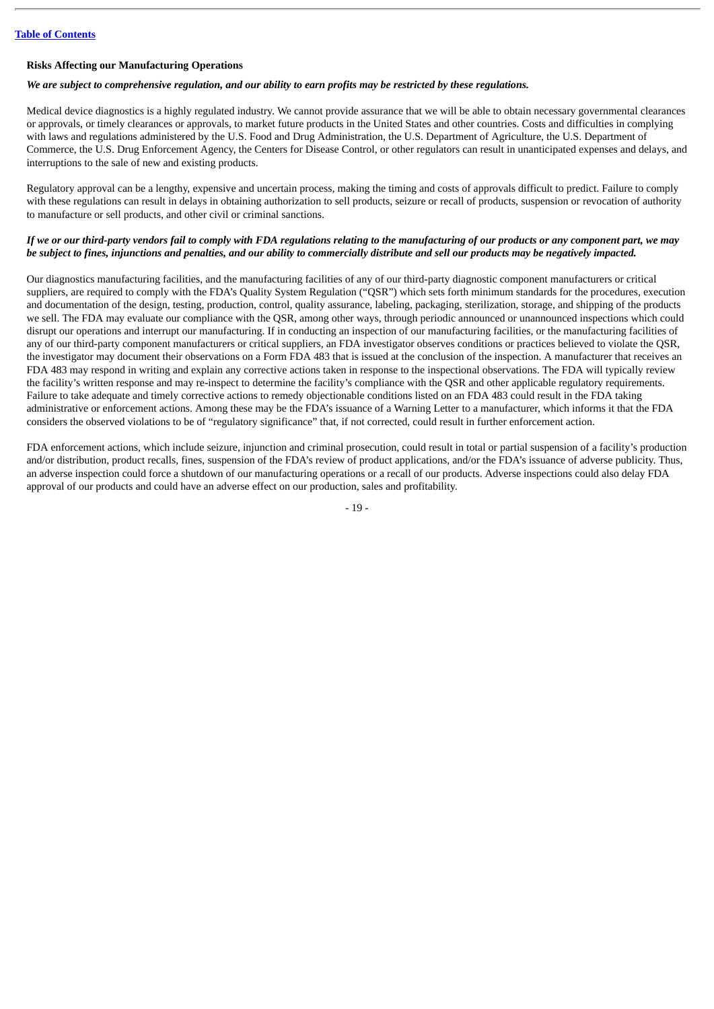# **Risks Affecting our Manufacturing Operations**

# We are subject to comprehensive regulation, and our ability to earn profits may be restricted by these regulations.

Medical device diagnostics is a highly regulated industry. We cannot provide assurance that we will be able to obtain necessary governmental clearances or approvals, or timely clearances or approvals, to market future products in the United States and other countries. Costs and difficulties in complying with laws and regulations administered by the U.S. Food and Drug Administration, the U.S. Department of Agriculture, the U.S. Department of Commerce, the U.S. Drug Enforcement Agency, the Centers for Disease Control, or other regulators can result in unanticipated expenses and delays, and interruptions to the sale of new and existing products.

Regulatory approval can be a lengthy, expensive and uncertain process, making the timing and costs of approvals difficult to predict. Failure to comply with these regulations can result in delays in obtaining authorization to sell products, seizure or recall of products, suspension or revocation of authority to manufacture or sell products, and other civil or criminal sanctions.

# If we or our third-party vendors fail to comply with FDA regulations relating to the manufacturing of our products or any component part, we may be subject to fines, injunctions and penalties, and our ability to commercially distribute and sell our products may be negatively impacted.

Our diagnostics manufacturing facilities, and the manufacturing facilities of any of our third-party diagnostic component manufacturers or critical suppliers, are required to comply with the FDA's Quality System Regulation ("QSR") which sets forth minimum standards for the procedures, execution and documentation of the design, testing, production, control, quality assurance, labeling, packaging, sterilization, storage, and shipping of the products we sell. The FDA may evaluate our compliance with the QSR, among other ways, through periodic announced or unannounced inspections which could disrupt our operations and interrupt our manufacturing. If in conducting an inspection of our manufacturing facilities, or the manufacturing facilities of any of our third-party component manufacturers or critical suppliers, an FDA investigator observes conditions or practices believed to violate the QSR, the investigator may document their observations on a Form FDA 483 that is issued at the conclusion of the inspection. A manufacturer that receives an FDA 483 may respond in writing and explain any corrective actions taken in response to the inspectional observations. The FDA will typically review the facility's written response and may re-inspect to determine the facility's compliance with the QSR and other applicable regulatory requirements. Failure to take adequate and timely corrective actions to remedy objectionable conditions listed on an FDA 483 could result in the FDA taking administrative or enforcement actions. Among these may be the FDA's issuance of a Warning Letter to a manufacturer, which informs it that the FDA considers the observed violations to be of "regulatory significance" that, if not corrected, could result in further enforcement action.

FDA enforcement actions, which include seizure, injunction and criminal prosecution, could result in total or partial suspension of a facility's production and/or distribution, product recalls, fines, suspension of the FDA's review of product applications, and/or the FDA's issuance of adverse publicity. Thus, an adverse inspection could force a shutdown of our manufacturing operations or a recall of our products. Adverse inspections could also delay FDA approval of our products and could have an adverse effect on our production, sales and profitability.

- 19 -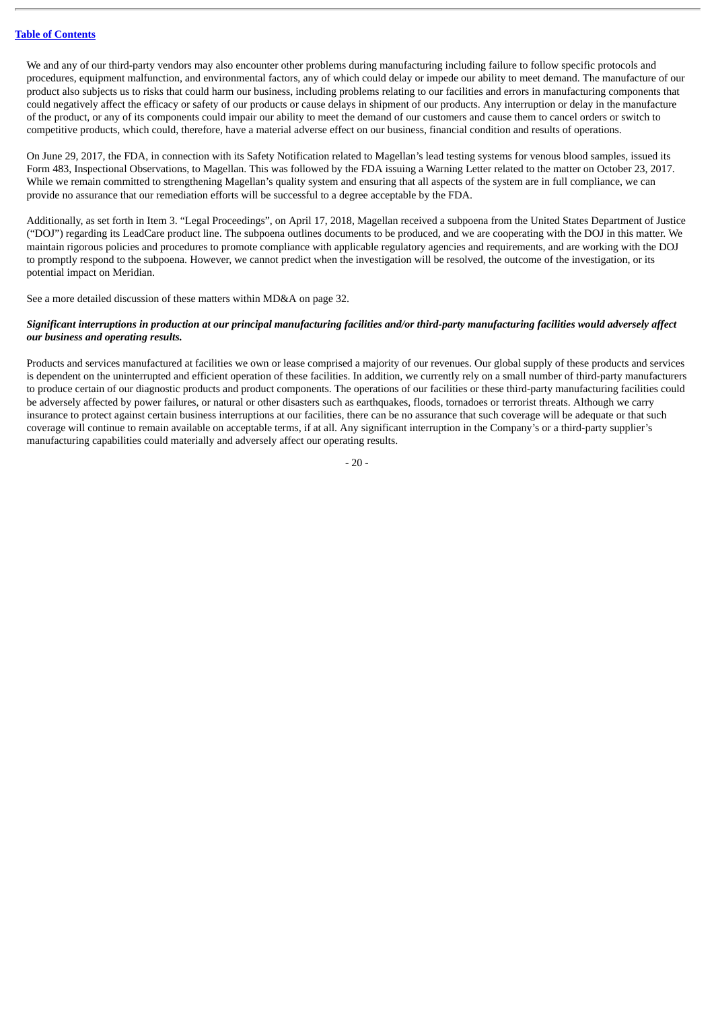We and any of our third-party vendors may also encounter other problems during manufacturing including failure to follow specific protocols and procedures, equipment malfunction, and environmental factors, any of which could delay or impede our ability to meet demand. The manufacture of our product also subjects us to risks that could harm our business, including problems relating to our facilities and errors in manufacturing components that could negatively affect the efficacy or safety of our products or cause delays in shipment of our products. Any interruption or delay in the manufacture of the product, or any of its components could impair our ability to meet the demand of our customers and cause them to cancel orders or switch to competitive products, which could, therefore, have a material adverse effect on our business, financial condition and results of operations.

On June 29, 2017, the FDA, in connection with its Safety Notification related to Magellan's lead testing systems for venous blood samples, issued its Form 483, Inspectional Observations, to Magellan. This was followed by the FDA issuing a Warning Letter related to the matter on October 23, 2017. While we remain committed to strengthening Magellan's quality system and ensuring that all aspects of the system are in full compliance, we can provide no assurance that our remediation efforts will be successful to a degree acceptable by the FDA.

Additionally, as set forth in Item 3. "Legal Proceedings", on April 17, 2018, Magellan received a subpoena from the United States Department of Justice ("DOJ") regarding its LeadCare product line. The subpoena outlines documents to be produced, and we are cooperating with the DOJ in this matter. We maintain rigorous policies and procedures to promote compliance with applicable regulatory agencies and requirements, and are working with the DOJ to promptly respond to the subpoena. However, we cannot predict when the investigation will be resolved, the outcome of the investigation, or its potential impact on Meridian.

See a more detailed discussion of these matters within MD&A on page 32.

#### Significant interruptions in production at our principal manufacturing facilities and/or third-party manufacturing facilities would adversely affect *our business and operating results.*

Products and services manufactured at facilities we own or lease comprised a majority of our revenues. Our global supply of these products and services is dependent on the uninterrupted and efficient operation of these facilities. In addition, we currently rely on a small number of third-party manufacturers to produce certain of our diagnostic products and product components. The operations of our facilities or these third-party manufacturing facilities could be adversely affected by power failures, or natural or other disasters such as earthquakes, floods, tornadoes or terrorist threats. Although we carry insurance to protect against certain business interruptions at our facilities, there can be no assurance that such coverage will be adequate or that such coverage will continue to remain available on acceptable terms, if at all. Any significant interruption in the Company's or a third-party supplier's manufacturing capabilities could materially and adversely affect our operating results.

- 20 -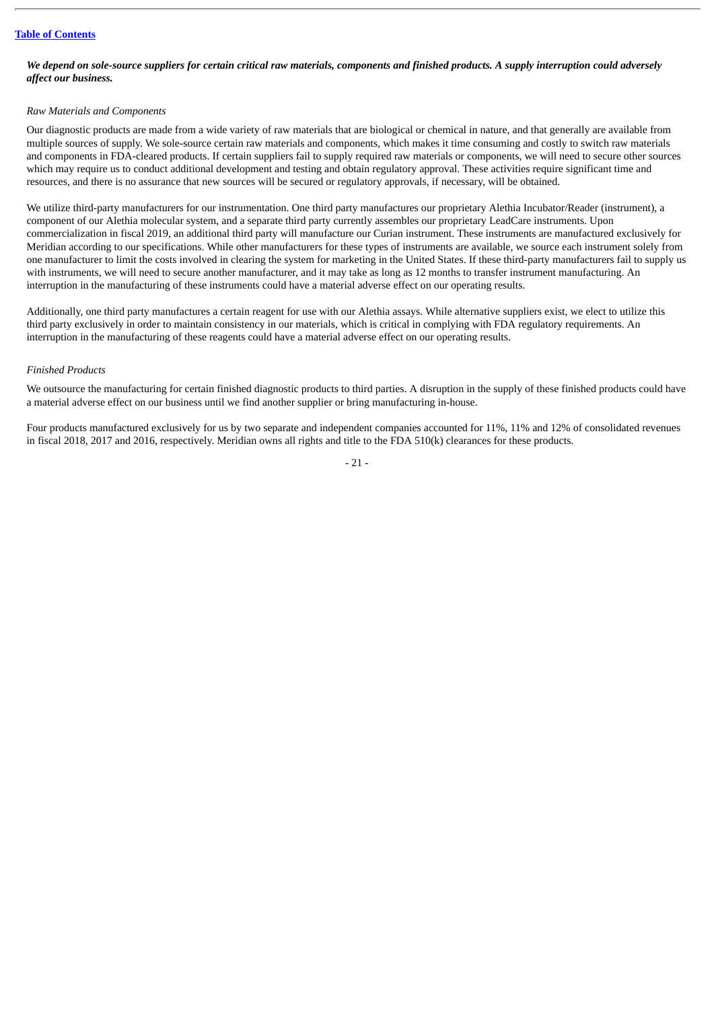## We depend on sole-source suppliers for certain critical raw materials, components and finished products. A supply interruption could adversely *affect our business.*

#### *Raw Materials and Components*

Our diagnostic products are made from a wide variety of raw materials that are biological or chemical in nature, and that generally are available from multiple sources of supply. We sole-source certain raw materials and components, which makes it time consuming and costly to switch raw materials and components in FDA-cleared products. If certain suppliers fail to supply required raw materials or components, we will need to secure other sources which may require us to conduct additional development and testing and obtain regulatory approval. These activities require significant time and resources, and there is no assurance that new sources will be secured or regulatory approvals, if necessary, will be obtained.

We utilize third-party manufacturers for our instrumentation. One third party manufactures our proprietary Alethia Incubator/Reader (instrument), a component of our Alethia molecular system, and a separate third party currently assembles our proprietary LeadCare instruments. Upon commercialization in fiscal 2019, an additional third party will manufacture our Curian instrument. These instruments are manufactured exclusively for Meridian according to our specifications. While other manufacturers for these types of instruments are available, we source each instrument solely from one manufacturer to limit the costs involved in clearing the system for marketing in the United States. If these third-party manufacturers fail to supply us with instruments, we will need to secure another manufacturer, and it may take as long as 12 months to transfer instrument manufacturing. An interruption in the manufacturing of these instruments could have a material adverse effect on our operating results.

Additionally, one third party manufactures a certain reagent for use with our Alethia assays. While alternative suppliers exist, we elect to utilize this third party exclusively in order to maintain consistency in our materials, which is critical in complying with FDA regulatory requirements. An interruption in the manufacturing of these reagents could have a material adverse effect on our operating results.

#### *Finished Products*

We outsource the manufacturing for certain finished diagnostic products to third parties. A disruption in the supply of these finished products could have a material adverse effect on our business until we find another supplier or bring manufacturing in-house.

Four products manufactured exclusively for us by two separate and independent companies accounted for 11%, 11% and 12% of consolidated revenues in fiscal 2018, 2017 and 2016, respectively. Meridian owns all rights and title to the FDA 510(k) clearances for these products.

- 21 -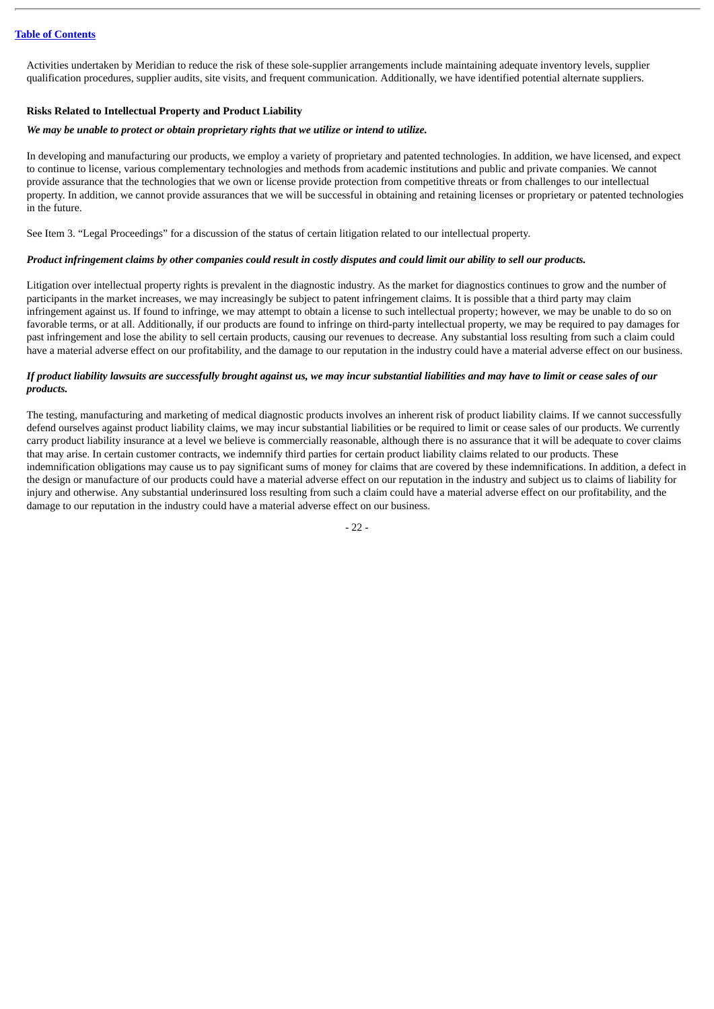Activities undertaken by Meridian to reduce the risk of these sole-supplier arrangements include maintaining adequate inventory levels, supplier qualification procedures, supplier audits, site visits, and frequent communication. Additionally, we have identified potential alternate suppliers.

#### **Risks Related to Intellectual Property and Product Liability**

#### *We may be unable to protect or obtain proprietary rights that we utilize or intend to utilize.*

In developing and manufacturing our products, we employ a variety of proprietary and patented technologies. In addition, we have licensed, and expect to continue to license, various complementary technologies and methods from academic institutions and public and private companies. We cannot provide assurance that the technologies that we own or license provide protection from competitive threats or from challenges to our intellectual property. In addition, we cannot provide assurances that we will be successful in obtaining and retaining licenses or proprietary or patented technologies in the future.

See Item 3. "Legal Proceedings" for a discussion of the status of certain litigation related to our intellectual property.

#### Product infringement claims by other companies could result in costly disputes and could limit our ability to sell our products.

Litigation over intellectual property rights is prevalent in the diagnostic industry. As the market for diagnostics continues to grow and the number of participants in the market increases, we may increasingly be subject to patent infringement claims. It is possible that a third party may claim infringement against us. If found to infringe, we may attempt to obtain a license to such intellectual property; however, we may be unable to do so on favorable terms, or at all. Additionally, if our products are found to infringe on third-party intellectual property, we may be required to pay damages for past infringement and lose the ability to sell certain products, causing our revenues to decrease. Any substantial loss resulting from such a claim could have a material adverse effect on our profitability, and the damage to our reputation in the industry could have a material adverse effect on our business.

#### If product liability lawsuits are successfully brought against us, we may incur substantial liabilities and may have to limit or cease sales of our *products.*

The testing, manufacturing and marketing of medical diagnostic products involves an inherent risk of product liability claims. If we cannot successfully defend ourselves against product liability claims, we may incur substantial liabilities or be required to limit or cease sales of our products. We currently carry product liability insurance at a level we believe is commercially reasonable, although there is no assurance that it will be adequate to cover claims that may arise. In certain customer contracts, we indemnify third parties for certain product liability claims related to our products. These indemnification obligations may cause us to pay significant sums of money for claims that are covered by these indemnifications. In addition, a defect in the design or manufacture of our products could have a material adverse effect on our reputation in the industry and subject us to claims of liability for injury and otherwise. Any substantial underinsured loss resulting from such a claim could have a material adverse effect on our profitability, and the damage to our reputation in the industry could have a material adverse effect on our business.

- 22 -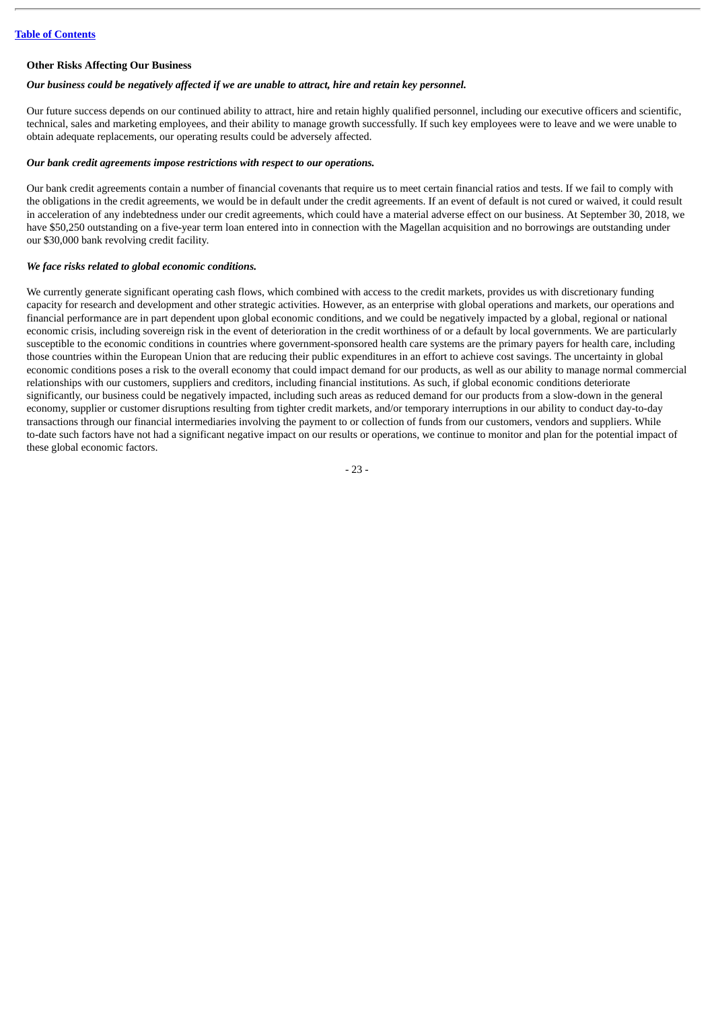#### **Other Risks Affecting Our Business**

#### *Our business could be negatively affected if we are unable to attract, hire and retain key personnel.*

Our future success depends on our continued ability to attract, hire and retain highly qualified personnel, including our executive officers and scientific, technical, sales and marketing employees, and their ability to manage growth successfully. If such key employees were to leave and we were unable to obtain adequate replacements, our operating results could be adversely affected.

#### *Our bank credit agreements impose restrictions with respect to our operations.*

Our bank credit agreements contain a number of financial covenants that require us to meet certain financial ratios and tests. If we fail to comply with the obligations in the credit agreements, we would be in default under the credit agreements. If an event of default is not cured or waived, it could result in acceleration of any indebtedness under our credit agreements, which could have a material adverse effect on our business. At September 30, 2018, we have \$50,250 outstanding on a five-year term loan entered into in connection with the Magellan acquisition and no borrowings are outstanding under our \$30,000 bank revolving credit facility.

#### *We face risks related to global economic conditions.*

We currently generate significant operating cash flows, which combined with access to the credit markets, provides us with discretionary funding capacity for research and development and other strategic activities. However, as an enterprise with global operations and markets, our operations and financial performance are in part dependent upon global economic conditions, and we could be negatively impacted by a global, regional or national economic crisis, including sovereign risk in the event of deterioration in the credit worthiness of or a default by local governments. We are particularly susceptible to the economic conditions in countries where government-sponsored health care systems are the primary payers for health care, including those countries within the European Union that are reducing their public expenditures in an effort to achieve cost savings. The uncertainty in global economic conditions poses a risk to the overall economy that could impact demand for our products, as well as our ability to manage normal commercial relationships with our customers, suppliers and creditors, including financial institutions. As such, if global economic conditions deteriorate significantly, our business could be negatively impacted, including such areas as reduced demand for our products from a slow-down in the general economy, supplier or customer disruptions resulting from tighter credit markets, and/or temporary interruptions in our ability to conduct day-to-day transactions through our financial intermediaries involving the payment to or collection of funds from our customers, vendors and suppliers. While to-date such factors have not had a significant negative impact on our results or operations, we continue to monitor and plan for the potential impact of these global economic factors.

- 23 -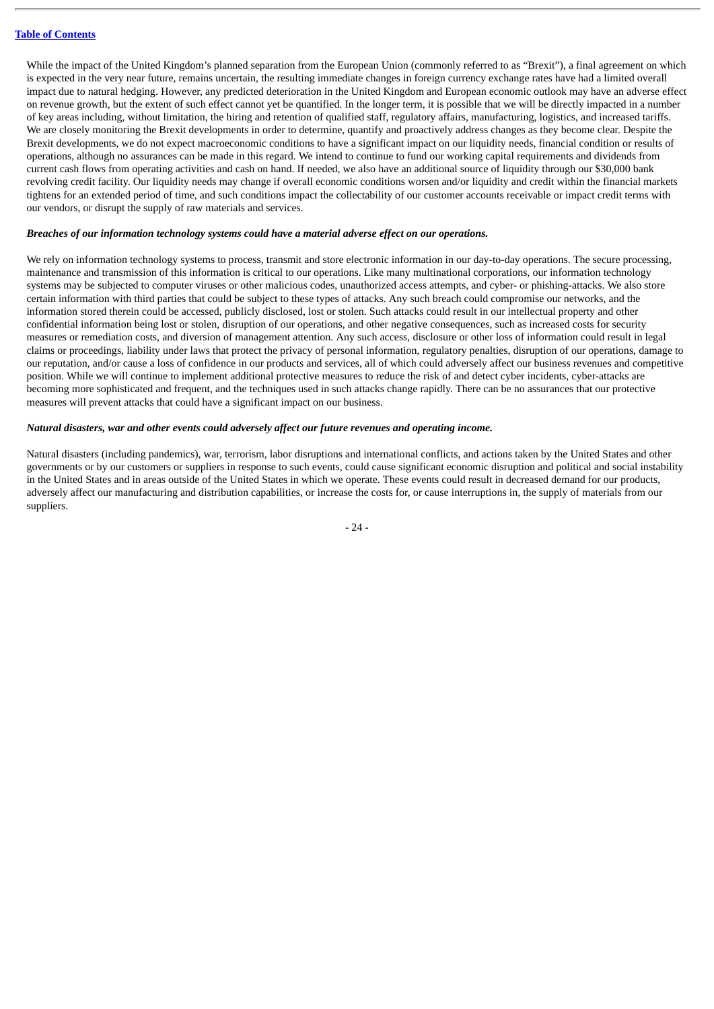While the impact of the United Kingdom's planned separation from the European Union (commonly referred to as "Brexit"), a final agreement on which is expected in the very near future, remains uncertain, the resulting immediate changes in foreign currency exchange rates have had a limited overall impact due to natural hedging. However, any predicted deterioration in the United Kingdom and European economic outlook may have an adverse effect on revenue growth, but the extent of such effect cannot yet be quantified. In the longer term, it is possible that we will be directly impacted in a number of key areas including, without limitation, the hiring and retention of qualified staff, regulatory affairs, manufacturing, logistics, and increased tariffs. We are closely monitoring the Brexit developments in order to determine, quantify and proactively address changes as they become clear. Despite the Brexit developments, we do not expect macroeconomic conditions to have a significant impact on our liquidity needs, financial condition or results of operations, although no assurances can be made in this regard. We intend to continue to fund our working capital requirements and dividends from current cash flows from operating activities and cash on hand. If needed, we also have an additional source of liquidity through our \$30,000 bank revolving credit facility. Our liquidity needs may change if overall economic conditions worsen and/or liquidity and credit within the financial markets tightens for an extended period of time, and such conditions impact the collectability of our customer accounts receivable or impact credit terms with our vendors, or disrupt the supply of raw materials and services.

#### *Breaches of our information technology systems could have a material adverse effect on our operations.*

We rely on information technology systems to process, transmit and store electronic information in our day-to-day operations. The secure processing, maintenance and transmission of this information is critical to our operations. Like many multinational corporations, our information technology systems may be subjected to computer viruses or other malicious codes, unauthorized access attempts, and cyber- or phishing-attacks. We also store certain information with third parties that could be subject to these types of attacks. Any such breach could compromise our networks, and the information stored therein could be accessed, publicly disclosed, lost or stolen. Such attacks could result in our intellectual property and other confidential information being lost or stolen, disruption of our operations, and other negative consequences, such as increased costs for security measures or remediation costs, and diversion of management attention. Any such access, disclosure or other loss of information could result in legal claims or proceedings, liability under laws that protect the privacy of personal information, regulatory penalties, disruption of our operations, damage to our reputation, and/or cause a loss of confidence in our products and services, all of which could adversely affect our business revenues and competitive position. While we will continue to implement additional protective measures to reduce the risk of and detect cyber incidents, cyber-attacks are becoming more sophisticated and frequent, and the techniques used in such attacks change rapidly. There can be no assurances that our protective measures will prevent attacks that could have a significant impact on our business.

# *Natural disasters, war and other events could adversely affect our future revenues and operating income.*

Natural disasters (including pandemics), war, terrorism, labor disruptions and international conflicts, and actions taken by the United States and other governments or by our customers or suppliers in response to such events, could cause significant economic disruption and political and social instability in the United States and in areas outside of the United States in which we operate. These events could result in decreased demand for our products, adversely affect our manufacturing and distribution capabilities, or increase the costs for, or cause interruptions in, the supply of materials from our suppliers.

- 24 -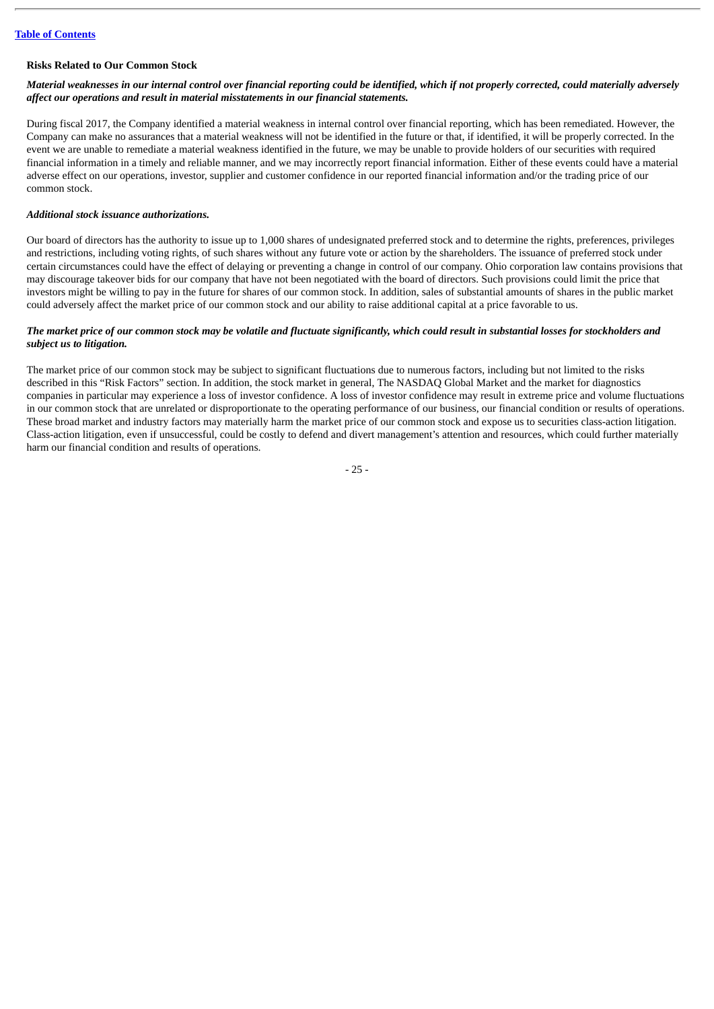# **Risks Related to Our Common Stock**

# Material weaknesses in our internal control over financial reporting could be identified, which if not properly corrected, could materially adversely *affect our operations and result in material misstatements in our financial statements.*

During fiscal 2017, the Company identified a material weakness in internal control over financial reporting, which has been remediated. However, the Company can make no assurances that a material weakness will not be identified in the future or that, if identified, it will be properly corrected. In the event we are unable to remediate a material weakness identified in the future, we may be unable to provide holders of our securities with required financial information in a timely and reliable manner, and we may incorrectly report financial information. Either of these events could have a material adverse effect on our operations, investor, supplier and customer confidence in our reported financial information and/or the trading price of our common stock.

# *Additional stock issuance authorizations.*

Our board of directors has the authority to issue up to 1,000 shares of undesignated preferred stock and to determine the rights, preferences, privileges and restrictions, including voting rights, of such shares without any future vote or action by the shareholders. The issuance of preferred stock under certain circumstances could have the effect of delaying or preventing a change in control of our company. Ohio corporation law contains provisions that may discourage takeover bids for our company that have not been negotiated with the board of directors. Such provisions could limit the price that investors might be willing to pay in the future for shares of our common stock. In addition, sales of substantial amounts of shares in the public market could adversely affect the market price of our common stock and our ability to raise additional capital at a price favorable to us.

# The market price of our common stock may be volatile and fluctuate significantly, which could result in substantial losses for stockholders and *subject us to litigation.*

The market price of our common stock may be subject to significant fluctuations due to numerous factors, including but not limited to the risks described in this "Risk Factors" section. In addition, the stock market in general, The NASDAQ Global Market and the market for diagnostics companies in particular may experience a loss of investor confidence. A loss of investor confidence may result in extreme price and volume fluctuations in our common stock that are unrelated or disproportionate to the operating performance of our business, our financial condition or results of operations. These broad market and industry factors may materially harm the market price of our common stock and expose us to securities class-action litigation. Class-action litigation, even if unsuccessful, could be costly to defend and divert management's attention and resources, which could further materially harm our financial condition and results of operations.

- 25 -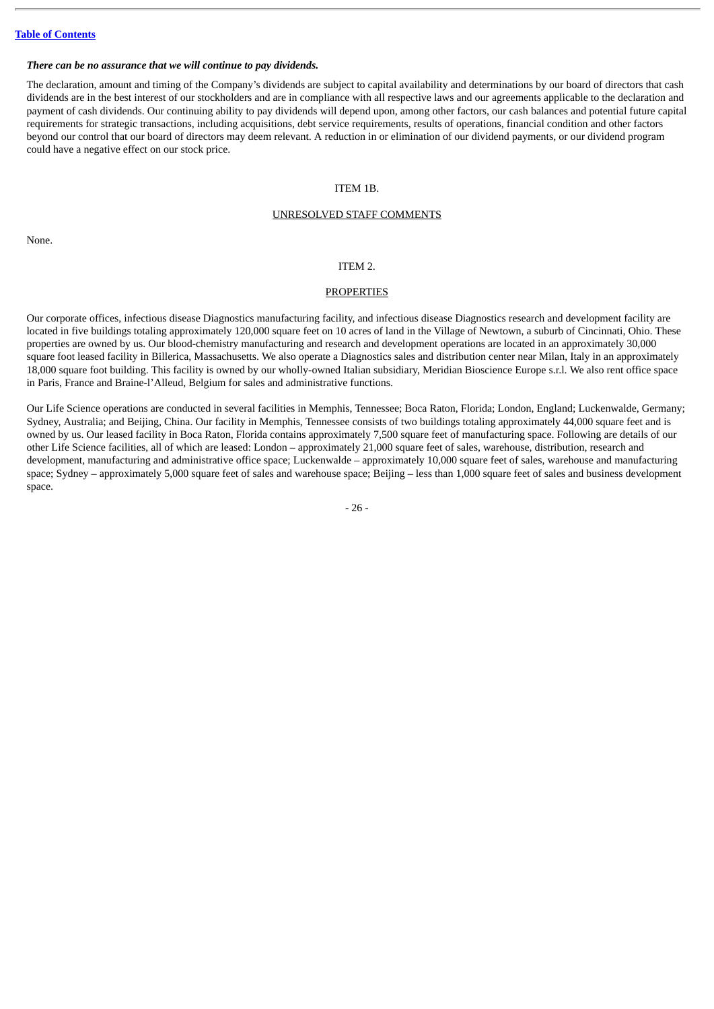#### *There can be no assurance that we will continue to pay dividends.*

The declaration, amount and timing of the Company's dividends are subject to capital availability and determinations by our board of directors that cash dividends are in the best interest of our stockholders and are in compliance with all respective laws and our agreements applicable to the declaration and payment of cash dividends. Our continuing ability to pay dividends will depend upon, among other factors, our cash balances and potential future capital requirements for strategic transactions, including acquisitions, debt service requirements, results of operations, financial condition and other factors beyond our control that our board of directors may deem relevant. A reduction in or elimination of our dividend payments, or our dividend program could have a negative effect on our stock price.

#### ITEM 1B.

#### UNRESOLVED STAFF COMMENTS

<span id="page-25-1"></span><span id="page-25-0"></span>None.

#### ITEM 2.

#### PROPERTIES

Our corporate offices, infectious disease Diagnostics manufacturing facility, and infectious disease Diagnostics research and development facility are located in five buildings totaling approximately 120,000 square feet on 10 acres of land in the Village of Newtown, a suburb of Cincinnati, Ohio. These properties are owned by us. Our blood-chemistry manufacturing and research and development operations are located in an approximately 30,000 square foot leased facility in Billerica, Massachusetts. We also operate a Diagnostics sales and distribution center near Milan, Italy in an approximately 18,000 square foot building. This facility is owned by our wholly-owned Italian subsidiary, Meridian Bioscience Europe s.r.l. We also rent office space in Paris, France and Braine-l'Alleud, Belgium for sales and administrative functions.

Our Life Science operations are conducted in several facilities in Memphis, Tennessee; Boca Raton, Florida; London, England; Luckenwalde, Germany; Sydney, Australia; and Beijing, China. Our facility in Memphis, Tennessee consists of two buildings totaling approximately 44,000 square feet and is owned by us. Our leased facility in Boca Raton, Florida contains approximately 7,500 square feet of manufacturing space. Following are details of our other Life Science facilities, all of which are leased: London – approximately 21,000 square feet of sales, warehouse, distribution, research and development, manufacturing and administrative office space; Luckenwalde – approximately 10,000 square feet of sales, warehouse and manufacturing space; Sydney – approximately 5,000 square feet of sales and warehouse space; Beijing – less than 1,000 square feet of sales and business development space.

- 26 -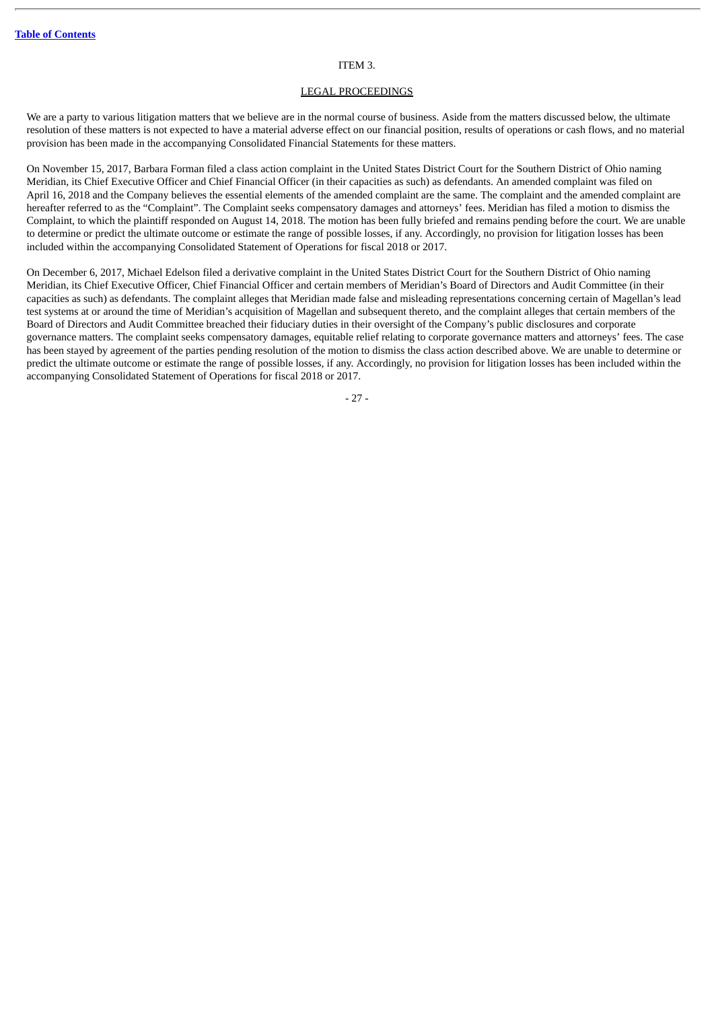#### ITEM 3.

#### LEGAL PROCEEDINGS

<span id="page-26-0"></span>We are a party to various litigation matters that we believe are in the normal course of business. Aside from the matters discussed below, the ultimate resolution of these matters is not expected to have a material adverse effect on our financial position, results of operations or cash flows, and no material provision has been made in the accompanying Consolidated Financial Statements for these matters.

On November 15, 2017, Barbara Forman filed a class action complaint in the United States District Court for the Southern District of Ohio naming Meridian, its Chief Executive Officer and Chief Financial Officer (in their capacities as such) as defendants. An amended complaint was filed on April 16, 2018 and the Company believes the essential elements of the amended complaint are the same. The complaint and the amended complaint are hereafter referred to as the "Complaint". The Complaint seeks compensatory damages and attorneys' fees. Meridian has filed a motion to dismiss the Complaint, to which the plaintiff responded on August 14, 2018. The motion has been fully briefed and remains pending before the court. We are unable to determine or predict the ultimate outcome or estimate the range of possible losses, if any. Accordingly, no provision for litigation losses has been included within the accompanying Consolidated Statement of Operations for fiscal 2018 or 2017.

On December 6, 2017, Michael Edelson filed a derivative complaint in the United States District Court for the Southern District of Ohio naming Meridian, its Chief Executive Officer, Chief Financial Officer and certain members of Meridian's Board of Directors and Audit Committee (in their capacities as such) as defendants. The complaint alleges that Meridian made false and misleading representations concerning certain of Magellan's lead test systems at or around the time of Meridian's acquisition of Magellan and subsequent thereto, and the complaint alleges that certain members of the Board of Directors and Audit Committee breached their fiduciary duties in their oversight of the Company's public disclosures and corporate governance matters. The complaint seeks compensatory damages, equitable relief relating to corporate governance matters and attorneys' fees. The case has been stayed by agreement of the parties pending resolution of the motion to dismiss the class action described above. We are unable to determine or predict the ultimate outcome or estimate the range of possible losses, if any. Accordingly, no provision for litigation losses has been included within the accompanying Consolidated Statement of Operations for fiscal 2018 or 2017.

- 27 -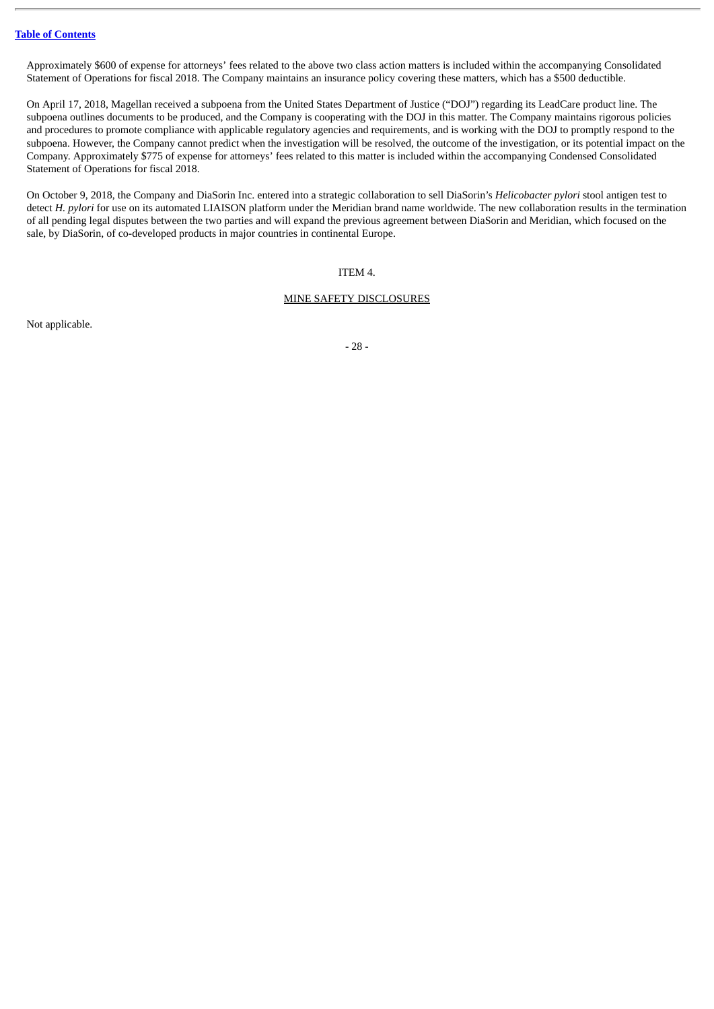Approximately \$600 of expense for attorneys' fees related to the above two class action matters is included within the accompanying Consolidated Statement of Operations for fiscal 2018. The Company maintains an insurance policy covering these matters, which has a \$500 deductible.

On April 17, 2018, Magellan received a subpoena from the United States Department of Justice ("DOJ") regarding its LeadCare product line. The subpoena outlines documents to be produced, and the Company is cooperating with the DOJ in this matter. The Company maintains rigorous policies and procedures to promote compliance with applicable regulatory agencies and requirements, and is working with the DOJ to promptly respond to the subpoena. However, the Company cannot predict when the investigation will be resolved, the outcome of the investigation, or its potential impact on the Company. Approximately \$775 of expense for attorneys' fees related to this matter is included within the accompanying Condensed Consolidated Statement of Operations for fiscal 2018.

On October 9, 2018, the Company and DiaSorin Inc. entered into a strategic collaboration to sell DiaSorin's *Helicobacter pylori* stool antigen test to detect *H. pylori* for use on its automated LIAISON platform under the Meridian brand name worldwide. The new collaboration results in the termination of all pending legal disputes between the two parties and will expand the previous agreement between DiaSorin and Meridian, which focused on the sale, by DiaSorin, of co-developed products in major countries in continental Europe.

#### ITEM 4.

#### MINE SAFETY DISCLOSURES

<span id="page-27-0"></span>Not applicable.

- 28 -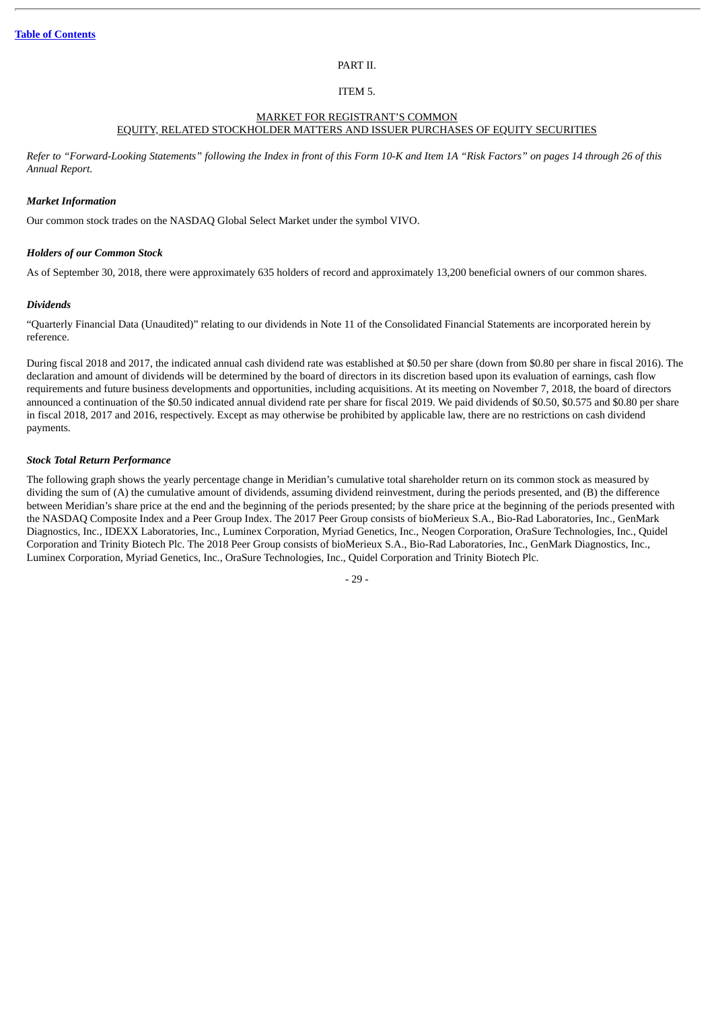#### PART II.

# ITEM 5.

# MARKET FOR REGISTRANT'S COMMON EQUITY, RELATED STOCKHOLDER MATTERS AND ISSUER PURCHASES OF EQUITY SECURITIES

<span id="page-28-1"></span><span id="page-28-0"></span>Refer to "Forward-Looking Statements" following the Index in front of this Form 10-K and Item 1A "Risk Factors" on pages 14 through 26 of this *Annual Report.*

#### *Market Information*

Our common stock trades on the NASDAQ Global Select Market under the symbol VIVO.

#### *Holders of our Common Stock*

As of September 30, 2018, there were approximately 635 holders of record and approximately 13,200 beneficial owners of our common shares.

#### *Dividends*

"Quarterly Financial Data (Unaudited)" relating to our dividends in Note 11 of the Consolidated Financial Statements are incorporated herein by reference.

During fiscal 2018 and 2017, the indicated annual cash dividend rate was established at \$0.50 per share (down from \$0.80 per share in fiscal 2016). The declaration and amount of dividends will be determined by the board of directors in its discretion based upon its evaluation of earnings, cash flow requirements and future business developments and opportunities, including acquisitions. At its meeting on November 7, 2018, the board of directors announced a continuation of the \$0.50 indicated annual dividend rate per share for fiscal 2019. We paid dividends of \$0.50, \$0.575 and \$0.80 per share in fiscal 2018, 2017 and 2016, respectively. Except as may otherwise be prohibited by applicable law, there are no restrictions on cash dividend payments.

#### *Stock Total Return Performance*

The following graph shows the yearly percentage change in Meridian's cumulative total shareholder return on its common stock as measured by dividing the sum of (A) the cumulative amount of dividends, assuming dividend reinvestment, during the periods presented, and (B) the difference between Meridian's share price at the end and the beginning of the periods presented; by the share price at the beginning of the periods presented with the NASDAQ Composite Index and a Peer Group Index. The 2017 Peer Group consists of bioMerieux S.A., Bio-Rad Laboratories, Inc., GenMark Diagnostics, Inc., IDEXX Laboratories, Inc., Luminex Corporation, Myriad Genetics, Inc., Neogen Corporation, OraSure Technologies, Inc., Quidel Corporation and Trinity Biotech Plc. The 2018 Peer Group consists of bioMerieux S.A., Bio-Rad Laboratories, Inc., GenMark Diagnostics, Inc., Luminex Corporation, Myriad Genetics, Inc., OraSure Technologies, Inc., Quidel Corporation and Trinity Biotech Plc.

- 29 -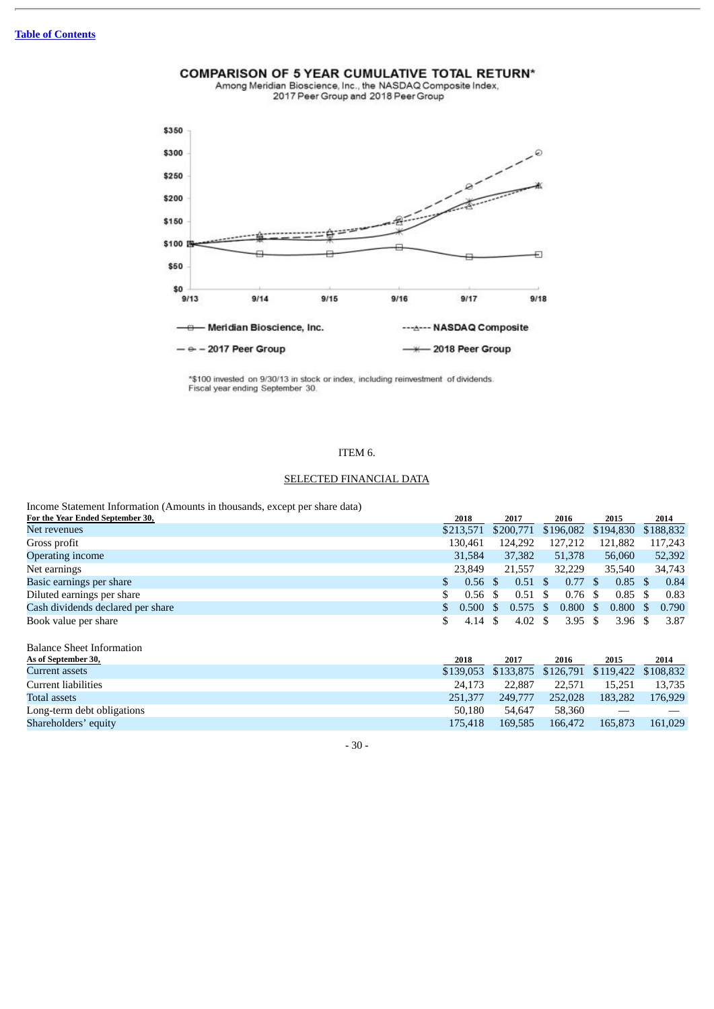

**COMPARISON OF 5 YEAR CUMULATIVE TOTAL RETURN\*** 

\*\$100 invested on 9/30/13 in stock or index, including reinvestment of dividends. Fiscal year ending September 30.

#### ITEM 6.

# SELECTED FINANCIAL DATA

<span id="page-29-0"></span>Income Statement Information (Amounts in thousands, except per share data)

Balance Sheet Information

| For the Year Ended September 30,  | 2018             | 2017                       | 2016      | 2015                       | 2014          |
|-----------------------------------|------------------|----------------------------|-----------|----------------------------|---------------|
| Net revenues                      | \$213,571        | \$200,771                  | \$196,082 | \$194,830                  | \$188,832     |
| Gross profit                      | 130.461          | 124,292                    | 127,212   | 121.882                    | 117,243       |
| <b>Operating income</b>           | 31,584           | 37,382                     | 51,378    | 56,060                     | 52,392        |
| Net earnings                      | 23.849           | 21,557                     | 32,229    | 35.540                     | 34,743        |
| Basic earnings per share          | 0.56             | $0.51 \text{ }$ \$<br>- \$ | 0.77      | $0.85 \quad $$<br>-S       | 0.84          |
| Diluted earnings per share        | 0.56             | $0.51 \text{ }$ \$<br>- \$ | 0.76      | $0.85 \text{ }$ \$<br>- \$ | 0.83          |
| Cash dividends declared per share | 0.500<br>S.      | 0.575 S<br>- \$            | 0.800     | 0.800<br>- \$              | 0.790<br>- \$ |
| Book value per share              | $4.14\mathrm{S}$ | $4.02 \quad $$             | 3.95      | 3.96 <sup>5</sup><br>- \$  | 3.87          |
|                                   |                  |                            |           |                            |               |

| As of September 30,        | 2018      | 2017    | 2016    | 2015                                    | 2014              |
|----------------------------|-----------|---------|---------|-----------------------------------------|-------------------|
| Current assets             | \$139,053 |         |         | \$133,875 \$126,791 \$119,422 \$108,832 |                   |
| Current liabilities        | 24.173    | 22,887  | 22.571  | 15.251                                  | 13,735            |
| Total assets               | 251,377   | 249,777 | 252,028 | 183.282                                 | 176,929           |
| Long-term debt obligations | 50,180    | 54.647  | 58,360  | $\hspace{0.05cm}$                       | $\hspace{0.05cm}$ |
| Shareholders' equity       | 175,418   | 169.585 | 166,472 | 165,873                                 | 161,029           |
|                            |           |         |         |                                         |                   |

- 30 -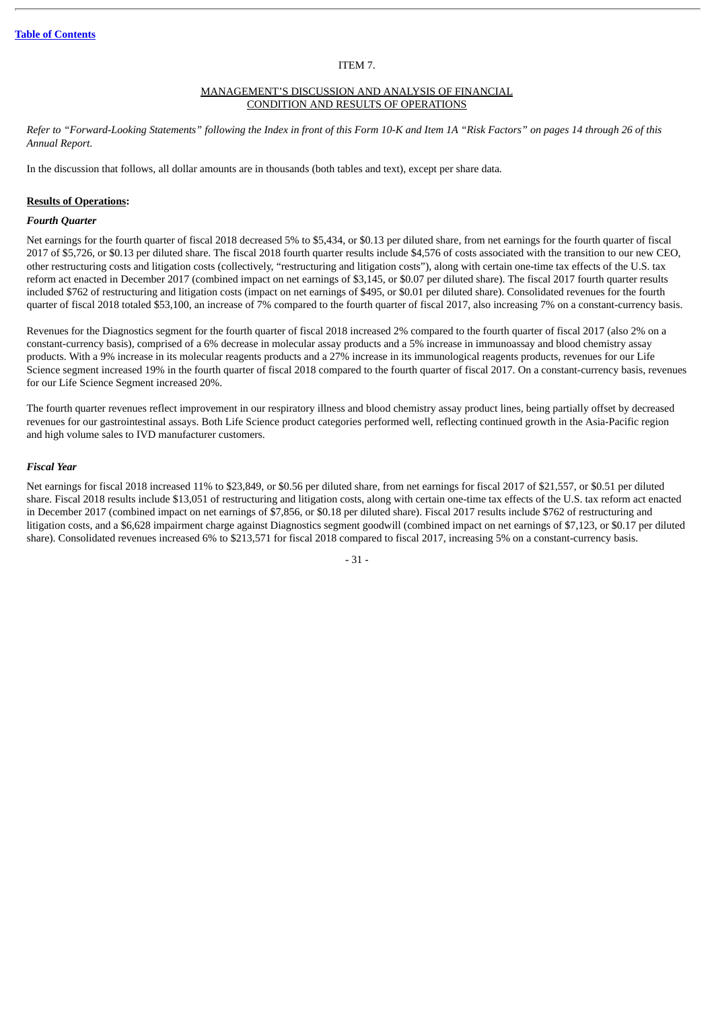#### ITEM 7.

#### MANAGEMENT'S DISCUSSION AND ANALYSIS OF FINANCIAL CONDITION AND RESULTS OF OPERATIONS

<span id="page-30-0"></span>Refer to "Forward-Looking Statements" following the Index in front of this Form 10-K and Item 1A "Risk Factors" on pages 14 through 26 of this *Annual Report.*

In the discussion that follows, all dollar amounts are in thousands (both tables and text), except per share data*.*

#### **Results of Operations:**

#### *Fourth Quarter*

Net earnings for the fourth quarter of fiscal 2018 decreased 5% to \$5,434, or \$0.13 per diluted share, from net earnings for the fourth quarter of fiscal 2017 of \$5,726, or \$0.13 per diluted share. The fiscal 2018 fourth quarter results include \$4,576 of costs associated with the transition to our new CEO, other restructuring costs and litigation costs (collectively, "restructuring and litigation costs"), along with certain one-time tax effects of the U.S. tax reform act enacted in December 2017 (combined impact on net earnings of \$3,145, or \$0.07 per diluted share). The fiscal 2017 fourth quarter results included \$762 of restructuring and litigation costs (impact on net earnings of \$495, or \$0.01 per diluted share). Consolidated revenues for the fourth quarter of fiscal 2018 totaled \$53,100, an increase of 7% compared to the fourth quarter of fiscal 2017, also increasing 7% on a constant-currency basis.

Revenues for the Diagnostics segment for the fourth quarter of fiscal 2018 increased 2% compared to the fourth quarter of fiscal 2017 (also 2% on a constant-currency basis), comprised of a 6% decrease in molecular assay products and a 5% increase in immunoassay and blood chemistry assay products. With a 9% increase in its molecular reagents products and a 27% increase in its immunological reagents products, revenues for our Life Science segment increased 19% in the fourth quarter of fiscal 2018 compared to the fourth quarter of fiscal 2017. On a constant-currency basis, revenues for our Life Science Segment increased 20%.

The fourth quarter revenues reflect improvement in our respiratory illness and blood chemistry assay product lines, being partially offset by decreased revenues for our gastrointestinal assays. Both Life Science product categories performed well, reflecting continued growth in the Asia-Pacific region and high volume sales to IVD manufacturer customers.

#### *Fiscal Year*

Net earnings for fiscal 2018 increased 11% to \$23,849, or \$0.56 per diluted share, from net earnings for fiscal 2017 of \$21,557, or \$0.51 per diluted share. Fiscal 2018 results include \$13,051 of restructuring and litigation costs, along with certain one-time tax effects of the U.S. tax reform act enacted in December 2017 (combined impact on net earnings of \$7,856, or \$0.18 per diluted share). Fiscal 2017 results include \$762 of restructuring and litigation costs, and a \$6,628 impairment charge against Diagnostics segment goodwill (combined impact on net earnings of \$7,123, or \$0.17 per diluted share). Consolidated revenues increased 6% to \$213,571 for fiscal 2018 compared to fiscal 2017, increasing 5% on a constant-currency basis.

- 31 -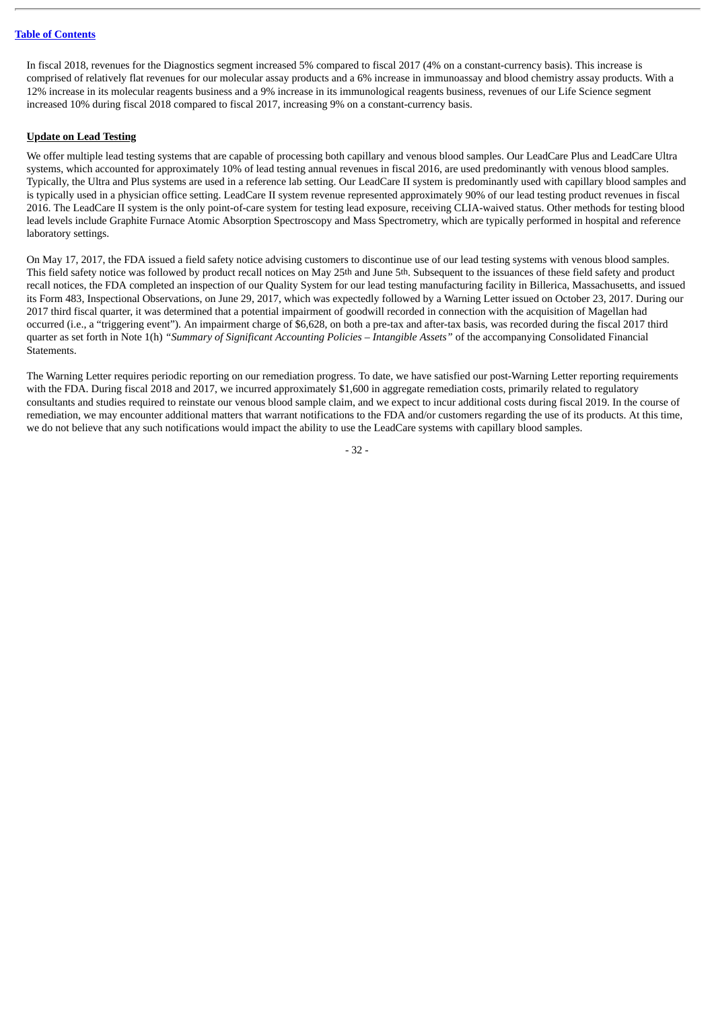In fiscal 2018, revenues for the Diagnostics segment increased 5% compared to fiscal 2017 (4% on a constant-currency basis). This increase is comprised of relatively flat revenues for our molecular assay products and a 6% increase in immunoassay and blood chemistry assay products. With a 12% increase in its molecular reagents business and a 9% increase in its immunological reagents business, revenues of our Life Science segment increased 10% during fiscal 2018 compared to fiscal 2017, increasing 9% on a constant-currency basis.

#### **Update on Lead Testing**

We offer multiple lead testing systems that are capable of processing both capillary and venous blood samples. Our LeadCare Plus and LeadCare Ultra systems, which accounted for approximately 10% of lead testing annual revenues in fiscal 2016, are used predominantly with venous blood samples. Typically, the Ultra and Plus systems are used in a reference lab setting. Our LeadCare II system is predominantly used with capillary blood samples and is typically used in a physician office setting. LeadCare II system revenue represented approximately 90% of our lead testing product revenues in fiscal 2016. The LeadCare II system is the only point-of-care system for testing lead exposure, receiving CLIA-waived status. Other methods for testing blood lead levels include Graphite Furnace Atomic Absorption Spectroscopy and Mass Spectrometry, which are typically performed in hospital and reference laboratory settings.

On May 17, 2017, the FDA issued a field safety notice advising customers to discontinue use of our lead testing systems with venous blood samples. This field safety notice was followed by product recall notices on May 25th and June 5th. Subsequent to the issuances of these field safety and product recall notices, the FDA completed an inspection of our Quality System for our lead testing manufacturing facility in Billerica, Massachusetts, and issued its Form 483, Inspectional Observations, on June 29, 2017, which was expectedly followed by a Warning Letter issued on October 23, 2017. During our 2017 third fiscal quarter, it was determined that a potential impairment of goodwill recorded in connection with the acquisition of Magellan had occurred (i.e., a "triggering event"). An impairment charge of \$6,628, on both a pre-tax and after-tax basis, was recorded during the fiscal 2017 third quarter as set forth in Note 1(h) *"Summary of Significant Accounting Policies – Intangible Assets"* of the accompanying Consolidated Financial Statements.

The Warning Letter requires periodic reporting on our remediation progress. To date, we have satisfied our post-Warning Letter reporting requirements with the FDA. During fiscal 2018 and 2017, we incurred approximately \$1,600 in aggregate remediation costs, primarily related to regulatory consultants and studies required to reinstate our venous blood sample claim, and we expect to incur additional costs during fiscal 2019. In the course of remediation, we may encounter additional matters that warrant notifications to the FDA and/or customers regarding the use of its products. At this time, we do not believe that any such notifications would impact the ability to use the LeadCare systems with capillary blood samples.

- 32 -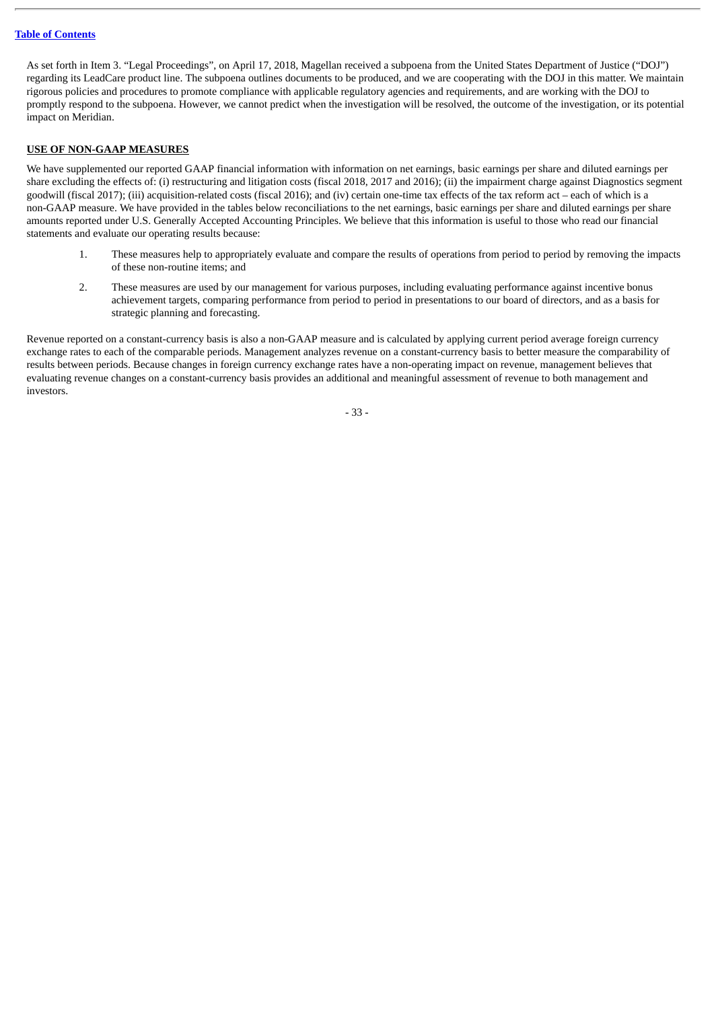As set forth in Item 3. "Legal Proceedings", on April 17, 2018, Magellan received a subpoena from the United States Department of Justice ("DOJ") regarding its LeadCare product line. The subpoena outlines documents to be produced, and we are cooperating with the DOJ in this matter. We maintain rigorous policies and procedures to promote compliance with applicable regulatory agencies and requirements, and are working with the DOJ to promptly respond to the subpoena. However, we cannot predict when the investigation will be resolved, the outcome of the investigation, or its potential impact on Meridian.

#### **USE OF NON-GAAP MEASURES**

We have supplemented our reported GAAP financial information with information on net earnings, basic earnings per share and diluted earnings per share excluding the effects of: (i) restructuring and litigation costs (fiscal 2018, 2017 and 2016); (ii) the impairment charge against Diagnostics segment goodwill (fiscal 2017); (iii) acquisition-related costs (fiscal 2016); and (iv) certain one-time tax effects of the tax reform act – each of which is a non-GAAP measure. We have provided in the tables below reconciliations to the net earnings, basic earnings per share and diluted earnings per share amounts reported under U.S. Generally Accepted Accounting Principles. We believe that this information is useful to those who read our financial statements and evaluate our operating results because:

- 1. These measures help to appropriately evaluate and compare the results of operations from period to period by removing the impacts of these non-routine items; and
- 2. These measures are used by our management for various purposes, including evaluating performance against incentive bonus achievement targets, comparing performance from period to period in presentations to our board of directors, and as a basis for strategic planning and forecasting.

Revenue reported on a constant-currency basis is also a non-GAAP measure and is calculated by applying current period average foreign currency exchange rates to each of the comparable periods. Management analyzes revenue on a constant-currency basis to better measure the comparability of results between periods. Because changes in foreign currency exchange rates have a non-operating impact on revenue, management believes that evaluating revenue changes on a constant-currency basis provides an additional and meaningful assessment of revenue to both management and investors.

- 33 -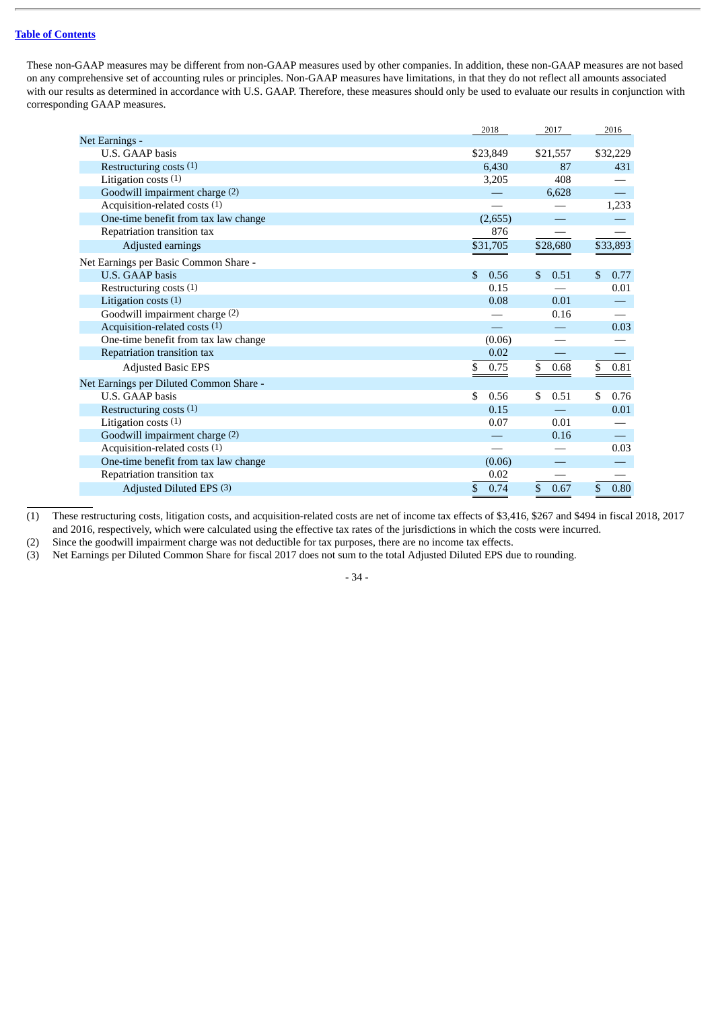These non-GAAP measures may be different from non-GAAP measures used by other companies. In addition, these non-GAAP measures are not based on any comprehensive set of accounting rules or principles. Non-GAAP measures have limitations, in that they do not reflect all amounts associated with our results as determined in accordance with U.S. GAAP. Therefore, these measures should only be used to evaluate our results in conjunction with corresponding GAAP measures.

|                                         | 2018        | 2017       | 2016       |
|-----------------------------------------|-------------|------------|------------|
| Net Earnings -                          |             |            |            |
| <b>U.S. GAAP basis</b>                  | \$23,849    | \$21,557   | \$32,229   |
| Restructuring costs (1)                 | 6,430       | 87         | 431        |
| Litigation costs $(1)$                  | 3,205       | 408        |            |
| Goodwill impairment charge (2)          |             | 6,628      |            |
| Acquisition-related costs (1)           |             |            | 1,233      |
| One-time benefit from tax law change    | (2,655)     |            |            |
| Repatriation transition tax             | 876         |            |            |
| Adjusted earnings                       | \$31,705    | \$28,680   | \$33,893   |
| Net Earnings per Basic Common Share -   |             |            |            |
| U.S. GAAP basis                         | \$.<br>0.56 | \$<br>0.51 | \$<br>0.77 |
| Restructuring costs (1)                 | 0.15        |            | 0.01       |
| Litigation costs (1)                    | 0.08        | 0.01       |            |
| Goodwill impairment charge (2)          |             | 0.16       |            |
| Acquisition-related costs (1)           |             |            | 0.03       |
| One-time benefit from tax law change    | (0.06)      |            |            |
| Repatriation transition tax             | 0.02        |            |            |
| <b>Adjusted Basic EPS</b>               | \$<br>0.75  | \$<br>0.68 | \$<br>0.81 |
| Net Earnings per Diluted Common Share - |             |            |            |
| <b>U.S. GAAP basis</b>                  | \$<br>0.56  | \$<br>0.51 | \$<br>0.76 |
| Restructuring costs (1)                 | 0.15        |            | 0.01       |
| Litigation costs (1)                    | 0.07        | 0.01       |            |
| Goodwill impairment charge (2)          |             | 0.16       |            |
| Acquisition-related costs (1)           |             |            | 0.03       |
| One-time benefit from tax law change    | (0.06)      |            |            |
| Repatriation transition tax             | 0.02        |            |            |
| Adjusted Diluted EPS (3)                | \$<br>0.74  | \$<br>0.67 | \$<br>0.80 |

(1) These restructuring costs, litigation costs, and acquisition-related costs are net of income tax effects of \$3,416, \$267 and \$494 in fiscal 2018, 2017 and 2016, respectively, which were calculated using the effective tax rates of the jurisdictions in which the costs were incurred.

(2) Since the goodwill impairment charge was not deductible for tax purposes, there are no income tax effects.

(3) Net Earnings per Diluted Common Share for fiscal 2017 does not sum to the total Adjusted Diluted EPS due to rounding.

- 34 -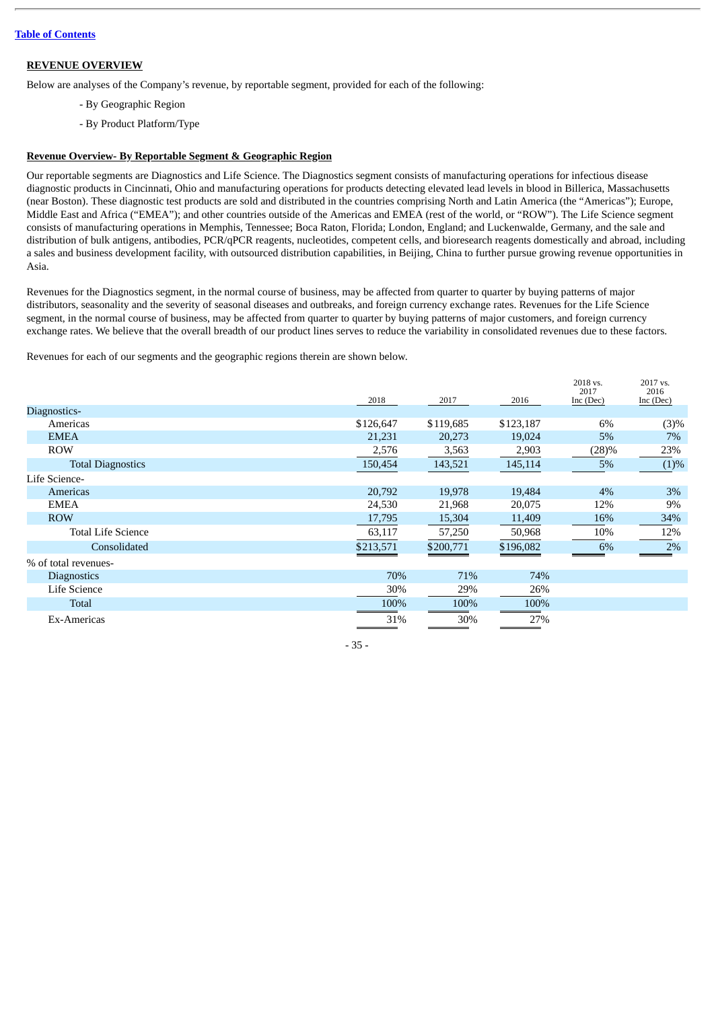# **REVENUE OVERVIEW**

Below are analyses of the Company's revenue, by reportable segment, provided for each of the following:

- By Geographic Region
- By Product Platform/Type

#### **Revenue Overview- By Reportable Segment & Geographic Region**

Our reportable segments are Diagnostics and Life Science. The Diagnostics segment consists of manufacturing operations for infectious disease diagnostic products in Cincinnati, Ohio and manufacturing operations for products detecting elevated lead levels in blood in Billerica, Massachusetts (near Boston). These diagnostic test products are sold and distributed in the countries comprising North and Latin America (the "Americas"); Europe, Middle East and Africa ("EMEA"); and other countries outside of the Americas and EMEA (rest of the world, or "ROW"). The Life Science segment consists of manufacturing operations in Memphis, Tennessee; Boca Raton, Florida; London, England; and Luckenwalde, Germany, and the sale and distribution of bulk antigens, antibodies, PCR/qPCR reagents, nucleotides, competent cells, and bioresearch reagents domestically and abroad, including a sales and business development facility, with outsourced distribution capabilities, in Beijing, China to further pursue growing revenue opportunities in Asia.

Revenues for the Diagnostics segment, in the normal course of business, may be affected from quarter to quarter by buying patterns of major distributors, seasonality and the severity of seasonal diseases and outbreaks, and foreign currency exchange rates. Revenues for the Life Science segment, in the normal course of business, may be affected from quarter to quarter by buying patterns of major customers, and foreign currency exchange rates. We believe that the overall breadth of our product lines serves to reduce the variability in consolidated revenues due to these factors.

Revenues for each of our segments and the geographic regions therein are shown below.

|           |           |           | 2018 vs.<br>2017 | 2017 vs.<br>2016<br>Inc (Dec) |
|-----------|-----------|-----------|------------------|-------------------------------|
|           |           |           |                  |                               |
| \$126,647 | \$119,685 | \$123,187 | 6%               | (3)%                          |
| 21,231    | 20,273    | 19,024    | 5%               | $7\%$                         |
| 2,576     | 3,563     | 2,903     | (28)%            | 23%                           |
| 150,454   | 143,521   | 145,114   | 5%               | (1)%                          |
|           |           |           |                  |                               |
| 20,792    | 19,978    | 19,484    | 4%               | 3%                            |
| 24,530    | 21,968    | 20,075    | 12%              | 9%                            |
| 17,795    | 15,304    | 11,409    | 16%              | 34%                           |
| 63,117    | 57,250    | 50,968    | 10%              | 12%                           |
| \$213,571 | \$200,771 | \$196,082 | 6%               | 2%                            |
|           |           |           |                  |                               |
| 70%       | 71%       | 74%       |                  |                               |
| 30%       | 29%       | 26%       |                  |                               |
| 100%      | 100%      | 100%      |                  |                               |
| 31%       | 30%       | 27%       |                  |                               |
|           | 2018      | 2017      | 2016             | Inc $(Dec)$                   |

- 35 -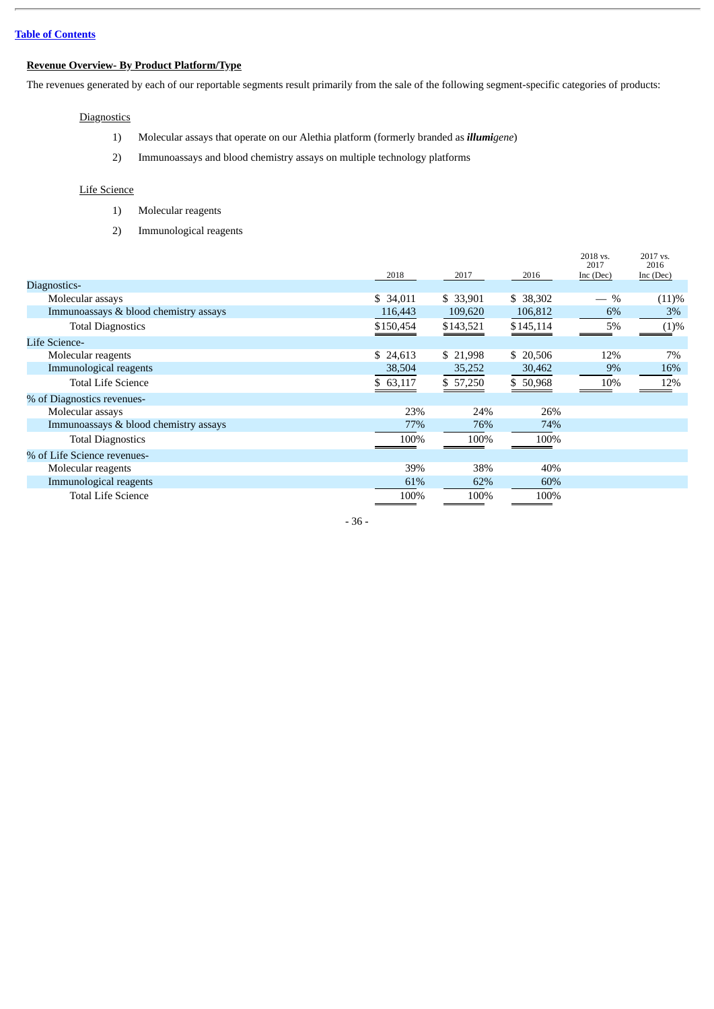# **Revenue Overview- By Product Platform/Type**

The revenues generated by each of our reportable segments result primarily from the sale of the following segment-specific categories of products:

# **Diagnostics**

- 1) Molecular assays that operate on our Alethia platform (formerly branded as *illumigene*)
- 2) Immunoassays and blood chemistry assays on multiple technology platforms

# Life Science

- 1) Molecular reagents
- 2) Immunological reagents

|                                       | 2018      | 2017      | 2016      | 2018 vs.<br>2017<br>Inc (Dec) | 2017 vs.<br>2016<br>Inc (Dec) |
|---------------------------------------|-----------|-----------|-----------|-------------------------------|-------------------------------|
| Diagnostics-                          |           |           |           |                               |                               |
| Molecular assays                      | \$ 34,011 | \$ 33,901 | \$ 38,302 | $-$ %                         | (11)%                         |
| Immunoassays & blood chemistry assays | 116,443   | 109,620   | 106,812   | 6%                            | 3%                            |
| <b>Total Diagnostics</b>              | \$150,454 | \$143,521 | \$145,114 | 5%                            | (1)%                          |
| Life Science-                         |           |           |           |                               |                               |
| Molecular reagents                    | \$24,613  | \$21,998  | \$ 20,506 | 12%                           | 7%                            |
| Immunological reagents                | 38,504    | 35,252    | 30,462    | 9%                            | 16%                           |
| <b>Total Life Science</b>             | \$63,117  | \$57,250  | \$50,968  | 10%                           | 12%                           |
| % of Diagnostics revenues-            |           |           |           |                               |                               |
| Molecular assays                      | 23%       | 24%       | 26%       |                               |                               |
| Immunoassays & blood chemistry assays | 77%       | 76%       | 74%       |                               |                               |
| <b>Total Diagnostics</b>              | 100%      | 100%      | 100%      |                               |                               |
| % of Life Science revenues-           |           |           |           |                               |                               |
| Molecular reagents                    | 39%       | 38%       | 40%       |                               |                               |
| Immunological reagents                | 61%       | 62%       | 60%       |                               |                               |
| <b>Total Life Science</b>             | 100%      | 100%      | 100%      |                               |                               |

- 36 -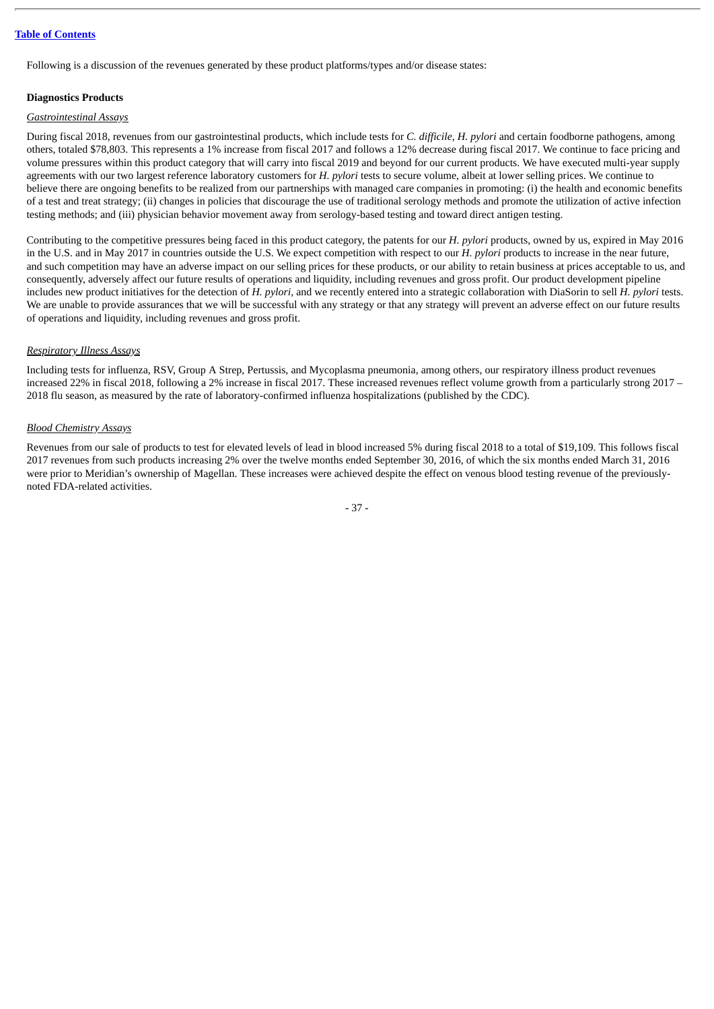Following is a discussion of the revenues generated by these product platforms/types and/or disease states:

### **Diagnostics Products**

### *Gastrointestinal Assays*

During fiscal 2018, revenues from our gastrointestinal products, which include tests for *C. difficile*, *H. pylori* and certain foodborne pathogens, among others, totaled \$78,803. This represents a 1% increase from fiscal 2017 and follows a 12% decrease during fiscal 2017. We continue to face pricing and volume pressures within this product category that will carry into fiscal 2019 and beyond for our current products. We have executed multi-year supply agreements with our two largest reference laboratory customers for *H. pylori* tests to secure volume, albeit at lower selling prices. We continue to believe there are ongoing benefits to be realized from our partnerships with managed care companies in promoting: (i) the health and economic benefits of a test and treat strategy; (ii) changes in policies that discourage the use of traditional serology methods and promote the utilization of active infection testing methods; and (iii) physician behavior movement away from serology-based testing and toward direct antigen testing.

Contributing to the competitive pressures being faced in this product category, the patents for our *H. pylori* products, owned by us, expired in May 2016 in the U.S. and in May 2017 in countries outside the U.S. We expect competition with respect to our *H. pylori* products to increase in the near future, and such competition may have an adverse impact on our selling prices for these products, or our ability to retain business at prices acceptable to us, and consequently, adversely affect our future results of operations and liquidity, including revenues and gross profit. Our product development pipeline includes new product initiatives for the detection of *H. pylori*, and we recently entered into a strategic collaboration with DiaSorin to sell *H. pylori* tests. We are unable to provide assurances that we will be successful with any strategy or that any strategy will prevent an adverse effect on our future results of operations and liquidity, including revenues and gross profit.

### *Respiratory Illness Assays*

Including tests for influenza, RSV, Group A Strep, Pertussis, and Mycoplasma pneumonia, among others, our respiratory illness product revenues increased 22% in fiscal 2018, following a 2% increase in fiscal 2017. These increased revenues reflect volume growth from a particularly strong 2017 – 2018 flu season, as measured by the rate of laboratory-confirmed influenza hospitalizations (published by the CDC).

## *Blood Chemistry Assays*

Revenues from our sale of products to test for elevated levels of lead in blood increased 5% during fiscal 2018 to a total of \$19,109. This follows fiscal 2017 revenues from such products increasing 2% over the twelve months ended September 30, 2016, of which the six months ended March 31, 2016 were prior to Meridian's ownership of Magellan. These increases were achieved despite the effect on venous blood testing revenue of the previouslynoted FDA-related activities.

- 37 -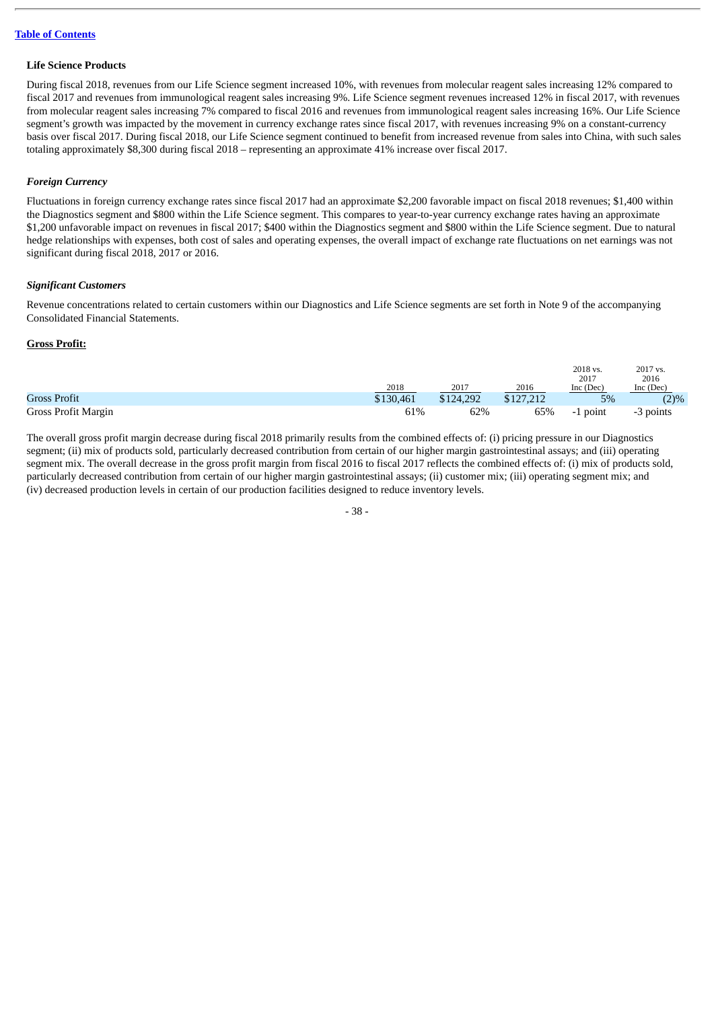### **Life Science Products**

During fiscal 2018, revenues from our Life Science segment increased 10%, with revenues from molecular reagent sales increasing 12% compared to fiscal 2017 and revenues from immunological reagent sales increasing 9%. Life Science segment revenues increased 12% in fiscal 2017, with revenues from molecular reagent sales increasing 7% compared to fiscal 2016 and revenues from immunological reagent sales increasing 16%. Our Life Science segment's growth was impacted by the movement in currency exchange rates since fiscal 2017, with revenues increasing 9% on a constant-currency basis over fiscal 2017. During fiscal 2018, our Life Science segment continued to benefit from increased revenue from sales into China, with such sales totaling approximately \$8,300 during fiscal 2018 – representing an approximate 41% increase over fiscal 2017.

### *Foreign Currency*

Fluctuations in foreign currency exchange rates since fiscal 2017 had an approximate \$2,200 favorable impact on fiscal 2018 revenues; \$1,400 within the Diagnostics segment and \$800 within the Life Science segment. This compares to year-to-year currency exchange rates having an approximate \$1,200 unfavorable impact on revenues in fiscal 2017; \$400 within the Diagnostics segment and \$800 within the Life Science segment. Due to natural hedge relationships with expenses, both cost of sales and operating expenses, the overall impact of exchange rate fluctuations on net earnings was not significant during fiscal 2018, 2017 or 2016.

### *Significant Customers*

Revenue concentrations related to certain customers within our Diagnostics and Life Science segments are set forth in Note 9 of the accompanying Consolidated Financial Statements.

### **Gross Profit:**

|                     |           |           |           | 2018 vs.  | 2017 vs.    |
|---------------------|-----------|-----------|-----------|-----------|-------------|
|                     |           |           |           | 2017      | 2016        |
|                     | 2018      | 2017      | 2016      | Inc (Dec) | Inc $(Dec)$ |
| Gross Profit        | \$130,461 | \$124,292 | \$127,212 | 5%        | (2)%        |
| Gross Profit Margin | 61%       | 62%       | 65%       | -1 point  | -3 points   |

The overall gross profit margin decrease during fiscal 2018 primarily results from the combined effects of: (i) pricing pressure in our Diagnostics segment; (ii) mix of products sold, particularly decreased contribution from certain of our higher margin gastrointestinal assays; and (iii) operating segment mix. The overall decrease in the gross profit margin from fiscal 2016 to fiscal 2017 reflects the combined effects of: (i) mix of products sold, particularly decreased contribution from certain of our higher margin gastrointestinal assays; (ii) customer mix; (iii) operating segment mix; and (iv) decreased production levels in certain of our production facilities designed to reduce inventory levels.

- 38 -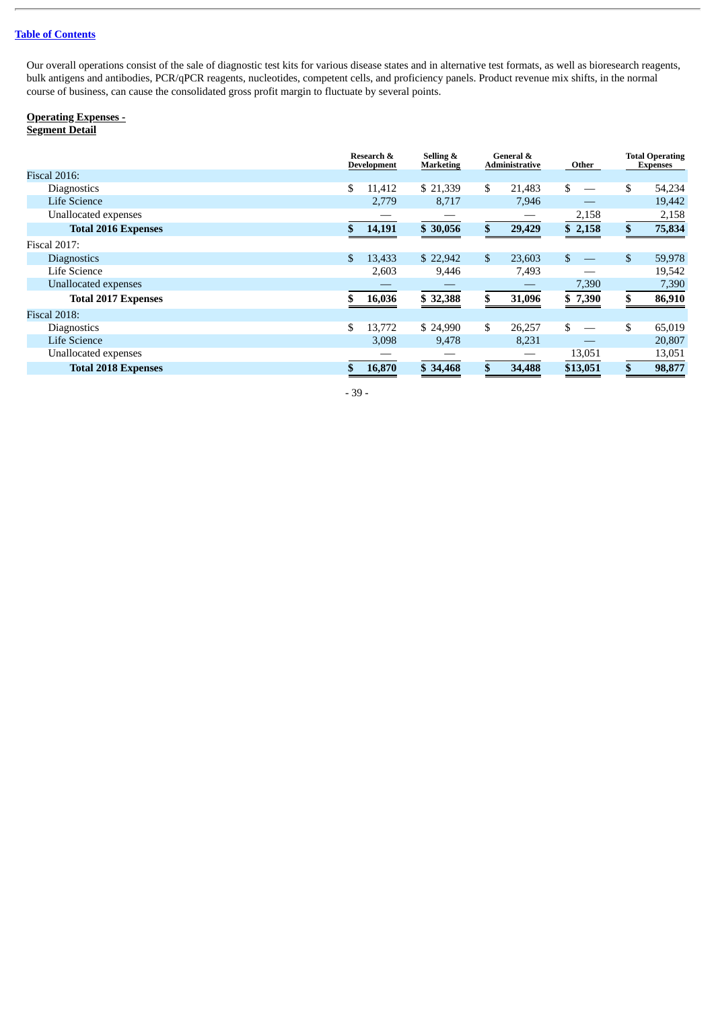Our overall operations consist of the sale of diagnostic test kits for various disease states and in alternative test formats, as well as bioresearch reagents, bulk antigens and antibodies, PCR/qPCR reagents, nucleotides, competent cells, and proficiency panels. Product revenue mix shifts, in the normal course of business, can cause the consolidated gross profit margin to fluctuate by several points.

# **Operating Expenses -**

**Segment Detail**

|                            |     | Research &<br><b>Development</b> | Selling &<br><b>Marketing</b> | <b>General &amp;</b><br>Administrative | Other    | <b>Total Operating</b><br><b>Expenses</b> |
|----------------------------|-----|----------------------------------|-------------------------------|----------------------------------------|----------|-------------------------------------------|
| <b>Fiscal 2016:</b>        |     |                                  |                               |                                        |          |                                           |
| <b>Diagnostics</b>         | \$  | 11,412                           | \$21,339                      | \$<br>21,483                           | \$       | \$<br>54,234                              |
| Life Science               |     | 2,779                            | 8,717                         | 7,946                                  |          | 19,442                                    |
| Unallocated expenses       |     |                                  |                               |                                        | 2,158    | 2,158                                     |
| <b>Total 2016 Expenses</b> |     | 14,191                           | \$ 30,056                     | \$<br>29,429                           | \$2,158  | \$<br>75,834                              |
| <b>Fiscal 2017:</b>        |     |                                  |                               |                                        |          |                                           |
| <b>Diagnostics</b>         | \$. | 13,433                           | \$22,942                      | \$<br>23,603                           | \$.      | \$<br>59,978                              |
| Life Science               |     | 2,603                            | 9,446                         | 7,493                                  |          | 19,542                                    |
| Unallocated expenses       |     |                                  |                               |                                        | 7,390    | 7,390                                     |
| <b>Total 2017 Expenses</b> |     | 16,036                           | \$32,388                      | \$<br>31,096                           | \$7,390  | \$<br>86,910                              |
| <b>Fiscal 2018:</b>        |     |                                  |                               |                                        |          |                                           |
| Diagnostics                | \$. | 13,772                           | \$24,990                      | \$<br>26,257                           | \$       | \$<br>65,019                              |
| Life Science               |     | 3,098                            | 9,478                         | 8,231                                  |          | 20,807                                    |
| Unallocated expenses       |     |                                  |                               |                                        | 13,051   | 13,051                                    |
| <b>Total 2018 Expenses</b> | \$  | 16,870                           | \$34,468                      | \$<br>34,488                           | \$13,051 | \$<br>98,877                              |

- 39 -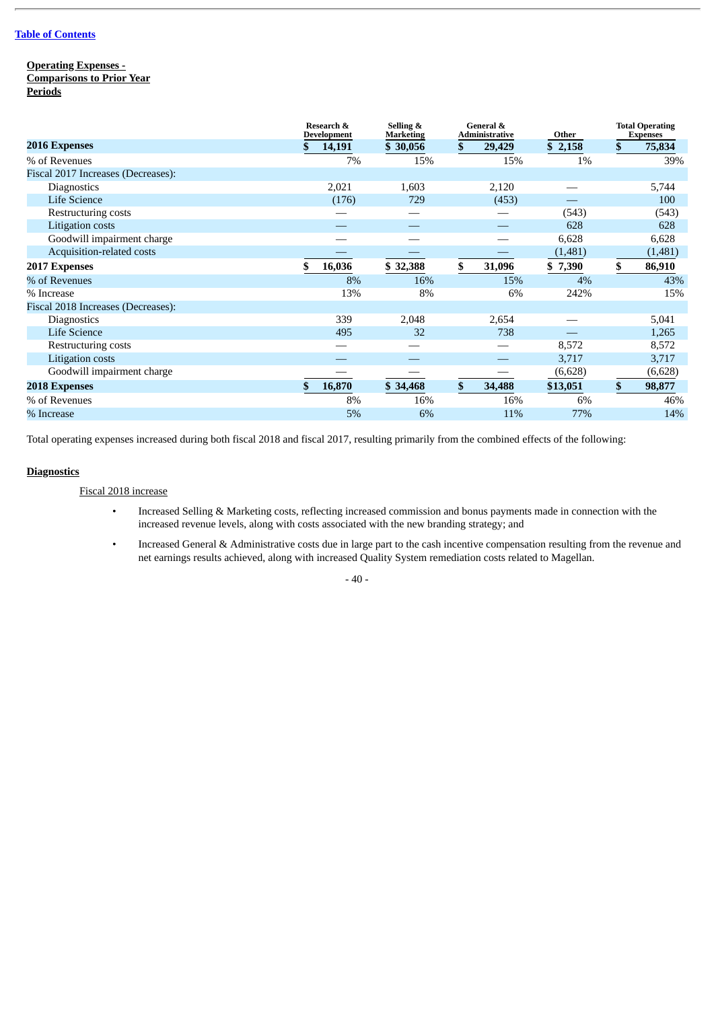## **Operating Expenses - Comparisons to Prior Year Periods**

|                                    | Research &<br><b>Development</b> | Selling &<br><b>Marketing</b> | <b>General &amp;</b><br>Administrative |        | Other    | <b>Total Operating</b><br><b>Expenses</b> |
|------------------------------------|----------------------------------|-------------------------------|----------------------------------------|--------|----------|-------------------------------------------|
| <b>2016 Expenses</b>               | 14,191                           | \$30,056                      | \$                                     | 29,429 | \$2,158  | \$<br>75,834                              |
| % of Revenues                      | 7%                               | 15%                           |                                        | 15%    | 1%       | 39%                                       |
| Fiscal 2017 Increases (Decreases): |                                  |                               |                                        |        |          |                                           |
| <b>Diagnostics</b>                 | 2,021                            | 1,603                         |                                        | 2,120  |          | 5,744                                     |
| Life Science                       | (176)                            | 729                           |                                        | (453)  |          | 100                                       |
| Restructuring costs                |                                  |                               |                                        |        | (543)    | (543)                                     |
| <b>Litigation costs</b>            |                                  |                               |                                        |        | 628      | 628                                       |
| Goodwill impairment charge         |                                  |                               |                                        |        | 6,628    | 6,628                                     |
| Acquisition-related costs          |                                  |                               |                                        |        | (1,481)  | (1,481)                                   |
| 2017 Expenses                      | \$<br>16,036                     | \$32,388                      | \$                                     | 31,096 | \$7,390  | \$<br>86,910                              |
| % of Revenues                      | 8%                               | 16%                           |                                        | 15%    | 4%       | 43%                                       |
| % Increase                         | 13%                              | 8%                            |                                        | 6%     | 242%     | 15%                                       |
| Fiscal 2018 Increases (Decreases): |                                  |                               |                                        |        |          |                                           |
| <b>Diagnostics</b>                 | 339                              | 2,048                         |                                        | 2,654  |          | 5,041                                     |
| Life Science                       | 495                              | 32                            |                                        | 738    |          | 1,265                                     |
| Restructuring costs                |                                  |                               |                                        |        | 8,572    | 8,572                                     |
| Litigation costs                   |                                  |                               |                                        |        | 3,717    | 3,717                                     |
| Goodwill impairment charge         |                                  |                               |                                        |        | (6,628)  | (6,628)                                   |
| 2018 Expenses                      | \$<br>16,870                     | \$34,468                      |                                        | 34,488 | \$13,051 | \$<br>98,877                              |
| % of Revenues                      | 8%                               | 16%                           |                                        | 16%    | 6%       | 46%                                       |
| % Increase                         | 5%                               | 6%                            |                                        | 11%    | 77%      | 14%                                       |

Total operating expenses increased during both fiscal 2018 and fiscal 2017, resulting primarily from the combined effects of the following:

# **Diagnostics**

# Fiscal 2018 increase

- Increased Selling & Marketing costs, reflecting increased commission and bonus payments made in connection with the increased revenue levels, along with costs associated with the new branding strategy; and
- Increased General & Administrative costs due in large part to the cash incentive compensation resulting from the revenue and net earnings results achieved, along with increased Quality System remediation costs related to Magellan.

# - 40 -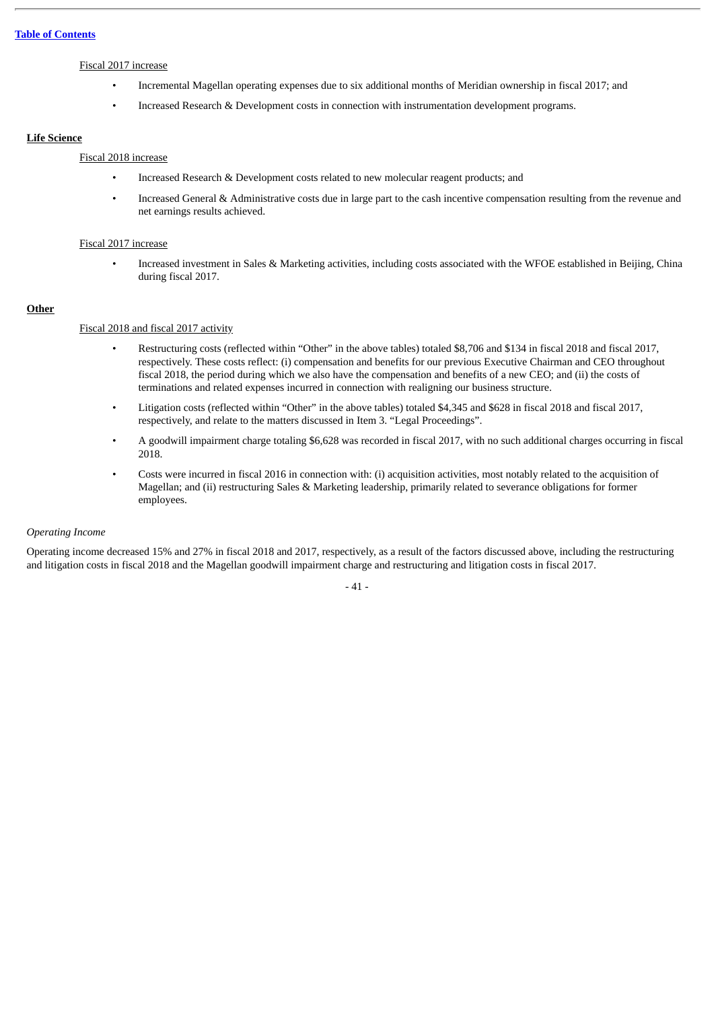# Fiscal 2017 increase

- Incremental Magellan operating expenses due to six additional months of Meridian ownership in fiscal 2017; and
- Increased Research & Development costs in connection with instrumentation development programs.

# **Life Science**

## Fiscal 2018 increase

- Increased Research & Development costs related to new molecular reagent products; and
- Increased General & Administrative costs due in large part to the cash incentive compensation resulting from the revenue and net earnings results achieved.

## Fiscal 2017 increase

• Increased investment in Sales & Marketing activities, including costs associated with the WFOE established in Beijing, China during fiscal 2017.

## **Other**

## Fiscal 2018 and fiscal 2017 activity

- Restructuring costs (reflected within "Other" in the above tables) totaled \$8,706 and \$134 in fiscal 2018 and fiscal 2017, respectively. These costs reflect: (i) compensation and benefits for our previous Executive Chairman and CEO throughout fiscal 2018, the period during which we also have the compensation and benefits of a new CEO; and (ii) the costs of terminations and related expenses incurred in connection with realigning our business structure.
- Litigation costs (reflected within "Other" in the above tables) totaled \$4,345 and \$628 in fiscal 2018 and fiscal 2017, respectively, and relate to the matters discussed in Item 3. "Legal Proceedings".
- A goodwill impairment charge totaling \$6,628 was recorded in fiscal 2017, with no such additional charges occurring in fiscal 2018.
- Costs were incurred in fiscal 2016 in connection with: (i) acquisition activities, most notably related to the acquisition of Magellan; and (ii) restructuring Sales & Marketing leadership, primarily related to severance obligations for former employees.

## *Operating Income*

Operating income decreased 15% and 27% in fiscal 2018 and 2017, respectively, as a result of the factors discussed above, including the restructuring and litigation costs in fiscal 2018 and the Magellan goodwill impairment charge and restructuring and litigation costs in fiscal 2017.

 $-41-$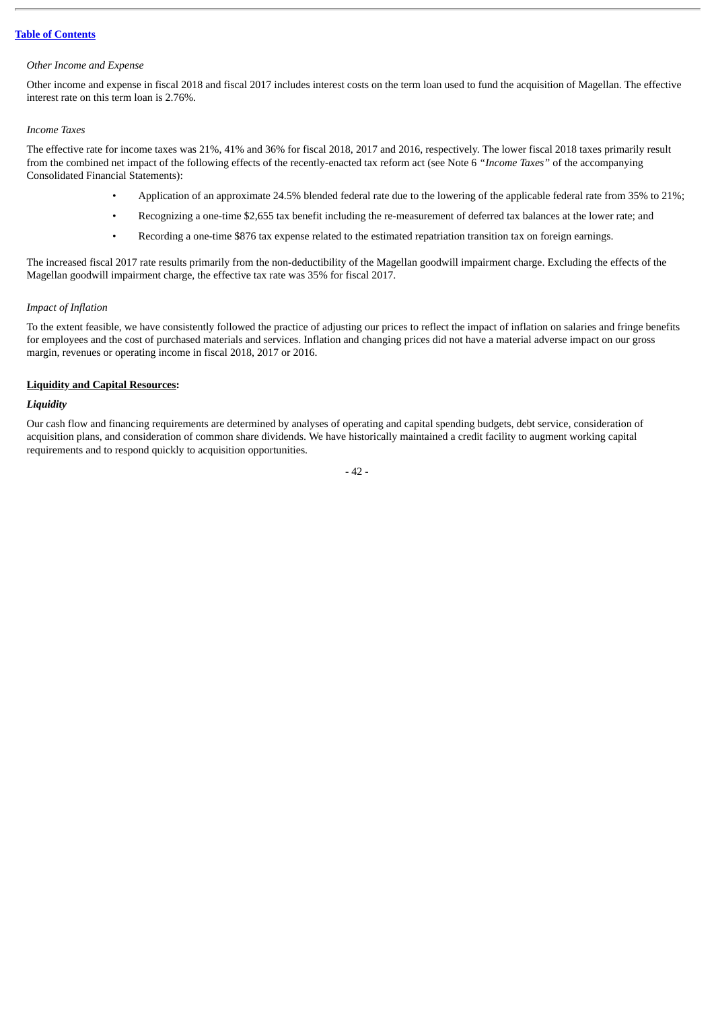### *Other Income and Expense*

Other income and expense in fiscal 2018 and fiscal 2017 includes interest costs on the term loan used to fund the acquisition of Magellan. The effective interest rate on this term loan is 2.76%.

### *Income Taxes*

The effective rate for income taxes was 21%, 41% and 36% for fiscal 2018, 2017 and 2016, respectively. The lower fiscal 2018 taxes primarily result from the combined net impact of the following effects of the recently-enacted tax reform act (see Note 6 *"Income Taxes"* of the accompanying Consolidated Financial Statements):

- Application of an approximate 24.5% blended federal rate due to the lowering of the applicable federal rate from 35% to 21%;
- Recognizing a one-time \$2,655 tax benefit including the re-measurement of deferred tax balances at the lower rate; and
- Recording a one-time \$876 tax expense related to the estimated repatriation transition tax on foreign earnings.

The increased fiscal 2017 rate results primarily from the non-deductibility of the Magellan goodwill impairment charge. Excluding the effects of the Magellan goodwill impairment charge, the effective tax rate was 35% for fiscal 2017.

# *Impact of Inflation*

To the extent feasible, we have consistently followed the practice of adjusting our prices to reflect the impact of inflation on salaries and fringe benefits for employees and the cost of purchased materials and services. Inflation and changing prices did not have a material adverse impact on our gross margin, revenues or operating income in fiscal 2018, 2017 or 2016.

# **Liquidity and Capital Resources:**

# *Liquidity*

Our cash flow and financing requirements are determined by analyses of operating and capital spending budgets, debt service, consideration of acquisition plans, and consideration of common share dividends. We have historically maintained a credit facility to augment working capital requirements and to respond quickly to acquisition opportunities.

- 42 -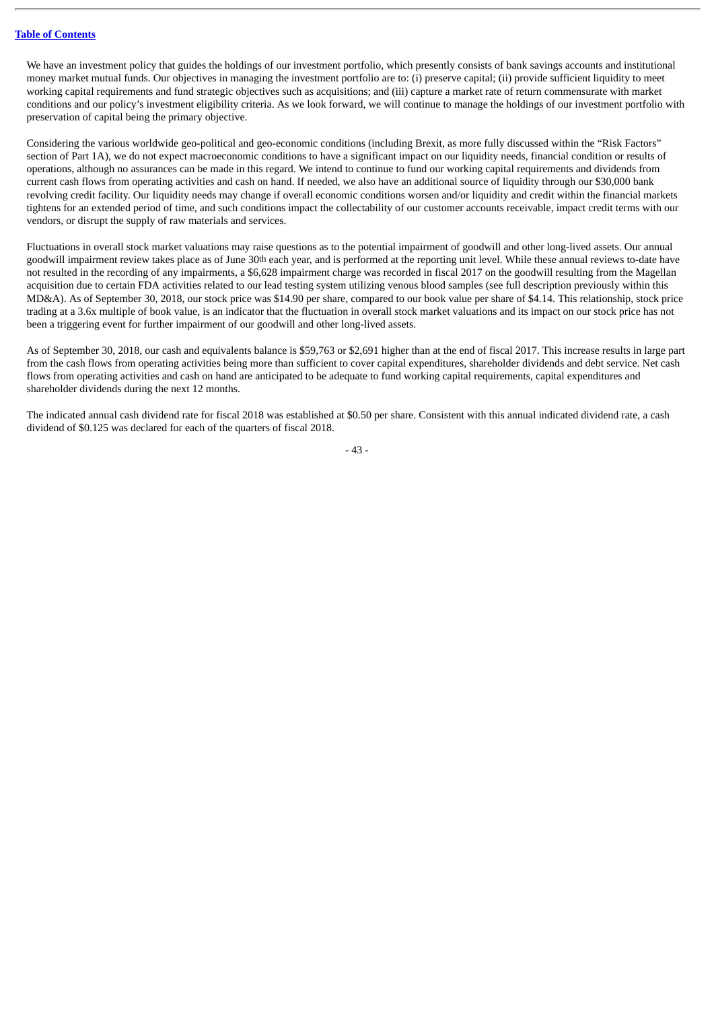We have an investment policy that guides the holdings of our investment portfolio, which presently consists of bank savings accounts and institutional money market mutual funds. Our objectives in managing the investment portfolio are to: (i) preserve capital; (ii) provide sufficient liquidity to meet working capital requirements and fund strategic objectives such as acquisitions; and (iii) capture a market rate of return commensurate with market conditions and our policy's investment eligibility criteria. As we look forward, we will continue to manage the holdings of our investment portfolio with preservation of capital being the primary objective.

Considering the various worldwide geo-political and geo-economic conditions (including Brexit, as more fully discussed within the "Risk Factors" section of Part 1A), we do not expect macroeconomic conditions to have a significant impact on our liquidity needs, financial condition or results of operations, although no assurances can be made in this regard. We intend to continue to fund our working capital requirements and dividends from current cash flows from operating activities and cash on hand. If needed, we also have an additional source of liquidity through our \$30,000 bank revolving credit facility. Our liquidity needs may change if overall economic conditions worsen and/or liquidity and credit within the financial markets tightens for an extended period of time, and such conditions impact the collectability of our customer accounts receivable, impact credit terms with our vendors, or disrupt the supply of raw materials and services.

Fluctuations in overall stock market valuations may raise questions as to the potential impairment of goodwill and other long-lived assets. Our annual goodwill impairment review takes place as of June 30th each year, and is performed at the reporting unit level. While these annual reviews to-date have not resulted in the recording of any impairments, a \$6,628 impairment charge was recorded in fiscal 2017 on the goodwill resulting from the Magellan acquisition due to certain FDA activities related to our lead testing system utilizing venous blood samples (see full description previously within this MD&A). As of September 30, 2018, our stock price was \$14.90 per share, compared to our book value per share of \$4.14. This relationship, stock price trading at a 3.6x multiple of book value, is an indicator that the fluctuation in overall stock market valuations and its impact on our stock price has not been a triggering event for further impairment of our goodwill and other long-lived assets.

As of September 30, 2018, our cash and equivalents balance is \$59,763 or \$2,691 higher than at the end of fiscal 2017. This increase results in large part from the cash flows from operating activities being more than sufficient to cover capital expenditures, shareholder dividends and debt service. Net cash flows from operating activities and cash on hand are anticipated to be adequate to fund working capital requirements, capital expenditures and shareholder dividends during the next 12 months.

The indicated annual cash dividend rate for fiscal 2018 was established at \$0.50 per share. Consistent with this annual indicated dividend rate, a cash dividend of \$0.125 was declared for each of the quarters of fiscal 2018.

- 43 -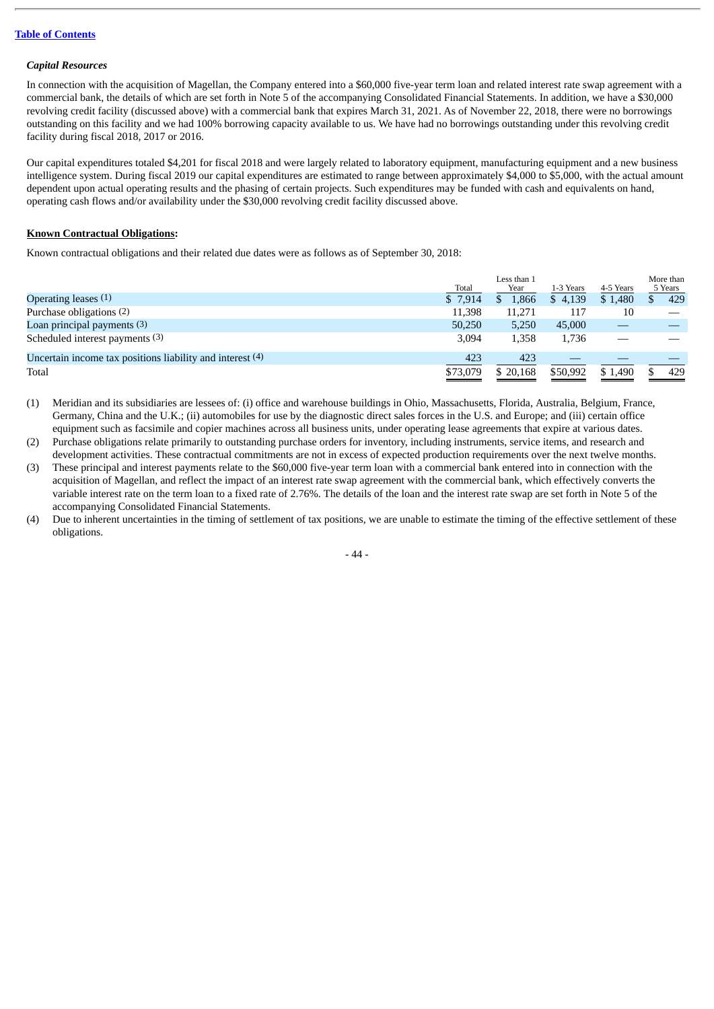### *Capital Resources*

In connection with the acquisition of Magellan, the Company entered into a \$60,000 five-year term loan and related interest rate swap agreement with a commercial bank, the details of which are set forth in Note 5 of the accompanying Consolidated Financial Statements. In addition, we have a \$30,000 revolving credit facility (discussed above) with a commercial bank that expires March 31, 2021. As of November 22, 2018, there were no borrowings outstanding on this facility and we had 100% borrowing capacity available to us. We have had no borrowings outstanding under this revolving credit facility during fiscal 2018, 2017 or 2016.

Our capital expenditures totaled \$4,201 for fiscal 2018 and were largely related to laboratory equipment, manufacturing equipment and a new business intelligence system. During fiscal 2019 our capital expenditures are estimated to range between approximately \$4,000 to \$5,000, with the actual amount dependent upon actual operating results and the phasing of certain projects. Such expenditures may be funded with cash and equivalents on hand, operating cash flows and/or availability under the \$30,000 revolving credit facility discussed above.

## **Known Contractual Obligations:**

Known contractual obligations and their related due dates were as follows as of September 30, 2018:

|                                                           | Total    | Less than 1<br>Year | 1-3 Years | 4-5 Years | More than<br>5 Years |
|-----------------------------------------------------------|----------|---------------------|-----------|-----------|----------------------|
| Operating leases $(1)$                                    | \$7,914  | 1,866               | \$4,139   | \$1,480   | 429                  |
| Purchase obligations (2)                                  | 11,398   | 11,271              | 117       | 10        |                      |
| Loan principal payments (3)                               | 50,250   | 5,250               | 45,000    |           |                      |
| Scheduled interest payments (3)                           | 3,094    | 1,358               | 1,736     |           |                      |
| Uncertain income tax positions liability and interest (4) | 423      | 423                 |           |           |                      |
| Total                                                     | \$73,079 | \$20,168            | \$50,992  | \$1,490   | 429                  |

(1) Meridian and its subsidiaries are lessees of: (i) office and warehouse buildings in Ohio, Massachusetts, Florida, Australia, Belgium, France, Germany, China and the U.K.; (ii) automobiles for use by the diagnostic direct sales forces in the U.S. and Europe; and (iii) certain office equipment such as facsimile and copier machines across all business units, under operating lease agreements that expire at various dates.

- (2) Purchase obligations relate primarily to outstanding purchase orders for inventory, including instruments, service items, and research and development activities. These contractual commitments are not in excess of expected production requirements over the next twelve months.
- (3) These principal and interest payments relate to the \$60,000 five-year term loan with a commercial bank entered into in connection with the acquisition of Magellan, and reflect the impact of an interest rate swap agreement with the commercial bank, which effectively converts the variable interest rate on the term loan to a fixed rate of 2.76%. The details of the loan and the interest rate swap are set forth in Note 5 of the accompanying Consolidated Financial Statements.
- (4) Due to inherent uncertainties in the timing of settlement of tax positions, we are unable to estimate the timing of the effective settlement of these obligations.

- 44 -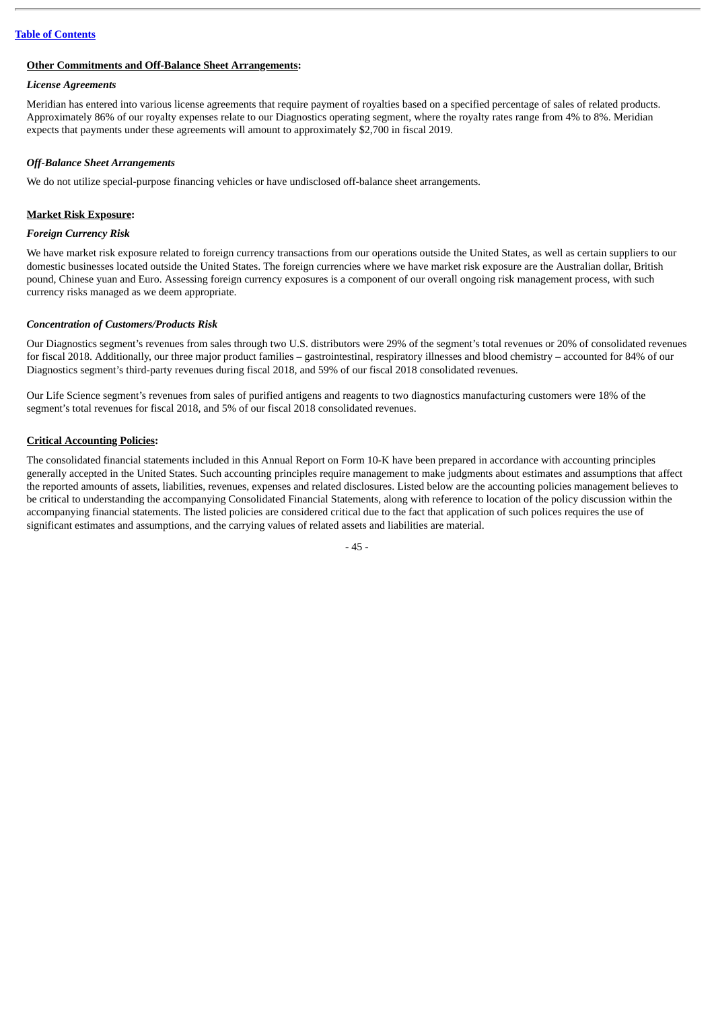# **Other Commitments and Off-Balance Sheet Arrangements:**

## *License Agreements*

Meridian has entered into various license agreements that require payment of royalties based on a specified percentage of sales of related products. Approximately 86% of our royalty expenses relate to our Diagnostics operating segment, where the royalty rates range from 4% to 8%. Meridian expects that payments under these agreements will amount to approximately \$2,700 in fiscal 2019.

## *Off-Balance Sheet Arrangements*

We do not utilize special-purpose financing vehicles or have undisclosed off-balance sheet arrangements.

# **Market Risk Exposure:**

### *Foreign Currency Risk*

We have market risk exposure related to foreign currency transactions from our operations outside the United States, as well as certain suppliers to our domestic businesses located outside the United States. The foreign currencies where we have market risk exposure are the Australian dollar, British pound, Chinese yuan and Euro. Assessing foreign currency exposures is a component of our overall ongoing risk management process, with such currency risks managed as we deem appropriate.

### *Concentration of Customers/Products Risk*

Our Diagnostics segment's revenues from sales through two U.S. distributors were 29% of the segment's total revenues or 20% of consolidated revenues for fiscal 2018. Additionally, our three major product families – gastrointestinal, respiratory illnesses and blood chemistry – accounted for 84% of our Diagnostics segment's third-party revenues during fiscal 2018, and 59% of our fiscal 2018 consolidated revenues.

Our Life Science segment's revenues from sales of purified antigens and reagents to two diagnostics manufacturing customers were 18% of the segment's total revenues for fiscal 2018, and 5% of our fiscal 2018 consolidated revenues.

## **Critical Accounting Policies:**

The consolidated financial statements included in this Annual Report on Form 10-K have been prepared in accordance with accounting principles generally accepted in the United States. Such accounting principles require management to make judgments about estimates and assumptions that affect the reported amounts of assets, liabilities, revenues, expenses and related disclosures. Listed below are the accounting policies management believes to be critical to understanding the accompanying Consolidated Financial Statements, along with reference to location of the policy discussion within the accompanying financial statements. The listed policies are considered critical due to the fact that application of such polices requires the use of significant estimates and assumptions, and the carrying values of related assets and liabilities are material.

 $-45-$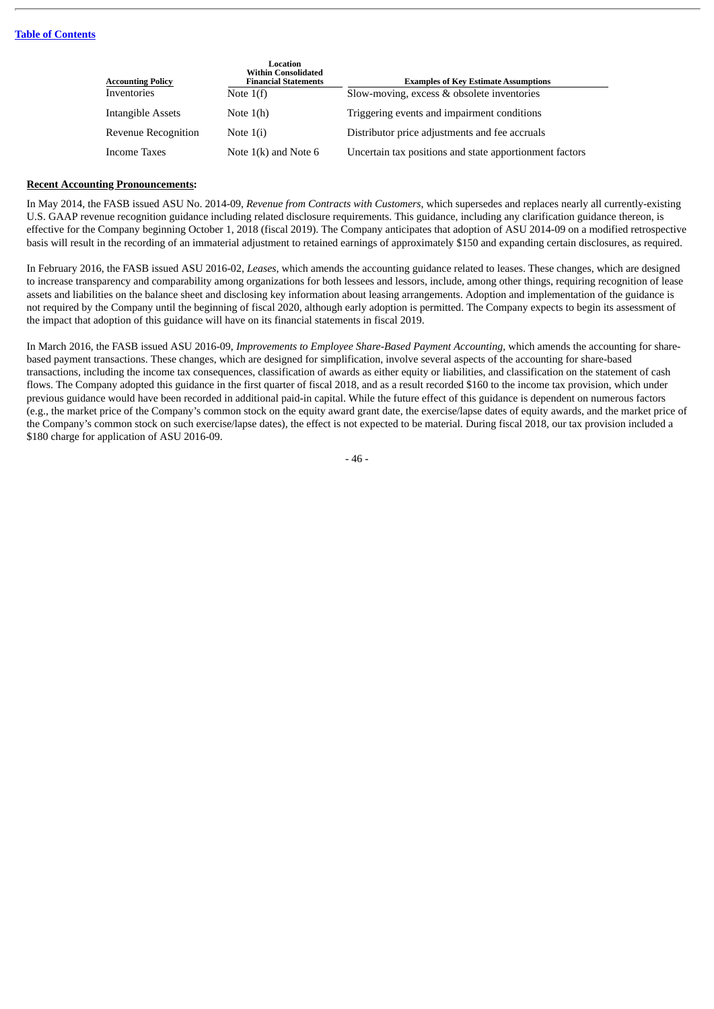| <b>Accounting Policy</b>   | Location<br><b>Within Consolidated</b><br><b>Financial Statements</b> | <b>Examples of Key Estimate Assumptions</b>             |
|----------------------------|-----------------------------------------------------------------------|---------------------------------------------------------|
| Inventories                | Note $1(f)$                                                           | Slow-moving, excess & obsolete inventories              |
| Intangible Assets          | Note $1(h)$                                                           | Triggering events and impairment conditions             |
| <b>Revenue Recognition</b> | Note $1(i)$                                                           | Distributor price adjustments and fee accruals          |
| Income Taxes               | Note $1(k)$ and Note 6                                                | Uncertain tax positions and state apportionment factors |

### **Recent Accounting Pronouncements:**

In May 2014, the FASB issued ASU No. 2014-09, *Revenue from Contracts with Customers*, which supersedes and replaces nearly all currently-existing U.S. GAAP revenue recognition guidance including related disclosure requirements. This guidance, including any clarification guidance thereon, is effective for the Company beginning October 1, 2018 (fiscal 2019). The Company anticipates that adoption of ASU 2014-09 on a modified retrospective basis will result in the recording of an immaterial adjustment to retained earnings of approximately \$150 and expanding certain disclosures, as required.

In February 2016, the FASB issued ASU 2016-02, *Leases*, which amends the accounting guidance related to leases. These changes, which are designed to increase transparency and comparability among organizations for both lessees and lessors, include, among other things, requiring recognition of lease assets and liabilities on the balance sheet and disclosing key information about leasing arrangements. Adoption and implementation of the guidance is not required by the Company until the beginning of fiscal 2020, although early adoption is permitted. The Company expects to begin its assessment of the impact that adoption of this guidance will have on its financial statements in fiscal 2019.

In March 2016, the FASB issued ASU 2016-09, *Improvements to Employee Share-Based Payment Accounting*, which amends the accounting for sharebased payment transactions. These changes, which are designed for simplification, involve several aspects of the accounting for share-based transactions, including the income tax consequences, classification of awards as either equity or liabilities, and classification on the statement of cash flows. The Company adopted this guidance in the first quarter of fiscal 2018, and as a result recorded \$160 to the income tax provision, which under previous guidance would have been recorded in additional paid-in capital. While the future effect of this guidance is dependent on numerous factors (e.g., the market price of the Company's common stock on the equity award grant date, the exercise/lapse dates of equity awards, and the market price of the Company's common stock on such exercise/lapse dates), the effect is not expected to be material. During fiscal 2018, our tax provision included a \$180 charge for application of ASU 2016-09.

 $-46-$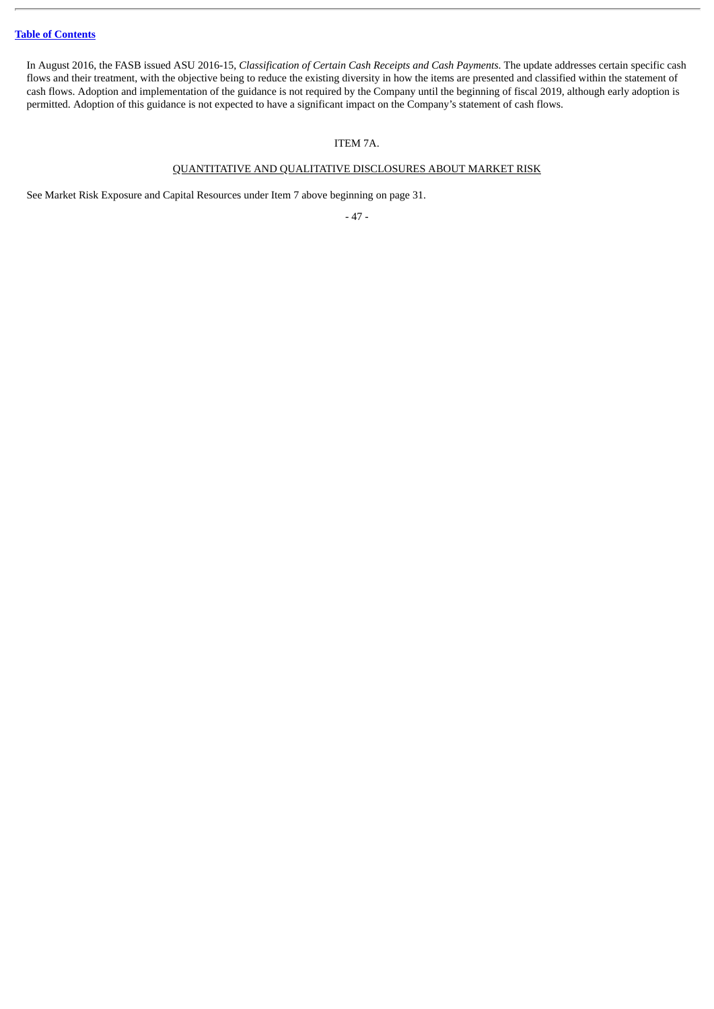In August 2016, the FASB issued ASU 2016-15, *Classification of Certain Cash Receipts and Cash Payments*. The update addresses certain specific cash flows and their treatment, with the objective being to reduce the existing diversity in how the items are presented and classified within the statement of cash flows. Adoption and implementation of the guidance is not required by the Company until the beginning of fiscal 2019, although early adoption is permitted. Adoption of this guidance is not expected to have a significant impact on the Company's statement of cash flows.

## ITEM 7A.

## QUANTITATIVE AND QUALITATIVE DISCLOSURES ABOUT MARKET RISK

See Market Risk Exposure and Capital Resources under Item 7 above beginning on page 31.

- 47 -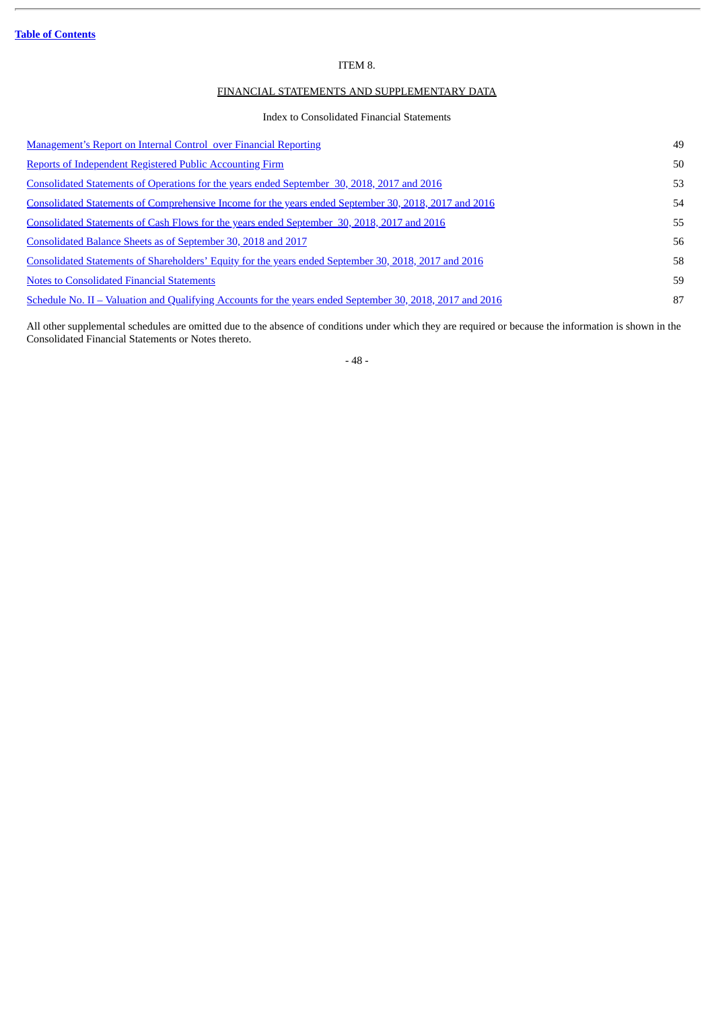# ITEM 8.

# FINANCIAL STATEMENTS AND SUPPLEMENTARY DATA

# Index to Consolidated Financial Statements

| Management's Report on Internal Control over Financial Reporting                                          | 49 |
|-----------------------------------------------------------------------------------------------------------|----|
| <b>Reports of Independent Registered Public Accounting Firm</b>                                           | 50 |
| Consolidated Statements of Operations for the years ended September 30, 2018, 2017 and 2016               | 53 |
| Consolidated Statements of Comprehensive Income for the years ended September 30, 2018, 2017 and 2016     | 54 |
| Consolidated Statements of Cash Flows for the years ended September 30, 2018, 2017 and 2016               | 55 |
| Consolidated Balance Sheets as of September 30, 2018 and 2017                                             | 56 |
| Consolidated Statements of Shareholders' Equity for the years ended September 30, 2018, 2017 and 2016     | 58 |
| <b>Notes to Consolidated Financial Statements</b>                                                         | 59 |
| Schedule No. II – Valuation and Qualifying Accounts for the years ended September 30, 2018, 2017 and 2016 | 87 |

All other supplemental schedules are omitted due to the absence of conditions under which they are required or because the information is shown in the Consolidated Financial Statements or Notes thereto.

- 48 -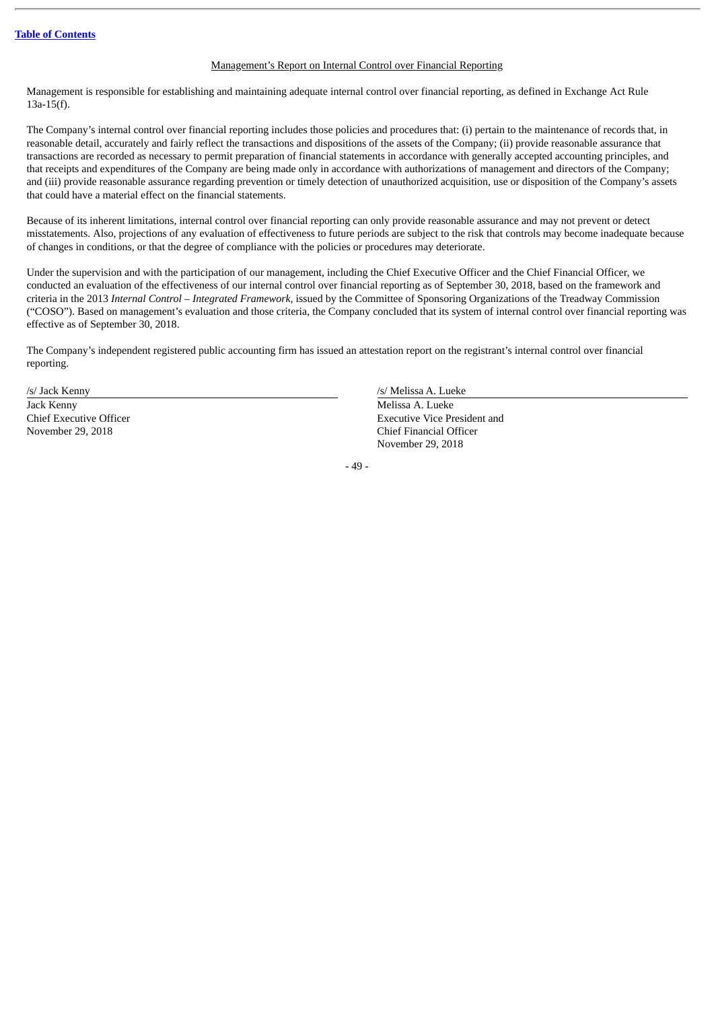### Management's Report on Internal Control over Financial Reporting

<span id="page-48-0"></span>Management is responsible for establishing and maintaining adequate internal control over financial reporting, as defined in Exchange Act Rule 13a-15(f).

The Company's internal control over financial reporting includes those policies and procedures that: (i) pertain to the maintenance of records that, in reasonable detail, accurately and fairly reflect the transactions and dispositions of the assets of the Company; (ii) provide reasonable assurance that transactions are recorded as necessary to permit preparation of financial statements in accordance with generally accepted accounting principles, and that receipts and expenditures of the Company are being made only in accordance with authorizations of management and directors of the Company; and (iii) provide reasonable assurance regarding prevention or timely detection of unauthorized acquisition, use or disposition of the Company's assets that could have a material effect on the financial statements.

Because of its inherent limitations, internal control over financial reporting can only provide reasonable assurance and may not prevent or detect misstatements. Also, projections of any evaluation of effectiveness to future periods are subject to the risk that controls may become inadequate because of changes in conditions, or that the degree of compliance with the policies or procedures may deteriorate.

Under the supervision and with the participation of our management, including the Chief Executive Officer and the Chief Financial Officer, we conducted an evaluation of the effectiveness of our internal control over financial reporting as of September 30, 2018, based on the framework and criteria in the 2013 *Internal Control – Integrated Framework,* issued by the Committee of Sponsoring Organizations of the Treadway Commission ("COSO"). Based on management's evaluation and those criteria, the Company concluded that its system of internal control over financial reporting was effective as of September 30, 2018.

The Company's independent registered public accounting firm has issued an attestation report on the registrant's internal control over financial reporting.

**Jack Kenny** Melissa A. Lueke

/s/ Jack Kenny /s/ Melissa A. Lueke

Chief Executive Officer and Executive Officer and Executive Vice President and November 29. 2018 Chief Financial Officer November 29, 2018

- 49 -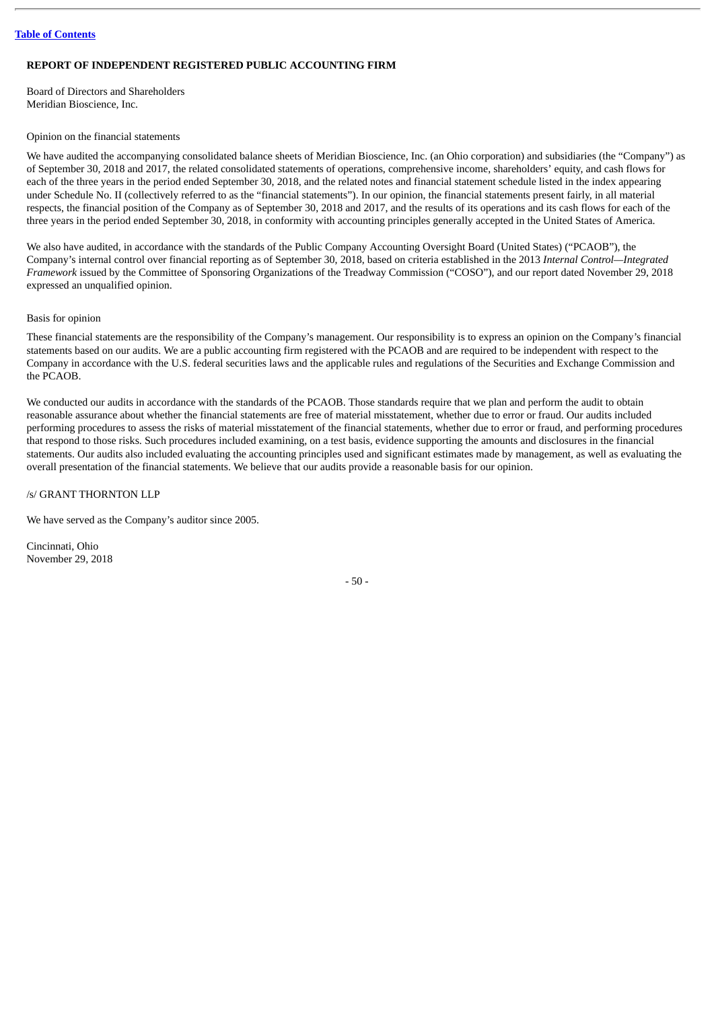# <span id="page-49-0"></span>**REPORT OF INDEPENDENT REGISTERED PUBLIC ACCOUNTING FIRM**

Board of Directors and Shareholders Meridian Bioscience, Inc.

Opinion on the financial statements

We have audited the accompanying consolidated balance sheets of Meridian Bioscience, Inc. (an Ohio corporation) and subsidiaries (the "Company") as of September 30, 2018 and 2017, the related consolidated statements of operations, comprehensive income, shareholders' equity, and cash flows for each of the three years in the period ended September 30, 2018, and the related notes and financial statement schedule listed in the index appearing under Schedule No. II (collectively referred to as the "financial statements"). In our opinion, the financial statements present fairly, in all material respects, the financial position of the Company as of September 30, 2018 and 2017, and the results of its operations and its cash flows for each of the three years in the period ended September 30, 2018, in conformity with accounting principles generally accepted in the United States of America.

We also have audited, in accordance with the standards of the Public Company Accounting Oversight Board (United States) ("PCAOB"), the Company's internal control over financial reporting as of September 30, 2018, based on criteria established in the 2013 *Internal Control—Integrated Framework* issued by the Committee of Sponsoring Organizations of the Treadway Commission ("COSO"), and our report dated November 29, 2018 expressed an unqualified opinion.

### Basis for opinion

These financial statements are the responsibility of the Company's management. Our responsibility is to express an opinion on the Company's financial statements based on our audits. We are a public accounting firm registered with the PCAOB and are required to be independent with respect to the Company in accordance with the U.S. federal securities laws and the applicable rules and regulations of the Securities and Exchange Commission and the PCAOB.

We conducted our audits in accordance with the standards of the PCAOB. Those standards require that we plan and perform the audit to obtain reasonable assurance about whether the financial statements are free of material misstatement, whether due to error or fraud. Our audits included performing procedures to assess the risks of material misstatement of the financial statements, whether due to error or fraud, and performing procedures that respond to those risks. Such procedures included examining, on a test basis, evidence supporting the amounts and disclosures in the financial statements. Our audits also included evaluating the accounting principles used and significant estimates made by management, as well as evaluating the overall presentation of the financial statements. We believe that our audits provide a reasonable basis for our opinion.

### /s/ GRANT THORNTON LLP

We have served as the Company's auditor since 2005.

Cincinnati, Ohio November 29, 2018

- 50 -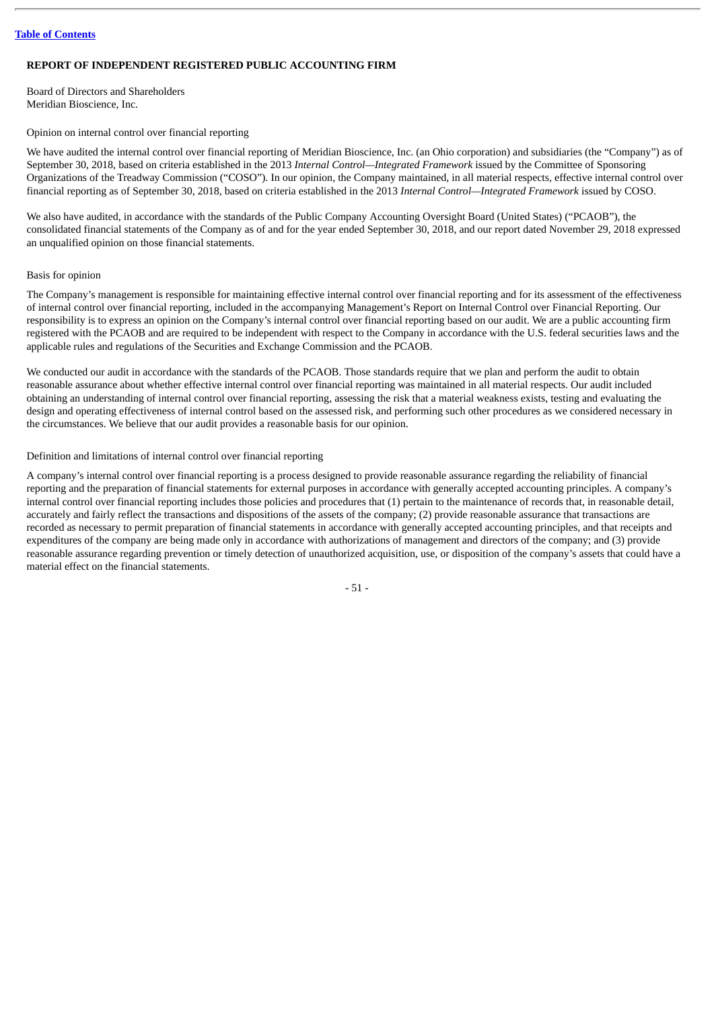# **REPORT OF INDEPENDENT REGISTERED PUBLIC ACCOUNTING FIRM**

Board of Directors and Shareholders Meridian Bioscience, Inc.

### Opinion on internal control over financial reporting

We have audited the internal control over financial reporting of Meridian Bioscience, Inc. (an Ohio corporation) and subsidiaries (the "Company") as of September 30, 2018, based on criteria established in the 2013 *Internal Control—Integrated Framework* issued by the Committee of Sponsoring Organizations of the Treadway Commission ("COSO"). In our opinion, the Company maintained, in all material respects, effective internal control over financial reporting as of September 30, 2018, based on criteria established in the 2013 *Internal Control—Integrated Framework* issued by COSO.

We also have audited, in accordance with the standards of the Public Company Accounting Oversight Board (United States) ("PCAOB"), the consolidated financial statements of the Company as of and for the year ended September 30, 2018, and our report dated November 29, 2018 expressed an unqualified opinion on those financial statements.

### Basis for opinion

The Company's management is responsible for maintaining effective internal control over financial reporting and for its assessment of the effectiveness of internal control over financial reporting, included in the accompanying Management's Report on Internal Control over Financial Reporting. Our responsibility is to express an opinion on the Company's internal control over financial reporting based on our audit. We are a public accounting firm registered with the PCAOB and are required to be independent with respect to the Company in accordance with the U.S. federal securities laws and the applicable rules and regulations of the Securities and Exchange Commission and the PCAOB.

We conducted our audit in accordance with the standards of the PCAOB. Those standards require that we plan and perform the audit to obtain reasonable assurance about whether effective internal control over financial reporting was maintained in all material respects. Our audit included obtaining an understanding of internal control over financial reporting, assessing the risk that a material weakness exists, testing and evaluating the design and operating effectiveness of internal control based on the assessed risk, and performing such other procedures as we considered necessary in the circumstances. We believe that our audit provides a reasonable basis for our opinion.

### Definition and limitations of internal control over financial reporting

A company's internal control over financial reporting is a process designed to provide reasonable assurance regarding the reliability of financial reporting and the preparation of financial statements for external purposes in accordance with generally accepted accounting principles. A company's internal control over financial reporting includes those policies and procedures that (1) pertain to the maintenance of records that, in reasonable detail, accurately and fairly reflect the transactions and dispositions of the assets of the company; (2) provide reasonable assurance that transactions are recorded as necessary to permit preparation of financial statements in accordance with generally accepted accounting principles, and that receipts and expenditures of the company are being made only in accordance with authorizations of management and directors of the company; and (3) provide reasonable assurance regarding prevention or timely detection of unauthorized acquisition, use, or disposition of the company's assets that could have a material effect on the financial statements.

- 51 -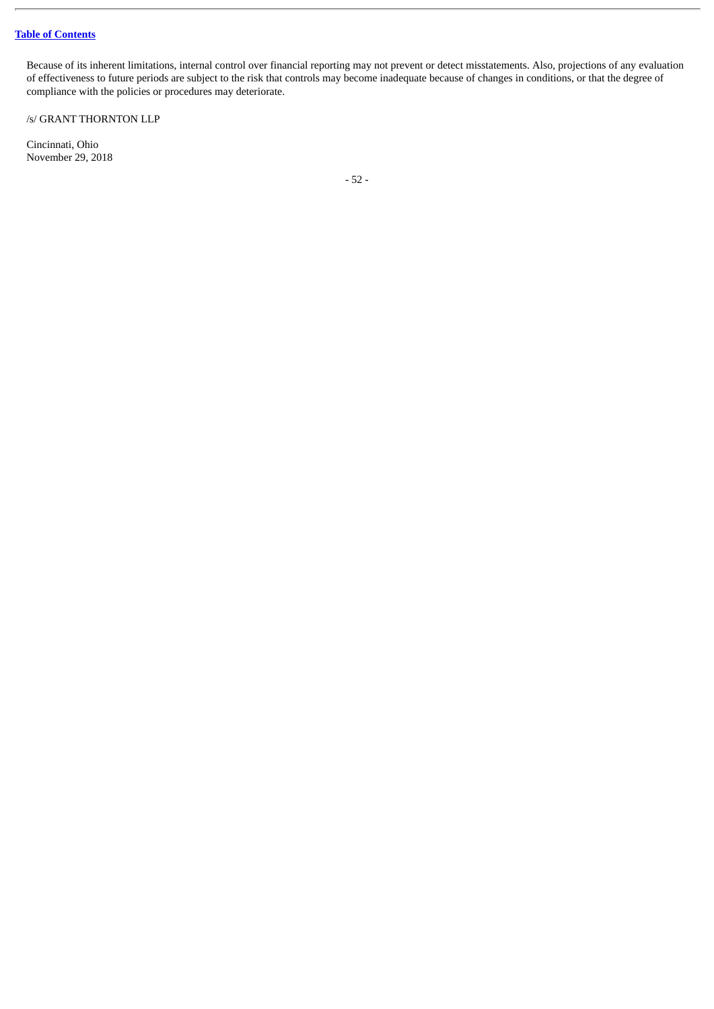Because of its inherent limitations, internal control over financial reporting may not prevent or detect misstatements. Also, projections of any evaluation of effectiveness to future periods are subject to the risk that controls may become inadequate because of changes in conditions, or that the degree of compliance with the policies or procedures may deteriorate.

/s/ GRANT THORNTON LLP

Cincinnati, Ohio November 29, 2018

- 52 -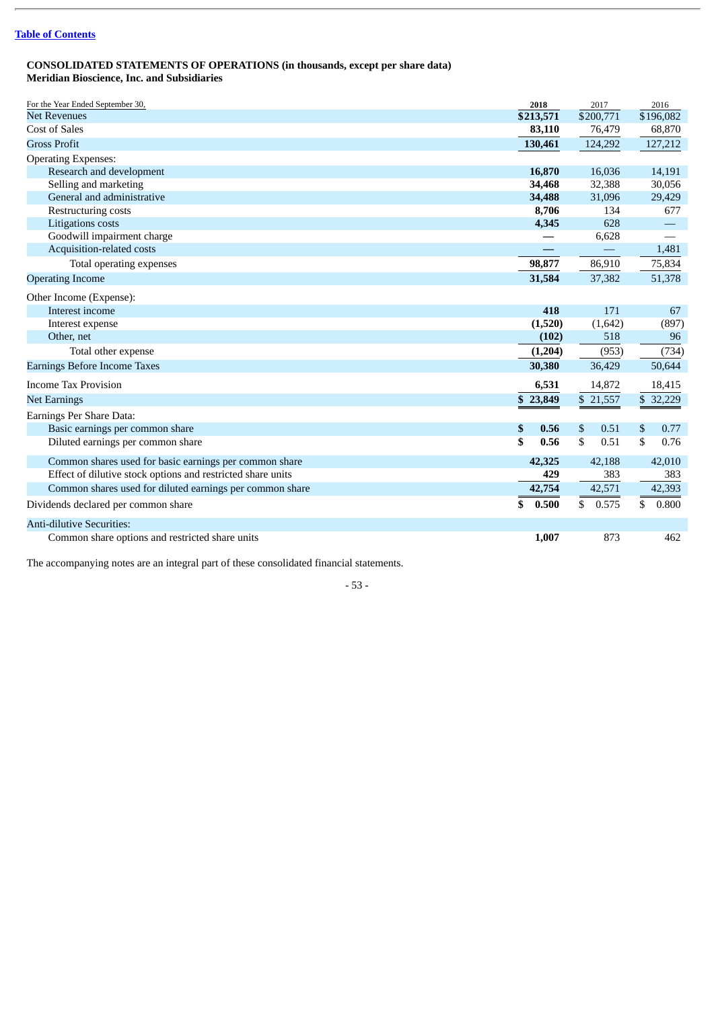### <span id="page-52-0"></span>**CONSOLIDATED STATEMENTS OF OPERATIONS (in thousands, except per share data) Meridian Bioscience, Inc. and Subsidiaries**

| For the Year Ended September 30,                            | 2018        | 2017        | 2016        |
|-------------------------------------------------------------|-------------|-------------|-------------|
| <b>Net Revenues</b>                                         | \$213,571   | \$200,771   | \$196,082   |
| <b>Cost of Sales</b>                                        | 83,110      | 76,479      | 68,870      |
| <b>Gross Profit</b>                                         | 130,461     | 124,292     | 127,212     |
| <b>Operating Expenses:</b>                                  |             |             |             |
| Research and development                                    | 16,870      | 16,036      | 14,191      |
| Selling and marketing                                       | 34,468      | 32,388      | 30,056      |
| General and administrative                                  | 34,488      | 31,096      | 29,429      |
| Restructuring costs                                         | 8,706       | 134         | 677         |
| Litigations costs                                           | 4,345       | 628         |             |
| Goodwill impairment charge                                  |             | 6,628       |             |
| Acquisition-related costs                                   |             |             | 1,481       |
| Total operating expenses                                    | 98,877      | 86,910      | 75,834      |
| <b>Operating Income</b>                                     | 31,584      | 37,382      | 51,378      |
| Other Income (Expense):                                     |             |             |             |
| Interest income                                             | 418         | 171         | 67          |
| Interest expense                                            | (1,520)     | (1,642)     | (897)       |
| Other, net                                                  | (102)       | 518         | 96          |
| Total other expense                                         | (1,204)     | (953)       | (734)       |
| Earnings Before Income Taxes                                | 30,380      | 36,429      | 50,644      |
| <b>Income Tax Provision</b>                                 | 6,531       | 14,872      | 18,415      |
| <b>Net Earnings</b>                                         | \$23,849    | \$21,557    | \$ 32,229   |
| Earnings Per Share Data:                                    |             |             |             |
| Basic earnings per common share                             | \$<br>0.56  | \$<br>0.51  | \$<br>0.77  |
| Diluted earnings per common share                           | \$<br>0.56  | \$<br>0.51  | \$<br>0.76  |
| Common shares used for basic earnings per common share      | 42,325      | 42,188      | 42,010      |
| Effect of dilutive stock options and restricted share units | 429         | 383         | 383         |
| Common shares used for diluted earnings per common share    | 42,754      | 42,571      | 42,393      |
| Dividends declared per common share                         | \$<br>0.500 | \$<br>0.575 | \$<br>0.800 |
| <b>Anti-dilutive Securities:</b>                            |             |             |             |
| Common share options and restricted share units             | 1,007       | 873         | 462         |

The accompanying notes are an integral part of these consolidated financial statements.

- 53 -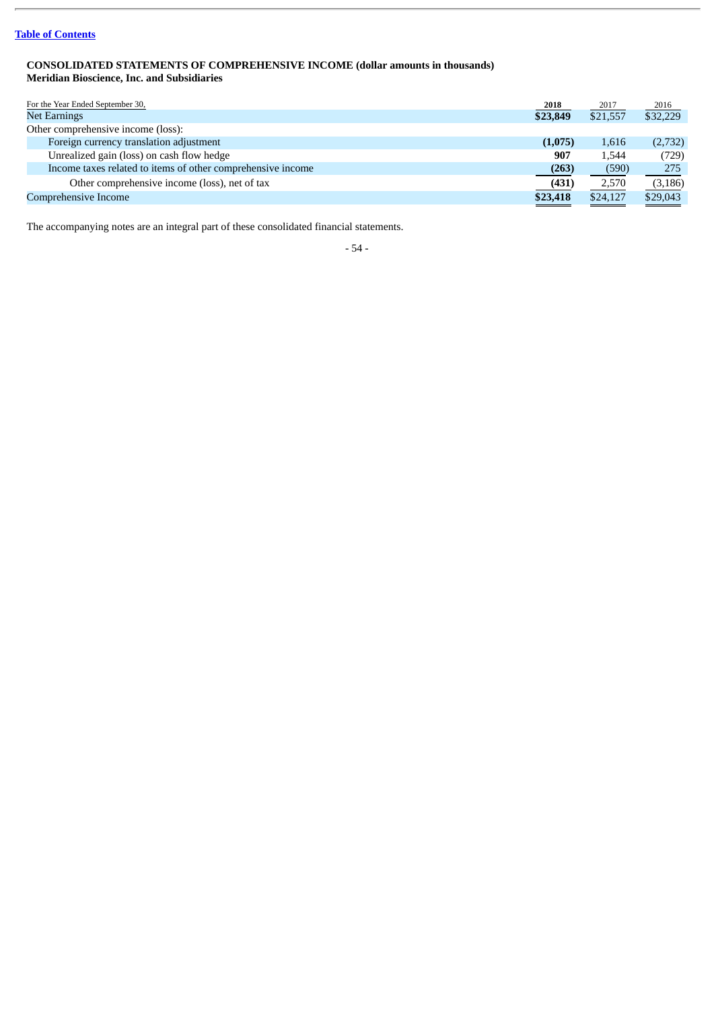### <span id="page-53-0"></span>**CONSOLIDATED STATEMENTS OF COMPREHENSIVE INCOME (dollar amounts in thousands) Meridian Bioscience, Inc. and Subsidiaries**

| For the Year Ended September 30,                            | 2018     | 2017     | 2016     |
|-------------------------------------------------------------|----------|----------|----------|
| <b>Net Earnings</b>                                         | \$23,849 | \$21,557 | \$32,229 |
| Other comprehensive income (loss):                          |          |          |          |
| Foreign currency translation adjustment                     | (1,075)  | 1,616    | (2,732)  |
| Unrealized gain (loss) on cash flow hedge                   | 907      | 1.544    | (729)    |
| Income taxes related to items of other comprehensive income | (263)    | (590)    | 275      |
| Other comprehensive income (loss), net of tax               | (431)    | 2,570    | (3, 186) |
| Comprehensive Income                                        | \$23,418 | \$24,127 | \$29,043 |

The accompanying notes are an integral part of these consolidated financial statements.

- 54 -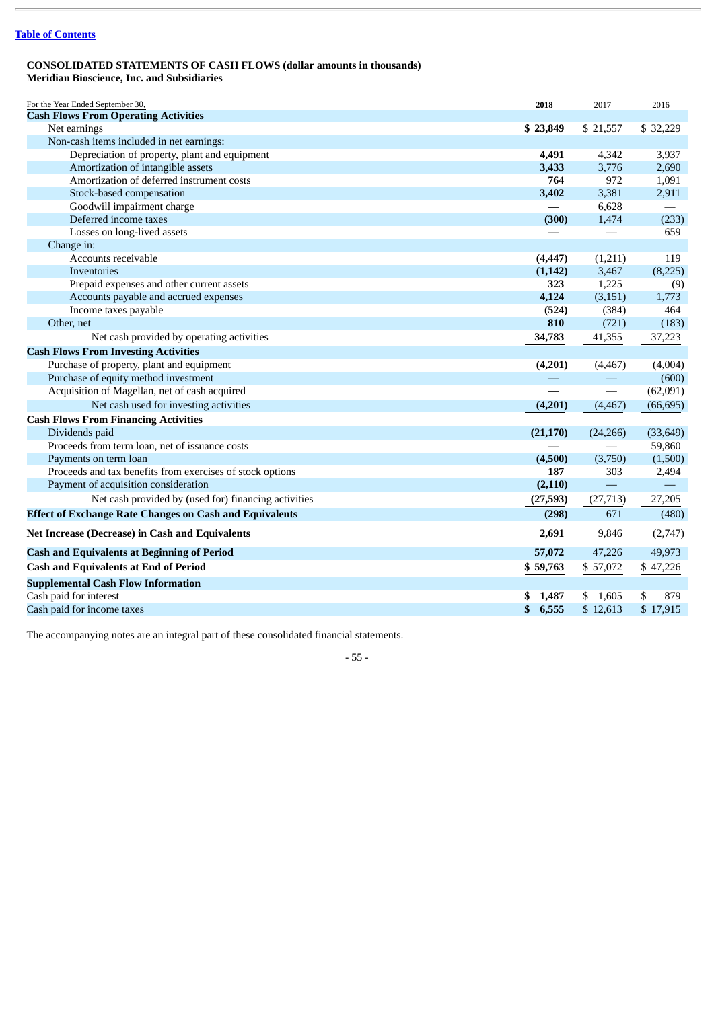### <span id="page-54-0"></span>**CONSOLIDATED STATEMENTS OF CASH FLOWS (dollar amounts in thousands) Meridian Bioscience, Inc. and Subsidiaries**

| For the Year Ended September 30,                               | 2018        | 2017      | 2016                     |
|----------------------------------------------------------------|-------------|-----------|--------------------------|
| <b>Cash Flows From Operating Activities</b>                    |             |           |                          |
| Net earnings                                                   | \$23,849    | \$21,557  | \$32,229                 |
| Non-cash items included in net earnings:                       |             |           |                          |
| Depreciation of property, plant and equipment                  | 4,491       | 4,342     | 3,937                    |
| Amortization of intangible assets                              | 3,433       | 3,776     | 2,690                    |
| Amortization of deferred instrument costs                      | 764         | 972       | 1,091                    |
| Stock-based compensation                                       | 3,402       | 3,381     | 2,911                    |
| Goodwill impairment charge                                     |             | 6,628     |                          |
| Deferred income taxes                                          | (300)       | 1,474     | (233)                    |
| Losses on long-lived assets                                    |             |           | 659                      |
| Change in:                                                     |             |           |                          |
| Accounts receivable                                            | (4, 447)    | (1,211)   | 119                      |
| Inventories                                                    | (1, 142)    | 3,467     | (8,225)                  |
| Prepaid expenses and other current assets                      | 323         | 1,225     | (9)                      |
| Accounts payable and accrued expenses                          | 4,124       | (3, 151)  | 1,773                    |
| Income taxes payable                                           | (524)       | (384)     | 464                      |
| Other, net                                                     | 810         | (721)     | (183)                    |
| Net cash provided by operating activities                      | 34,783      | 41,355    | 37,223                   |
| <b>Cash Flows From Investing Activities</b>                    |             |           |                          |
| Purchase of property, plant and equipment                      | (4,201)     | (4, 467)  | (4,004)                  |
| Purchase of equity method investment                           |             |           | (600)                    |
| Acquisition of Magellan, net of cash acquired                  |             |           | (62,091)                 |
| Net cash used for investing activities                         | (4,201)     | (4, 467)  | (66, 695)                |
| <b>Cash Flows From Financing Activities</b>                    |             |           |                          |
| Dividends paid                                                 | (21, 170)   | (24, 266) | (33, 649)                |
| Proceeds from term loan, net of issuance costs                 |             |           | 59,860                   |
| Payments on term loan                                          | (4,500)     | (3,750)   | (1,500)                  |
| Proceeds and tax benefits from exercises of stock options      | 187         | 303       | 2,494                    |
| Payment of acquisition consideration                           | (2, 110)    |           | $\overline{\phantom{0}}$ |
| Net cash provided by (used for) financing activities           | (27, 593)   | (27, 713) | 27,205                   |
| <b>Effect of Exchange Rate Changes on Cash and Equivalents</b> | (298)       | 671       | (480)                    |
| <b>Net Increase (Decrease) in Cash and Equivalents</b>         | 2,691       | 9,846     | (2,747)                  |
| <b>Cash and Equivalents at Beginning of Period</b>             | 57,072      | 47,226    | 49,973                   |
| <b>Cash and Equivalents at End of Period</b>                   | \$59,763    | \$57,072  | \$47,226                 |
| <b>Supplemental Cash Flow Information</b>                      |             |           |                          |
| Cash paid for interest                                         | 1,487<br>\$ | \$1,605   | 879<br>\$                |
| Cash paid for income taxes                                     | \$<br>6,555 | \$12,613  | \$17,915                 |

The accompanying notes are an integral part of these consolidated financial statements.

- 55 -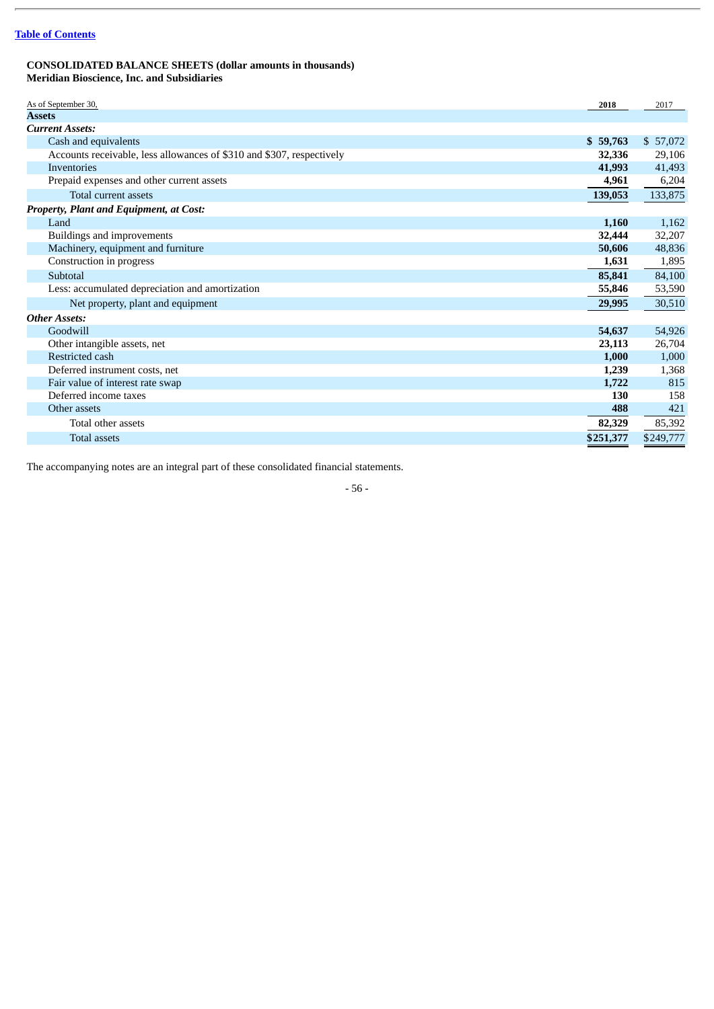### <span id="page-55-0"></span>**CONSOLIDATED BALANCE SHEETS (dollar amounts in thousands) Meridian Bioscience, Inc. and Subsidiaries**

| As of September 30,                                                   | 2018      | 2017      |
|-----------------------------------------------------------------------|-----------|-----------|
| <b>Assets</b>                                                         |           |           |
| <b>Current Assets:</b>                                                |           |           |
| Cash and equivalents                                                  | \$59,763  | \$57,072  |
| Accounts receivable, less allowances of \$310 and \$307, respectively | 32,336    | 29,106    |
| <b>Inventories</b>                                                    | 41,993    | 41,493    |
| Prepaid expenses and other current assets                             | 4,961     | 6,204     |
| Total current assets                                                  | 139,053   | 133,875   |
| Property, Plant and Equipment, at Cost:                               |           |           |
| Land                                                                  | 1,160     | 1,162     |
| Buildings and improvements                                            | 32,444    | 32,207    |
| Machinery, equipment and furniture                                    | 50,606    | 48,836    |
| Construction in progress                                              | 1,631     | 1,895     |
| Subtotal                                                              | 85,841    | 84,100    |
| Less: accumulated depreciation and amortization                       | 55,846    | 53,590    |
| Net property, plant and equipment                                     | 29,995    | 30,510    |
| <b>Other Assets:</b>                                                  |           |           |
| Goodwill                                                              | 54,637    | 54,926    |
| Other intangible assets, net                                          | 23,113    | 26,704    |
| Restricted cash                                                       | 1,000     | 1,000     |
| Deferred instrument costs, net                                        | 1,239     | 1,368     |
| Fair value of interest rate swap                                      | 1,722     | 815       |
| Deferred income taxes                                                 | 130       | 158       |
| Other assets                                                          | 488       | 421       |
| Total other assets                                                    | 82,329    | 85,392    |
| <b>Total assets</b>                                                   | \$251,377 | \$249,777 |

The accompanying notes are an integral part of these consolidated financial statements.

- 56 -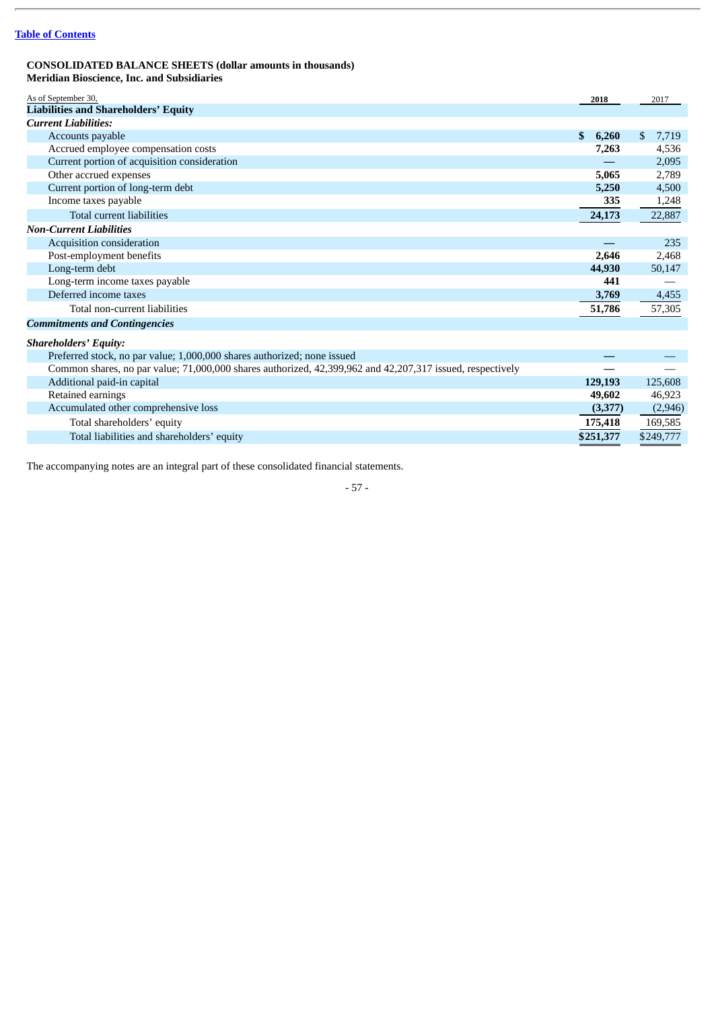### **CONSOLIDATED BALANCE SHEETS (dollar amounts in thousands) Meridian Bioscience, Inc. and Subsidiaries**

| As of September 30,                          | 2018        | 2017                  |
|----------------------------------------------|-------------|-----------------------|
| <b>Liabilities and Shareholders' Equity</b>  |             |                       |
| <b>Current Liabilities:</b>                  |             |                       |
| Accounts payable                             | 6,260<br>S. | $\mathbb{S}$<br>7,719 |
| Accrued employee compensation costs          | 7,263       | 4,536                 |
| Current portion of acquisition consideration |             | 2,095                 |
| Other accrued expenses                       | 5,065       | 2,789                 |
| Current portion of long-term debt            | 5,250       | 4,500                 |
| Income taxes payable                         | 335         | 1,248                 |
| Total current liabilities                    | 24,173      | 22,887                |
| <b>Non-Current Liabilities</b>               |             |                       |
| Acquisition consideration                    |             | 235                   |
| Post-employment benefits                     | 2,646       | 2,468                 |
| Long-term debt                               | 44,930      | 50,147                |
| Long-term income taxes payable               | 441         |                       |
| Deferred income taxes                        | 3,769       | 4,455                 |
| Total non-current liabilities                | 51,786      | 57,305                |
| <b>Commitments and Contingencies</b>         |             |                       |
| <b>Shareholders' Equity:</b>                 |             |                       |

| Preferred stock, no par value; 1,000,000 shares authorized; none issued                                   |           |           |
|-----------------------------------------------------------------------------------------------------------|-----------|-----------|
| Common shares, no par value; 71,000,000 shares authorized, 42,399,962 and 42,207,317 issued, respectively |           |           |
| Additional paid-in capital                                                                                | 129,193   | 125,608   |
| Retained earnings                                                                                         | 49,602    | 46.923    |
| Accumulated other comprehensive loss                                                                      | (3, 377)  | (2,946)   |
| Total shareholders' equity                                                                                | 175,418   | 169,585   |
| Total liabilities and shareholders' equity                                                                | \$251,377 | \$249,777 |
|                                                                                                           |           |           |

The accompanying notes are an integral part of these consolidated financial statements.

# - 57 -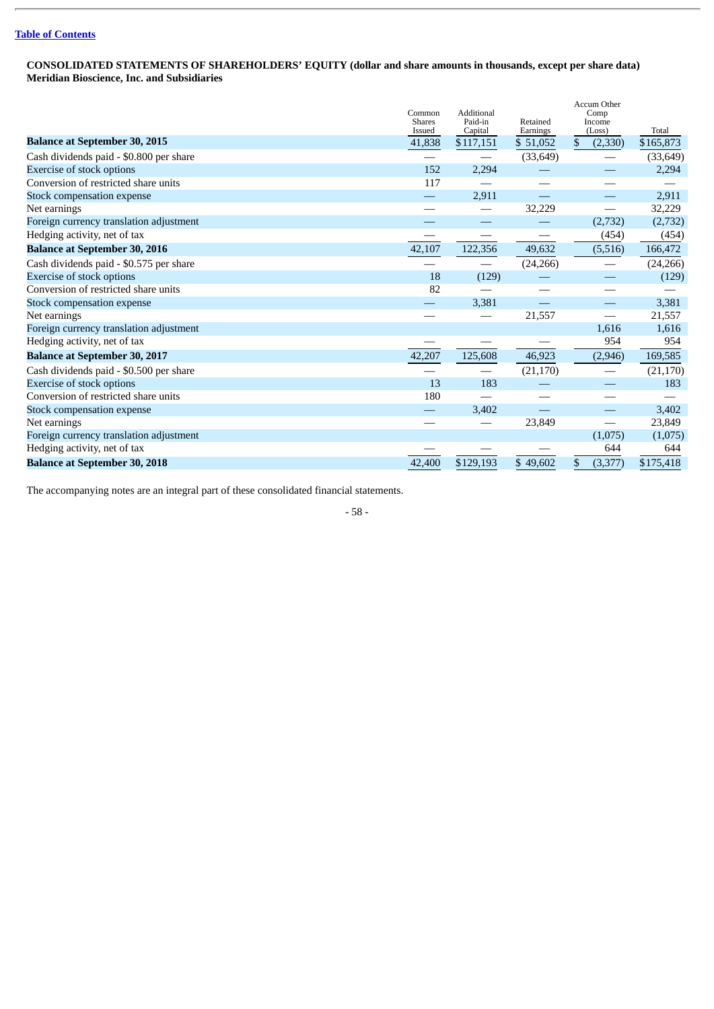# <span id="page-57-0"></span>**CONSOLIDATED STATEMENTS OF SHAREHOLDERS' EQUITY (dollar and share amounts in thousands, except per share data) Meridian Bioscience, Inc. and Subsidiaries**

|                                         | Common<br><b>Shares</b><br>Issued | Additional<br>Paid-in<br>Capital | Retained<br>Earnings |              | <b>Accum Other</b><br>Comp<br>Income<br>(Loss) | Total     |
|-----------------------------------------|-----------------------------------|----------------------------------|----------------------|--------------|------------------------------------------------|-----------|
| <b>Balance at September 30, 2015</b>    | 41,838                            | \$117,151                        | \$51,052             | $\mathbb{S}$ | (2, 330)                                       | \$165,873 |
| Cash dividends paid - \$0.800 per share |                                   |                                  | (33, 649)            |              |                                                | (33, 649) |
| Exercise of stock options               | 152                               | 2,294                            |                      |              |                                                | 2,294     |
| Conversion of restricted share units    | 117                               |                                  |                      |              |                                                |           |
| Stock compensation expense              |                                   | 2,911                            |                      |              |                                                | 2,911     |
| Net earnings                            |                                   |                                  | 32,229               |              |                                                | 32,229    |
| Foreign currency translation adjustment |                                   |                                  |                      |              | (2,732)                                        | (2,732)   |
| Hedging activity, net of tax            |                                   |                                  |                      |              | (454)                                          | (454)     |
| <b>Balance at September 30, 2016</b>    | 42,107                            | 122,356                          | 49,632               |              | (5,516)                                        | 166,472   |
| Cash dividends paid - \$0.575 per share |                                   |                                  | (24, 266)            |              |                                                | (24, 266) |
| Exercise of stock options               | 18                                | (129)                            |                      |              |                                                | (129)     |
| Conversion of restricted share units    | 82                                |                                  |                      |              |                                                |           |
| Stock compensation expense              |                                   | 3,381                            |                      |              |                                                | 3,381     |
| Net earnings                            |                                   |                                  | 21,557               |              | $\overline{\phantom{0}}$                       | 21,557    |
| Foreign currency translation adjustment |                                   |                                  |                      |              | 1,616                                          | 1,616     |
| Hedging activity, net of tax            |                                   |                                  |                      |              | 954                                            | 954       |
| <b>Balance at September 30, 2017</b>    | 42,207                            | 125,608                          | 46,923               |              | (2,946)                                        | 169,585   |
| Cash dividends paid - \$0.500 per share |                                   |                                  | (21, 170)            |              |                                                | (21, 170) |
| Exercise of stock options               | 13                                | 183                              |                      |              |                                                | 183       |
| Conversion of restricted share units    | 180                               |                                  |                      |              |                                                |           |
| <b>Stock compensation expense</b>       |                                   | 3,402                            |                      |              |                                                | 3,402     |
| Net earnings                            |                                   |                                  | 23,849               |              |                                                | 23,849    |
| Foreign currency translation adjustment |                                   |                                  |                      |              | (1,075)                                        | (1,075)   |
| Hedging activity, net of tax            |                                   |                                  |                      |              | 644                                            | 644       |
| <b>Balance at September 30, 2018</b>    | 42,400                            | \$129,193                        | \$49,602             | \$           | (3, 377)                                       | \$175,418 |

The accompanying notes are an integral part of these consolidated financial statements.

- 58 -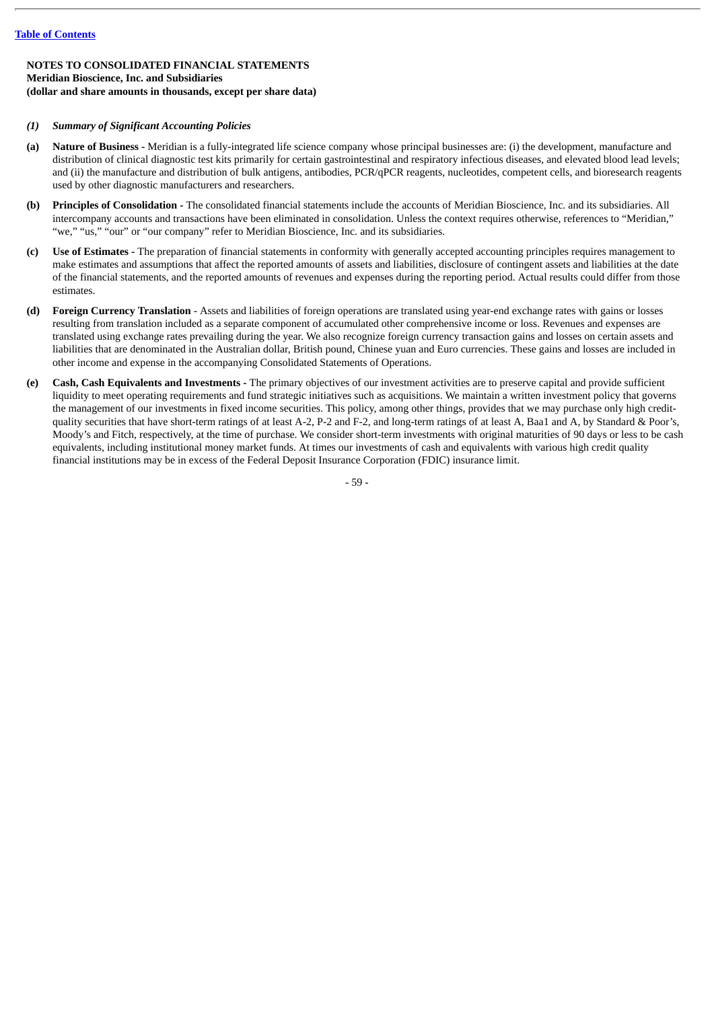# <span id="page-58-0"></span>**NOTES TO CONSOLIDATED FINANCIAL STATEMENTS Meridian Bioscience, Inc. and Subsidiaries (dollar and share amounts in thousands, except per share data)**

# *(1) Summary of Significant Accounting Policies*

- **(a) Nature of Business -** Meridian is a fully-integrated life science company whose principal businesses are: (i) the development, manufacture and distribution of clinical diagnostic test kits primarily for certain gastrointestinal and respiratory infectious diseases, and elevated blood lead levels; and (ii) the manufacture and distribution of bulk antigens, antibodies, PCR/qPCR reagents, nucleotides, competent cells, and bioresearch reagents used by other diagnostic manufacturers and researchers.
- **(b) Principles of Consolidation -** The consolidated financial statements include the accounts of Meridian Bioscience, Inc. and its subsidiaries. All intercompany accounts and transactions have been eliminated in consolidation. Unless the context requires otherwise, references to "Meridian," "we," "us," "our" or "our company" refer to Meridian Bioscience, Inc. and its subsidiaries.
- **(c) Use of Estimates -** The preparation of financial statements in conformity with generally accepted accounting principles requires management to make estimates and assumptions that affect the reported amounts of assets and liabilities, disclosure of contingent assets and liabilities at the date of the financial statements, and the reported amounts of revenues and expenses during the reporting period. Actual results could differ from those estimates.
- **(d) Foreign Currency Translation** Assets and liabilities of foreign operations are translated using year-end exchange rates with gains or losses resulting from translation included as a separate component of accumulated other comprehensive income or loss. Revenues and expenses are translated using exchange rates prevailing during the year. We also recognize foreign currency transaction gains and losses on certain assets and liabilities that are denominated in the Australian dollar, British pound, Chinese yuan and Euro currencies. These gains and losses are included in other income and expense in the accompanying Consolidated Statements of Operations.
- **(e) Cash, Cash Equivalents and Investments -** The primary objectives of our investment activities are to preserve capital and provide sufficient liquidity to meet operating requirements and fund strategic initiatives such as acquisitions. We maintain a written investment policy that governs the management of our investments in fixed income securities. This policy, among other things, provides that we may purchase only high creditquality securities that have short-term ratings of at least A-2, P-2 and F-2, and long-term ratings of at least A, Baa1 and A, by Standard & Poor's, Moody's and Fitch, respectively, at the time of purchase. We consider short-term investments with original maturities of 90 days or less to be cash equivalents, including institutional money market funds. At times our investments of cash and equivalents with various high credit quality financial institutions may be in excess of the Federal Deposit Insurance Corporation (FDIC) insurance limit.

- 59 -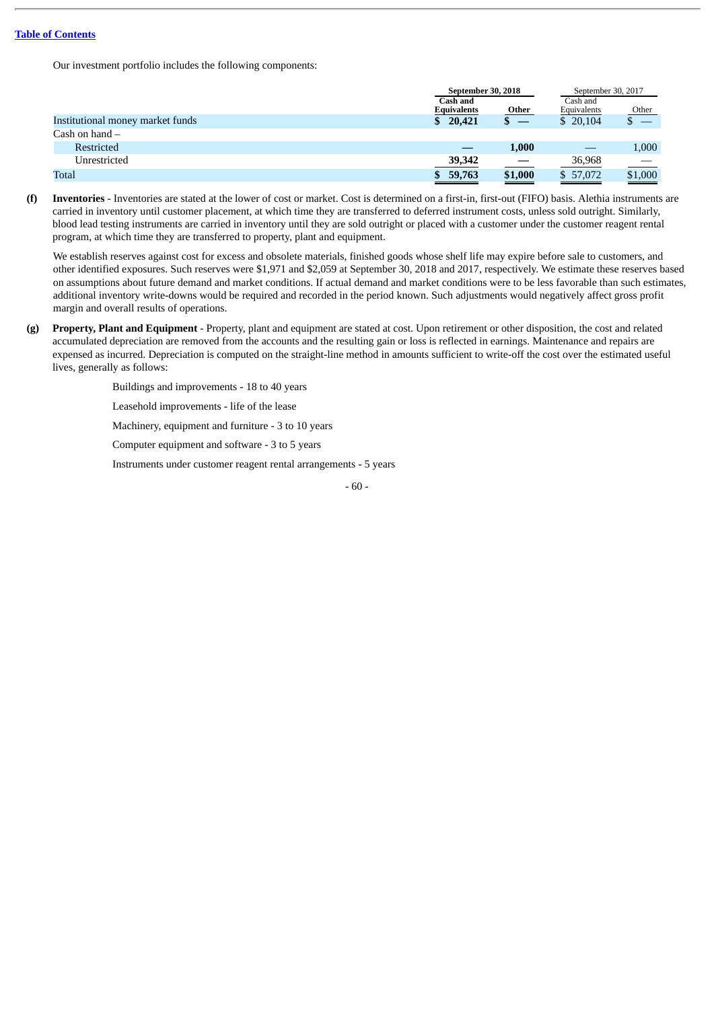Our investment portfolio includes the following components:

|                                  | September 30, 2018             |                               | September 30, 2017      |         |  |
|----------------------------------|--------------------------------|-------------------------------|-------------------------|---------|--|
|                                  | Cash and<br><b>Equivalents</b> | Other                         | Cash and<br>Equivalents | Other   |  |
| Institutional money market funds | 20,421<br>S.                   |                               | \$20,104                |         |  |
| Cash on hand –                   |                                |                               |                         |         |  |
| Restricted                       |                                | 1,000                         |                         | 1,000   |  |
| Unrestricted                     | 39,342                         | $\overbrace{\phantom{12332}}$ | 36,968                  |         |  |
| Total                            | 59,763<br>S.                   | \$1,000                       | \$ 57,072               | \$1,000 |  |

**(f) Inventories** - Inventories are stated at the lower of cost or market. Cost is determined on a first-in, first-out (FIFO) basis. Alethia instruments are carried in inventory until customer placement, at which time they are transferred to deferred instrument costs, unless sold outright. Similarly, blood lead testing instruments are carried in inventory until they are sold outright or placed with a customer under the customer reagent rental program, at which time they are transferred to property, plant and equipment.

We establish reserves against cost for excess and obsolete materials, finished goods whose shelf life may expire before sale to customers, and other identified exposures. Such reserves were \$1,971 and \$2,059 at September 30, 2018 and 2017, respectively. We estimate these reserves based on assumptions about future demand and market conditions. If actual demand and market conditions were to be less favorable than such estimates, additional inventory write-downs would be required and recorded in the period known. Such adjustments would negatively affect gross profit margin and overall results of operations.

**(g) Property, Plant and Equipment** - Property, plant and equipment are stated at cost. Upon retirement or other disposition, the cost and related accumulated depreciation are removed from the accounts and the resulting gain or loss is reflected in earnings. Maintenance and repairs are expensed as incurred. Depreciation is computed on the straight-line method in amounts sufficient to write-off the cost over the estimated useful lives, generally as follows:

Buildings and improvements - 18 to 40 years

Leasehold improvements - life of the lease

Machinery, equipment and furniture - 3 to 10 years

Computer equipment and software - 3 to 5 years

Instruments under customer reagent rental arrangements - 5 years

- 60 -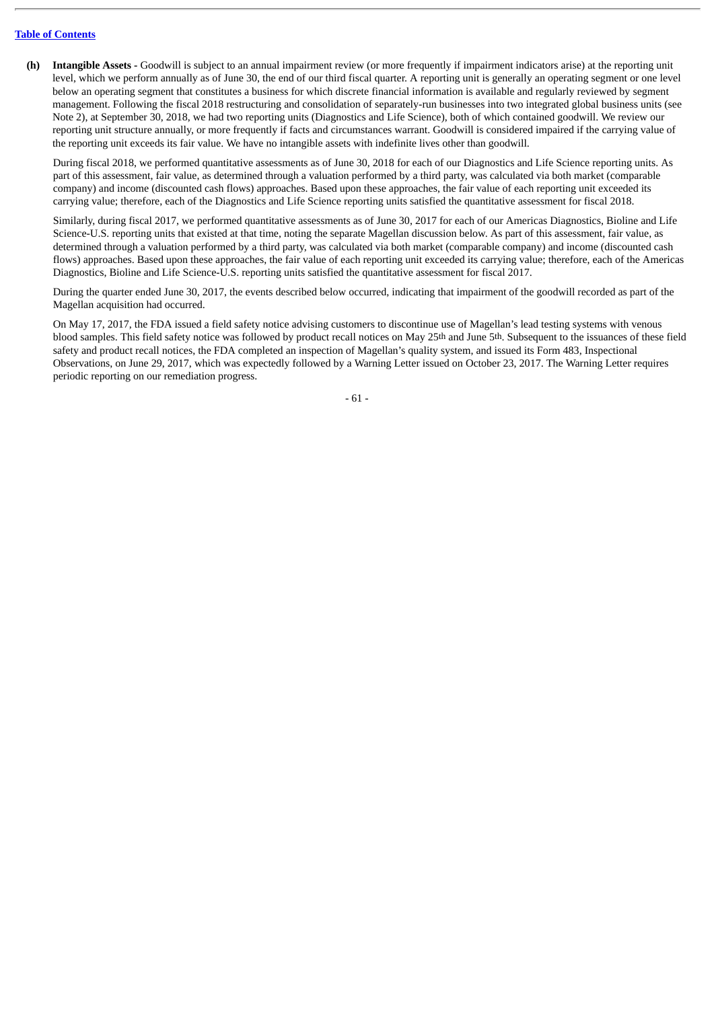**(h) Intangible Assets -** Goodwill is subject to an annual impairment review (or more frequently if impairment indicators arise) at the reporting unit level, which we perform annually as of June 30, the end of our third fiscal quarter. A reporting unit is generally an operating segment or one level below an operating segment that constitutes a business for which discrete financial information is available and regularly reviewed by segment management. Following the fiscal 2018 restructuring and consolidation of separately-run businesses into two integrated global business units (see Note 2), at September 30, 2018, we had two reporting units (Diagnostics and Life Science), both of which contained goodwill. We review our reporting unit structure annually, or more frequently if facts and circumstances warrant. Goodwill is considered impaired if the carrying value of the reporting unit exceeds its fair value. We have no intangible assets with indefinite lives other than goodwill.

During fiscal 2018, we performed quantitative assessments as of June 30, 2018 for each of our Diagnostics and Life Science reporting units. As part of this assessment, fair value, as determined through a valuation performed by a third party, was calculated via both market (comparable company) and income (discounted cash flows) approaches. Based upon these approaches, the fair value of each reporting unit exceeded its carrying value; therefore, each of the Diagnostics and Life Science reporting units satisfied the quantitative assessment for fiscal 2018.

Similarly, during fiscal 2017, we performed quantitative assessments as of June 30, 2017 for each of our Americas Diagnostics, Bioline and Life Science-U.S. reporting units that existed at that time, noting the separate Magellan discussion below. As part of this assessment, fair value, as determined through a valuation performed by a third party, was calculated via both market (comparable company) and income (discounted cash flows) approaches. Based upon these approaches, the fair value of each reporting unit exceeded its carrying value; therefore, each of the Americas Diagnostics, Bioline and Life Science-U.S. reporting units satisfied the quantitative assessment for fiscal 2017.

During the quarter ended June 30, 2017, the events described below occurred, indicating that impairment of the goodwill recorded as part of the Magellan acquisition had occurred.

On May 17, 2017, the FDA issued a field safety notice advising customers to discontinue use of Magellan's lead testing systems with venous blood samples. This field safety notice was followed by product recall notices on May 25th and June 5th. Subsequent to the issuances of these field safety and product recall notices, the FDA completed an inspection of Magellan's quality system, and issued its Form 483, Inspectional Observations, on June 29, 2017, which was expectedly followed by a Warning Letter issued on October 23, 2017. The Warning Letter requires periodic reporting on our remediation progress.

- 61 -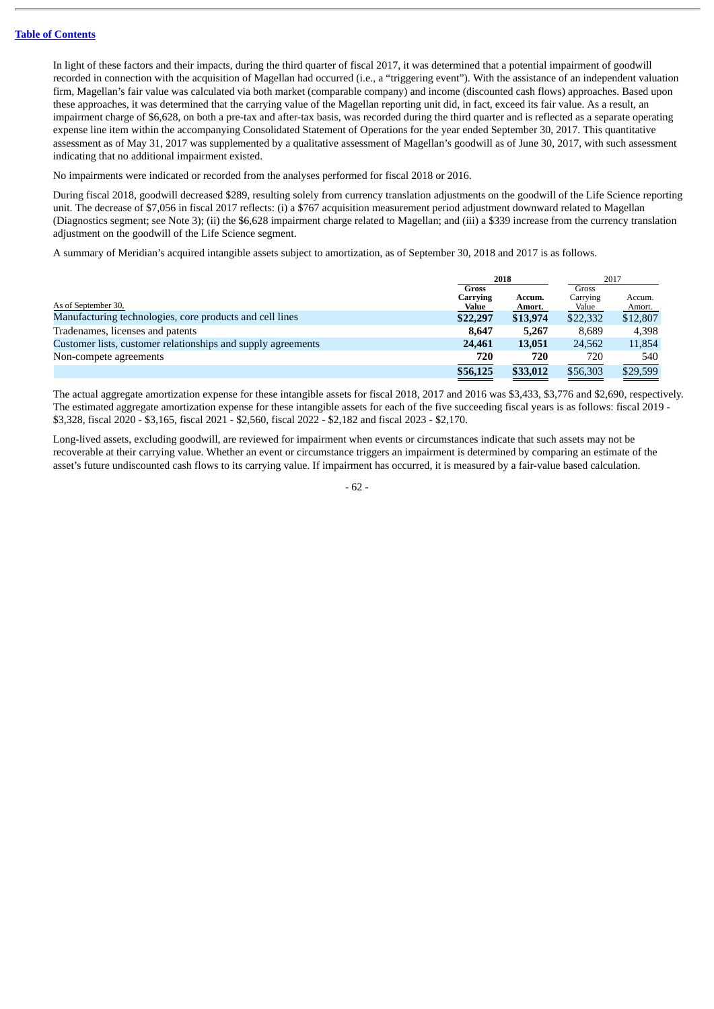In light of these factors and their impacts, during the third quarter of fiscal 2017, it was determined that a potential impairment of goodwill recorded in connection with the acquisition of Magellan had occurred (i.e., a "triggering event"). With the assistance of an independent valuation firm, Magellan's fair value was calculated via both market (comparable company) and income (discounted cash flows) approaches. Based upon these approaches, it was determined that the carrying value of the Magellan reporting unit did, in fact, exceed its fair value. As a result, an impairment charge of \$6,628, on both a pre-tax and after-tax basis, was recorded during the third quarter and is reflected as a separate operating expense line item within the accompanying Consolidated Statement of Operations for the year ended September 30, 2017. This quantitative assessment as of May 31, 2017 was supplemented by a qualitative assessment of Magellan's goodwill as of June 30, 2017, with such assessment indicating that no additional impairment existed.

No impairments were indicated or recorded from the analyses performed for fiscal 2018 or 2016.

During fiscal 2018, goodwill decreased \$289, resulting solely from currency translation adjustments on the goodwill of the Life Science reporting unit. The decrease of \$7,056 in fiscal 2017 reflects: (i) a \$767 acquisition measurement period adjustment downward related to Magellan (Diagnostics segment; see Note 3); (ii) the \$6,628 impairment charge related to Magellan; and (iii) a \$339 increase from the currency translation adjustment on the goodwill of the Life Science segment.

A summary of Meridian's acquired intangible assets subject to amortization, as of September 30, 2018 and 2017 is as follows.

|          | 2017     |                |                  |
|----------|----------|----------------|------------------|
| Gross    |          | Gross          |                  |
| Value    | Amort.   | Value          | Accum.<br>Amort. |
| \$22,297 | \$13,974 | \$22,332       | \$12,807         |
| 8.647    | 5.267    | 8.689          | 4,398            |
| 24,461   | 13,051   | 24,562         | 11,854           |
| 720      | 720      | 720            | 540              |
| \$56,125 | \$33,012 | \$56,303       | \$29,599         |
|          | Carrying | 2018<br>Accum. | Carrying         |

The actual aggregate amortization expense for these intangible assets for fiscal 2018, 2017 and 2016 was \$3,433, \$3,776 and \$2,690, respectively. The estimated aggregate amortization expense for these intangible assets for each of the five succeeding fiscal years is as follows: fiscal 2019 - \$3,328, fiscal 2020 - \$3,165, fiscal 2021 - \$2,560, fiscal 2022 - \$2,182 and fiscal 2023 - \$2,170.

Long-lived assets, excluding goodwill, are reviewed for impairment when events or circumstances indicate that such assets may not be recoverable at their carrying value. Whether an event or circumstance triggers an impairment is determined by comparing an estimate of the asset's future undiscounted cash flows to its carrying value. If impairment has occurred, it is measured by a fair-value based calculation.

### - 62 -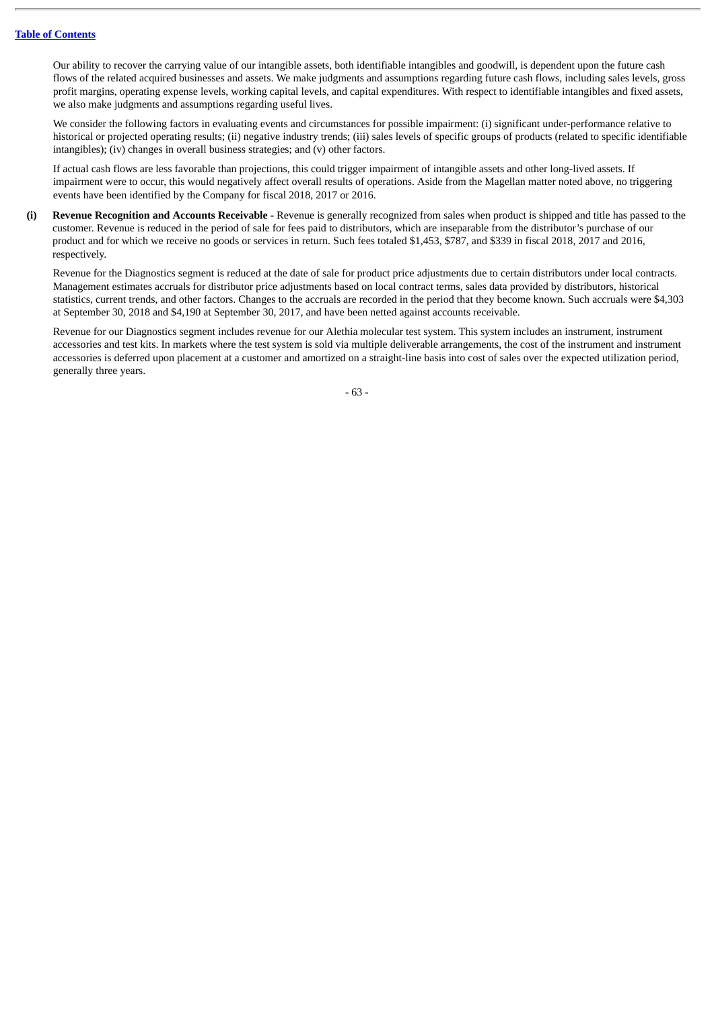Our ability to recover the carrying value of our intangible assets, both identifiable intangibles and goodwill, is dependent upon the future cash flows of the related acquired businesses and assets. We make judgments and assumptions regarding future cash flows, including sales levels, gross profit margins, operating expense levels, working capital levels, and capital expenditures. With respect to identifiable intangibles and fixed assets, we also make judgments and assumptions regarding useful lives.

We consider the following factors in evaluating events and circumstances for possible impairment: (i) significant under-performance relative to historical or projected operating results; (ii) negative industry trends; (iii) sales levels of specific groups of products (related to specific identifiable intangibles); (iv) changes in overall business strategies; and (v) other factors.

If actual cash flows are less favorable than projections, this could trigger impairment of intangible assets and other long-lived assets. If impairment were to occur, this would negatively affect overall results of operations. Aside from the Magellan matter noted above, no triggering events have been identified by the Company for fiscal 2018, 2017 or 2016.

**(i) Revenue Recognition and Accounts Receivable** - Revenue is generally recognized from sales when product is shipped and title has passed to the customer. Revenue is reduced in the period of sale for fees paid to distributors, which are inseparable from the distributor's purchase of our product and for which we receive no goods or services in return. Such fees totaled \$1,453, \$787, and \$339 in fiscal 2018, 2017 and 2016, respectively.

Revenue for the Diagnostics segment is reduced at the date of sale for product price adjustments due to certain distributors under local contracts. Management estimates accruals for distributor price adjustments based on local contract terms, sales data provided by distributors, historical statistics, current trends, and other factors. Changes to the accruals are recorded in the period that they become known. Such accruals were \$4,303 at September 30, 2018 and \$4,190 at September 30, 2017, and have been netted against accounts receivable.

Revenue for our Diagnostics segment includes revenue for our Alethia molecular test system. This system includes an instrument, instrument accessories and test kits. In markets where the test system is sold via multiple deliverable arrangements, the cost of the instrument and instrument accessories is deferred upon placement at a customer and amortized on a straight-line basis into cost of sales over the expected utilization period, generally three years.

- 63 -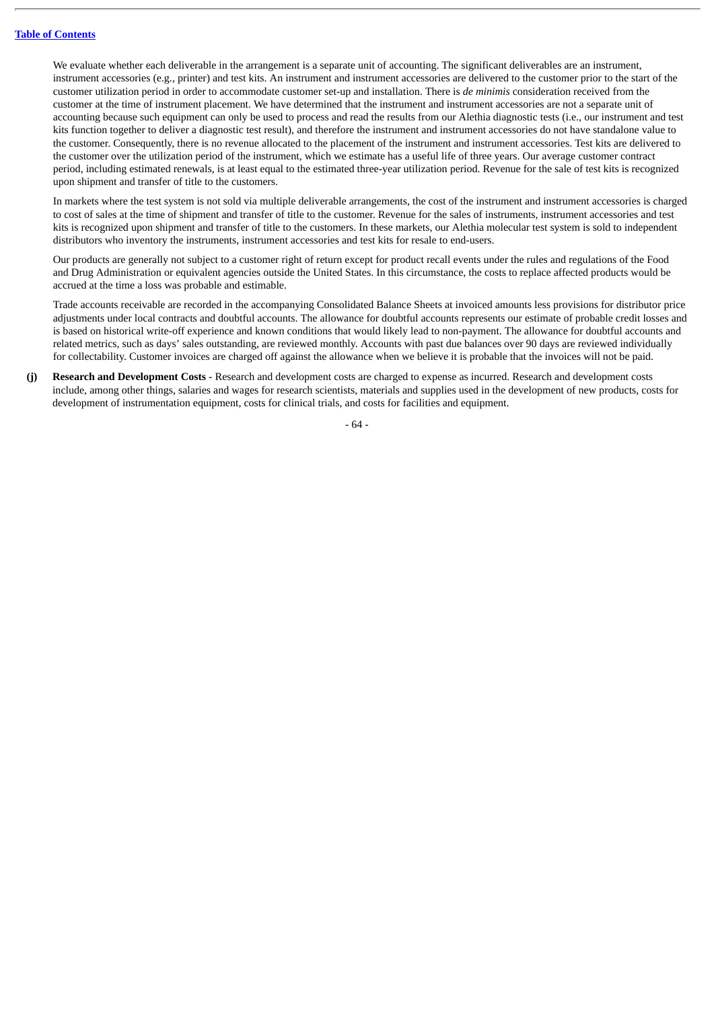We evaluate whether each deliverable in the arrangement is a separate unit of accounting. The significant deliverables are an instrument, instrument accessories (e.g., printer) and test kits. An instrument and instrument accessories are delivered to the customer prior to the start of the customer utilization period in order to accommodate customer set-up and installation. There is *de minimis* consideration received from the customer at the time of instrument placement. We have determined that the instrument and instrument accessories are not a separate unit of accounting because such equipment can only be used to process and read the results from our Alethia diagnostic tests (i.e., our instrument and test kits function together to deliver a diagnostic test result), and therefore the instrument and instrument accessories do not have standalone value to the customer. Consequently, there is no revenue allocated to the placement of the instrument and instrument accessories. Test kits are delivered to the customer over the utilization period of the instrument, which we estimate has a useful life of three years. Our average customer contract period, including estimated renewals, is at least equal to the estimated three-year utilization period. Revenue for the sale of test kits is recognized upon shipment and transfer of title to the customers.

In markets where the test system is not sold via multiple deliverable arrangements, the cost of the instrument and instrument accessories is charged to cost of sales at the time of shipment and transfer of title to the customer. Revenue for the sales of instruments, instrument accessories and test kits is recognized upon shipment and transfer of title to the customers. In these markets, our Alethia molecular test system is sold to independent distributors who inventory the instruments, instrument accessories and test kits for resale to end-users.

Our products are generally not subject to a customer right of return except for product recall events under the rules and regulations of the Food and Drug Administration or equivalent agencies outside the United States. In this circumstance, the costs to replace affected products would be accrued at the time a loss was probable and estimable.

Trade accounts receivable are recorded in the accompanying Consolidated Balance Sheets at invoiced amounts less provisions for distributor price adjustments under local contracts and doubtful accounts. The allowance for doubtful accounts represents our estimate of probable credit losses and is based on historical write-off experience and known conditions that would likely lead to non-payment. The allowance for doubtful accounts and related metrics, such as days' sales outstanding, are reviewed monthly. Accounts with past due balances over 90 days are reviewed individually for collectability. Customer invoices are charged off against the allowance when we believe it is probable that the invoices will not be paid.

**(j) Research and Development Costs** - Research and development costs are charged to expense as incurred. Research and development costs include, among other things, salaries and wages for research scientists, materials and supplies used in the development of new products, costs for development of instrumentation equipment, costs for clinical trials, and costs for facilities and equipment.

- 64 -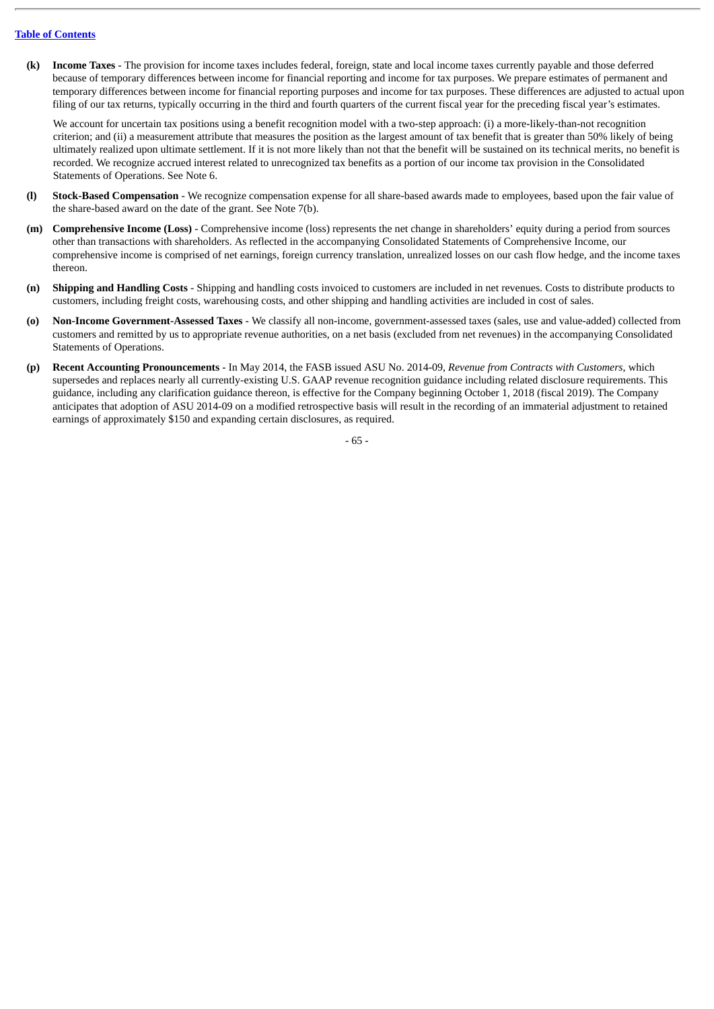**(k) Income Taxes** - The provision for income taxes includes federal, foreign, state and local income taxes currently payable and those deferred because of temporary differences between income for financial reporting and income for tax purposes. We prepare estimates of permanent and temporary differences between income for financial reporting purposes and income for tax purposes. These differences are adjusted to actual upon filing of our tax returns, typically occurring in the third and fourth quarters of the current fiscal year for the preceding fiscal year's estimates.

We account for uncertain tax positions using a benefit recognition model with a two-step approach: (i) a more-likely-than-not recognition criterion; and (ii) a measurement attribute that measures the position as the largest amount of tax benefit that is greater than 50% likely of being ultimately realized upon ultimate settlement. If it is not more likely than not that the benefit will be sustained on its technical merits, no benefit is recorded. We recognize accrued interest related to unrecognized tax benefits as a portion of our income tax provision in the Consolidated Statements of Operations. See Note 6.

- **(l) Stock-Based Compensation** We recognize compensation expense for all share-based awards made to employees, based upon the fair value of the share-based award on the date of the grant. See Note 7(b).
- **(m) Comprehensive Income (Loss)** Comprehensive income (loss) represents the net change in shareholders' equity during a period from sources other than transactions with shareholders. As reflected in the accompanying Consolidated Statements of Comprehensive Income, our comprehensive income is comprised of net earnings, foreign currency translation, unrealized losses on our cash flow hedge, and the income taxes thereon.
- **(n) Shipping and Handling Costs** Shipping and handling costs invoiced to customers are included in net revenues. Costs to distribute products to customers, including freight costs, warehousing costs, and other shipping and handling activities are included in cost of sales.
- **(o) Non-Income Government-Assessed Taxes** We classify all non-income, government-assessed taxes (sales, use and value-added) collected from customers and remitted by us to appropriate revenue authorities, on a net basis (excluded from net revenues) in the accompanying Consolidated Statements of Operations.
- **(p) Recent Accounting Pronouncements** In May 2014, the FASB issued ASU No. 2014-09, *Revenue from Contracts with Customers*, which supersedes and replaces nearly all currently-existing U.S. GAAP revenue recognition guidance including related disclosure requirements. This guidance, including any clarification guidance thereon, is effective for the Company beginning October 1, 2018 (fiscal 2019). The Company anticipates that adoption of ASU 2014-09 on a modified retrospective basis will result in the recording of an immaterial adjustment to retained earnings of approximately \$150 and expanding certain disclosures, as required.

- 65 -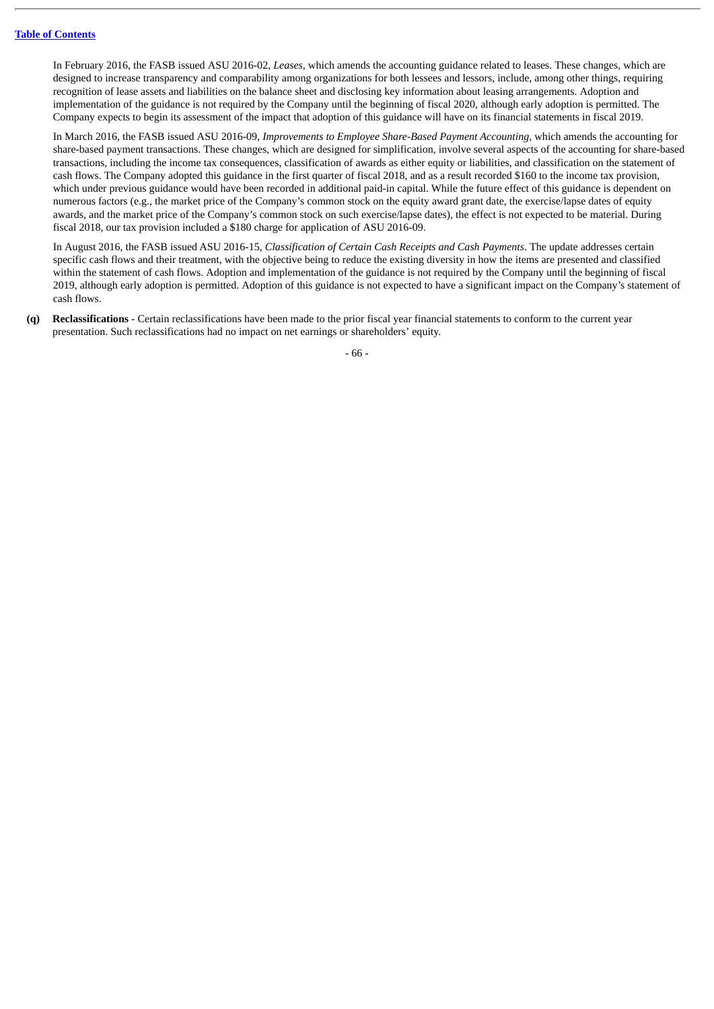In February 2016, the FASB issued ASU 2016-02, *Leases*, which amends the accounting guidance related to leases. These changes, which are designed to increase transparency and comparability among organizations for both lessees and lessors, include, among other things, requiring recognition of lease assets and liabilities on the balance sheet and disclosing key information about leasing arrangements. Adoption and implementation of the guidance is not required by the Company until the beginning of fiscal 2020, although early adoption is permitted. The Company expects to begin its assessment of the impact that adoption of this guidance will have on its financial statements in fiscal 2019.

In March 2016, the FASB issued ASU 2016-09, *Improvements to Employee Share-Based Payment Accounting*, which amends the accounting for share-based payment transactions. These changes, which are designed for simplification, involve several aspects of the accounting for share-based transactions, including the income tax consequences, classification of awards as either equity or liabilities, and classification on the statement of cash flows. The Company adopted this guidance in the first quarter of fiscal 2018, and as a result recorded \$160 to the income tax provision, which under previous guidance would have been recorded in additional paid-in capital. While the future effect of this guidance is dependent on numerous factors (e.g., the market price of the Company's common stock on the equity award grant date, the exercise/lapse dates of equity awards, and the market price of the Company's common stock on such exercise/lapse dates), the effect is not expected to be material. During fiscal 2018, our tax provision included a \$180 charge for application of ASU 2016-09.

In August 2016, the FASB issued ASU 2016-15, *Classification of Certain Cash Receipts and Cash Payments*. The update addresses certain specific cash flows and their treatment, with the objective being to reduce the existing diversity in how the items are presented and classified within the statement of cash flows. Adoption and implementation of the guidance is not required by the Company until the beginning of fiscal 2019, although early adoption is permitted. Adoption of this guidance is not expected to have a significant impact on the Company's statement of cash flows.

**(q) Reclassifications** - Certain reclassifications have been made to the prior fiscal year financial statements to conform to the current year presentation. Such reclassifications had no impact on net earnings or shareholders' equity.

- 66 -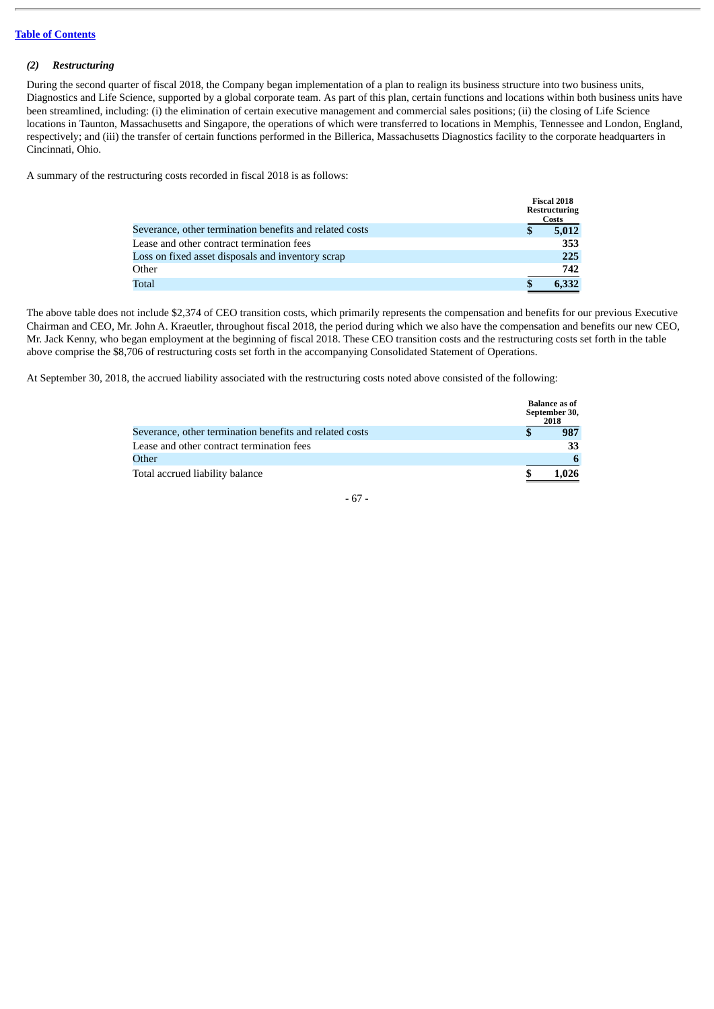### *(2) Restructuring*

During the second quarter of fiscal 2018, the Company began implementation of a plan to realign its business structure into two business units, Diagnostics and Life Science, supported by a global corporate team. As part of this plan, certain functions and locations within both business units have been streamlined, including: (i) the elimination of certain executive management and commercial sales positions; (ii) the closing of Life Science locations in Taunton, Massachusetts and Singapore, the operations of which were transferred to locations in Memphis, Tennessee and London, England, respectively; and (iii) the transfer of certain functions performed in the Billerica, Massachusetts Diagnostics facility to the corporate headquarters in Cincinnati, Ohio.

A summary of the restructuring costs recorded in fiscal 2018 is as follows:

|                                                         | Fiscal 2018<br><b>Restructuring</b><br>Costs |
|---------------------------------------------------------|----------------------------------------------|
| Severance, other termination benefits and related costs | 5,012                                        |
| Lease and other contract termination fees               | 353                                          |
| Loss on fixed asset disposals and inventory scrap       | 225                                          |
| Other                                                   | 742                                          |
| <b>Total</b>                                            | 6,332                                        |

The above table does not include \$2,374 of CEO transition costs, which primarily represents the compensation and benefits for our previous Executive Chairman and CEO, Mr. John A. Kraeutler, throughout fiscal 2018, the period during which we also have the compensation and benefits our new CEO, Mr. Jack Kenny, who began employment at the beginning of fiscal 2018. These CEO transition costs and the restructuring costs set forth in the table above comprise the \$8,706 of restructuring costs set forth in the accompanying Consolidated Statement of Operations.

At September 30, 2018, the accrued liability associated with the restructuring costs noted above consisted of the following:

|                                                         | <b>Balance as of</b><br>September 30,<br>2018 |
|---------------------------------------------------------|-----------------------------------------------|
| Severance, other termination benefits and related costs | 987                                           |
| Lease and other contract termination fees               | 33                                            |
| Other                                                   | 6                                             |
| Total accrued liability balance                         | 1.026                                         |

- 67 -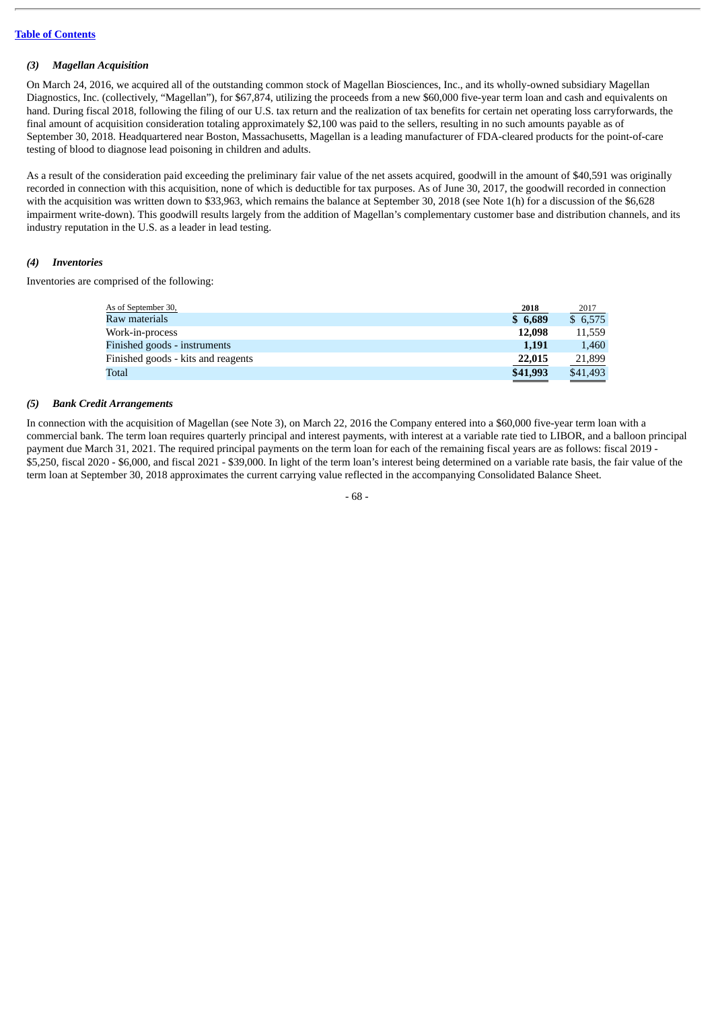### *(3) Magellan Acquisition*

On March 24, 2016, we acquired all of the outstanding common stock of Magellan Biosciences, Inc., and its wholly-owned subsidiary Magellan Diagnostics, Inc. (collectively, "Magellan"), for \$67,874, utilizing the proceeds from a new \$60,000 five-year term loan and cash and equivalents on hand. During fiscal 2018, following the filing of our U.S. tax return and the realization of tax benefits for certain net operating loss carryforwards, the final amount of acquisition consideration totaling approximately \$2,100 was paid to the sellers, resulting in no such amounts payable as of September 30, 2018. Headquartered near Boston, Massachusetts, Magellan is a leading manufacturer of FDA-cleared products for the point-of-care testing of blood to diagnose lead poisoning in children and adults.

As a result of the consideration paid exceeding the preliminary fair value of the net assets acquired, goodwill in the amount of \$40,591 was originally recorded in connection with this acquisition, none of which is deductible for tax purposes. As of June 30, 2017, the goodwill recorded in connection with the acquisition was written down to \$33,963, which remains the balance at September 30, 2018 (see Note 1(h) for a discussion of the \$6,628 impairment write-down). This goodwill results largely from the addition of Magellan's complementary customer base and distribution channels, and its industry reputation in the U.S. as a leader in lead testing.

### *(4) Inventories*

Inventories are comprised of the following:

| As of September 30,                | 2018     | 2017     |
|------------------------------------|----------|----------|
| Raw materials                      | \$6,689  | \$6,575  |
| Work-in-process                    | 12,098   | 11,559   |
| Finished goods - instruments       | 1.191    | 1.460    |
| Finished goods - kits and reagents | 22,015   | 21,899   |
| Total                              | \$41,993 | \$41,493 |

### *(5) Bank Credit Arrangements*

In connection with the acquisition of Magellan (see Note 3), on March 22, 2016 the Company entered into a \$60,000 five-year term loan with a commercial bank. The term loan requires quarterly principal and interest payments, with interest at a variable rate tied to LIBOR, and a balloon principal payment due March 31, 2021. The required principal payments on the term loan for each of the remaining fiscal years are as follows: fiscal 2019 - \$5,250, fiscal 2020 - \$6,000, and fiscal 2021 - \$39,000. In light of the term loan's interest being determined on a variable rate basis, the fair value of the term loan at September 30, 2018 approximates the current carrying value reflected in the accompanying Consolidated Balance Sheet.

- 68 -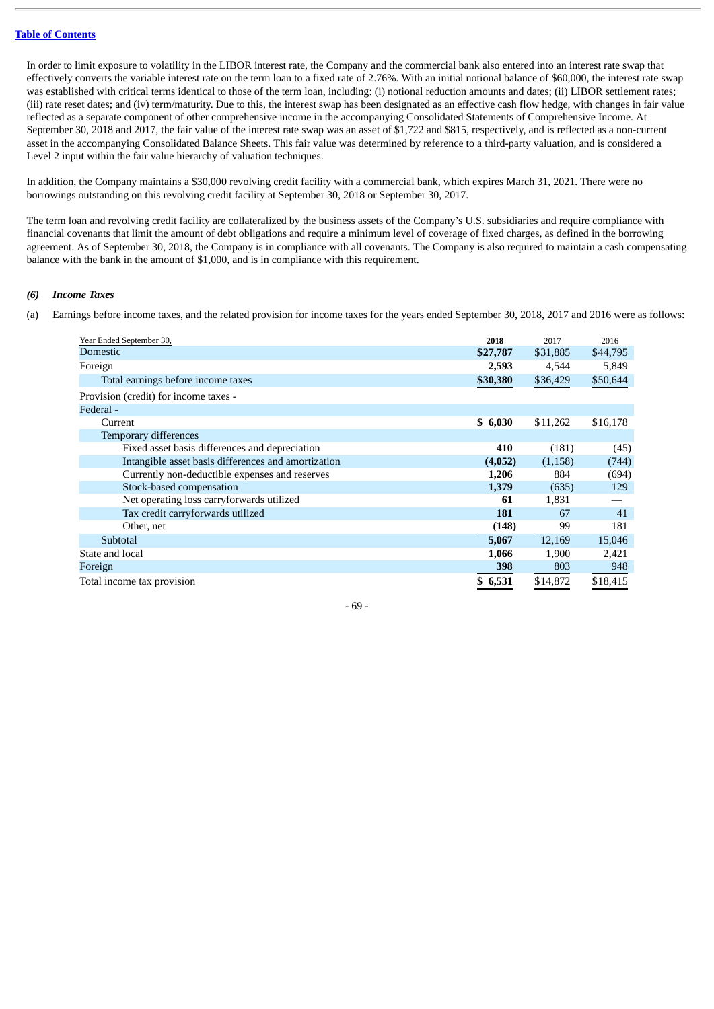In order to limit exposure to volatility in the LIBOR interest rate, the Company and the commercial bank also entered into an interest rate swap that effectively converts the variable interest rate on the term loan to a fixed rate of 2.76%. With an initial notional balance of \$60,000, the interest rate swap was established with critical terms identical to those of the term loan, including: (i) notional reduction amounts and dates; (ii) LIBOR settlement rates; (iii) rate reset dates; and (iv) term/maturity. Due to this, the interest swap has been designated as an effective cash flow hedge, with changes in fair value reflected as a separate component of other comprehensive income in the accompanying Consolidated Statements of Comprehensive Income. At September 30, 2018 and 2017, the fair value of the interest rate swap was an asset of \$1,722 and \$815, respectively, and is reflected as a non-current asset in the accompanying Consolidated Balance Sheets. This fair value was determined by reference to a third-party valuation, and is considered a Level 2 input within the fair value hierarchy of valuation techniques.

In addition, the Company maintains a \$30,000 revolving credit facility with a commercial bank, which expires March 31, 2021. There were no borrowings outstanding on this revolving credit facility at September 30, 2018 or September 30, 2017.

The term loan and revolving credit facility are collateralized by the business assets of the Company's U.S. subsidiaries and require compliance with financial covenants that limit the amount of debt obligations and require a minimum level of coverage of fixed charges, as defined in the borrowing agreement. As of September 30, 2018, the Company is in compliance with all covenants. The Company is also required to maintain a cash compensating balance with the bank in the amount of \$1,000, and is in compliance with this requirement.

### *(6) Income Taxes*

(a) Earnings before income taxes, and the related provision for income taxes for the years ended September 30, 2018, 2017 and 2016 were as follows:

| Year Ended September 30,                            | 2018     | 2017     | 2016     |
|-----------------------------------------------------|----------|----------|----------|
| Domestic                                            | \$27,787 | \$31,885 | \$44,795 |
| Foreign                                             | 2,593    | 4,544    | 5,849    |
| Total earnings before income taxes                  | \$30,380 | \$36,429 | \$50,644 |
| Provision (credit) for income taxes -               |          |          |          |
| Federal -                                           |          |          |          |
| Current                                             | \$6,030  | \$11,262 | \$16,178 |
| Temporary differences                               |          |          |          |
| Fixed asset basis differences and depreciation      | 410      | (181)    | (45)     |
| Intangible asset basis differences and amortization | (4,052)  | (1,158)  | (744)    |
| Currently non-deductible expenses and reserves      | 1,206    | 884      | (694)    |
| Stock-based compensation                            | 1,379    | (635)    | 129      |
| Net operating loss carryforwards utilized           | 61       | 1,831    |          |
| Tax credit carryforwards utilized                   | 181      | 67       | 41       |
| Other, net                                          | (148)    | 99       | 181      |
| Subtotal                                            | 5,067    | 12,169   | 15,046   |
| State and local                                     | 1,066    | 1,900    | 2,421    |
| Foreign                                             | 398      | 803      | 948      |
| Total income tax provision                          | \$6,531  | \$14,872 | \$18,415 |

- 69 -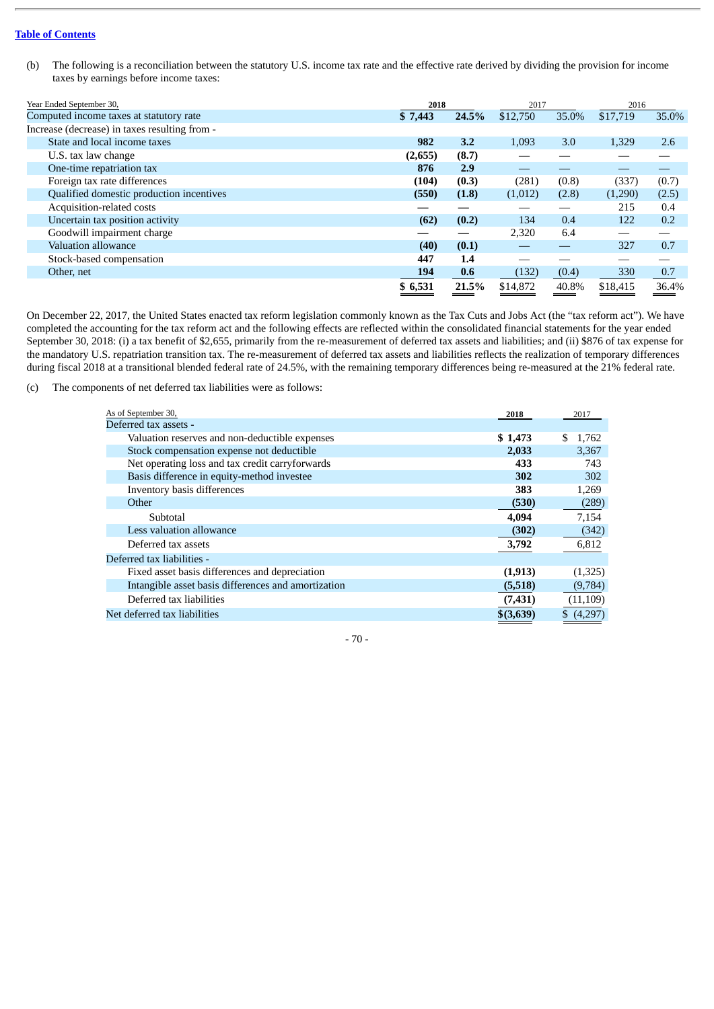(b) The following is a reconciliation between the statutory U.S. income tax rate and the effective rate derived by dividing the provision for income taxes by earnings before income taxes:

| Year Ended September 30,                      | 2018    |       | 2017     |       | 2016     |       |
|-----------------------------------------------|---------|-------|----------|-------|----------|-------|
| Computed income taxes at statutory rate       | \$7,443 | 24.5% | \$12,750 | 35.0% | \$17,719 | 35.0% |
| Increase (decrease) in taxes resulting from - |         |       |          |       |          |       |
| State and local income taxes                  | 982     | 3.2   | 1,093    | 3.0   | 1,329    | 2.6   |
| U.S. tax law change                           | (2,655) | (8.7) |          |       |          |       |
| One-time repatriation tax                     | 876     | 2.9   |          |       |          |       |
| Foreign tax rate differences                  | (104)   | (0.3) | (281)    | (0.8) | (337)    | (0.7) |
| Qualified domestic production incentives      | (550)   | (1.8) | (1,012)  | (2.8) | (1,290)  | (2.5) |
| Acquisition-related costs                     |         |       |          |       | 215      | 0.4   |
| Uncertain tax position activity               | (62)    | (0.2) | 134      | 0.4   | 122      | 0.2   |
| Goodwill impairment charge                    |         |       | 2,320    | 6.4   |          |       |
| Valuation allowance                           | (40)    | (0.1) | __       |       | 327      | 0.7   |
| Stock-based compensation                      | 447     | 1.4   |          |       |          |       |
| Other, net                                    | 194     | 0.6   | (132)    | (0.4) | 330      | 0.7   |
|                                               | \$6,531 | 21.5% | \$14,872 | 40.8% | \$18,415 | 36.4% |

On December 22, 2017, the United States enacted tax reform legislation commonly known as the Tax Cuts and Jobs Act (the "tax reform act"). We have completed the accounting for the tax reform act and the following effects are reflected within the consolidated financial statements for the year ended September 30, 2018: (i) a tax benefit of \$2,655, primarily from the re-measurement of deferred tax assets and liabilities; and (ii) \$876 of tax expense for the mandatory U.S. repatriation transition tax. The re-measurement of deferred tax assets and liabilities reflects the realization of temporary differences during fiscal 2018 at a transitional blended federal rate of 24.5%, with the remaining temporary differences being re-measured at the 21% federal rate.

(c) The components of net deferred tax liabilities were as follows:

| As of September 30,                                 | 2018        | 2017         |
|-----------------------------------------------------|-------------|--------------|
| Deferred tax assets -                               |             |              |
| Valuation reserves and non-deductible expenses      | \$1,473     | 1,762<br>\$. |
| Stock compensation expense not deductible           | 2,033       | 3,367        |
| Net operating loss and tax credit carryforwards     | 433         | 743          |
| Basis difference in equity-method investee          | 302         | 302          |
| Inventory basis differences                         | 383         | 1,269        |
| Other                                               | (530)       | (289)        |
| Subtotal                                            | 4,094       | 7,154        |
| Less valuation allowance                            | (302)       | (342)        |
| Deferred tax assets                                 | 3,792       | 6,812        |
| Deferred tax liabilities -                          |             |              |
| Fixed asset basis differences and depreciation      | (1, 913)    | (1,325)      |
| Intangible asset basis differences and amortization | (5,518)     | (9,784)      |
| Deferred tax liabilities                            | (7, 431)    | (11, 109)    |
| Net deferred tax liabilities                        | $$$ (3,639) | (4,297)      |

- 70 -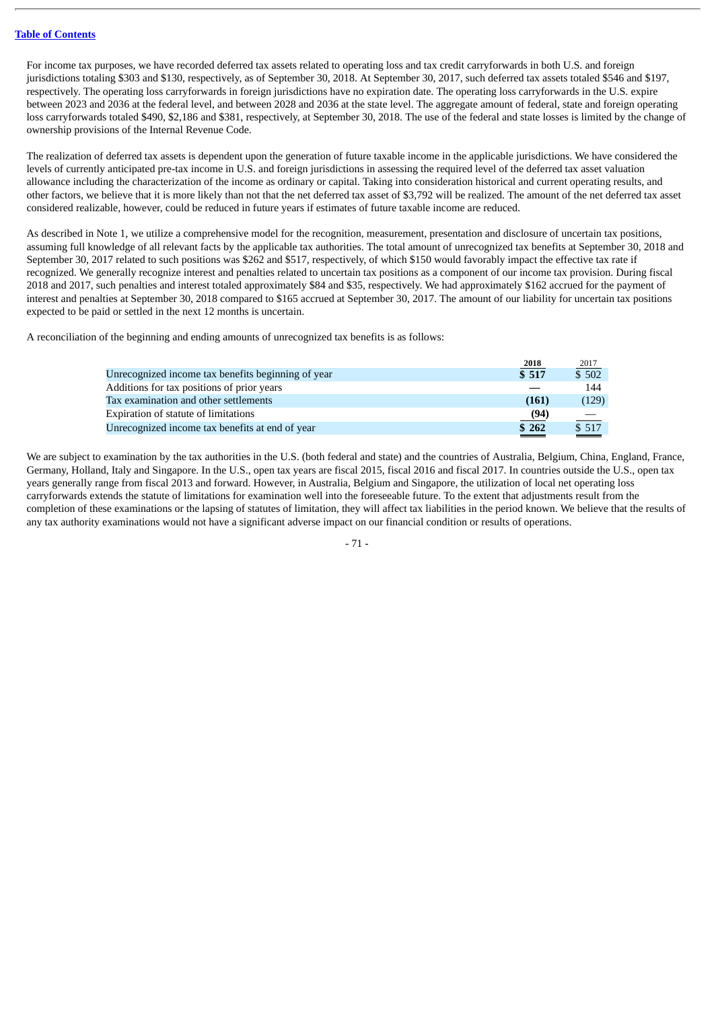For income tax purposes, we have recorded deferred tax assets related to operating loss and tax credit carryforwards in both U.S. and foreign jurisdictions totaling \$303 and \$130, respectively, as of September 30, 2018. At September 30, 2017, such deferred tax assets totaled \$546 and \$197, respectively. The operating loss carryforwards in foreign jurisdictions have no expiration date. The operating loss carryforwards in the U.S. expire between 2023 and 2036 at the federal level, and between 2028 and 2036 at the state level. The aggregate amount of federal, state and foreign operating loss carryforwards totaled \$490, \$2,186 and \$381, respectively, at September 30, 2018. The use of the federal and state losses is limited by the change of ownership provisions of the Internal Revenue Code.

The realization of deferred tax assets is dependent upon the generation of future taxable income in the applicable jurisdictions. We have considered the levels of currently anticipated pre-tax income in U.S. and foreign jurisdictions in assessing the required level of the deferred tax asset valuation allowance including the characterization of the income as ordinary or capital. Taking into consideration historical and current operating results, and other factors, we believe that it is more likely than not that the net deferred tax asset of \$3,792 will be realized. The amount of the net deferred tax asset considered realizable, however, could be reduced in future years if estimates of future taxable income are reduced.

As described in Note 1, we utilize a comprehensive model for the recognition, measurement, presentation and disclosure of uncertain tax positions, assuming full knowledge of all relevant facts by the applicable tax authorities. The total amount of unrecognized tax benefits at September 30, 2018 and September 30, 2017 related to such positions was \$262 and \$517, respectively, of which \$150 would favorably impact the effective tax rate if recognized. We generally recognize interest and penalties related to uncertain tax positions as a component of our income tax provision. During fiscal 2018 and 2017, such penalties and interest totaled approximately \$84 and \$35, respectively. We had approximately \$162 accrued for the payment of interest and penalties at September 30, 2018 compared to \$165 accrued at September 30, 2017. The amount of our liability for uncertain tax positions expected to be paid or settled in the next 12 months is uncertain.

A reconciliation of the beginning and ending amounts of unrecognized tax benefits is as follows:

|                                                    | 2018  | 2017     |
|----------------------------------------------------|-------|----------|
| Unrecognized income tax benefits beginning of year | \$517 | \$502    |
| Additions for tax positions of prior years         |       | 144      |
| Tax examination and other settlements              | (161) | (129)    |
| Expiration of statute of limitations               | (94)  | $\equiv$ |
| Unrecognized income tax benefits at end of year    | \$262 | \$517    |

We are subject to examination by the tax authorities in the U.S. (both federal and state) and the countries of Australia, Belgium, China, England, France, Germany, Holland, Italy and Singapore. In the U.S., open tax years are fiscal 2015, fiscal 2016 and fiscal 2017. In countries outside the U.S., open tax years generally range from fiscal 2013 and forward. However, in Australia, Belgium and Singapore, the utilization of local net operating loss carryforwards extends the statute of limitations for examination well into the foreseeable future. To the extent that adjustments result from the completion of these examinations or the lapsing of statutes of limitation, they will affect tax liabilities in the period known. We believe that the results of any tax authority examinations would not have a significant adverse impact on our financial condition or results of operations.

- 71 -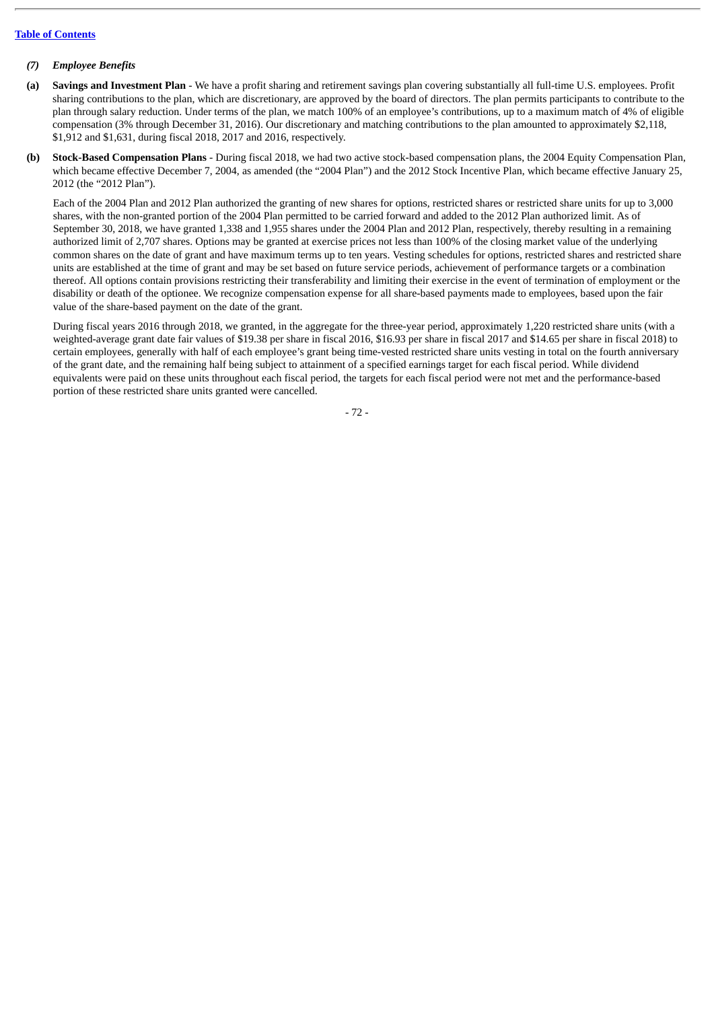### *(7) Employee Benefits*

- **(a) Savings and Investment Plan** We have a profit sharing and retirement savings plan covering substantially all full-time U.S. employees. Profit sharing contributions to the plan, which are discretionary, are approved by the board of directors. The plan permits participants to contribute to the plan through salary reduction. Under terms of the plan, we match 100% of an employee's contributions, up to a maximum match of 4% of eligible compensation (3% through December 31, 2016). Our discretionary and matching contributions to the plan amounted to approximately \$2,118, \$1,912 and \$1,631, during fiscal 2018, 2017 and 2016, respectively.
- **(b) Stock-Based Compensation Plans** During fiscal 2018, we had two active stock-based compensation plans, the 2004 Equity Compensation Plan, which became effective December 7, 2004, as amended (the "2004 Plan") and the 2012 Stock Incentive Plan, which became effective January 25, 2012 (the "2012 Plan").

Each of the 2004 Plan and 2012 Plan authorized the granting of new shares for options, restricted shares or restricted share units for up to 3,000 shares, with the non-granted portion of the 2004 Plan permitted to be carried forward and added to the 2012 Plan authorized limit. As of September 30, 2018, we have granted 1,338 and 1,955 shares under the 2004 Plan and 2012 Plan, respectively, thereby resulting in a remaining authorized limit of 2,707 shares. Options may be granted at exercise prices not less than 100% of the closing market value of the underlying common shares on the date of grant and have maximum terms up to ten years. Vesting schedules for options, restricted shares and restricted share units are established at the time of grant and may be set based on future service periods, achievement of performance targets or a combination thereof. All options contain provisions restricting their transferability and limiting their exercise in the event of termination of employment or the disability or death of the optionee. We recognize compensation expense for all share-based payments made to employees, based upon the fair value of the share-based payment on the date of the grant.

During fiscal years 2016 through 2018, we granted, in the aggregate for the three-year period, approximately 1,220 restricted share units (with a weighted-average grant date fair values of \$19.38 per share in fiscal 2016, \$16.93 per share in fiscal 2017 and \$14.65 per share in fiscal 2018) to certain employees, generally with half of each employee's grant being time-vested restricted share units vesting in total on the fourth anniversary of the grant date, and the remaining half being subject to attainment of a specified earnings target for each fiscal period. While dividend equivalents were paid on these units throughout each fiscal period, the targets for each fiscal period were not met and the performance-based portion of these restricted share units granted were cancelled.

- 72 -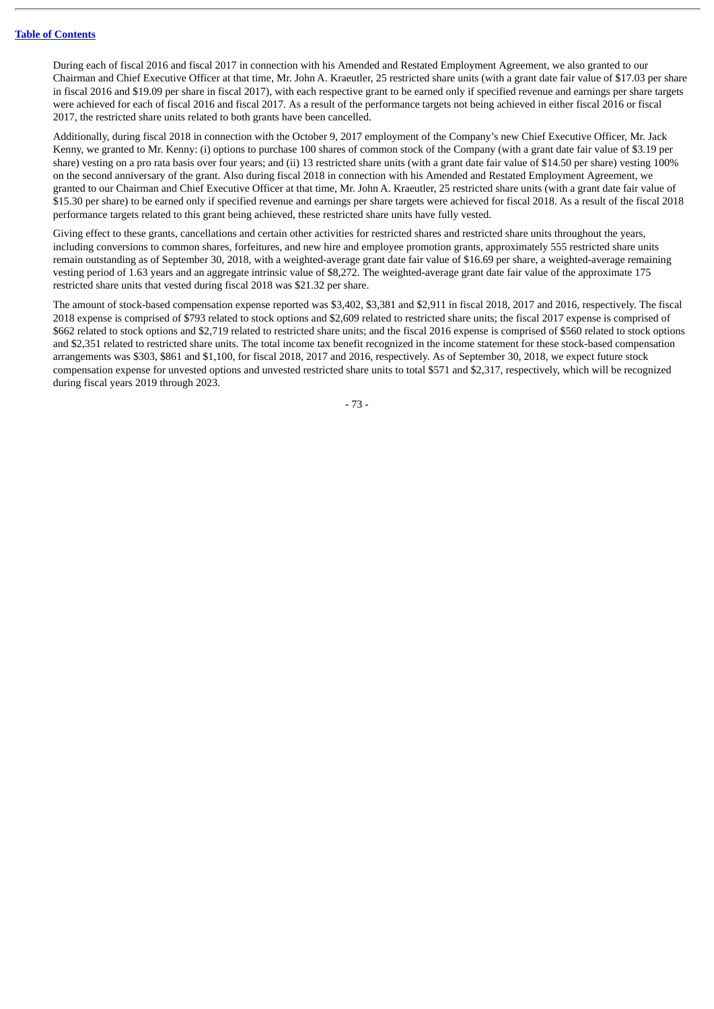During each of fiscal 2016 and fiscal 2017 in connection with his Amended and Restated Employment Agreement, we also granted to our Chairman and Chief Executive Officer at that time, Mr. John A. Kraeutler, 25 restricted share units (with a grant date fair value of \$17.03 per share in fiscal 2016 and \$19.09 per share in fiscal 2017), with each respective grant to be earned only if specified revenue and earnings per share targets were achieved for each of fiscal 2016 and fiscal 2017. As a result of the performance targets not being achieved in either fiscal 2016 or fiscal 2017, the restricted share units related to both grants have been cancelled.

Additionally, during fiscal 2018 in connection with the October 9, 2017 employment of the Company's new Chief Executive Officer, Mr. Jack Kenny, we granted to Mr. Kenny: (i) options to purchase 100 shares of common stock of the Company (with a grant date fair value of \$3.19 per share) vesting on a pro rata basis over four years; and (ii) 13 restricted share units (with a grant date fair value of \$14.50 per share) vesting 100% on the second anniversary of the grant. Also during fiscal 2018 in connection with his Amended and Restated Employment Agreement, we granted to our Chairman and Chief Executive Officer at that time, Mr. John A. Kraeutler, 25 restricted share units (with a grant date fair value of \$15.30 per share) to be earned only if specified revenue and earnings per share targets were achieved for fiscal 2018. As a result of the fiscal 2018 performance targets related to this grant being achieved, these restricted share units have fully vested.

Giving effect to these grants, cancellations and certain other activities for restricted shares and restricted share units throughout the years, including conversions to common shares, forfeitures, and new hire and employee promotion grants, approximately 555 restricted share units remain outstanding as of September 30, 2018, with a weighted-average grant date fair value of \$16.69 per share, a weighted-average remaining vesting period of 1.63 years and an aggregate intrinsic value of \$8,272. The weighted-average grant date fair value of the approximate 175 restricted share units that vested during fiscal 2018 was \$21.32 per share.

The amount of stock-based compensation expense reported was \$3,402, \$3,381 and \$2,911 in fiscal 2018, 2017 and 2016, respectively. The fiscal 2018 expense is comprised of \$793 related to stock options and \$2,609 related to restricted share units; the fiscal 2017 expense is comprised of \$662 related to stock options and \$2,719 related to restricted share units; and the fiscal 2016 expense is comprised of \$560 related to stock options and \$2,351 related to restricted share units. The total income tax benefit recognized in the income statement for these stock-based compensation arrangements was \$303, \$861 and \$1,100, for fiscal 2018, 2017 and 2016, respectively. As of September 30, 2018, we expect future stock compensation expense for unvested options and unvested restricted share units to total \$571 and \$2,317, respectively, which will be recognized during fiscal years 2019 through 2023.

- 73 -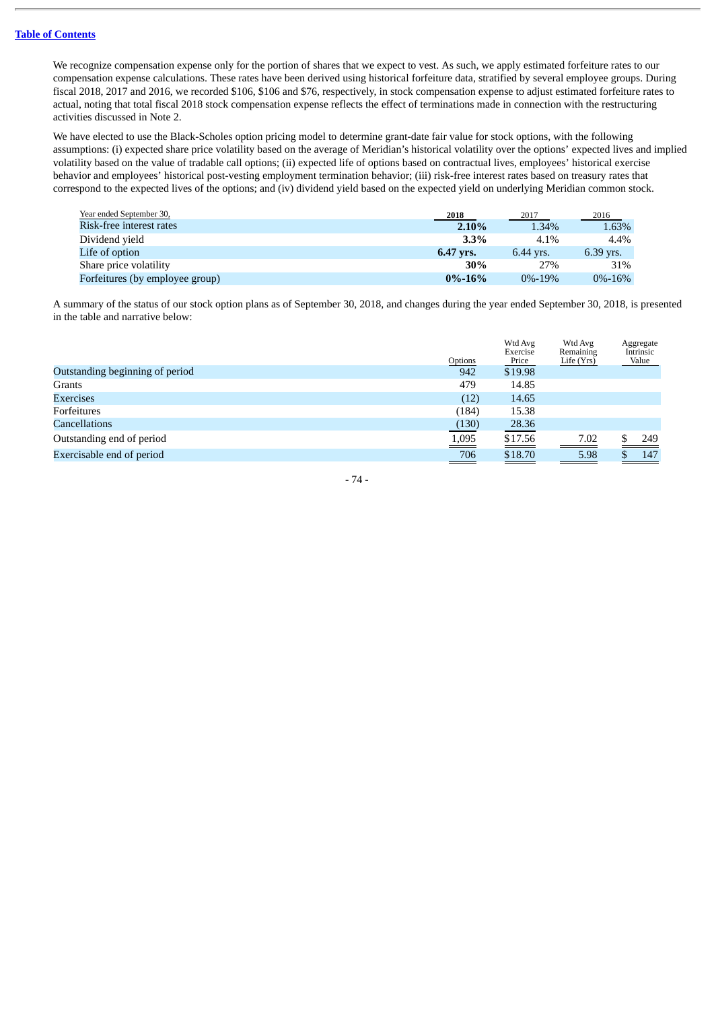We recognize compensation expense only for the portion of shares that we expect to vest. As such, we apply estimated forfeiture rates to our compensation expense calculations. These rates have been derived using historical forfeiture data, stratified by several employee groups. During fiscal 2018, 2017 and 2016, we recorded \$106, \$106 and \$76, respectively, in stock compensation expense to adjust estimated forfeiture rates to actual, noting that total fiscal 2018 stock compensation expense reflects the effect of terminations made in connection with the restructuring activities discussed in Note 2.

We have elected to use the Black-Scholes option pricing model to determine grant-date fair value for stock options, with the following assumptions: (i) expected share price volatility based on the average of Meridian's historical volatility over the options' expected lives and implied volatility based on the value of tradable call options; (ii) expected life of options based on contractual lives, employees' historical exercise behavior and employees' historical post-vesting employment termination behavior; (iii) risk-free interest rates based on treasury rates that correspond to the expected lives of the options; and (iv) dividend yield based on the expected yield on underlying Meridian common stock.

| Year ended September 30,        | 2018         | 2017         | 2016         |
|---------------------------------|--------------|--------------|--------------|
| Risk-free interest rates        | 2.10%        | 1.34%        | 1.63%        |
| Dividend vield                  | 3.3%         | 4.1%         | $4.4\%$      |
| Life of option                  | 6.47 yrs.    | $6.44$ vrs.  | 6.39 yrs.    |
| Share price volatility          | 30%          | 27%          | 31%          |
| Forfeitures (by employee group) | $0\% - 16\%$ | $0\% - 19\%$ | $0\% - 16\%$ |

A summary of the status of our stock option plans as of September 30, 2018, and changes during the year ended September 30, 2018, is presented in the table and narrative below:

|                                 | Options                    | Wtd Avg<br>Exercise<br>Price | Wtd Avg<br>Remaining<br>Life (Yrs) | Aggregate<br>Intrinsic<br>Value |
|---------------------------------|----------------------------|------------------------------|------------------------------------|---------------------------------|
| Outstanding beginning of period | 942                        | \$19.98                      |                                    |                                 |
| Grants                          | 479                        | 14.85                        |                                    |                                 |
| Exercises                       | (12)                       | 14.65                        |                                    |                                 |
| Forfeitures                     | (184)                      | 15.38                        |                                    |                                 |
| <b>Cancellations</b>            | (130)                      | 28.36                        |                                    |                                 |
| Outstanding end of period       | 1,095                      | \$17.56                      | 7.02                               | 249                             |
| Exercisable end of period       | 706<br><u> a shekara t</u> | \$18.70                      | 5.98                               | 147                             |
|                                 |                            |                              |                                    |                                 |

- 74 -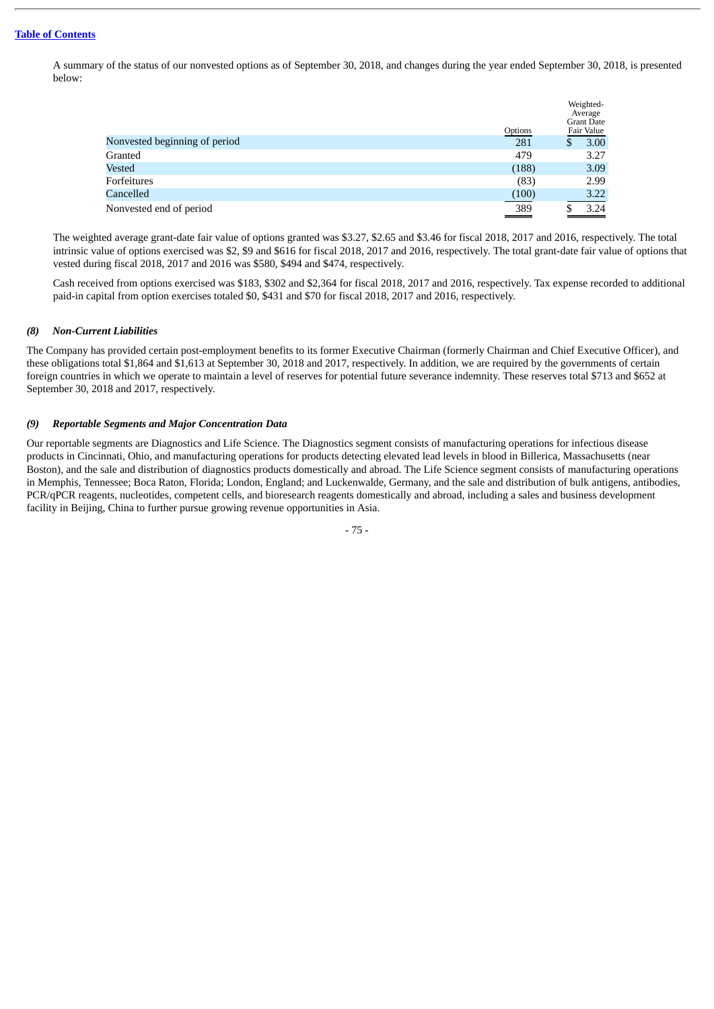A summary of the status of our nonvested options as of September 30, 2018, and changes during the year ended September 30, 2018, is presented below:

|                               | Options | Weighted-<br>Average<br><b>Grant Date</b><br>Fair Value |
|-------------------------------|---------|---------------------------------------------------------|
| Nonvested beginning of period | 281     | 3.00                                                    |
| Granted                       | 479     | 3.27                                                    |
| <b>Vested</b>                 | (188)   | 3.09                                                    |
| Forfeitures                   | (83)    | 2.99                                                    |
| Cancelled                     | (100)   | 3.22                                                    |
| Nonvested end of period       | 389     | 3.24                                                    |

The weighted average grant-date fair value of options granted was \$3.27, \$2.65 and \$3.46 for fiscal 2018, 2017 and 2016, respectively. The total intrinsic value of options exercised was \$2, \$9 and \$616 for fiscal 2018, 2017 and 2016, respectively. The total grant-date fair value of options that vested during fiscal 2018, 2017 and 2016 was \$580, \$494 and \$474, respectively.

Cash received from options exercised was \$183, \$302 and \$2,364 for fiscal 2018, 2017 and 2016, respectively. Tax expense recorded to additional paid-in capital from option exercises totaled \$0, \$431 and \$70 for fiscal 2018, 2017 and 2016, respectively.

#### *(8) Non-Current Liabilities*

The Company has provided certain post-employment benefits to its former Executive Chairman (formerly Chairman and Chief Executive Officer), and these obligations total \$1,864 and \$1,613 at September 30, 2018 and 2017, respectively. In addition, we are required by the governments of certain foreign countries in which we operate to maintain a level of reserves for potential future severance indemnity. These reserves total \$713 and \$652 at September 30, 2018 and 2017, respectively.

# *(9) Reportable Segments and Major Concentration Data*

Our reportable segments are Diagnostics and Life Science. The Diagnostics segment consists of manufacturing operations for infectious disease products in Cincinnati, Ohio, and manufacturing operations for products detecting elevated lead levels in blood in Billerica, Massachusetts (near Boston), and the sale and distribution of diagnostics products domestically and abroad. The Life Science segment consists of manufacturing operations in Memphis, Tennessee; Boca Raton, Florida; London, England; and Luckenwalde, Germany, and the sale and distribution of bulk antigens, antibodies, PCR/qPCR reagents, nucleotides, competent cells, and bioresearch reagents domestically and abroad, including a sales and business development facility in Beijing, China to further pursue growing revenue opportunities in Asia.

- 75 -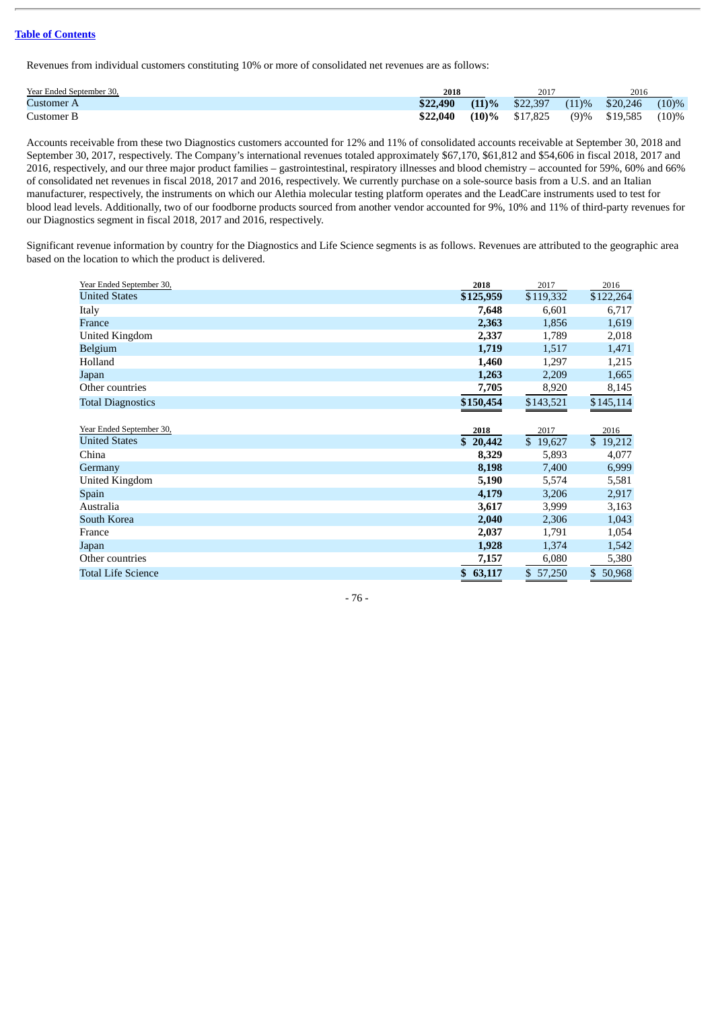Revenues from individual customers constituting 10% or more of consolidated net revenues are as follows:

| Year Ended September 30, | 2018     |          | 201'              |       | 2016             |          |
|--------------------------|----------|----------|-------------------|-------|------------------|----------|
| Customer $A$             | \$22,490 | $(11)\%$ | \$22,397          | (11)% | \$20,246         | $(10)\%$ |
| Customer B               | \$22,040 |          | $(10)\%$ \$17,825 |       | $(9)$ % \$19,585 | $(10)\%$ |

Accounts receivable from these two Diagnostics customers accounted for 12% and 11% of consolidated accounts receivable at September 30, 2018 and September 30, 2017, respectively. The Company's international revenues totaled approximately \$67,170, \$61,812 and \$54,606 in fiscal 2018, 2017 and 2016, respectively, and our three major product families – gastrointestinal, respiratory illnesses and blood chemistry – accounted for 59%, 60% and 66% of consolidated net revenues in fiscal 2018, 2017 and 2016, respectively. We currently purchase on a sole-source basis from a U.S. and an Italian manufacturer, respectively, the instruments on which our Alethia molecular testing platform operates and the LeadCare instruments used to test for blood lead levels. Additionally, two of our foodborne products sourced from another vendor accounted for 9%, 10% and 11% of third-party revenues for our Diagnostics segment in fiscal 2018, 2017 and 2016, respectively.

Significant revenue information by country for the Diagnostics and Life Science segments is as follows. Revenues are attributed to the geographic area based on the location to which the product is delivered.

| Year Ended September 30,  | 2018      | 2017      | 2016      |
|---------------------------|-----------|-----------|-----------|
| <b>United States</b>      | \$125,959 | \$119,332 | \$122,264 |
| Italy                     | 7,648     | 6,601     | 6,717     |
| France                    | 2,363     | 1,856     | 1,619     |
| <b>United Kingdom</b>     | 2,337     | 1,789     | 2,018     |
| Belgium                   | 1,719     | 1,517     | 1,471     |
| Holland                   | 1,460     | 1,297     | 1,215     |
| Japan                     | 1,263     | 2,209     | 1,665     |
| Other countries           | 7,705     | 8,920     | 8,145     |
| <b>Total Diagnostics</b>  | \$150,454 | \$143,521 | \$145,114 |
|                           |           |           |           |
| Year Ended September 30,  | 2018      | 2017      | 2016      |
| <b>United States</b>      | \$20,442  | \$19,627  | \$19,212  |
| China                     | 8,329     | 5,893     | 4,077     |
| Germany                   | 8,198     | 7,400     | 6,999     |
| <b>United Kingdom</b>     | 5,190     | 5,574     | 5,581     |
| <b>Spain</b>              | 4,179     | 3,206     | 2,917     |
| Australia                 | 3,617     | 3,999     | 3,163     |
| South Korea               | 2,040     | 2,306     | 1,043     |
| France                    | 2,037     | 1,791     | 1,054     |
| Japan                     | 1,928     | 1,374     | 1,542     |
| Other countries           | 7,157     | 6,080     | 5,380     |
| <b>Total Life Science</b> | \$63,117  | \$57,250  | \$50,968  |

- 76 -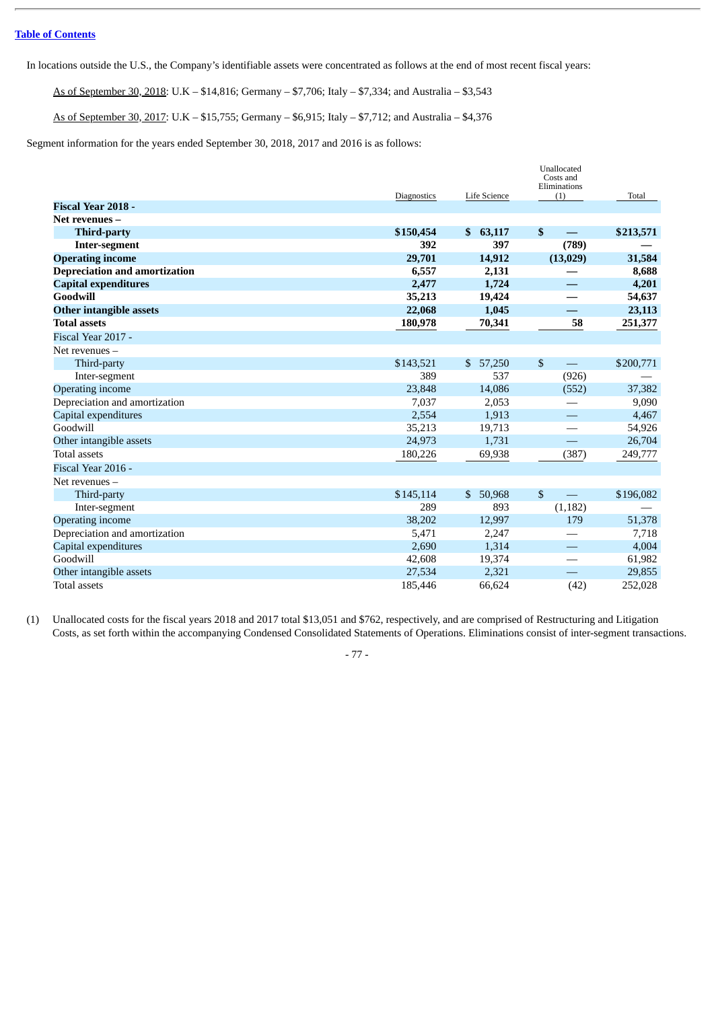In locations outside the U.S., the Company's identifiable assets were concentrated as follows at the end of most recent fiscal years:

As of September 30, 2018: U.K – \$14,816; Germany – \$7,706; Italy – \$7,334; and Australia – \$3,543

As of September 30, 2017: U.K – \$15,755; Germany – \$6,915; Italy – \$7,712; and Australia – \$4,376

Segment information for the years ended September 30, 2018, 2017 and 2016 is as follows:

|                                      | Diagnostics | Life Science           | Unallocated<br>Costs and<br>Eliminations<br>(1) | Total     |
|--------------------------------------|-------------|------------------------|-------------------------------------------------|-----------|
| <b>Fiscal Year 2018 -</b>            |             |                        |                                                 |           |
| Net revenues -                       |             |                        |                                                 |           |
| <b>Third-party</b>                   | \$150,454   | 63,117<br>\$           | \$                                              | \$213,571 |
| Inter-segment                        | 392         | 397                    | (789)                                           |           |
| <b>Operating income</b>              | 29,701      | 14,912                 | (13, 029)                                       | 31,584    |
| <b>Depreciation and amortization</b> | 6,557       | 2,131                  |                                                 | 8,688     |
| <b>Capital expenditures</b>          | 2,477       | 1,724                  |                                                 | 4,201     |
| Goodwill                             | 35,213      | 19,424                 |                                                 | 54,637    |
| <b>Other intangible assets</b>       | 22,068      | 1,045                  |                                                 | 23,113    |
| <b>Total assets</b>                  | 180,978     | 70,341                 | 58                                              | 251,377   |
| Fiscal Year 2017 -                   |             |                        |                                                 |           |
| Net revenues $-$                     |             |                        |                                                 |           |
| Third-party                          | \$143,521   | $\mathbb{S}$<br>57,250 | \$                                              | \$200,771 |
| Inter-segment                        | 389         | 537                    | (926)                                           |           |
| Operating income                     | 23,848      | 14,086                 | (552)                                           | 37,382    |
| Depreciation and amortization        | 7,037       | 2,053                  |                                                 | 9,090     |
| Capital expenditures                 | 2,554       | 1,913                  |                                                 | 4,467     |
| Goodwill                             | 35,213      | 19,713                 |                                                 | 54,926    |
| Other intangible assets              | 24,973      | 1,731                  |                                                 | 26,704    |
| <b>Total assets</b>                  | 180,226     | 69,938                 | (387)                                           | 249,777   |
| Fiscal Year 2016 -                   |             |                        |                                                 |           |
| Net revenues $-$                     |             |                        |                                                 |           |
| Third-party                          | \$145,114   | 50,968<br>\$           | $\mathbb{S}$                                    | \$196,082 |
| Inter-segment                        | 289         | 893                    | (1, 182)                                        |           |
| Operating income                     | 38,202      | 12,997                 | 179                                             | 51,378    |
| Depreciation and amortization        | 5,471       | 2,247                  |                                                 | 7,718     |
| Capital expenditures                 | 2,690       | 1,314                  |                                                 | 4,004     |
| Goodwill                             | 42,608      | 19,374                 |                                                 | 61,982    |
| Other intangible assets              | 27,534      | 2,321                  |                                                 | 29,855    |
| <b>Total assets</b>                  | 185,446     | 66,624                 | (42)                                            | 252,028   |

(1) Unallocated costs for the fiscal years 2018 and 2017 total \$13,051 and \$762, respectively, and are comprised of Restructuring and Litigation Costs, as set forth within the accompanying Condensed Consolidated Statements of Operations. Eliminations consist of inter-segment transactions.

- 77 -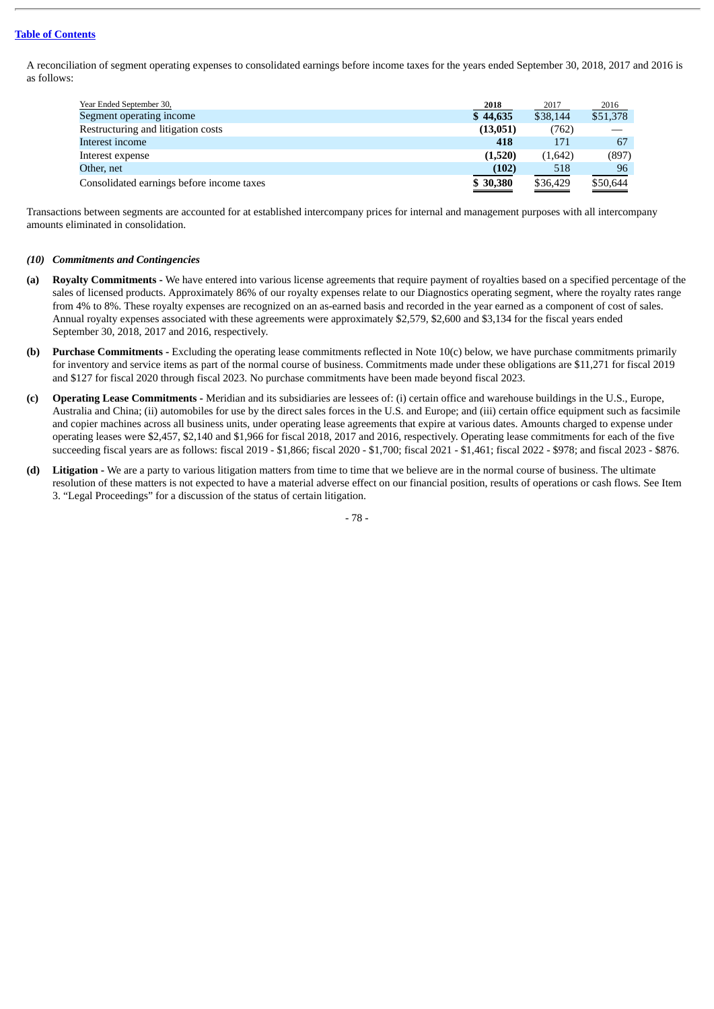A reconciliation of segment operating expenses to consolidated earnings before income taxes for the years ended September 30, 2018, 2017 and 2016 is as follows:

| Year Ended September 30,                  | 2018     | 2017     | 2016     |
|-------------------------------------------|----------|----------|----------|
| Segment operating income                  | \$44,635 | \$38,144 | \$51,378 |
| Restructuring and litigation costs        | (13,051) | (762)    |          |
| Interest income                           | 418      | 171      | 67       |
| Interest expense                          | (1,520)  | (1,642)  | (897)    |
| Other, net                                | (102)    | 518      | 96       |
| Consolidated earnings before income taxes | \$30,380 | \$36,429 | \$50,644 |

Transactions between segments are accounted for at established intercompany prices for internal and management purposes with all intercompany amounts eliminated in consolidation.

#### *(10) Commitments and Contingencies*

- **(a) Royalty Commitments -** We have entered into various license agreements that require payment of royalties based on a specified percentage of the sales of licensed products. Approximately 86% of our royalty expenses relate to our Diagnostics operating segment, where the royalty rates range from 4% to 8%. These royalty expenses are recognized on an as-earned basis and recorded in the year earned as a component of cost of sales. Annual royalty expenses associated with these agreements were approximately \$2,579, \$2,600 and \$3,134 for the fiscal years ended September 30, 2018, 2017 and 2016, respectively.
- **(b) Purchase Commitments -** Excluding the operating lease commitments reflected in Note 10(c) below, we have purchase commitments primarily for inventory and service items as part of the normal course of business. Commitments made under these obligations are \$11,271 for fiscal 2019 and \$127 for fiscal 2020 through fiscal 2023. No purchase commitments have been made beyond fiscal 2023.
- **(c) Operating Lease Commitments -** Meridian and its subsidiaries are lessees of: (i) certain office and warehouse buildings in the U.S., Europe, Australia and China; (ii) automobiles for use by the direct sales forces in the U.S. and Europe; and (iii) certain office equipment such as facsimile and copier machines across all business units, under operating lease agreements that expire at various dates. Amounts charged to expense under operating leases were \$2,457, \$2,140 and \$1,966 for fiscal 2018, 2017 and 2016, respectively. Operating lease commitments for each of the five succeeding fiscal years are as follows: fiscal 2019 - \$1,866; fiscal 2020 - \$1,700; fiscal 2021 - \$1,461; fiscal 2022 - \$978; and fiscal 2023 - \$876.
- **(d) Litigation -** We are a party to various litigation matters from time to time that we believe are in the normal course of business. The ultimate resolution of these matters is not expected to have a material adverse effect on our financial position, results of operations or cash flows. See Item 3. "Legal Proceedings" for a discussion of the status of certain litigation.

- 78 -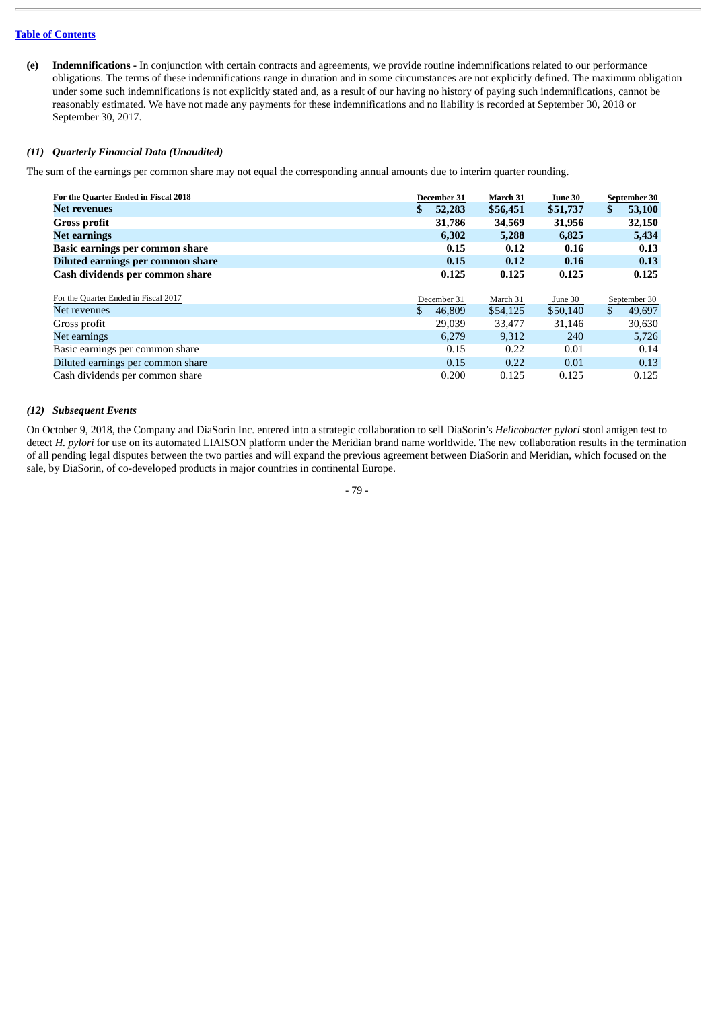**(e) Indemnifications -** In conjunction with certain contracts and agreements, we provide routine indemnifications related to our performance obligations. The terms of these indemnifications range in duration and in some circumstances are not explicitly defined. The maximum obligation under some such indemnifications is not explicitly stated and, as a result of our having no history of paying such indemnifications, cannot be reasonably estimated. We have not made any payments for these indemnifications and no liability is recorded at September 30, 2018 or September 30, 2017.

## *(11) Quarterly Financial Data (Unaudited)*

The sum of the earnings per common share may not equal the corresponding annual amounts due to interim quarter rounding.

| December 31  | March 31 | June 30  | September 30 |
|--------------|----------|----------|--------------|
| 52,283       | \$56,451 | \$51,737 | \$<br>53,100 |
| 31,786       | 34,569   | 31,956   | 32,150       |
| 6,302        | 5,288    | 6,825    | 5,434        |
| 0.15         | 0.12     | 0.16     | 0.13         |
| 0.15         | 0.12     | 0.16     | 0.13         |
| 0.125        | 0.125    | 0.125    | 0.125        |
|              |          |          |              |
| December 31  | March 31 | June 30  | September 30 |
| \$<br>46,809 | \$54,125 | \$50,140 | \$<br>49,697 |
| 29,039       | 33,477   | 31,146   | 30,630       |
| 6.279        | 9,312    | 240      | 5,726        |
| 0.15         | 0.22     | 0.01     | 0.14         |
| 0.15         | 0.22     | 0.01     | 0.13         |
| 0.200        | 0.125    | 0.125    | 0.125        |
|              |          |          |              |

## *(12) Subsequent Events*

On October 9, 2018, the Company and DiaSorin Inc. entered into a strategic collaboration to sell DiaSorin's *Helicobacter pylori* stool antigen test to detect *H. pylori* for use on its automated LIAISON platform under the Meridian brand name worldwide. The new collaboration results in the termination of all pending legal disputes between the two parties and will expand the previous agreement between DiaSorin and Meridian, which focused on the sale, by DiaSorin, of co-developed products in major countries in continental Europe.

- 79 -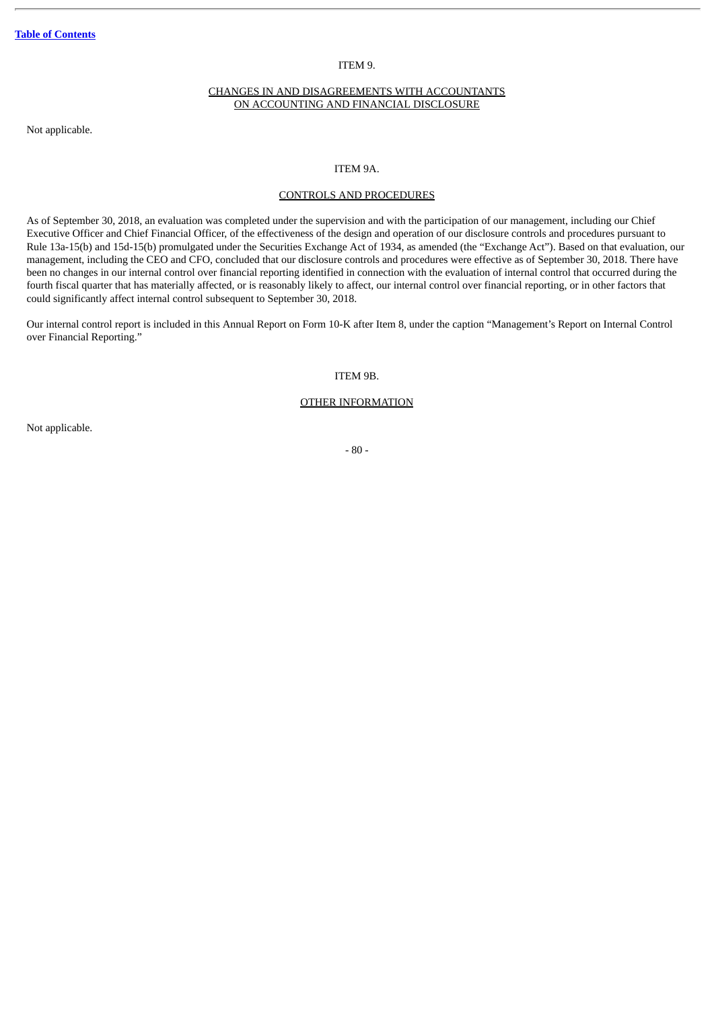#### ITEM 9.

#### CHANGES IN AND DISAGREEMENTS WITH ACCOUNTANTS ON ACCOUNTING AND FINANCIAL DISCLOSURE

Not applicable.

#### ITEM 9A.

#### CONTROLS AND PROCEDURES

As of September 30, 2018, an evaluation was completed under the supervision and with the participation of our management, including our Chief Executive Officer and Chief Financial Officer, of the effectiveness of the design and operation of our disclosure controls and procedures pursuant to Rule 13a-15(b) and 15d-15(b) promulgated under the Securities Exchange Act of 1934, as amended (the "Exchange Act"). Based on that evaluation, our management, including the CEO and CFO, concluded that our disclosure controls and procedures were effective as of September 30, 2018. There have been no changes in our internal control over financial reporting identified in connection with the evaluation of internal control that occurred during the fourth fiscal quarter that has materially affected, or is reasonably likely to affect, our internal control over financial reporting, or in other factors that could significantly affect internal control subsequent to September 30, 2018.

Our internal control report is included in this Annual Report on Form 10-K after Item 8, under the caption "Management's Report on Internal Control over Financial Reporting."

#### ITEM 9B.

## OTHER INFORMATION

Not applicable.

- 80 -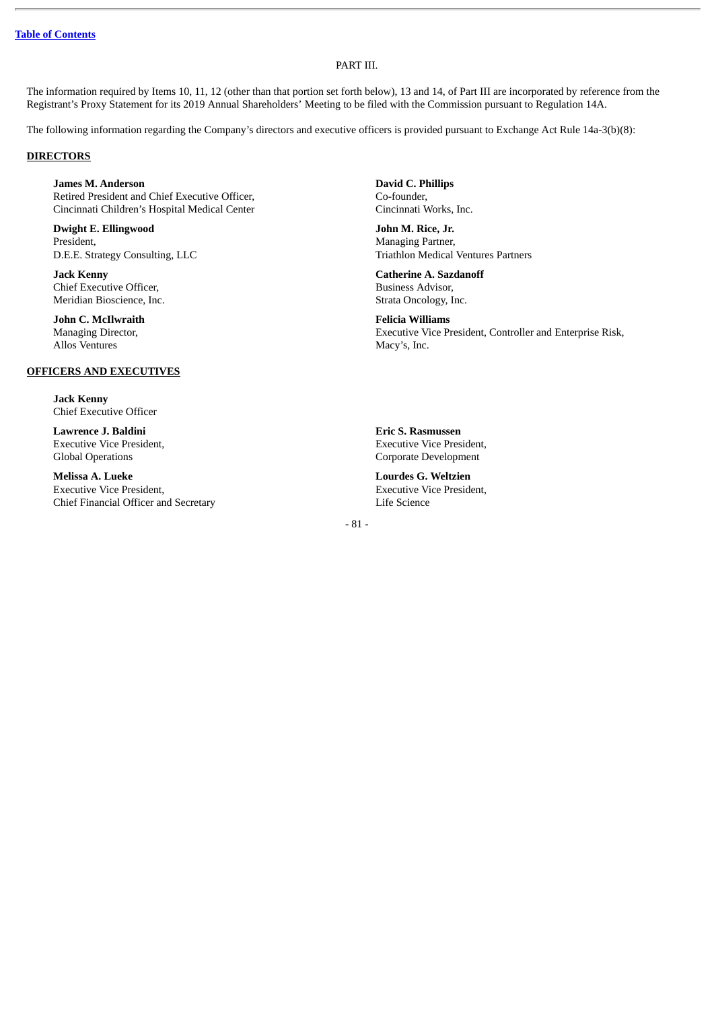# PART III.

The information required by Items 10, 11, 12 (other than that portion set forth below), 13 and 14, of Part III are incorporated by reference from the Registrant's Proxy Statement for its 2019 Annual Shareholders' Meeting to be filed with the Commission pursuant to Regulation 14A.

The following information regarding the Company's directors and executive officers is provided pursuant to Exchange Act Rule 14a-3(b)(8):

#### **DIRECTORS**

**James M. Anderson David C. Phillips** Retired President and Chief Executive Officer,<br>
Co-founder,<br>
Cincinnati Children's Hospital Medical Center<br>
Cincinnati Works, Inc. Cincinnati Children's Hospital Medical Center

**Dwight E. Ellingwood John M. Rice, Jr.** President, **Managing Partner,** Managing Partner,

**Jack Kenny Catherine A. Sazdanoff** Chief Executive Officer, The Chief Executive Officer, The Chief Executive Officer, Business Advisor, Business Advisor, Neridian Bioscience. Inc.

**John C. McIlwraith Felicia Williams** Allos Ventures Macy's, Inc.

### **OFFICERS AND EXECUTIVES**

**Jack Kenny** Chief Executive Officer

**Lawrence J. Baldini Eric S. Rasmussen**

**Melissa A. Lueke Lourdes G. Weltzien** Executive Vice President, Executive Vice President, Chief Financial Officer and Secretary Life Science

D.E.E. Strategy Consulting, LLC Triathlon Medical Ventures Partners

Strata Oncology, Inc.

Managing Director, Executive Vice President, Controller and Enterprise Risk,

Executive Vice President, Executive Vice President, Global Operations **Corporations** Corporate Development

- 81 -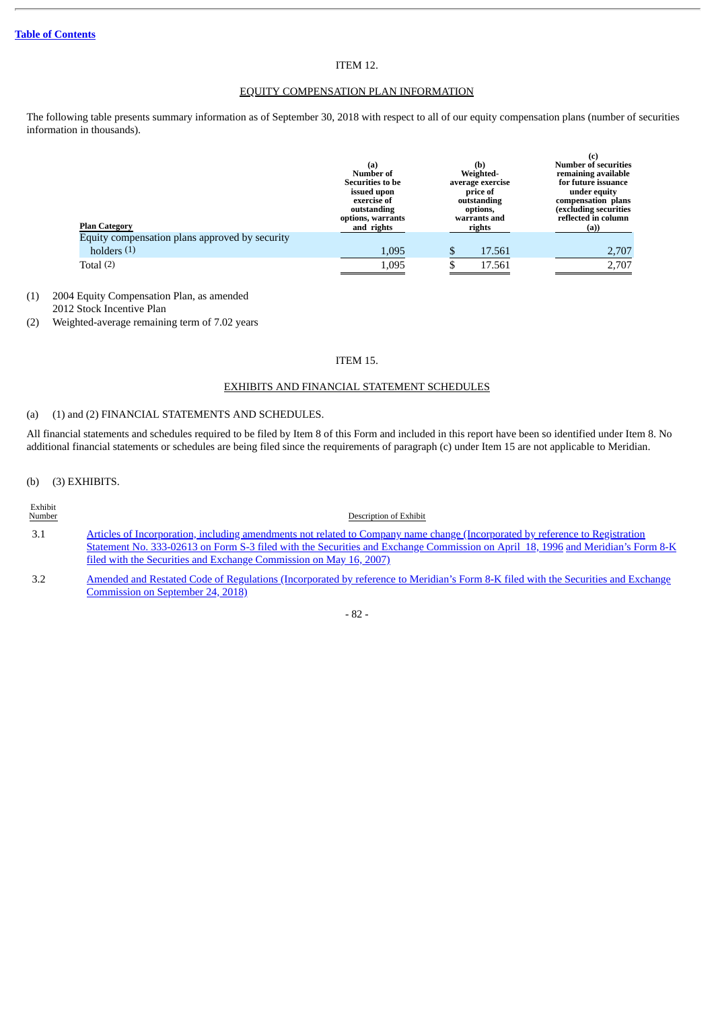# ITEM 12.

### EQUITY COMPENSATION PLAN INFORMATION

The following table presents summary information as of September 30, 2018 with respect to all of our equity compensation plans (number of securities information in thousands).

| <b>Plan Category</b>                           | (a)<br>Number of<br><b>Securities to be</b><br>issued upon<br>exercise of<br>outstanding<br>options, warrants<br>and rights | (b)<br>Weighted-<br>average exercise<br>price of<br>outstanding<br>options,<br>warrants and<br>rights | <b>Number of securities</b><br>remaining available<br>for future issuance<br>under equity<br>compensation plans<br>(excluding securities<br>reflected in column<br>(a)) |
|------------------------------------------------|-----------------------------------------------------------------------------------------------------------------------------|-------------------------------------------------------------------------------------------------------|-------------------------------------------------------------------------------------------------------------------------------------------------------------------------|
| Equity compensation plans approved by security |                                                                                                                             |                                                                                                       |                                                                                                                                                                         |
| holders $(1)$                                  | 1,095                                                                                                                       | 17.561                                                                                                | 2,707                                                                                                                                                                   |
| Total $(2)$                                    | 1,095                                                                                                                       | 17.561                                                                                                | 2,707                                                                                                                                                                   |

(1) 2004 Equity Compensation Plan, as amended 2012 Stock Incentive Plan

(2) Weighted-average remaining term of 7.02 years

# ITEM 15.

# EXHIBITS AND FINANCIAL STATEMENT SCHEDULES

## (a) (1) and (2) FINANCIAL STATEMENTS AND SCHEDULES.

All financial statements and schedules required to be filed by Item 8 of this Form and included in this report have been so identified under Item 8. No additional financial statements or schedules are being filed since the requirements of paragraph (c) under Item 15 are not applicable to Meridian.

## (b) (3) EXHIBITS.

| Exhibit<br>$\ensuremath{\underline{\text{Number}}}$ | Description of Exhibit                                                                                                                                                                                                                                                                                                                 |
|-----------------------------------------------------|----------------------------------------------------------------------------------------------------------------------------------------------------------------------------------------------------------------------------------------------------------------------------------------------------------------------------------------|
| 3.1                                                 | Articles of Incorporation, including amendments not related to Company name change (Incorporated by reference to Registration<br>Statement No. 333-02613 on Form S-3 filed with the Securities and Exchange Commission on April 18, 1996 and Meridian's Form 8-K<br>filed with the Securities and Exchange Commission on May 16, 2007) |

3.2 **Amended and Restated Code of Regulations [\(Incorporated](http://www.sec.gov/Archives/edgar/data/794172/000089225118000069/form8k092418_ex3_1.htm) by reference to Meridian's Form 8-K filed with the Securities and Exchange** Commission on September 24, 2018)

# - 82 -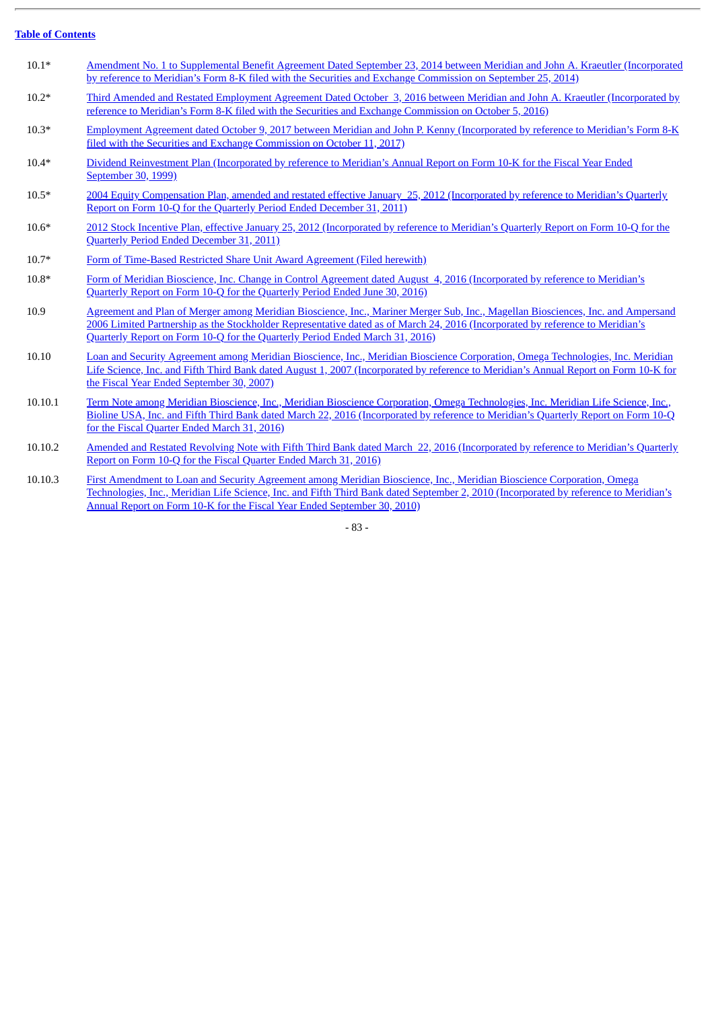| $10.1*$ | Amendment No. 1 to Supplemental Benefit Agreement Dated September 23, 2014 between Meridian and John A. Kraeutler (Incorporated<br>by reference to Meridian's Form 8-K filed with the Securities and Exchange Commission on September 25, 2014)                                                                                                    |
|---------|----------------------------------------------------------------------------------------------------------------------------------------------------------------------------------------------------------------------------------------------------------------------------------------------------------------------------------------------------|
| $10.2*$ | Third Amended and Restated Employment Agreement Dated October 3, 2016 between Meridian and John A. Kraeutler (Incorporated by<br>reference to Meridian's Form 8-K filed with the Securities and Exchange Commission on October 5, 2016).                                                                                                           |
| $10.3*$ | Employment Agreement dated October 9, 2017 between Meridian and John P. Kenny (Incorporated by reference to Meridian's Form 8-K<br>filed with the Securities and Exchange Commission on October 11, 2017)                                                                                                                                          |
| $10.4*$ | Dividend Reinvestment Plan (Incorporated by reference to Meridian's Annual Report on Form 10-K for the Fiscal Year Ended<br>September 30, 1999)                                                                                                                                                                                                    |
| $10.5*$ | 2004 Equity Compensation Plan, amended and restated effective January 25, 2012 (Incorporated by reference to Meridian's Quarterly<br>Report on Form 10-Q for the Quarterly Period Ended December 31, 2011)                                                                                                                                         |
| $10.6*$ | 2012 Stock Incentive Plan, effective January 25, 2012 (Incorporated by reference to Meridian's Quarterly Report on Form 10-Q for the<br>Quarterly Period Ended December 31, 2011)                                                                                                                                                                  |
| $10.7*$ | Form of Time-Based Restricted Share Unit Award Agreement (Filed herewith)                                                                                                                                                                                                                                                                          |
| $10.8*$ | Form of Meridian Bioscience, Inc. Change in Control Agreement dated August 4, 2016 (Incorporated by reference to Meridian's<br>Quarterly Report on Form 10-Q for the Quarterly Period Ended June 30, 2016)                                                                                                                                         |
| 10.9    | Agreement and Plan of Merger among Meridian Bioscience, Inc., Mariner Merger Sub, Inc., Magellan Biosciences, Inc. and Ampersand<br>2006 Limited Partnership as the Stockholder Representative dated as of March 24, 2016 (Incorporated by reference to Meridian's<br>Quarterly Report on Form 10-Q for the Quarterly Period Ended March 31, 2016) |
| 10.10   | Loan and Security Agreement among Meridian Bioscience, Inc., Meridian Bioscience Corporation, Omega Technologies, Inc. Meridian<br>Life Science, Inc. and Fifth Third Bank dated August 1, 2007 (Incorporated by reference to Meridian's Annual Report on Form 10-K for<br>the Fiscal Year Ended September 30, 2007)                               |
| 10.10.1 | Term Note among Meridian Bioscience, Inc., Meridian Bioscience Corporation, Omega Technologies, Inc. Meridian Life Science, Inc.,<br>Bioline USA, Inc. and Fifth Third Bank dated March 22, 2016 (Incorporated by reference to Meridian's Quarterly Report on Form 10-Q<br>for the Fiscal Quarter Ended March 31, 2016)                            |
| 10.10.2 | Amended and Restated Revolving Note with Fifth Third Bank dated March 22, 2016 (Incorporated by reference to Meridian's Quarterly<br>Report on Form 10-Q for the Fiscal Quarter Ended March 31, 2016)                                                                                                                                              |

10.10.3 First Amendment to Loan and Security Agreement among Meridian Bioscience, Inc., Meridian Bioscience Corporation, Omega [Technologies,](http://www.sec.gov/Archives/edgar/data/794172/000095012310109251/c08969exv10w18w2.htm) Inc., Meridian Life Science, Inc. and Fifth Third Bank dated September 2, 2010 (Incorporated by reference to Meridian's Annual Report on Form 10-K for the Fiscal Year Ended September 30, 2010)

- 83 -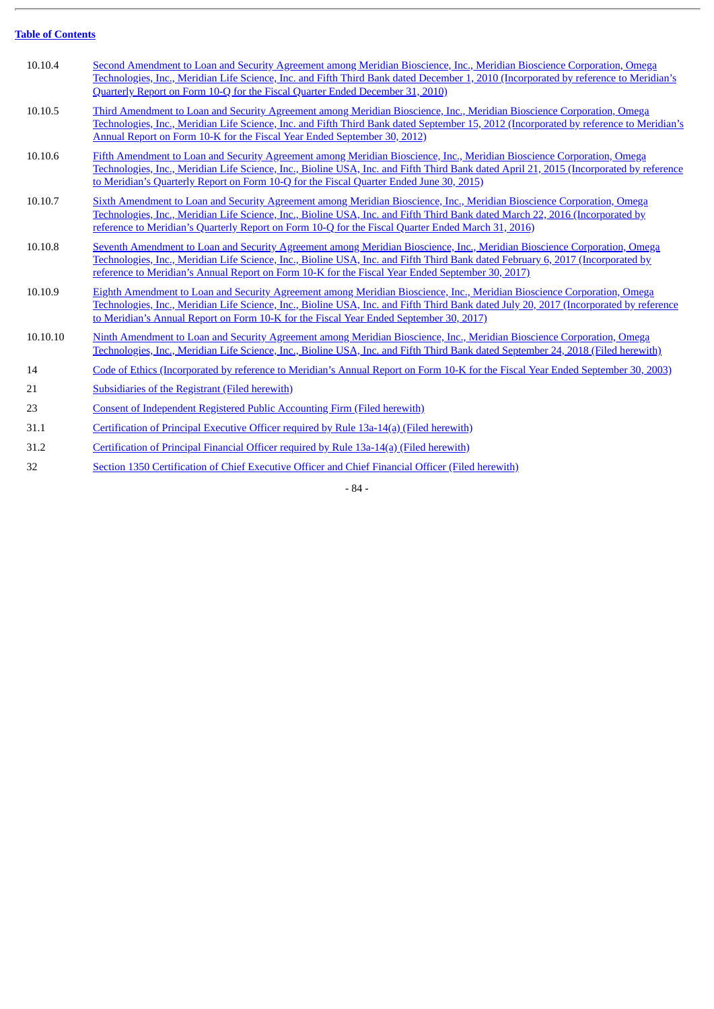Ē.

| 10.10.4  | Second Amendment to Loan and Security Agreement among Meridian Bioscience, Inc., Meridian Bioscience Corporation, Omega<br>Technologies, Inc., Meridian Life Science, Inc. and Fifth Third Bank dated December 1, 2010 (Incorporated by reference to Meridian's<br>Quarterly Report on Form 10-Q for the Fiscal Quarter Ended December 31, 2010).               |
|----------|-----------------------------------------------------------------------------------------------------------------------------------------------------------------------------------------------------------------------------------------------------------------------------------------------------------------------------------------------------------------|
| 10.10.5  | Third Amendment to Loan and Security Agreement among Meridian Bioscience, Inc., Meridian Bioscience Corporation, Omega<br>Technologies, Inc., Meridian Life Science, Inc. and Fifth Third Bank dated September 15, 2012 (Incorporated by reference to Meridian's<br>Annual Report on Form 10-K for the Fiscal Year Ended September 30, 2012)                    |
| 10.10.6  | Fifth Amendment to Loan and Security Agreement among Meridian Bioscience, Inc., Meridian Bioscience Corporation, Omega<br>Technologies, Inc., Meridian Life Science, Inc., Bioline USA, Inc. and Fifth Third Bank dated April 21, 2015 (Incorporated by reference<br>to Meridian's Quarterly Report on Form 10-Q for the Fiscal Quarter Ended June 30, 2015)    |
| 10.10.7  | Sixth Amendment to Loan and Security Agreement among Meridian Bioscience, Inc., Meridian Bioscience Corporation, Omega<br>Technologies, Inc., Meridian Life Science, Inc., Bioline USA, Inc. and Fifth Third Bank dated March 22, 2016 (Incorporated by<br>reference to Meridian's Quarterly Report on Form 10-Q for the Fiscal Quarter Ended March 31, 2016)   |
| 10.10.8  | Seventh Amendment to Loan and Security Agreement among Meridian Bioscience, Inc., Meridian Bioscience Corporation, Omega<br>Technologies, Inc., Meridian Life Science, Inc., Bioline USA, Inc. and Fifth Third Bank dated February 6, 2017 (Incorporated by<br>reference to Meridian's Annual Report on Form 10-K for the Fiscal Year Ended September 30, 2017) |
| 10.10.9  | Eighth Amendment to Loan and Security Agreement among Meridian Bioscience, Inc., Meridian Bioscience Corporation, Omega<br>Technologies, Inc., Meridian Life Science, Inc., Bioline USA, Inc. and Fifth Third Bank dated July 20, 2017 (Incorporated by reference<br>to Meridian's Annual Report on Form 10-K for the Fiscal Year Ended September 30, 2017).    |
| 10.10.10 | Ninth Amendment to Loan and Security Agreement among Meridian Bioscience, Inc., Meridian Bioscience Corporation, Omega<br>Technologies, Inc., Meridian Life Science, Inc., Bioline USA, Inc. and Fifth Third Bank dated September 24, 2018 (Filed herewith)                                                                                                     |
| 14       | Code of Ethics (Incorporated by reference to Meridian's Annual Report on Form 10-K for the Fiscal Year Ended September 30, 2003)                                                                                                                                                                                                                                |
| 21       | <b>Subsidiaries of the Registrant (Filed herewith)</b>                                                                                                                                                                                                                                                                                                          |
| 23       | <b>Consent of Independent Registered Public Accounting Firm (Filed herewith)</b>                                                                                                                                                                                                                                                                                |
| 31.1     | Certification of Principal Executive Officer required by Rule 13a-14(a) (Filed herewith)                                                                                                                                                                                                                                                                        |
| 31.2     | Certification of Principal Financial Officer required by Rule 13a-14(a) (Filed herewith)                                                                                                                                                                                                                                                                        |
|          |                                                                                                                                                                                                                                                                                                                                                                 |

32 Section 1350 [Certification](#page-99-0) of Chief Executive Officer and Chief Financial Officer (Filed herewith)

- 84 -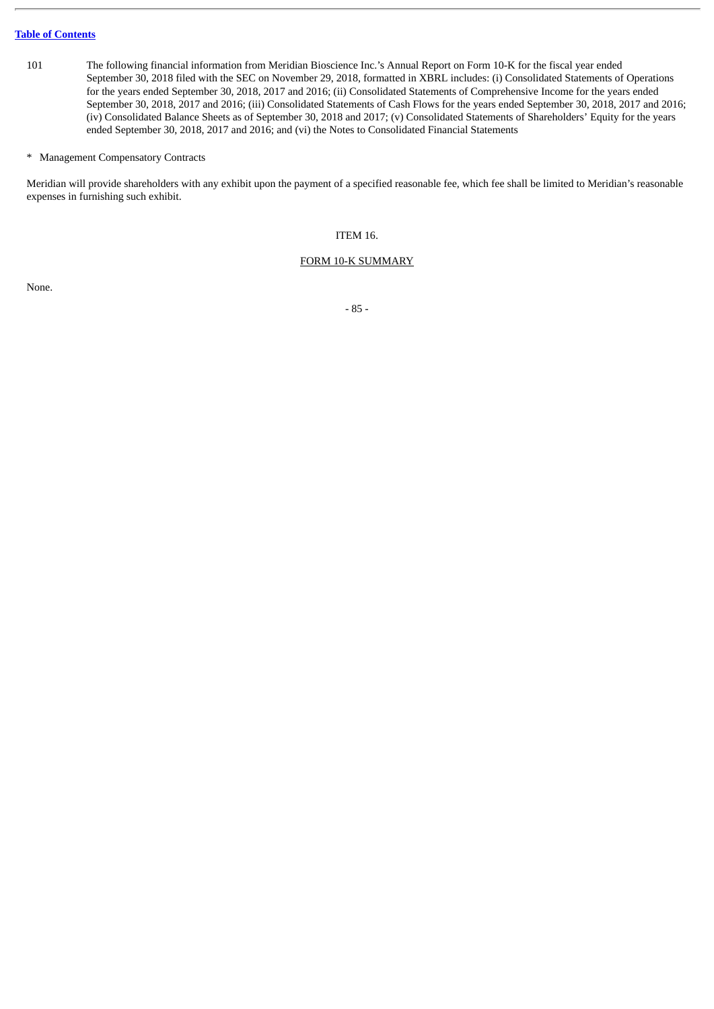- 101 The following financial information from Meridian Bioscience Inc.'s Annual Report on Form 10-K for the fiscal year ended September 30, 2018 filed with the SEC on November 29, 2018, formatted in XBRL includes: (i) Consolidated Statements of Operations for the years ended September 30, 2018, 2017 and 2016; (ii) Consolidated Statements of Comprehensive Income for the years ended September 30, 2018, 2017 and 2016; (iii) Consolidated Statements of Cash Flows for the years ended September 30, 2018, 2017 and 2016; (iv) Consolidated Balance Sheets as of September 30, 2018 and 2017; (v) Consolidated Statements of Shareholders' Equity for the years ended September 30, 2018, 2017 and 2016; and (vi) the Notes to Consolidated Financial Statements
- \* Management Compensatory Contracts

Meridian will provide shareholders with any exhibit upon the payment of a specified reasonable fee, which fee shall be limited to Meridian's reasonable expenses in furnishing such exhibit.

### ITEM 16.

### FORM 10-K SUMMARY

None.

- 85 -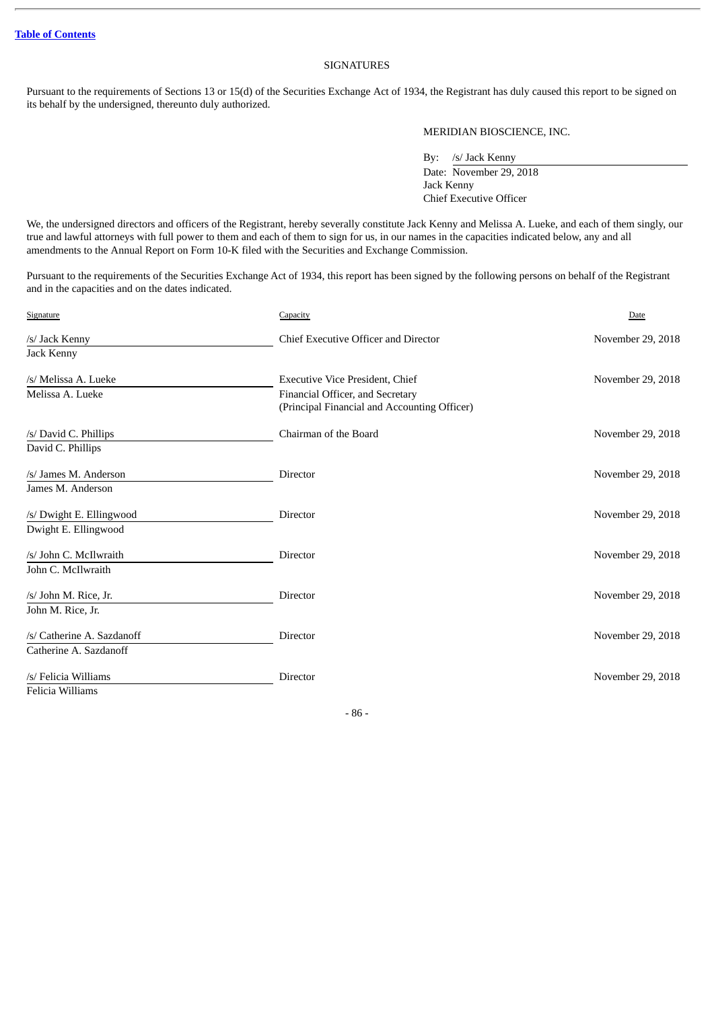## SIGNATURES

Pursuant to the requirements of Sections 13 or 15(d) of the Securities Exchange Act of 1934, the Registrant has duly caused this report to be signed on its behalf by the undersigned, thereunto duly authorized.

MERIDIAN BIOSCIENCE, INC.

By: /s/ Jack Kenny

Date: November 29, 2018 Jack Kenny Chief Executive Officer

We, the undersigned directors and officers of the Registrant, hereby severally constitute Jack Kenny and Melissa A. Lueke, and each of them singly, our true and lawful attorneys with full power to them and each of them to sign for us, in our names in the capacities indicated below, any and all amendments to the Annual Report on Form 10-K filed with the Securities and Exchange Commission.

Pursuant to the requirements of the Securities Exchange Act of 1934, this report has been signed by the following persons on behalf of the Registrant and in the capacities and on the dates indicated.

| Signature                                            | Capacity                                                                                                                   | Date              |
|------------------------------------------------------|----------------------------------------------------------------------------------------------------------------------------|-------------------|
| /s/ Jack Kenny<br>Jack Kenny                         | Chief Executive Officer and Director                                                                                       | November 29, 2018 |
| /s/ Melissa A. Lueke<br>Melissa A. Lueke             | <b>Executive Vice President, Chief</b><br>Financial Officer, and Secretary<br>(Principal Financial and Accounting Officer) | November 29, 2018 |
| /s/ David C. Phillips<br>David C. Phillips           | Chairman of the Board                                                                                                      | November 29, 2018 |
| /s/ James M. Anderson<br>James M. Anderson           | Director                                                                                                                   | November 29, 2018 |
| /s/ Dwight E. Ellingwood<br>Dwight E. Ellingwood     | Director                                                                                                                   | November 29, 2018 |
| /s/ John C. McIlwraith<br>John C. McIlwraith         | Director                                                                                                                   | November 29, 2018 |
| /s/ John M. Rice, Jr.<br>John M. Rice, Jr.           | Director                                                                                                                   | November 29, 2018 |
| /s/ Catherine A. Sazdanoff<br>Catherine A. Sazdanoff | Director                                                                                                                   | November 29, 2018 |
| /s/ Felicia Williams<br>Felicia Williams             | Director                                                                                                                   | November 29, 2018 |

- 86 -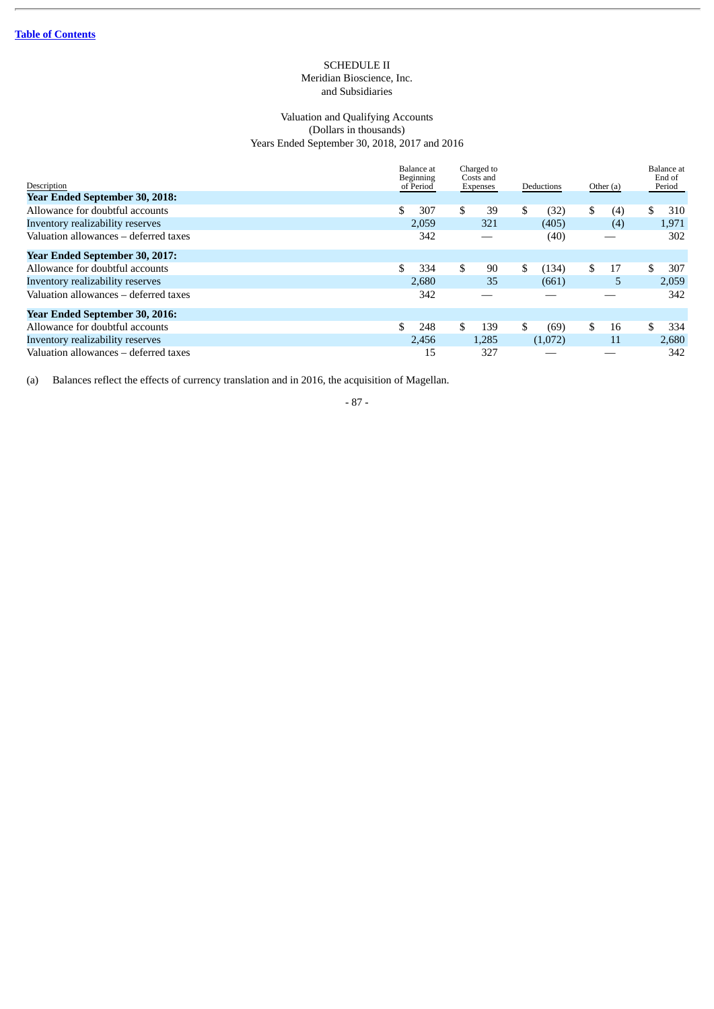## SCHEDULE II Meridian Bioscience, Inc. and Subsidiaries

## Valuation and Qualifying Accounts (Dollars in thousands) Years Ended September 30, 2018, 2017 and 2016

| Description                           | Balance at<br><b>Beginning</b><br>of Period | Charged to<br>Costs and<br>Expenses | Deductions  | Other (a) | Balance at<br>End of<br>Period |
|---------------------------------------|---------------------------------------------|-------------------------------------|-------------|-----------|--------------------------------|
| <b>Year Ended September 30, 2018:</b> |                                             |                                     |             |           |                                |
| Allowance for doubtful accounts       | \$<br>307                                   | \$<br>39                            | \$<br>(32)  | \$<br>(4) | \$<br>310                      |
| Inventory realizability reserves      | 2,059                                       | 321                                 | (405)       | (4)       | 1,971                          |
| Valuation allowances – deferred taxes | 342                                         |                                     | (40)        |           | 302                            |
| <b>Year Ended September 30, 2017:</b> |                                             |                                     |             |           |                                |
| Allowance for doubtful accounts       | \$<br>334                                   | \$<br>90                            | \$<br>(134) | \$<br>17  | \$<br>307                      |
| Inventory realizability reserves      | 2,680                                       | 35                                  | (661)       | 5         | 2,059                          |
| Valuation allowances – deferred taxes | 342                                         |                                     |             |           | 342                            |
| <b>Year Ended September 30, 2016:</b> |                                             |                                     |             |           |                                |
| Allowance for doubtful accounts       | 248                                         | \$<br>139                           | \$<br>(69)  | \$<br>16  | \$.<br>334                     |
| Inventory realizability reserves      | 2,456                                       | 1,285                               | (1,072)     | 11        | 2,680                          |
| Valuation allowances - deferred taxes | 15                                          | 327                                 |             |           | 342                            |

(a) Balances reflect the effects of currency translation and in 2016, the acquisition of Magellan.

$$
-87
$$
 -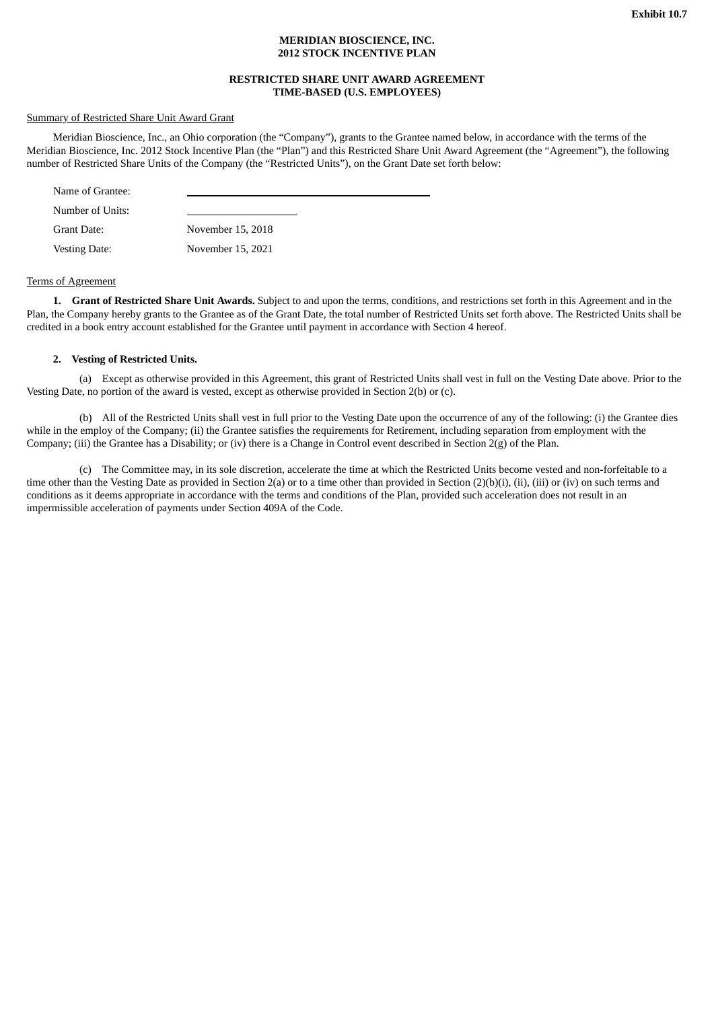#### **MERIDIAN BIOSCIENCE, INC. 2012 STOCK INCENTIVE PLAN**

## **RESTRICTED SHARE UNIT AWARD AGREEMENT TIME-BASED (U.S. EMPLOYEES)**

### <span id="page-87-0"></span>Summary of Restricted Share Unit Award Grant

Meridian Bioscience, Inc., an Ohio corporation (the "Company"), grants to the Grantee named below, in accordance with the terms of the Meridian Bioscience, Inc. 2012 Stock Incentive Plan (the "Plan") and this Restricted Share Unit Award Agreement (the "Agreement"), the following number of Restricted Share Units of the Company (the "Restricted Units"), on the Grant Date set forth below:

| Name of Grantee:     |                   |
|----------------------|-------------------|
| Number of Units:     |                   |
| Grant Date:          | November 15, 2018 |
| <b>Vesting Date:</b> | November 15, 2021 |

# Terms of Agreement

**1. Grant of Restricted Share Unit Awards.** Subject to and upon the terms, conditions, and restrictions set forth in this Agreement and in the Plan, the Company hereby grants to the Grantee as of the Grant Date, the total number of Restricted Units set forth above. The Restricted Units shall be credited in a book entry account established for the Grantee until payment in accordance with Section 4 hereof.

## **2. Vesting of Restricted Units.**

(a) Except as otherwise provided in this Agreement, this grant of Restricted Units shall vest in full on the Vesting Date above. Prior to the Vesting Date, no portion of the award is vested, except as otherwise provided in Section 2(b) or (c).

(b) All of the Restricted Units shall vest in full prior to the Vesting Date upon the occurrence of any of the following: (i) the Grantee dies while in the employ of the Company; (ii) the Grantee satisfies the requirements for Retirement, including separation from employment with the Company; (iii) the Grantee has a Disability; or (iv) there is a Change in Control event described in Section 2(g) of the Plan.

(c) The Committee may, in its sole discretion, accelerate the time at which the Restricted Units become vested and non-forfeitable to a time other than the Vesting Date as provided in Section 2(a) or to a time other than provided in Section (2)(b)(i), (ii), (iii) or (iv) on such terms and conditions as it deems appropriate in accordance with the terms and conditions of the Plan, provided such acceleration does not result in an impermissible acceleration of payments under Section 409A of the Code.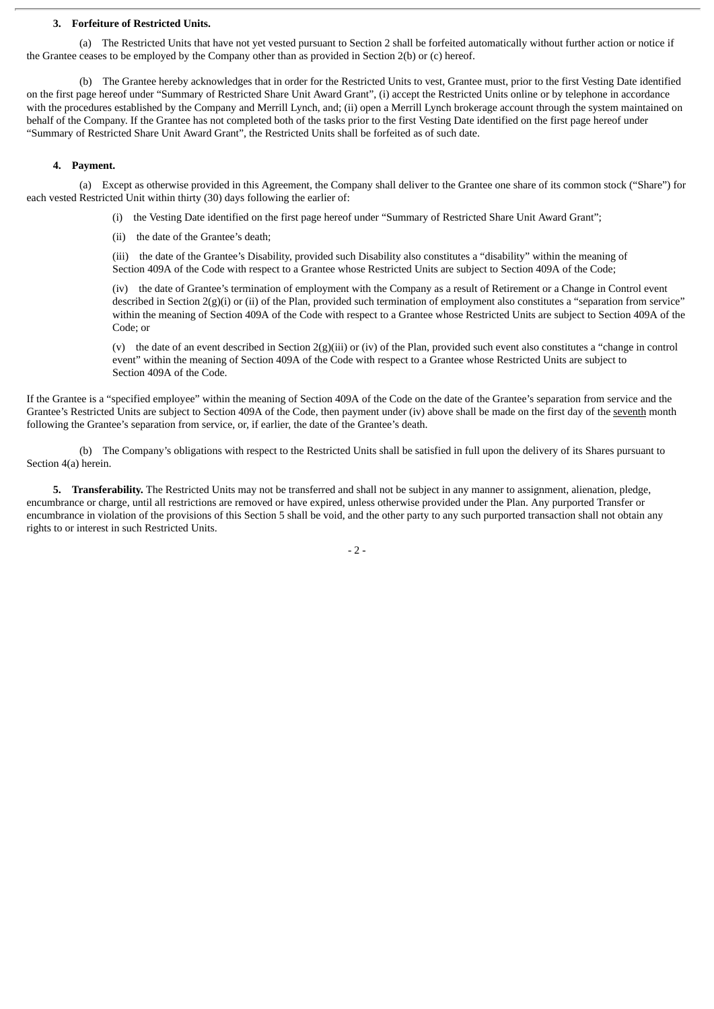#### **3. Forfeiture of Restricted Units.**

(a) The Restricted Units that have not yet vested pursuant to Section 2 shall be forfeited automatically without further action or notice if the Grantee ceases to be employed by the Company other than as provided in Section 2(b) or (c) hereof.

(b) The Grantee hereby acknowledges that in order for the Restricted Units to vest, Grantee must, prior to the first Vesting Date identified on the first page hereof under "Summary of Restricted Share Unit Award Grant", (i) accept the Restricted Units online or by telephone in accordance with the procedures established by the Company and Merrill Lynch, and; (ii) open a Merrill Lynch brokerage account through the system maintained on behalf of the Company. If the Grantee has not completed both of the tasks prior to the first Vesting Date identified on the first page hereof under "Summary of Restricted Share Unit Award Grant", the Restricted Units shall be forfeited as of such date.

#### **4. Payment.**

(a) Except as otherwise provided in this Agreement, the Company shall deliver to the Grantee one share of its common stock ("Share") for each vested Restricted Unit within thirty (30) days following the earlier of:

- (i) the Vesting Date identified on the first page hereof under "Summary of Restricted Share Unit Award Grant";
- (ii) the date of the Grantee's death;

(iii) the date of the Grantee's Disability, provided such Disability also constitutes a "disability" within the meaning of Section 409A of the Code with respect to a Grantee whose Restricted Units are subject to Section 409A of the Code;

(iv) the date of Grantee's termination of employment with the Company as a result of Retirement or a Change in Control event described in Section 2(g)(i) or (ii) of the Plan, provided such termination of employment also constitutes a "separation from service" within the meaning of Section 409A of the Code with respect to a Grantee whose Restricted Units are subject to Section 409A of the Code; or

(v) the date of an event described in Section 2(g)(iii) or (iv) of the Plan, provided such event also constitutes a "change in control event" within the meaning of Section 409A of the Code with respect to a Grantee whose Restricted Units are subject to Section 409A of the Code.

If the Grantee is a "specified employee" within the meaning of Section 409A of the Code on the date of the Grantee's separation from service and the Grantee's Restricted Units are subject to Section 409A of the Code, then payment under (iv) above shall be made on the first day of the seventh month following the Grantee's separation from service, or, if earlier, the date of the Grantee's death.

(b) The Company's obligations with respect to the Restricted Units shall be satisfied in full upon the delivery of its Shares pursuant to Section 4(a) herein.

**5. Transferability.** The Restricted Units may not be transferred and shall not be subject in any manner to assignment, alienation, pledge, encumbrance or charge, until all restrictions are removed or have expired, unless otherwise provided under the Plan. Any purported Transfer or encumbrance in violation of the provisions of this Section 5 shall be void, and the other party to any such purported transaction shall not obtain any rights to or interest in such Restricted Units.

 $-2 -$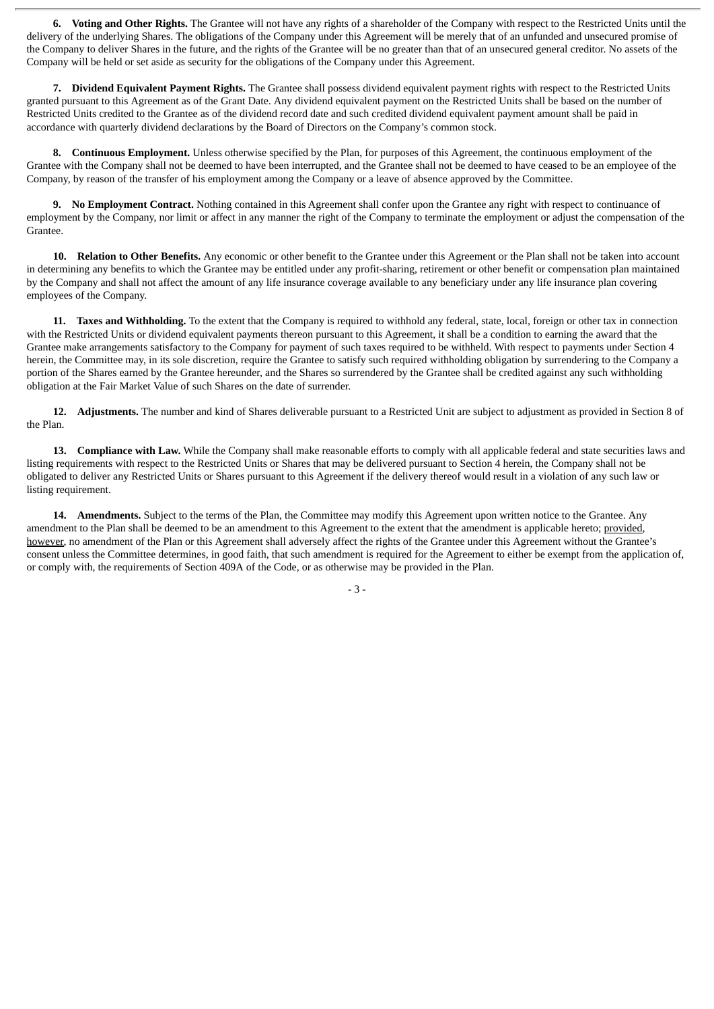**6. Voting and Other Rights.** The Grantee will not have any rights of a shareholder of the Company with respect to the Restricted Units until the delivery of the underlying Shares. The obligations of the Company under this Agreement will be merely that of an unfunded and unsecured promise of the Company to deliver Shares in the future, and the rights of the Grantee will be no greater than that of an unsecured general creditor. No assets of the Company will be held or set aside as security for the obligations of the Company under this Agreement.

**7. Dividend Equivalent Payment Rights.** The Grantee shall possess dividend equivalent payment rights with respect to the Restricted Units granted pursuant to this Agreement as of the Grant Date. Any dividend equivalent payment on the Restricted Units shall be based on the number of Restricted Units credited to the Grantee as of the dividend record date and such credited dividend equivalent payment amount shall be paid in accordance with quarterly dividend declarations by the Board of Directors on the Company's common stock.

**8. Continuous Employment.** Unless otherwise specified by the Plan, for purposes of this Agreement, the continuous employment of the Grantee with the Company shall not be deemed to have been interrupted, and the Grantee shall not be deemed to have ceased to be an employee of the Company, by reason of the transfer of his employment among the Company or a leave of absence approved by the Committee.

**9. No Employment Contract.** Nothing contained in this Agreement shall confer upon the Grantee any right with respect to continuance of employment by the Company, nor limit or affect in any manner the right of the Company to terminate the employment or adjust the compensation of the Grantee.

**10. Relation to Other Benefits.** Any economic or other benefit to the Grantee under this Agreement or the Plan shall not be taken into account in determining any benefits to which the Grantee may be entitled under any profit-sharing, retirement or other benefit or compensation plan maintained by the Company and shall not affect the amount of any life insurance coverage available to any beneficiary under any life insurance plan covering employees of the Company.

**11. Taxes and Withholding.** To the extent that the Company is required to withhold any federal, state, local, foreign or other tax in connection with the Restricted Units or dividend equivalent payments thereon pursuant to this Agreement, it shall be a condition to earning the award that the Grantee make arrangements satisfactory to the Company for payment of such taxes required to be withheld. With respect to payments under Section 4 herein, the Committee may, in its sole discretion, require the Grantee to satisfy such required withholding obligation by surrendering to the Company a portion of the Shares earned by the Grantee hereunder, and the Shares so surrendered by the Grantee shall be credited against any such withholding obligation at the Fair Market Value of such Shares on the date of surrender.

**12. Adjustments.** The number and kind of Shares deliverable pursuant to a Restricted Unit are subject to adjustment as provided in Section 8 of the Plan.

**13. Compliance with Law.** While the Company shall make reasonable efforts to comply with all applicable federal and state securities laws and listing requirements with respect to the Restricted Units or Shares that may be delivered pursuant to Section 4 herein, the Company shall not be obligated to deliver any Restricted Units or Shares pursuant to this Agreement if the delivery thereof would result in a violation of any such law or listing requirement.

**14. Amendments.** Subject to the terms of the Plan, the Committee may modify this Agreement upon written notice to the Grantee. Any amendment to the Plan shall be deemed to be an amendment to this Agreement to the extent that the amendment is applicable hereto; provided, however, no amendment of the Plan or this Agreement shall adversely affect the rights of the Grantee under this Agreement without the Grantee's consent unless the Committee determines, in good faith, that such amendment is required for the Agreement to either be exempt from the application of, or comply with, the requirements of Section 409A of the Code, or as otherwise may be provided in the Plan.

- 3 -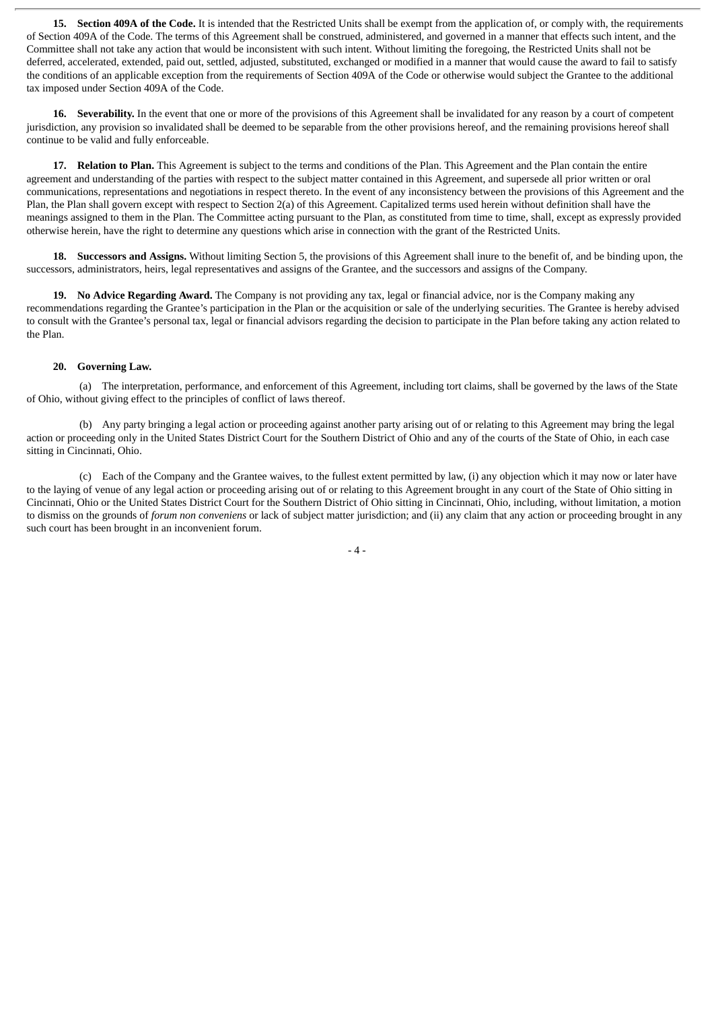**15. Section 409A of the Code.** It is intended that the Restricted Units shall be exempt from the application of, or comply with, the requirements of Section 409A of the Code. The terms of this Agreement shall be construed, administered, and governed in a manner that effects such intent, and the Committee shall not take any action that would be inconsistent with such intent. Without limiting the foregoing, the Restricted Units shall not be deferred, accelerated, extended, paid out, settled, adjusted, substituted, exchanged or modified in a manner that would cause the award to fail to satisfy the conditions of an applicable exception from the requirements of Section 409A of the Code or otherwise would subject the Grantee to the additional tax imposed under Section 409A of the Code.

**16. Severability.** In the event that one or more of the provisions of this Agreement shall be invalidated for any reason by a court of competent jurisdiction, any provision so invalidated shall be deemed to be separable from the other provisions hereof, and the remaining provisions hereof shall continue to be valid and fully enforceable.

**17. Relation to Plan.** This Agreement is subject to the terms and conditions of the Plan. This Agreement and the Plan contain the entire agreement and understanding of the parties with respect to the subject matter contained in this Agreement, and supersede all prior written or oral communications, representations and negotiations in respect thereto. In the event of any inconsistency between the provisions of this Agreement and the Plan, the Plan shall govern except with respect to Section 2(a) of this Agreement. Capitalized terms used herein without definition shall have the meanings assigned to them in the Plan. The Committee acting pursuant to the Plan, as constituted from time to time, shall, except as expressly provided otherwise herein, have the right to determine any questions which arise in connection with the grant of the Restricted Units.

**18. Successors and Assigns.** Without limiting Section 5, the provisions of this Agreement shall inure to the benefit of, and be binding upon, the successors, administrators, heirs, legal representatives and assigns of the Grantee, and the successors and assigns of the Company.

**19. No Advice Regarding Award.** The Company is not providing any tax, legal or financial advice, nor is the Company making any recommendations regarding the Grantee's participation in the Plan or the acquisition or sale of the underlying securities. The Grantee is hereby advised to consult with the Grantee's personal tax, legal or financial advisors regarding the decision to participate in the Plan before taking any action related to the Plan.

### **20. Governing Law.**

(a) The interpretation, performance, and enforcement of this Agreement, including tort claims, shall be governed by the laws of the State of Ohio, without giving effect to the principles of conflict of laws thereof.

(b) Any party bringing a legal action or proceeding against another party arising out of or relating to this Agreement may bring the legal action or proceeding only in the United States District Court for the Southern District of Ohio and any of the courts of the State of Ohio, in each case sitting in Cincinnati, Ohio.

(c) Each of the Company and the Grantee waives, to the fullest extent permitted by law, (i) any objection which it may now or later have to the laying of venue of any legal action or proceeding arising out of or relating to this Agreement brought in any court of the State of Ohio sitting in Cincinnati, Ohio or the United States District Court for the Southern District of Ohio sitting in Cincinnati, Ohio, including, without limitation, a motion to dismiss on the grounds of *forum non conveniens* or lack of subject matter jurisdiction; and (ii) any claim that any action or proceeding brought in any such court has been brought in an inconvenient forum.

 $\Lambda$  -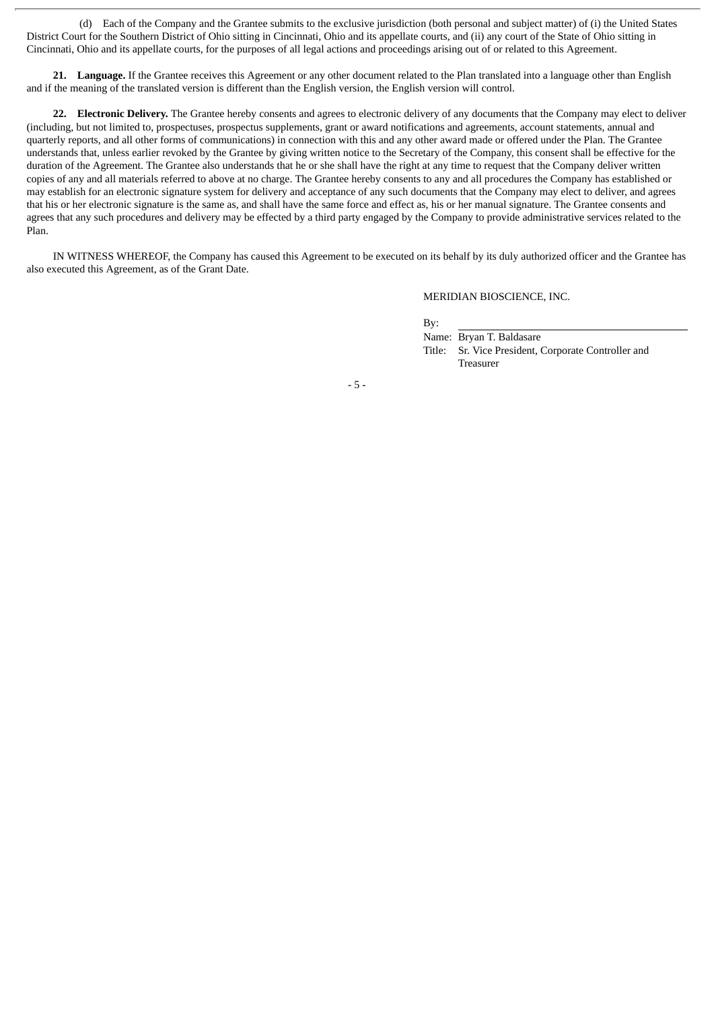(d) Each of the Company and the Grantee submits to the exclusive jurisdiction (both personal and subject matter) of (i) the United States District Court for the Southern District of Ohio sitting in Cincinnati, Ohio and its appellate courts, and (ii) any court of the State of Ohio sitting in Cincinnati, Ohio and its appellate courts, for the purposes of all legal actions and proceedings arising out of or related to this Agreement.

**21. Language.** If the Grantee receives this Agreement or any other document related to the Plan translated into a language other than English and if the meaning of the translated version is different than the English version, the English version will control.

**22. Electronic Delivery.** The Grantee hereby consents and agrees to electronic delivery of any documents that the Company may elect to deliver (including, but not limited to, prospectuses, prospectus supplements, grant or award notifications and agreements, account statements, annual and quarterly reports, and all other forms of communications) in connection with this and any other award made or offered under the Plan. The Grantee understands that, unless earlier revoked by the Grantee by giving written notice to the Secretary of the Company, this consent shall be effective for the duration of the Agreement. The Grantee also understands that he or she shall have the right at any time to request that the Company deliver written copies of any and all materials referred to above at no charge. The Grantee hereby consents to any and all procedures the Company has established or may establish for an electronic signature system for delivery and acceptance of any such documents that the Company may elect to deliver, and agrees that his or her electronic signature is the same as, and shall have the same force and effect as, his or her manual signature. The Grantee consents and agrees that any such procedures and delivery may be effected by a third party engaged by the Company to provide administrative services related to the Plan.

IN WITNESS WHEREOF, the Company has caused this Agreement to be executed on its behalf by its duly authorized officer and the Grantee has also executed this Agreement, as of the Grant Date.

## MERIDIAN BIOSCIENCE, INC.

By:

Name: Bryan T. Baldasare Title: Sr. Vice President, Corporate Controller and Treasurer

- 5 -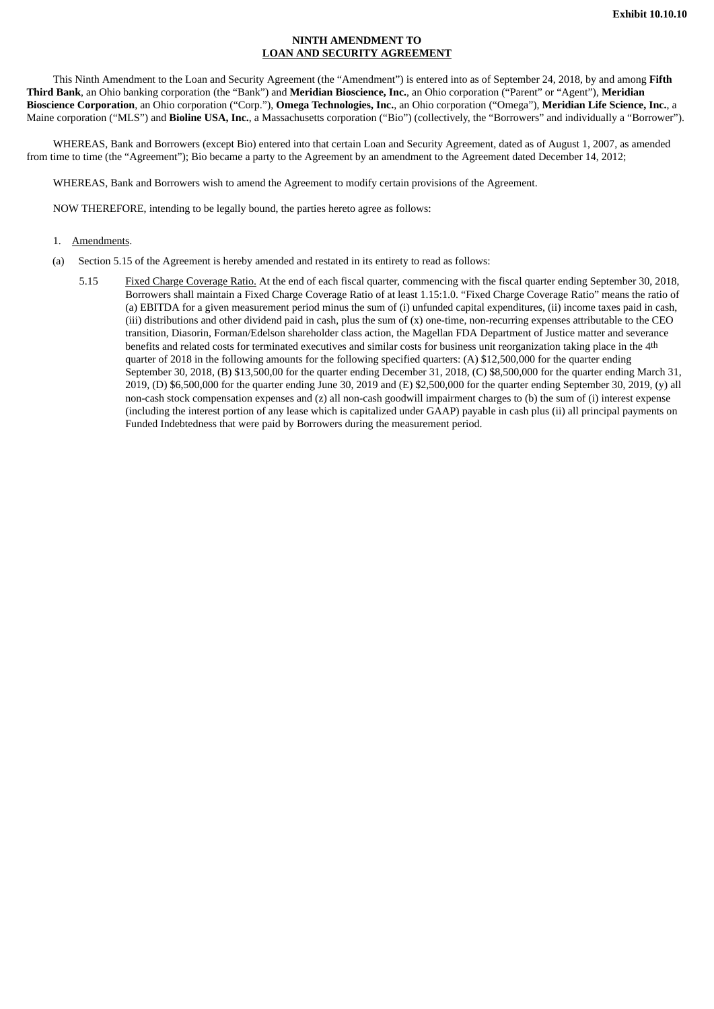### **NINTH AMENDMENT TO LOAN AND SECURITY AGREEMENT**

<span id="page-92-0"></span>This Ninth Amendment to the Loan and Security Agreement (the "Amendment") is entered into as of September 24, 2018, by and among **Fifth Third Bank**, an Ohio banking corporation (the "Bank") and **Meridian Bioscience, Inc.**, an Ohio corporation ("Parent" or "Agent"), **Meridian Bioscience Corporation**, an Ohio corporation ("Corp."), **Omega Technologies, Inc.**, an Ohio corporation ("Omega"), **Meridian Life Science, Inc.**, a Maine corporation ("MLS") and **Bioline USA, Inc.**, a Massachusetts corporation ("Bio") (collectively, the "Borrowers" and individually a "Borrower").

WHEREAS, Bank and Borrowers (except Bio) entered into that certain Loan and Security Agreement, dated as of August 1, 2007, as amended from time to time (the "Agreement"); Bio became a party to the Agreement by an amendment to the Agreement dated December 14, 2012;

WHEREAS, Bank and Borrowers wish to amend the Agreement to modify certain provisions of the Agreement.

NOW THEREFORE, intending to be legally bound, the parties hereto agree as follows:

### 1. Amendments.

- (a) Section 5.15 of the Agreement is hereby amended and restated in its entirety to read as follows:
	- 5.15 Fixed Charge Coverage Ratio. At the end of each fiscal quarter, commencing with the fiscal quarter ending September 30, 2018, Borrowers shall maintain a Fixed Charge Coverage Ratio of at least 1.15:1.0. "Fixed Charge Coverage Ratio" means the ratio of (a) EBITDA for a given measurement period minus the sum of (i) unfunded capital expenditures, (ii) income taxes paid in cash, (iii) distributions and other dividend paid in cash, plus the sum of (x) one-time, non-recurring expenses attributable to the CEO transition, Diasorin, Forman/Edelson shareholder class action, the Magellan FDA Department of Justice matter and severance benefits and related costs for terminated executives and similar costs for business unit reorganization taking place in the 4th quarter of 2018 in the following amounts for the following specified quarters: (A) \$12,500,000 for the quarter ending September 30, 2018, (B) \$13,500,00 for the quarter ending December 31, 2018, (C) \$8,500,000 for the quarter ending March 31, 2019, (D) \$6,500,000 for the quarter ending June 30, 2019 and (E) \$2,500,000 for the quarter ending September 30, 2019, (y) all non-cash stock compensation expenses and (z) all non-cash goodwill impairment charges to (b) the sum of (i) interest expense (including the interest portion of any lease which is capitalized under GAAP) payable in cash plus (ii) all principal payments on Funded Indebtedness that were paid by Borrowers during the measurement period.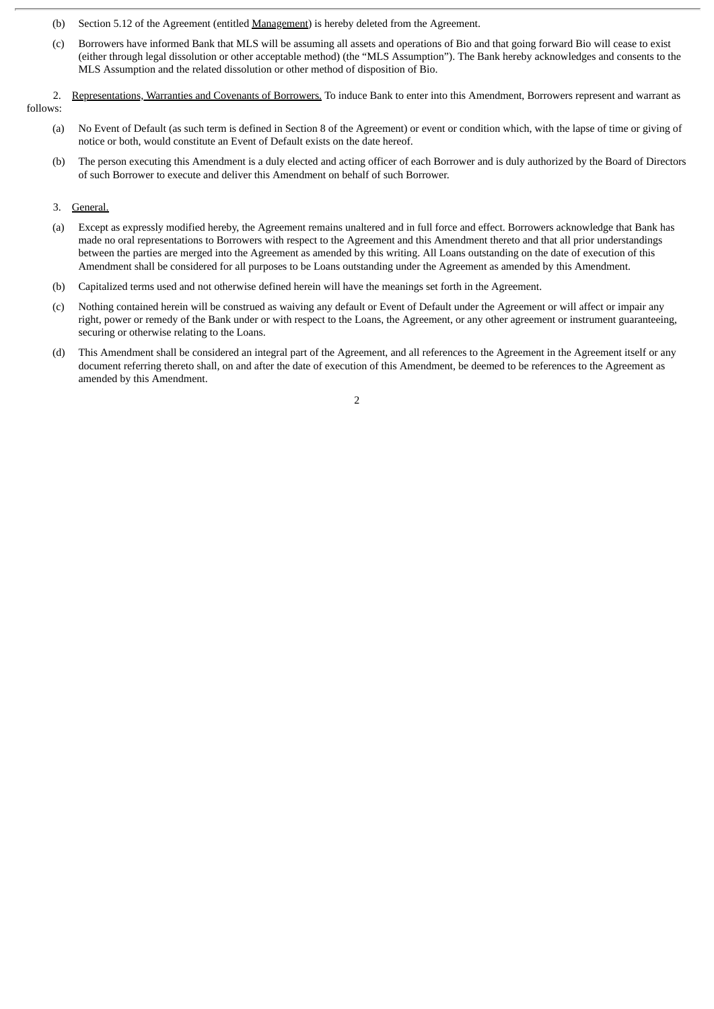- (b) Section 5.12 of the Agreement (entitled **Management**) is hereby deleted from the Agreement.
- (c) Borrowers have informed Bank that MLS will be assuming all assets and operations of Bio and that going forward Bio will cease to exist (either through legal dissolution or other acceptable method) (the "MLS Assumption"). The Bank hereby acknowledges and consents to the MLS Assumption and the related dissolution or other method of disposition of Bio.
- 2. Representations, Warranties and Covenants of Borrowers. To induce Bank to enter into this Amendment, Borrowers represent and warrant as

follows:

- (a) No Event of Default (as such term is defined in Section 8 of the Agreement) or event or condition which, with the lapse of time or giving of notice or both, would constitute an Event of Default exists on the date hereof.
- (b) The person executing this Amendment is a duly elected and acting officer of each Borrower and is duly authorized by the Board of Directors of such Borrower to execute and deliver this Amendment on behalf of such Borrower.

### 3. General.

- (a) Except as expressly modified hereby, the Agreement remains unaltered and in full force and effect. Borrowers acknowledge that Bank has made no oral representations to Borrowers with respect to the Agreement and this Amendment thereto and that all prior understandings between the parties are merged into the Agreement as amended by this writing. All Loans outstanding on the date of execution of this Amendment shall be considered for all purposes to be Loans outstanding under the Agreement as amended by this Amendment.
- (b) Capitalized terms used and not otherwise defined herein will have the meanings set forth in the Agreement.
- (c) Nothing contained herein will be construed as waiving any default or Event of Default under the Agreement or will affect or impair any right, power or remedy of the Bank under or with respect to the Loans, the Agreement, or any other agreement or instrument guaranteeing, securing or otherwise relating to the Loans.
- (d) This Amendment shall be considered an integral part of the Agreement, and all references to the Agreement in the Agreement itself or any document referring thereto shall, on and after the date of execution of this Amendment, be deemed to be references to the Agreement as amended by this Amendment.

2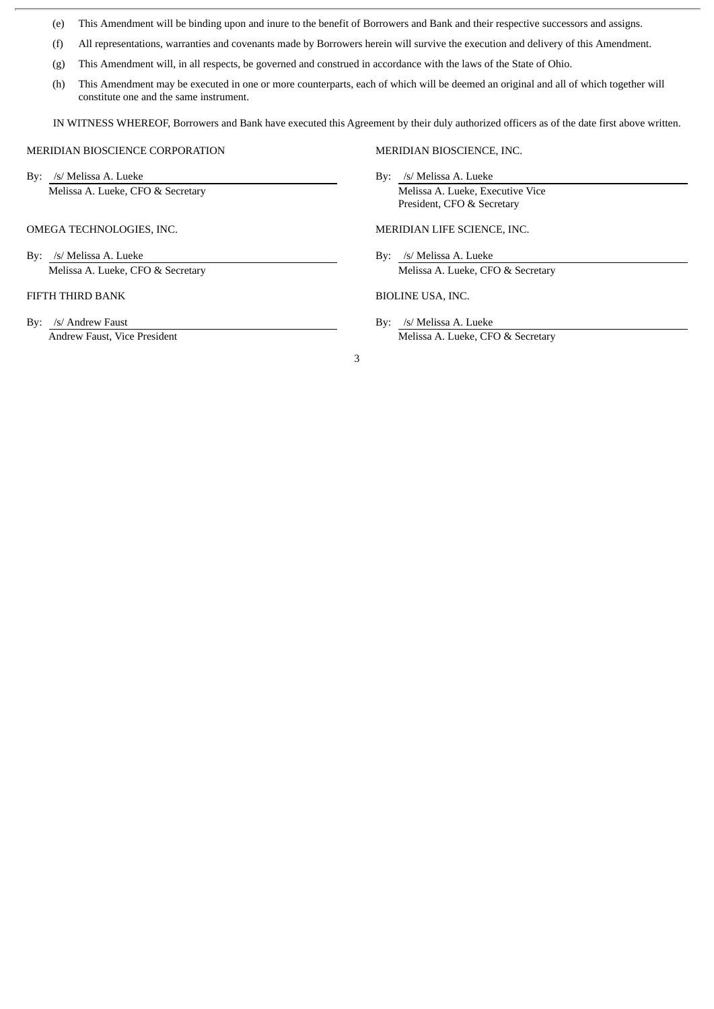- (e) This Amendment will be binding upon and inure to the benefit of Borrowers and Bank and their respective successors and assigns.
- (f) All representations, warranties and covenants made by Borrowers herein will survive the execution and delivery of this Amendment.
- (g) This Amendment will, in all respects, be governed and construed in accordance with the laws of the State of Ohio.
- (h) This Amendment may be executed in one or more counterparts, each of which will be deemed an original and all of which together will constitute one and the same instrument.

IN WITNESS WHEREOF, Borrowers and Bank have executed this Agreement by their duly authorized officers as of the date first above written.

MERIDIAN BIOSCIENCE CORPORATION MERIDIAN BIOSCIENCE, INC.

By: /s/ Melissa A. Lueke By: /s/ Melissa A. Lueke By: /s/ Melissa A. Lueke

OMEGA TECHNOLOGIES, INC.  $\hfill$  MERIDIAN LIFE SCIENCE, INC.

By: /s/ Melissa A. Lueke By: /s/ Melissa A. Lueke By: /s/ Melissa A. Lueke

FIFTH THIRD BANK BIOLINE USA, INC.

By: /s/ Andrew Faust By: /s/ Melissa A. Lueke

Melissa A. Lueke, CFO & Secretary Melissa A. Lueke, Executive Vice President, CFO & Secretary

Melissa A. Lueke, CFO & Secretary Melissa A. Lueke, CFO & Secretary

Andrew Faust, Vice President **Melissa A. Lueke, CFO & Secretary** Melissa A. Lueke, CFO & Secretary

3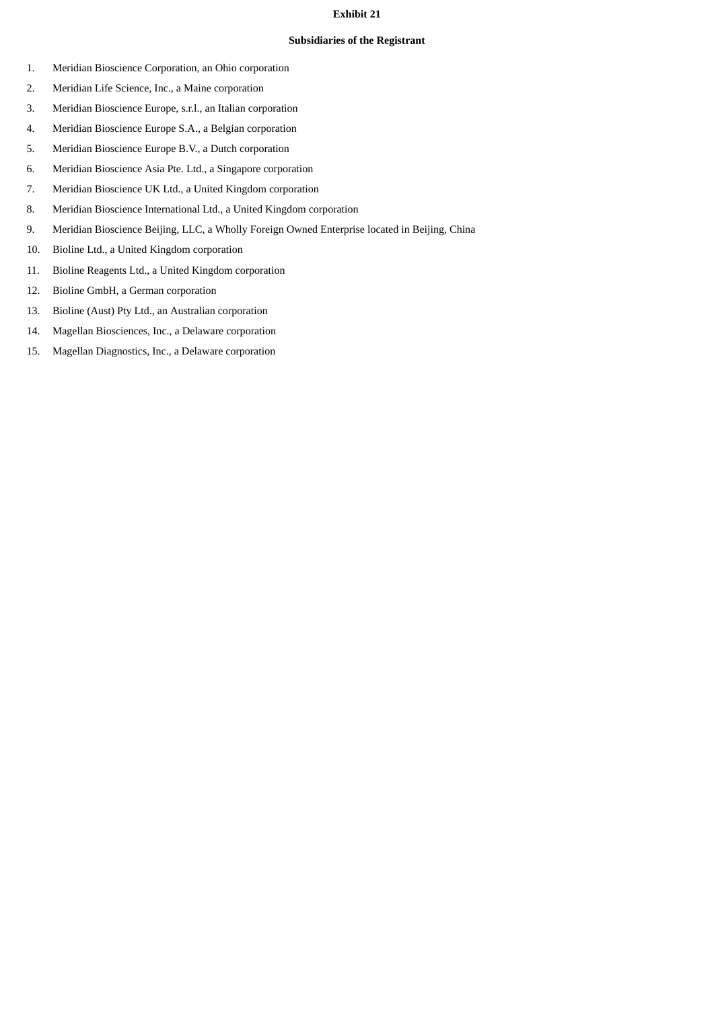# **Exhibit 21**

# **Subsidiaries of the Registrant**

- <span id="page-95-0"></span>1. Meridian Bioscience Corporation, an Ohio corporation
- 2. Meridian Life Science, Inc., a Maine corporation
- 3. Meridian Bioscience Europe, s.r.l., an Italian corporation
- 4. Meridian Bioscience Europe S.A., a Belgian corporation
- 5. Meridian Bioscience Europe B.V., a Dutch corporation
- 6. Meridian Bioscience Asia Pte. Ltd., a Singapore corporation
- 7. Meridian Bioscience UK Ltd., a United Kingdom corporation
- 8. Meridian Bioscience International Ltd., a United Kingdom corporation
- 9. Meridian Bioscience Beijing, LLC, a Wholly Foreign Owned Enterprise located in Beijing, China
- 10. Bioline Ltd., a United Kingdom corporation
- 11. Bioline Reagents Ltd., a United Kingdom corporation
- 12. Bioline GmbH, a German corporation
- 13. Bioline (Aust) Pty Ltd., an Australian corporation
- 14. Magellan Biosciences, Inc., a Delaware corporation
- 15. Magellan Diagnostics, Inc., a Delaware corporation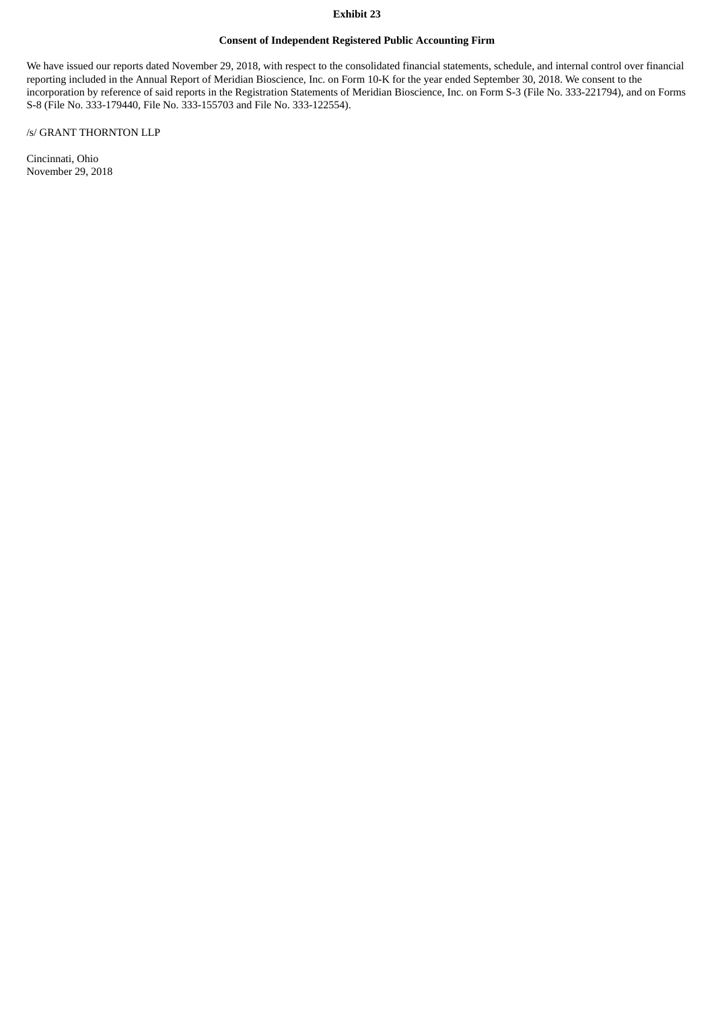# **Exhibit 23**

# **Consent of Independent Registered Public Accounting Firm**

<span id="page-96-0"></span>We have issued our reports dated November 29, 2018, with respect to the consolidated financial statements, schedule, and internal control over financial reporting included in the Annual Report of Meridian Bioscience, Inc. on Form 10-K for the year ended September 30, 2018. We consent to the incorporation by reference of said reports in the Registration Statements of Meridian Bioscience, Inc. on Form S-3 (File No. 333-221794), and on Forms S-8 (File No. 333-179440, File No. 333-155703 and File No. 333-122554).

/s/ GRANT THORNTON LLP

Cincinnati, Ohio November 29, 2018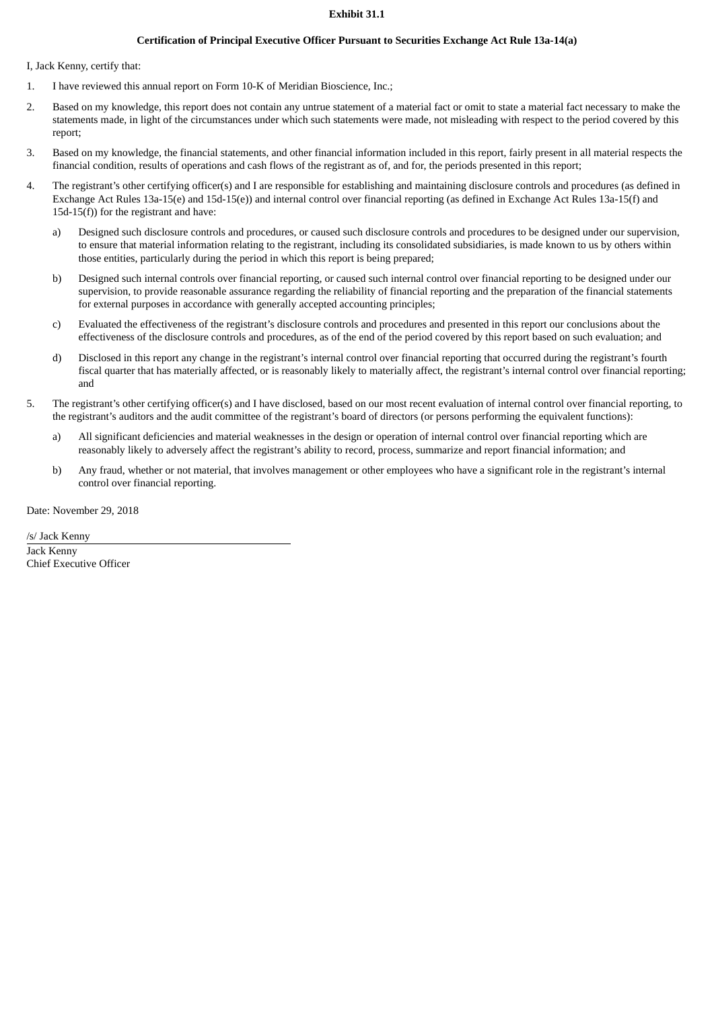## **Exhibit 31.1**

### **Certification of Principal Executive Officer Pursuant to Securities Exchange Act Rule 13a-14(a)**

<span id="page-97-0"></span>I, Jack Kenny, certify that:

- 1. I have reviewed this annual report on Form 10-K of Meridian Bioscience, Inc.;
- 2. Based on my knowledge, this report does not contain any untrue statement of a material fact or omit to state a material fact necessary to make the statements made, in light of the circumstances under which such statements were made, not misleading with respect to the period covered by this report;
- 3. Based on my knowledge, the financial statements, and other financial information included in this report, fairly present in all material respects the financial condition, results of operations and cash flows of the registrant as of, and for, the periods presented in this report;
- 4. The registrant's other certifying officer(s) and I are responsible for establishing and maintaining disclosure controls and procedures (as defined in Exchange Act Rules 13a-15(e) and 15d-15(e)) and internal control over financial reporting (as defined in Exchange Act Rules 13a-15(f) and 15d-15(f)) for the registrant and have:
	- a) Designed such disclosure controls and procedures, or caused such disclosure controls and procedures to be designed under our supervision, to ensure that material information relating to the registrant, including its consolidated subsidiaries, is made known to us by others within those entities, particularly during the period in which this report is being prepared;
	- b) Designed such internal controls over financial reporting, or caused such internal control over financial reporting to be designed under our supervision, to provide reasonable assurance regarding the reliability of financial reporting and the preparation of the financial statements for external purposes in accordance with generally accepted accounting principles;
	- c) Evaluated the effectiveness of the registrant's disclosure controls and procedures and presented in this report our conclusions about the effectiveness of the disclosure controls and procedures, as of the end of the period covered by this report based on such evaluation; and
	- d) Disclosed in this report any change in the registrant's internal control over financial reporting that occurred during the registrant's fourth fiscal quarter that has materially affected, or is reasonably likely to materially affect, the registrant's internal control over financial reporting; and
- 5. The registrant's other certifying officer(s) and I have disclosed, based on our most recent evaluation of internal control over financial reporting, to the registrant's auditors and the audit committee of the registrant's board of directors (or persons performing the equivalent functions):
	- a) All significant deficiencies and material weaknesses in the design or operation of internal control over financial reporting which are reasonably likely to adversely affect the registrant's ability to record, process, summarize and report financial information; and
	- b) Any fraud, whether or not material, that involves management or other employees who have a significant role in the registrant's internal control over financial reporting.

Date: November 29, 2018

/s/ Jack Kenny

Jack Kenny Chief Executive Officer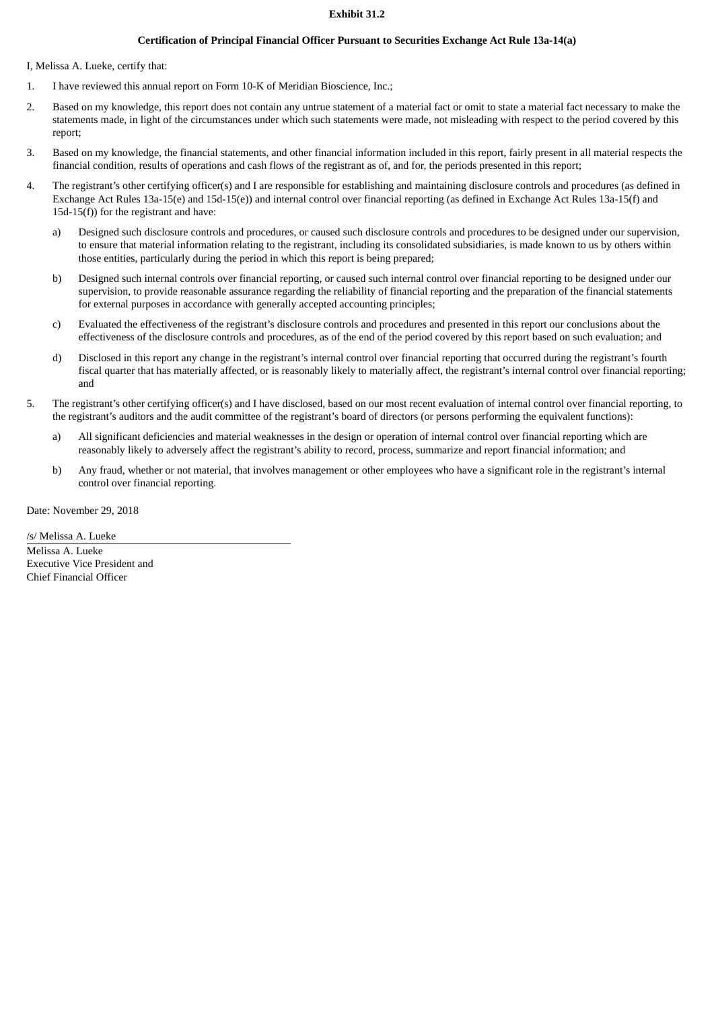## **Exhibit 31.2**

#### **Certification of Principal Financial Officer Pursuant to Securities Exchange Act Rule 13a-14(a)**

<span id="page-98-0"></span>I, Melissa A. Lueke, certify that:

- 1. I have reviewed this annual report on Form 10-K of Meridian Bioscience, Inc.;
- 2. Based on my knowledge, this report does not contain any untrue statement of a material fact or omit to state a material fact necessary to make the statements made, in light of the circumstances under which such statements were made, not misleading with respect to the period covered by this report;
- 3. Based on my knowledge, the financial statements, and other financial information included in this report, fairly present in all material respects the financial condition, results of operations and cash flows of the registrant as of, and for, the periods presented in this report;
- 4. The registrant's other certifying officer(s) and I are responsible for establishing and maintaining disclosure controls and procedures (as defined in Exchange Act Rules 13a-15(e) and 15d-15(e)) and internal control over financial reporting (as defined in Exchange Act Rules 13a-15(f) and 15d-15(f)) for the registrant and have:
	- a) Designed such disclosure controls and procedures, or caused such disclosure controls and procedures to be designed under our supervision, to ensure that material information relating to the registrant, including its consolidated subsidiaries, is made known to us by others within those entities, particularly during the period in which this report is being prepared;
	- b) Designed such internal controls over financial reporting, or caused such internal control over financial reporting to be designed under our supervision, to provide reasonable assurance regarding the reliability of financial reporting and the preparation of the financial statements for external purposes in accordance with generally accepted accounting principles;
	- c) Evaluated the effectiveness of the registrant's disclosure controls and procedures and presented in this report our conclusions about the effectiveness of the disclosure controls and procedures, as of the end of the period covered by this report based on such evaluation; and
	- d) Disclosed in this report any change in the registrant's internal control over financial reporting that occurred during the registrant's fourth fiscal quarter that has materially affected, or is reasonably likely to materially affect, the registrant's internal control over financial reporting; and
- 5. The registrant's other certifying officer(s) and I have disclosed, based on our most recent evaluation of internal control over financial reporting, to the registrant's auditors and the audit committee of the registrant's board of directors (or persons performing the equivalent functions):
	- a) All significant deficiencies and material weaknesses in the design or operation of internal control over financial reporting which are reasonably likely to adversely affect the registrant's ability to record, process, summarize and report financial information; and
	- b) Any fraud, whether or not material, that involves management or other employees who have a significant role in the registrant's internal control over financial reporting.

Date: November 29, 2018

/s/ Melissa A. Lueke Melissa A. Lueke Executive Vice President and Chief Financial Officer